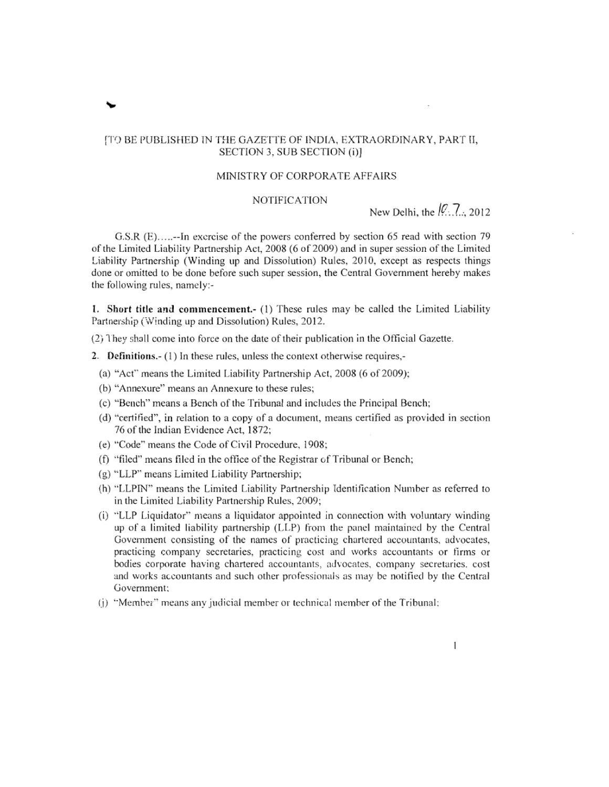#### [TO BE PUBLISHED IN THE GAZETTE OF INDIA, EXTRAORDINARY, PART II, SECTION 3, SUB SECTION (i)]

#### MINISTRY OF CORPORATE AFFAIRS

#### **NOTIFICATION**

New Delhi, the  $\sqrt{2}$ , 2012

G.S.R (E).....-In exercise of the powers conferred by section 65 read with section 79 of the Limited Liability Partnership Act, 2008 (6 of 2009) and in super session of the Limited Liability Partnership (Winding up and Dissolution) Rules, 2010, except as respects things done or omitted to be done before such super session, the Central Government hereby makes the following rules, namely:-

1. Short title and commencement.- (1) These rules may be called the Limited Liability Partnership (Winding up and Dissolution) Rules, 2012.

(2) They shall come into force on the date of their publication in the Official Gazette.

- 2. Definitions.- (1) In these rules, unless the context otherwise requires,-
	- (a) "Act" means the Limited Liability Partnership Act, 2008 (6 of 2009);
	- (b) "Annexure" means an Annexure to these rules;
	- (c) "Bench" means a Bench of the Tribunal and includes the Principal Bench;
	- (d) "certified", in relation to a copy of a document, means certified as provided in section 76 of the Indian Evidence Act, 1872;
	- (e) "Code" means the Code of Civil Procedure, 1908;
	- (f) "filed" means filed in the office of the Registrar of Tribunal or Bench;
	- (g) "LLP" means Limited Liability Partnership;
	- (h) "LLPIN" means the Limited Liability Partnership Identification Number as referred to in the Limited Liability Partnership Rules, 2009;
	- (i) "LLP Liquidator" means a liquidator appointed in connection with voluntary winding up of a limited liability partnership (LLP) from the panel maintained by the Central Government consisting of the names of practicing chartered accountants, advocates, practicing company secretaries, practicing cost and works accountants or firms or bodies corporate having chartered accountants, advocates, company secretaries, cost and works accountants and such other professionals as may be notified by the Central Government:
	- (j) "Member" means any judicial member or technical member of the Tribunal: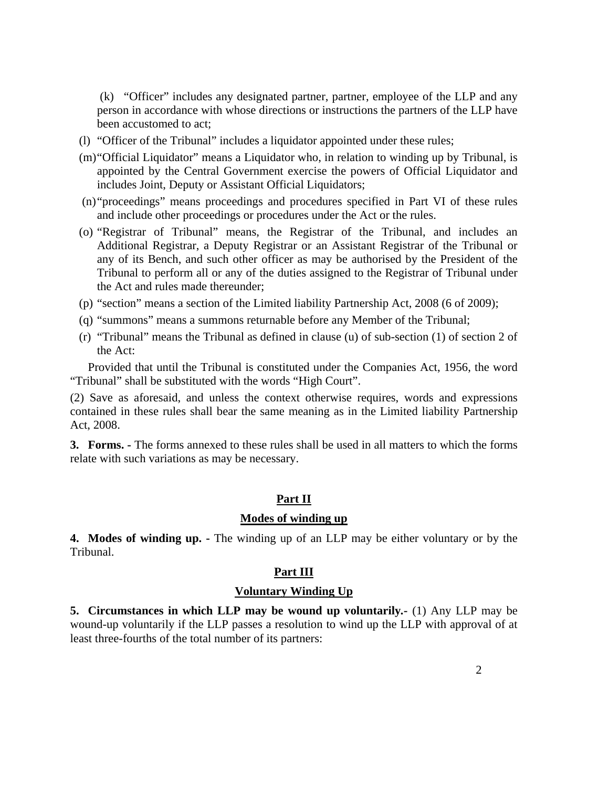(k) "Officer" includes any designated partner, partner, employee of the LLP and any person in accordance with whose directions or instructions the partners of the LLP have been accustomed to act;

- (l) "Officer of the Tribunal" includes a liquidator appointed under these rules;
- (m) "Official Liquidator" means a Liquidator who, in relation to winding up by Tribunal, is appointed by the Central Government exercise the powers of Official Liquidator and includes Joint, Deputy or Assistant Official Liquidators;
- (n) "proceedings" means proceedings and procedures specified in Part VI of these rules and include other proceedings or procedures under the Act or the rules.
- (o) "Registrar of Tribunal" means, the Registrar of the Tribunal, and includes an Additional Registrar, a Deputy Registrar or an Assistant Registrar of the Tribunal or any of its Bench, and such other officer as may be authorised by the President of the Tribunal to perform all or any of the duties assigned to the Registrar of Tribunal under the Act and rules made thereunder;
- (p) "section" means a section of the Limited liability Partnership Act, 2008 (6 of 2009);
- (q) "summons" means a summons returnable before any Member of the Tribunal;
- (r) "Tribunal" means the Tribunal as defined in clause (u) of sub-section (1) of section 2 of the Act:

 Provided that until the Tribunal is constituted under the Companies Act, 1956, the word "Tribunal" shall be substituted with the words "High Court".

(2) Save as aforesaid, and unless the context otherwise requires, words and expressions contained in these rules shall bear the same meaning as in the Limited liability Partnership Act, 2008.

**3. Forms. -** The forms annexed to these rules shall be used in all matters to which the forms relate with such variations as may be necessary.

## **Part II**

## **Modes of winding up**

**4.** Modes of winding up. - The winding up of an LLP may be either voluntary or by the Tribunal.

#### **Part III**

#### **Voluntary Winding Up**

**5. Circumstances in which LLP may be wound up voluntarily***.-* (1) Any LLP may be wound-up voluntarily if the LLP passes a resolution to wind up the LLP with approval of at least three-fourths of the total number of its partners: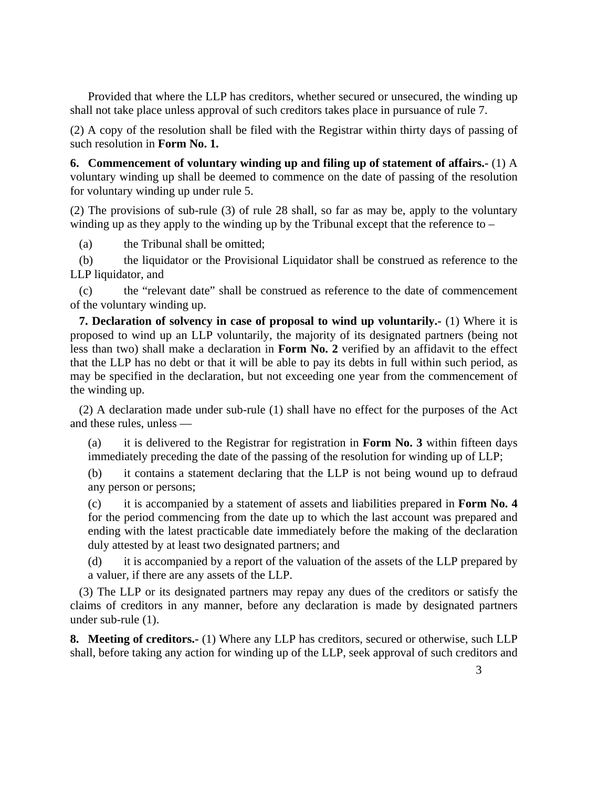Provided that where the LLP has creditors, whether secured or unsecured, the winding up shall not take place unless approval of such creditors takes place in pursuance of rule 7.

(2) A copy of the resolution shall be filed with the Registrar within thirty days of passing of such resolution in **Form No. 1.**

**6. Commencement of voluntary winding up and filing up of statement of affairs.-** (1) A voluntary winding up shall be deemed to commence on the date of passing of the resolution for voluntary winding up under rule 5.

(2) The provisions of sub-rule (3) of rule 28 shall, so far as may be, apply to the voluntary winding up as they apply to the winding up by the Tribunal except that the reference to –

(a) the Tribunal shall be omitted;

(b) the liquidator or the Provisional Liquidator shall be construed as reference to the LLP liquidator, and

(c) the "relevant date" shall be construed as reference to the date of commencement of the voluntary winding up.

**7. Declaration of solvency in case of proposal to wind up voluntarily.** (1) Where it is proposed to wind up an LLP voluntarily, the majority of its designated partners (being not less than two) shall make a declaration in **Form No. 2** verified by an affidavit to the effect that the LLP has no debt or that it will be able to pay its debts in full within such period, as may be specified in the declaration, but not exceeding one year from the commencement of the winding up.

(2) A declaration made under sub-rule (1) shall have no effect for the purposes of the Act and these rules, unless —

(a) it is delivered to the Registrar for registration in **Form No. 3** within fifteen days immediately preceding the date of the passing of the resolution for winding up of LLP;

(b) it contains a statement declaring that the LLP is not being wound up to defraud any person or persons;

(c) it is accompanied by a statement of assets and liabilities prepared in **Form No. 4**  for the period commencing from the date up to which the last account was prepared and ending with the latest practicable date immediately before the making of the declaration duly attested by at least two designated partners; and

(d) it is accompanied by a report of the valuation of the assets of the LLP prepared by a valuer, if there are any assets of the LLP.

(3) The LLP or its designated partners may repay any dues of the creditors or satisfy the claims of creditors in any manner, before any declaration is made by designated partners under sub-rule (1).

**8. Meeting of creditors.-** (1) Where any LLP has creditors, secured or otherwise, such LLP shall, before taking any action for winding up of the LLP, seek approval of such creditors and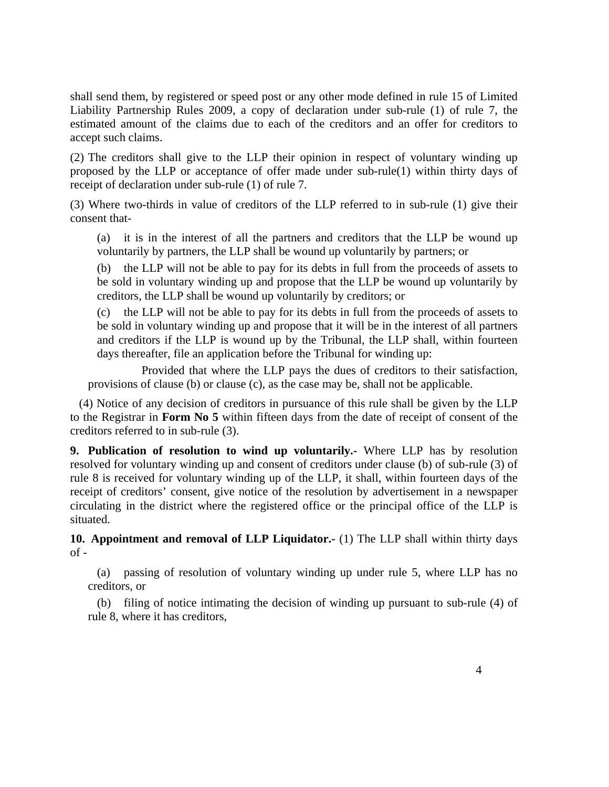shall send them, by registered or speed post or any other mode defined in rule 15 of Limited Liability Partnership Rules 2009, a copy of declaration under sub-rule (1) of rule 7, the estimated amount of the claims due to each of the creditors and an offer for creditors to accept such claims.

(2) The creditors shall give to the LLP their opinion in respect of voluntary winding up proposed by the LLP or acceptance of offer made under sub-rule(1) within thirty days of receipt of declaration under sub-rule (1) of rule 7.

(3) Where two-thirds in value of creditors of the LLP referred to in sub-rule (1) give their consent that-

(a) it is in the interest of all the partners and creditors that the LLP be wound up voluntarily by partners, the LLP shall be wound up voluntarily by partners; or

(b) the LLP will not be able to pay for its debts in full from the proceeds of assets to be sold in voluntary winding up and propose that the LLP be wound up voluntarily by creditors, the LLP shall be wound up voluntarily by creditors; or

(c) the LLP will not be able to pay for its debts in full from the proceeds of assets to be sold in voluntary winding up and propose that it will be in the interest of all partners and creditors if the LLP is wound up by the Tribunal, the LLP shall, within fourteen days thereafter, file an application before the Tribunal for winding up:

 Provided that where the LLP pays the dues of creditors to their satisfaction, provisions of clause (b) or clause (c), as the case may be, shall not be applicable.

(4) Notice of any decision of creditors in pursuance of this rule shall be given by the LLP to the Registrar in **Form No 5** within fifteen days from the date of receipt of consent of the creditors referred to in sub-rule (3).

**9. Publication of resolution to wind up voluntarily.-** Where LLP has by resolution resolved for voluntary winding up and consent of creditors under clause (b) of sub-rule (3) of rule 8 is received for voluntary winding up of the LLP, it shall, within fourteen days of the receipt of creditors' consent, give notice of the resolution by advertisement in a newspaper circulating in the district where the registered office or the principal office of the LLP is situated.

**10. Appointment and removal of LLP Liquidator.-** (1) The LLP shall within thirty days  $of -$ 

(a) passing of resolution of voluntary winding up under rule 5, where LLP has no creditors, or

(b) filing of notice intimating the decision of winding up pursuant to sub-rule (4) of rule 8, where it has creditors,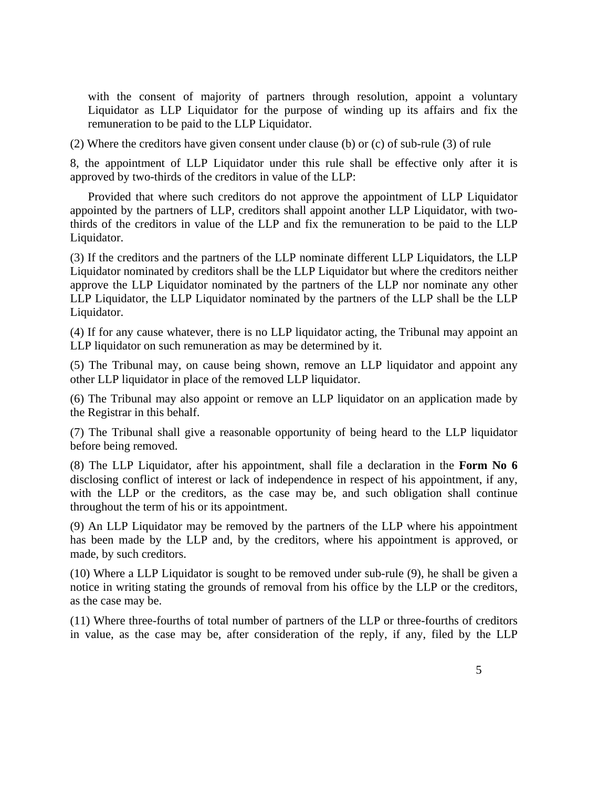with the consent of majority of partners through resolution, appoint a voluntary Liquidator as LLP Liquidator for the purpose of winding up its affairs and fix the remuneration to be paid to the LLP Liquidator.

(2) Where the creditors have given consent under clause (b) or (c) of sub-rule (3) of rule

8, the appointment of LLP Liquidator under this rule shall be effective only after it is approved by two-thirds of the creditors in value of the LLP:

 Provided that where such creditors do not approve the appointment of LLP Liquidator appointed by the partners of LLP, creditors shall appoint another LLP Liquidator, with twothirds of the creditors in value of the LLP and fix the remuneration to be paid to the LLP Liquidator.

(3) If the creditors and the partners of the LLP nominate different LLP Liquidators, the LLP Liquidator nominated by creditors shall be the LLP Liquidator but where the creditors neither approve the LLP Liquidator nominated by the partners of the LLP nor nominate any other LLP Liquidator, the LLP Liquidator nominated by the partners of the LLP shall be the LLP Liquidator.

(4) If for any cause whatever, there is no LLP liquidator acting, the Tribunal may appoint an LLP liquidator on such remuneration as may be determined by it.

(5) The Tribunal may, on cause being shown, remove an LLP liquidator and appoint any other LLP liquidator in place of the removed LLP liquidator.

(6) The Tribunal may also appoint or remove an LLP liquidator on an application made by the Registrar in this behalf.

(7) The Tribunal shall give a reasonable opportunity of being heard to the LLP liquidator before being removed.

(8) The LLP Liquidator, after his appointment, shall file a declaration in the **Form No 6**  disclosing conflict of interest or lack of independence in respect of his appointment, if any, with the LLP or the creditors, as the case may be, and such obligation shall continue throughout the term of his or its appointment.

(9) An LLP Liquidator may be removed by the partners of the LLP where his appointment has been made by the LLP and, by the creditors, where his appointment is approved, or made, by such creditors.

(10) Where a LLP Liquidator is sought to be removed under sub-rule (9), he shall be given a notice in writing stating the grounds of removal from his office by the LLP or the creditors, as the case may be.

(11) Where three-fourths of total number of partners of the LLP or three-fourths of creditors in value, as the case may be, after consideration of the reply, if any, filed by the LLP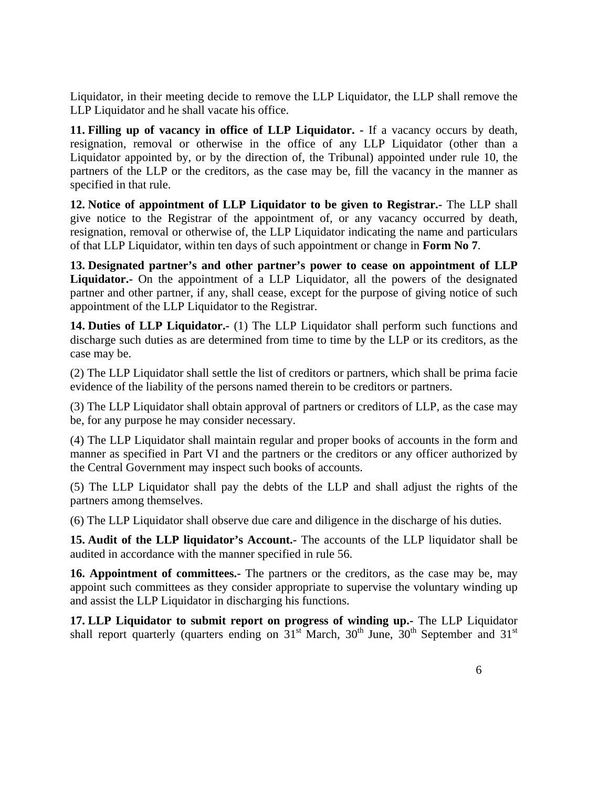Liquidator, in their meeting decide to remove the LLP Liquidator, the LLP shall remove the LLP Liquidator and he shall vacate his office.

**11. Filling up of vacancy in office of LLP Liquidator. -** If a vacancy occurs by death, resignation, removal or otherwise in the office of any LLP Liquidator (other than a Liquidator appointed by, or by the direction of, the Tribunal) appointed under rule 10, the partners of the LLP or the creditors, as the case may be, fill the vacancy in the manner as specified in that rule.

**12. Notice of appointment of LLP Liquidator to be given to Registrar.-** The LLP shall give notice to the Registrar of the appointment of, or any vacancy occurred by death, resignation, removal or otherwise of, the LLP Liquidator indicating the name and particulars of that LLP Liquidator, within ten days of such appointment or change in **Form No 7**.

**13. Designated partner's and other partner's power to cease on appointment of LLP Liquidator.-** On the appointment of a LLP Liquidator, all the powers of the designated partner and other partner, if any, shall cease, except for the purpose of giving notice of such appointment of the LLP Liquidator to the Registrar.

**14. Duties of LLP Liquidator.-** (1) The LLP Liquidator shall perform such functions and discharge such duties as are determined from time to time by the LLP or its creditors, as the case may be.

(2) The LLP Liquidator shall settle the list of creditors or partners, which shall be prima facie evidence of the liability of the persons named therein to be creditors or partners.

(3) The LLP Liquidator shall obtain approval of partners or creditors of LLP, as the case may be, for any purpose he may consider necessary.

(4) The LLP Liquidator shall maintain regular and proper books of accounts in the form and manner as specified in Part VI and the partners or the creditors or any officer authorized by the Central Government may inspect such books of accounts.

(5) The LLP Liquidator shall pay the debts of the LLP and shall adjust the rights of the partners among themselves.

(6) The LLP Liquidator shall observe due care and diligence in the discharge of his duties.

**15. Audit of the LLP liquidator's Account.-** The accounts of the LLP liquidator shall be audited in accordance with the manner specified in rule 56.

**16. Appointment of committees.-** The partners or the creditors, as the case may be, may appoint such committees as they consider appropriate to supervise the voluntary winding up and assist the LLP Liquidator in discharging his functions.

**17. LLP Liquidator to submit report on progress of winding up.-** The LLP Liquidator shall report quarterly (quarters ending on  $31<sup>st</sup>$  March,  $30<sup>th</sup>$  June,  $30<sup>th</sup>$  September and  $31<sup>st</sup>$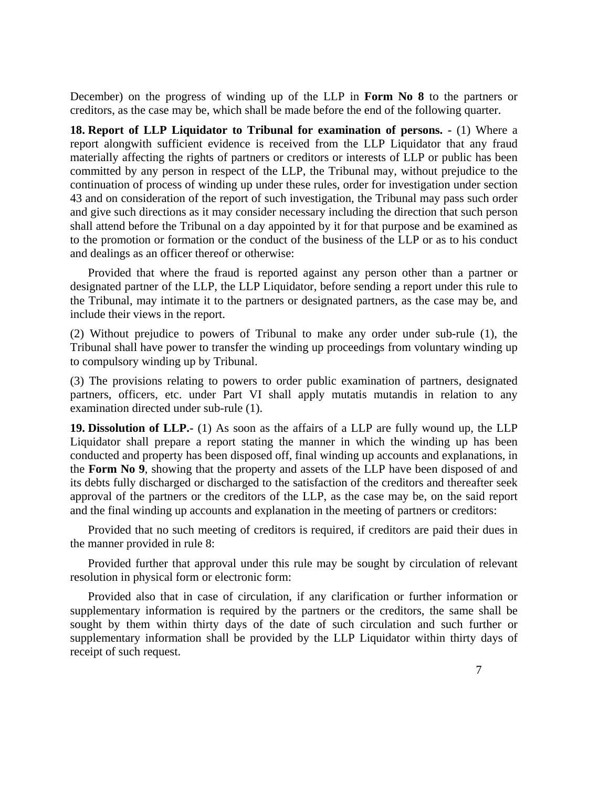December) on the progress of winding up of the LLP in **Form No 8** to the partners or creditors, as the case may be, which shall be made before the end of the following quarter.

**18. Report of LLP Liquidator to Tribunal for examination of persons.**  $\cdot$  (1) Where a report alongwith sufficient evidence is received from the LLP Liquidator that any fraud materially affecting the rights of partners or creditors or interests of LLP or public has been committed by any person in respect of the LLP, the Tribunal may, without prejudice to the continuation of process of winding up under these rules, order for investigation under section 43 and on consideration of the report of such investigation, the Tribunal may pass such order and give such directions as it may consider necessary including the direction that such person shall attend before the Tribunal on a day appointed by it for that purpose and be examined as to the promotion or formation or the conduct of the business of the LLP or as to his conduct and dealings as an officer thereof or otherwise:

 Provided that where the fraud is reported against any person other than a partner or designated partner of the LLP, the LLP Liquidator, before sending a report under this rule to the Tribunal, may intimate it to the partners or designated partners, as the case may be, and include their views in the report.

(2) Without prejudice to powers of Tribunal to make any order under sub-rule (1), the Tribunal shall have power to transfer the winding up proceedings from voluntary winding up to compulsory winding up by Tribunal.

(3) The provisions relating to powers to order public examination of partners, designated partners, officers, etc. under Part VI shall apply mutatis mutandis in relation to any examination directed under sub-rule (1).

**19. Dissolution of LLP.-** (1) As soon as the affairs of a LLP are fully wound up, the LLP Liquidator shall prepare a report stating the manner in which the winding up has been conducted and property has been disposed off, final winding up accounts and explanations, in the **Form No 9**, showing that the property and assets of the LLP have been disposed of and its debts fully discharged or discharged to the satisfaction of the creditors and thereafter seek approval of the partners or the creditors of the LLP, as the case may be, on the said report and the final winding up accounts and explanation in the meeting of partners or creditors:

 Provided that no such meeting of creditors is required, if creditors are paid their dues in the manner provided in rule 8:

 Provided further that approval under this rule may be sought by circulation of relevant resolution in physical form or electronic form:

 Provided also that in case of circulation, if any clarification or further information or supplementary information is required by the partners or the creditors, the same shall be sought by them within thirty days of the date of such circulation and such further or supplementary information shall be provided by the LLP Liquidator within thirty days of receipt of such request.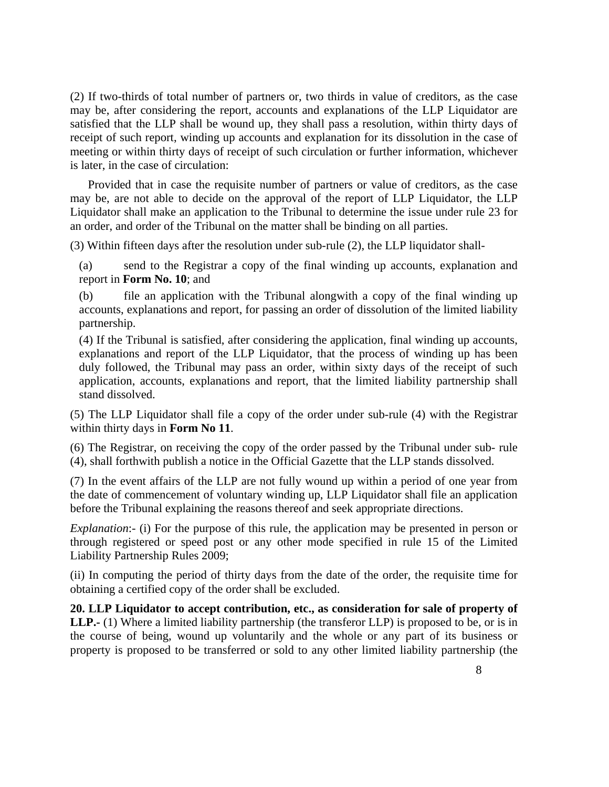(2) If two-thirds of total number of partners or, two thirds in value of creditors, as the case may be, after considering the report, accounts and explanations of the LLP Liquidator are satisfied that the LLP shall be wound up, they shall pass a resolution, within thirty days of receipt of such report, winding up accounts and explanation for its dissolution in the case of meeting or within thirty days of receipt of such circulation or further information, whichever is later, in the case of circulation:

 Provided that in case the requisite number of partners or value of creditors, as the case may be, are not able to decide on the approval of the report of LLP Liquidator, the LLP Liquidator shall make an application to the Tribunal to determine the issue under rule 23 for an order, and order of the Tribunal on the matter shall be binding on all parties.

(3) Within fifteen days after the resolution under sub-rule (2), the LLP liquidator shall-

(a) send to the Registrar a copy of the final winding up accounts, explanation and report in **Form No. 10**; and

(b) file an application with the Tribunal alongwith a copy of the final winding up accounts, explanations and report, for passing an order of dissolution of the limited liability partnership.

(4) If the Tribunal is satisfied, after considering the application, final winding up accounts, explanations and report of the LLP Liquidator, that the process of winding up has been duly followed, the Tribunal may pass an order, within sixty days of the receipt of such application, accounts, explanations and report, that the limited liability partnership shall stand dissolved.

(5) The LLP Liquidator shall file a copy of the order under sub-rule (4) with the Registrar within thirty days in **Form No 11**.

(6) The Registrar, on receiving the copy of the order passed by the Tribunal under sub- rule (4), shall forthwith publish a notice in the Official Gazette that the LLP stands dissolved.

(7) In the event affairs of the LLP are not fully wound up within a period of one year from the date of commencement of voluntary winding up, LLP Liquidator shall file an application before the Tribunal explaining the reasons thereof and seek appropriate directions.

*Explanation*:- (i) For the purpose of this rule, the application may be presented in person or through registered or speed post or any other mode specified in rule 15 of the Limited Liability Partnership Rules 2009;

(ii) In computing the period of thirty days from the date of the order, the requisite time for obtaining a certified copy of the order shall be excluded.

**20. LLP Liquidator to accept contribution, etc., as consideration for sale of property of LLP.-** (1) Where a limited liability partnership (the transferor LLP) is proposed to be, or is in the course of being, wound up voluntarily and the whole or any part of its business or property is proposed to be transferred or sold to any other limited liability partnership (the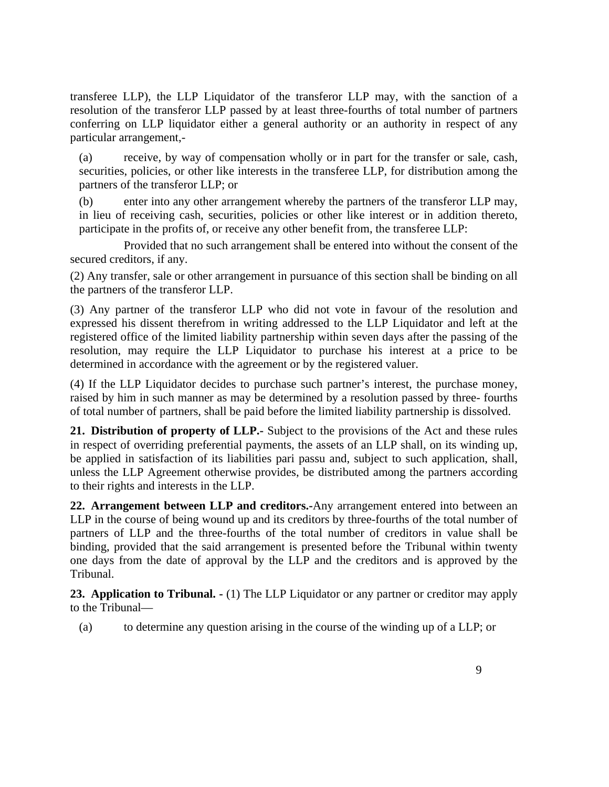transferee LLP), the LLP Liquidator of the transferor LLP may, with the sanction of a resolution of the transferor LLP passed by at least three-fourths of total number of partners conferring on LLP liquidator either a general authority or an authority in respect of any particular arrangement,-

(a) receive, by way of compensation wholly or in part for the transfer or sale, cash, securities, policies, or other like interests in the transferee LLP, for distribution among the partners of the transferor LLP; or

(b) enter into any other arrangement whereby the partners of the transferor LLP may, in lieu of receiving cash, securities, policies or other like interest or in addition thereto, participate in the profits of, or receive any other benefit from, the transferee LLP:

 Provided that no such arrangement shall be entered into without the consent of the secured creditors, if any.

(2) Any transfer, sale or other arrangement in pursuance of this section shall be binding on all the partners of the transferor LLP.

(3) Any partner of the transferor LLP who did not vote in favour of the resolution and expressed his dissent therefrom in writing addressed to the LLP Liquidator and left at the registered office of the limited liability partnership within seven days after the passing of the resolution, may require the LLP Liquidator to purchase his interest at a price to be determined in accordance with the agreement or by the registered valuer.

(4) If the LLP Liquidator decides to purchase such partner's interest, the purchase money, raised by him in such manner as may be determined by a resolution passed by three- fourths of total number of partners, shall be paid before the limited liability partnership is dissolved.

**21. Distribution of property of LLP.-** Subject to the provisions of the Act and these rules in respect of overriding preferential payments, the assets of an LLP shall, on its winding up, be applied in satisfaction of its liabilities pari passu and, subject to such application, shall, unless the LLP Agreement otherwise provides, be distributed among the partners according to their rights and interests in the LLP.

**22. Arrangement between LLP and creditors.-**Any arrangement entered into between an LLP in the course of being wound up and its creditors by three-fourths of the total number of partners of LLP and the three-fourths of the total number of creditors in value shall be binding, provided that the said arrangement is presented before the Tribunal within twenty one days from the date of approval by the LLP and the creditors and is approved by the Tribunal.

23. Application to Tribunal.  $\cdot$  (1) The LLP Liquidator or any partner or creditor may apply to the Tribunal—

(a) to determine any question arising in the course of the winding up of a LLP; or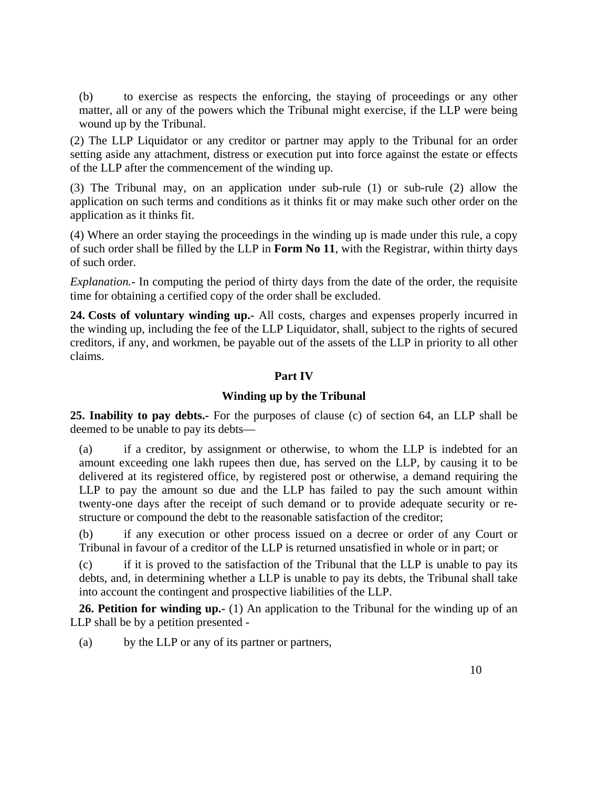(b) to exercise as respects the enforcing, the staying of proceedings or any other matter, all or any of the powers which the Tribunal might exercise, if the LLP were being wound up by the Tribunal.

(2) The LLP Liquidator or any creditor or partner may apply to the Tribunal for an order setting aside any attachment, distress or execution put into force against the estate or effects of the LLP after the commencement of the winding up.

(3) The Tribunal may, on an application under sub-rule (1) or sub-rule (2) allow the application on such terms and conditions as it thinks fit or may make such other order on the application as it thinks fit.

(4) Where an order staying the proceedings in the winding up is made under this rule, a copy of such order shall be filled by the LLP in **Form No 11**, with the Registrar, within thirty days of such order.

*Explanation.*- In computing the period of thirty days from the date of the order, the requisite time for obtaining a certified copy of the order shall be excluded.

**24. Costs of voluntary winding up.-** All costs, charges and expenses properly incurred in the winding up, including the fee of the LLP Liquidator, shall, subject to the rights of secured creditors, if any, and workmen, be payable out of the assets of the LLP in priority to all other claims.

### **Part IV**

### **Winding up by the Tribunal**

**25. Inability to pay debts.-** For the purposes of clause (c) of section 64, an LLP shall be deemed to be unable to pay its debts—

(a) if a creditor, by assignment or otherwise, to whom the LLP is indebted for an amount exceeding one lakh rupees then due, has served on the LLP, by causing it to be delivered at its registered office, by registered post or otherwise, a demand requiring the LLP to pay the amount so due and the LLP has failed to pay the such amount within twenty-one days after the receipt of such demand or to provide adequate security or restructure or compound the debt to the reasonable satisfaction of the creditor;

(b) if any execution or other process issued on a decree or order of any Court or Tribunal in favour of a creditor of the LLP is returned unsatisfied in whole or in part; or

(c) if it is proved to the satisfaction of the Tribunal that the LLP is unable to pay its debts, and, in determining whether a LLP is unable to pay its debts, the Tribunal shall take into account the contingent and prospective liabilities of the LLP.

**26. Petition for winding up.-** (1) An application to the Tribunal for the winding up of an LLP shall be by a petition presented -

(a) by the LLP or any of its partner or partners,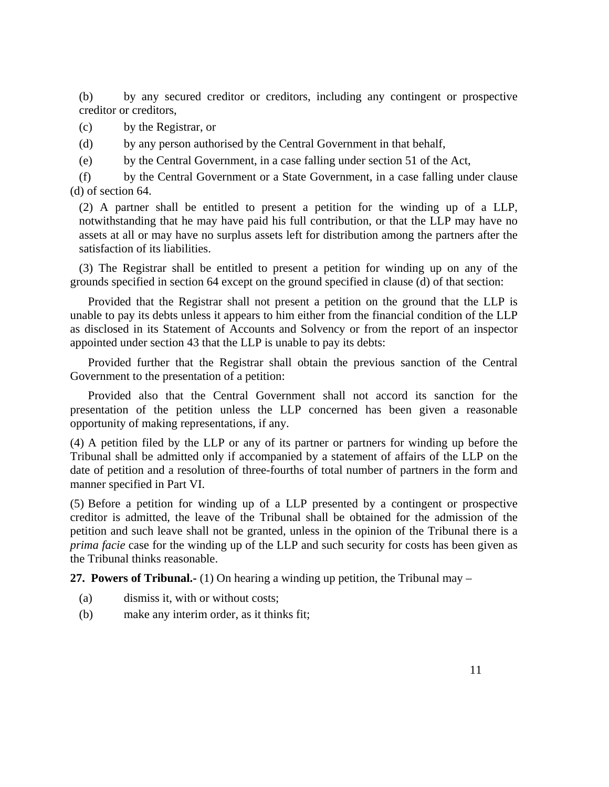(b) by any secured creditor or creditors, including any contingent or prospective creditor or creditors,

(c) by the Registrar, or

(d) by any person authorised by the Central Government in that behalf,

(e) by the Central Government, in a case falling under section 51 of the Act,

(f) by the Central Government or a State Government, in a case falling under clause (d) of section 64.

(2) A partner shall be entitled to present a petition for the winding up of a LLP, notwithstanding that he may have paid his full contribution, or that the LLP may have no assets at all or may have no surplus assets left for distribution among the partners after the satisfaction of its liabilities.

(3) The Registrar shall be entitled to present a petition for winding up on any of the grounds specified in section 64 except on the ground specified in clause (d) of that section:

 Provided that the Registrar shall not present a petition on the ground that the LLP is unable to pay its debts unless it appears to him either from the financial condition of the LLP as disclosed in its Statement of Accounts and Solvency or from the report of an inspector appointed under section 43 that the LLP is unable to pay its debts:

 Provided further that the Registrar shall obtain the previous sanction of the Central Government to the presentation of a petition:

 Provided also that the Central Government shall not accord its sanction for the presentation of the petition unless the LLP concerned has been given a reasonable opportunity of making representations, if any.

(4) A petition filed by the LLP or any of its partner or partners for winding up before the Tribunal shall be admitted only if accompanied by a statement of affairs of the LLP on the date of petition and a resolution of three-fourths of total number of partners in the form and manner specified in Part VI.

(5) Before a petition for winding up of a LLP presented by a contingent or prospective creditor is admitted, the leave of the Tribunal shall be obtained for the admission of the petition and such leave shall not be granted, unless in the opinion of the Tribunal there is a *prima facie* case for the winding up of the LLP and such security for costs has been given as the Tribunal thinks reasonable.

**27. Powers of Tribunal.-** (1) On hearing a winding up petition, the Tribunal may –

- (a) dismiss it, with or without costs;
- (b) make any interim order, as it thinks fit;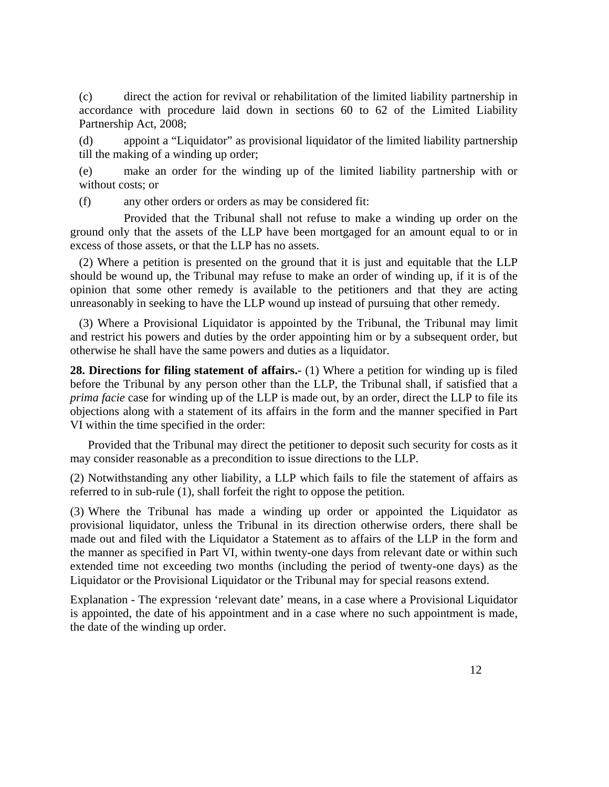(c) direct the action for revival or rehabilitation of the limited liability partnership in accordance with procedure laid down in sections 60 to 62 of the Limited Liability Partnership Act, 2008;

(d) appoint a "Liquidator" as provisional liquidator of the limited liability partnership till the making of a winding up order;

(e) make an order for the winding up of the limited liability partnership with or without costs; or

(f) any other orders or orders as may be considered fit:

 Provided that the Tribunal shall not refuse to make a winding up order on the ground only that the assets of the LLP have been mortgaged for an amount equal to or in excess of those assets, or that the LLP has no assets.

(2) Where a petition is presented on the ground that it is just and equitable that the LLP should be wound up, the Tribunal may refuse to make an order of winding up, if it is of the opinion that some other remedy is available to the petitioners and that they are acting unreasonably in seeking to have the LLP wound up instead of pursuing that other remedy.

(3) Where a Provisional Liquidator is appointed by the Tribunal, the Tribunal may limit and restrict his powers and duties by the order appointing him or by a subsequent order, but otherwise he shall have the same powers and duties as a liquidator.

**28. Directions for filing statement of affairs.-** (1) Where a petition for winding up is filed before the Tribunal by any person other than the LLP, the Tribunal shall, if satisfied that a *prima facie* case for winding up of the LLP is made out, by an order, direct the LLP to file its objections along with a statement of its affairs in the form and the manner specified in Part VI within the time specified in the order:

 Provided that the Tribunal may direct the petitioner to deposit such security for costs as it may consider reasonable as a precondition to issue directions to the LLP.

(2) Notwithstanding any other liability, a LLP which fails to file the statement of affairs as referred to in sub-rule (1), shall forfeit the right to oppose the petition.

(3) Where the Tribunal has made a winding up order or appointed the Liquidator as provisional liquidator, unless the Tribunal in its direction otherwise orders, there shall be made out and filed with the Liquidator a Statement as to affairs of the LLP in the form and the manner as specified in Part VI, within twenty-one days from relevant date or within such extended time not exceeding two months (including the period of twenty-one days) as the Liquidator or the Provisional Liquidator or the Tribunal may for special reasons extend.

 Explanation - The expression 'relevant date' means, in a case where a Provisional Liquidator is appointed, the date of his appointment and in a case where no such appointment is made, the date of the winding up order.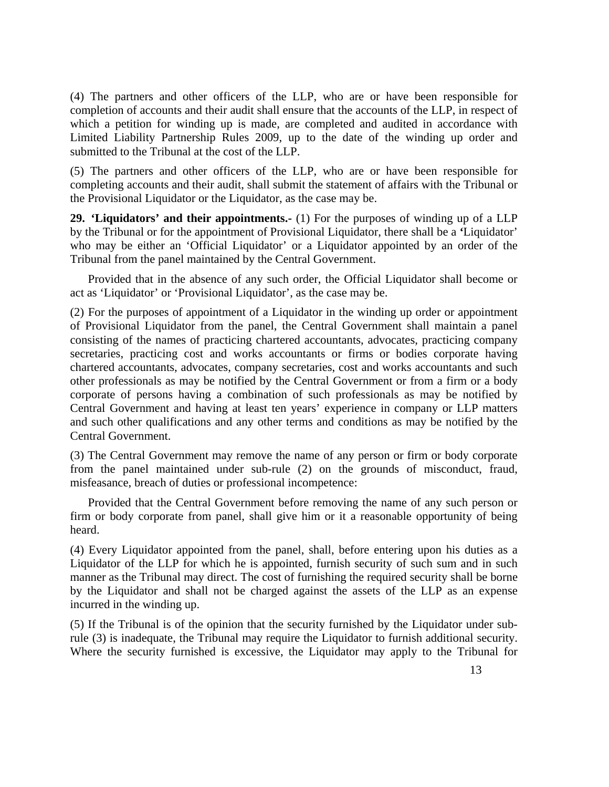(4) The partners and other officers of the LLP, who are or have been responsible for completion of accounts and their audit shall ensure that the accounts of the LLP, in respect of which a petition for winding up is made, are completed and audited in accordance with Limited Liability Partnership Rules 2009, up to the date of the winding up order and submitted to the Tribunal at the cost of the LLP.

(5) The partners and other officers of the LLP, who are or have been responsible for completing accounts and their audit, shall submit the statement of affairs with the Tribunal or the Provisional Liquidator or the Liquidator, as the case may be.

**29. 'Liquidators' and their appointments.-** (1) For the purposes of winding up of a LLP by the Tribunal or for the appointment of Provisional Liquidator, there shall be a *'*Liquidator' who may be either an 'Official Liquidator' or a Liquidator appointed by an order of the Tribunal from the panel maintained by the Central Government.

 Provided that in the absence of any such order, the Official Liquidator shall become or act as 'Liquidator' or 'Provisional Liquidator', as the case may be.

(2) For the purposes of appointment of a Liquidator in the winding up order or appointment of Provisional Liquidator from the panel, the Central Government shall maintain a panel consisting of the names of practicing chartered accountants, advocates, practicing company secretaries, practicing cost and works accountants or firms or bodies corporate having chartered accountants, advocates, company secretaries, cost and works accountants and such other professionals as may be notified by the Central Government or from a firm or a body corporate of persons having a combination of such professionals as may be notified by Central Government and having at least ten years' experience in company or LLP matters and such other qualifications and any other terms and conditions as may be notified by the Central Government.

(3) The Central Government may remove the name of any person or firm or body corporate from the panel maintained under sub-rule (2) on the grounds of misconduct, fraud, misfeasance, breach of duties or professional incompetence:

 Provided that the Central Government before removing the name of any such person or firm or body corporate from panel, shall give him or it a reasonable opportunity of being heard.

(4) Every Liquidator appointed from the panel, shall, before entering upon his duties as a Liquidator of the LLP for which he is appointed, furnish security of such sum and in such manner as the Tribunal may direct. The cost of furnishing the required security shall be borne by the Liquidator and shall not be charged against the assets of the LLP as an expense incurred in the winding up.

(5) If the Tribunal is of the opinion that the security furnished by the Liquidator under subrule (3) is inadequate, the Tribunal may require the Liquidator to furnish additional security. Where the security furnished is excessive, the Liquidator may apply to the Tribunal for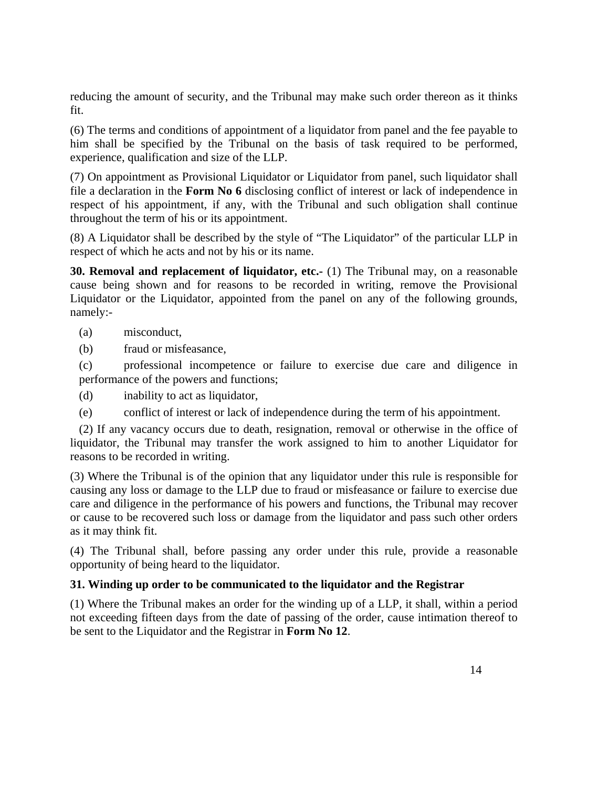reducing the amount of security, and the Tribunal may make such order thereon as it thinks fit.

(6) The terms and conditions of appointment of a liquidator from panel and the fee payable to him shall be specified by the Tribunal on the basis of task required to be performed, experience, qualification and size of the LLP.

(7) On appointment as Provisional Liquidator or Liquidator from panel, such liquidator shall file a declaration in the **Form No 6** disclosing conflict of interest or lack of independence in respect of his appointment, if any, with the Tribunal and such obligation shall continue throughout the term of his or its appointment.

(8) A Liquidator shall be described by the style of "The Liquidator" of the particular LLP in respect of which he acts and not by his or its name.

**30. Removal and replacement of liquidator, etc.-** (1) The Tribunal may, on a reasonable cause being shown and for reasons to be recorded in writing, remove the Provisional Liquidator or the Liquidator, appointed from the panel on any of the following grounds, namely:-

- (a) misconduct,
- (b) fraud or misfeasance,

(c) professional incompetence or failure to exercise due care and diligence in performance of the powers and functions;

(d) inability to act as liquidator,

(e) conflict of interest or lack of independence during the term of his appointment.

(2) If any vacancy occurs due to death, resignation, removal or otherwise in the office of liquidator, the Tribunal may transfer the work assigned to him to another Liquidator for reasons to be recorded in writing.

(3) Where the Tribunal is of the opinion that any liquidator under this rule is responsible for causing any loss or damage to the LLP due to fraud or misfeasance or failure to exercise due care and diligence in the performance of his powers and functions, the Tribunal may recover or cause to be recovered such loss or damage from the liquidator and pass such other orders as it may think fit.

(4) The Tribunal shall, before passing any order under this rule, provide a reasonable opportunity of being heard to the liquidator.

# **31. Winding up order to be communicated to the liquidator and the Registrar**

(1) Where the Tribunal makes an order for the winding up of a LLP, it shall, within a period not exceeding fifteen days from the date of passing of the order, cause intimation thereof to be sent to the Liquidator and the Registrar in **Form No 12**.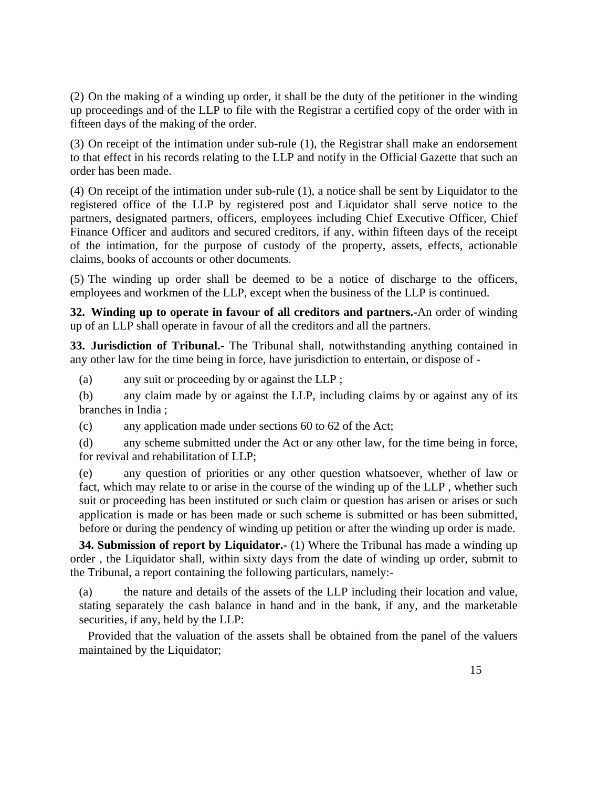(2) On the making of a winding up order, it shall be the duty of the petitioner in the winding up proceedings and of the LLP to file with the Registrar a certified copy of the order with in fifteen days of the making of the order.

(3) On receipt of the intimation under sub-rule (1), the Registrar shall make an endorsement to that effect in his records relating to the LLP and notify in the Official Gazette that such an order has been made.

(4) On receipt of the intimation under sub-rule (1), a notice shall be sent by Liquidator to the registered office of the LLP by registered post and Liquidator shall serve notice to the partners, designated partners, officers, employees including Chief Executive Officer, Chief Finance Officer and auditors and secured creditors, if any, within fifteen days of the receipt of the intimation, for the purpose of custody of the property, assets, effects, actionable claims, books of accounts or other documents.

(5) The winding up order shall be deemed to be a notice of discharge to the officers, employees and workmen of the LLP, except when the business of the LLP is continued.

**32. Winding up to operate in favour of all creditors and partners.-**An order of winding up of an LLP shall operate in favour of all the creditors and all the partners.

**33. Jurisdiction of Tribunal.-** The Tribunal shall, notwithstanding anything contained in any other law for the time being in force, have jurisdiction to entertain, or dispose of -

(a) any suit or proceeding by or against the LLP ;

(b) any claim made by or against the LLP, including claims by or against any of its branches in India ;

(c) any application made under sections 60 to 62 of the Act;

(d) any scheme submitted under the Act or any other law, for the time being in force, for revival and rehabilitation of LLP;

(e) any question of priorities or any other question whatsoever, whether of law or fact, which may relate to or arise in the course of the winding up of the LLP , whether such suit or proceeding has been instituted or such claim or question has arisen or arises or such application is made or has been made or such scheme is submitted or has been submitted, before or during the pendency of winding up petition or after the winding up order is made.

**34. Submission of report by Liquidator.** (1) Where the Tribunal has made a winding up order , the Liquidator shall, within sixty days from the date of winding up order, submit to the Tribunal, a report containing the following particulars, namely:-

(a) the nature and details of the assets of the LLP including their location and value, stating separately the cash balance in hand and in the bank, if any, and the marketable securities, if any, held by the LLP:

 Provided that the valuation of the assets shall be obtained from the panel of the valuers maintained by the Liquidator;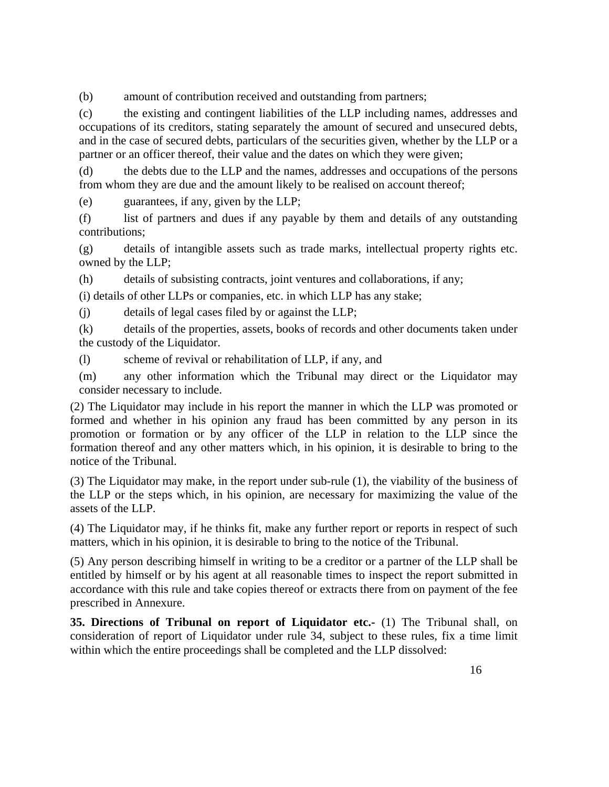(b) amount of contribution received and outstanding from partners;

(c) the existing and contingent liabilities of the LLP including names, addresses and occupations of its creditors, stating separately the amount of secured and unsecured debts, and in the case of secured debts, particulars of the securities given, whether by the LLP or a partner or an officer thereof, their value and the dates on which they were given;

(d) the debts due to the LLP and the names, addresses and occupations of the persons from whom they are due and the amount likely to be realised on account thereof;

(e) guarantees, if any, given by the LLP;

(f) list of partners and dues if any payable by them and details of any outstanding contributions;

(g) details of intangible assets such as trade marks, intellectual property rights etc. owned by the LLP;

(h) details of subsisting contracts, joint ventures and collaborations, if any;

(i) details of other LLPs or companies, etc. in which LLP has any stake;

(j) details of legal cases filed by or against the LLP;

(k) details of the properties, assets, books of records and other documents taken under the custody of the Liquidator.

(l) scheme of revival or rehabilitation of LLP, if any, and

(m) any other information which the Tribunal may direct or the Liquidator may consider necessary to include.

(2) The Liquidator may include in his report the manner in which the LLP was promoted or formed and whether in his opinion any fraud has been committed by any person in its promotion or formation or by any officer of the LLP in relation to the LLP since the formation thereof and any other matters which, in his opinion, it is desirable to bring to the notice of the Tribunal.

(3) The Liquidator may make, in the report under sub-rule (1), the viability of the business of the LLP or the steps which, in his opinion, are necessary for maximizing the value of the assets of the LLP.

(4) The Liquidator may, if he thinks fit, make any further report or reports in respect of such matters, which in his opinion, it is desirable to bring to the notice of the Tribunal.

(5) Any person describing himself in writing to be a creditor or a partner of the LLP shall be entitled by himself or by his agent at all reasonable times to inspect the report submitted in accordance with this rule and take copies thereof or extracts there from on payment of the fee prescribed in Annexure.

**35. Directions of Tribunal on report of Liquidator etc.-** (1) The Tribunal shall, on consideration of report of Liquidator under rule 34, subject to these rules, fix a time limit within which the entire proceedings shall be completed and the LLP dissolved: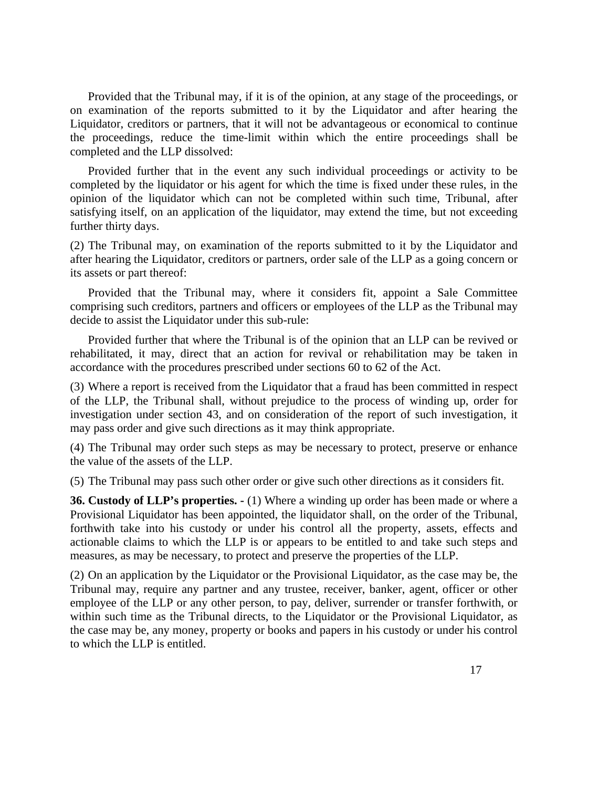Provided that the Tribunal may, if it is of the opinion, at any stage of the proceedings, or on examination of the reports submitted to it by the Liquidator and after hearing the Liquidator, creditors or partners, that it will not be advantageous or economical to continue the proceedings, reduce the time-limit within which the entire proceedings shall be completed and the LLP dissolved:

 Provided further that in the event any such individual proceedings or activity to be completed by the liquidator or his agent for which the time is fixed under these rules, in the opinion of the liquidator which can not be completed within such time, Tribunal, after satisfying itself, on an application of the liquidator, may extend the time, but not exceeding further thirty days.

(2) The Tribunal may, on examination of the reports submitted to it by the Liquidator and after hearing the Liquidator, creditors or partners, order sale of the LLP as a going concern or its assets or part thereof:

 Provided that the Tribunal may, where it considers fit, appoint a Sale Committee comprising such creditors, partners and officers or employees of the LLP as the Tribunal may decide to assist the Liquidator under this sub-rule:

 Provided further that where the Tribunal is of the opinion that an LLP can be revived or rehabilitated, it may, direct that an action for revival or rehabilitation may be taken in accordance with the procedures prescribed under sections 60 to 62 of the Act.

(3) Where a report is received from the Liquidator that a fraud has been committed in respect of the LLP, the Tribunal shall, without prejudice to the process of winding up, order for investigation under section 43, and on consideration of the report of such investigation, it may pass order and give such directions as it may think appropriate.

(4) The Tribunal may order such steps as may be necessary to protect, preserve or enhance the value of the assets of the LLP.

(5) The Tribunal may pass such other order or give such other directions as it considers fit.

**36. Custody of LLP's properties. -** (1) Where a winding up order has been made or where a Provisional Liquidator has been appointed, the liquidator shall, on the order of the Tribunal, forthwith take into his custody or under his control all the property, assets, effects and actionable claims to which the LLP is or appears to be entitled to and take such steps and measures, as may be necessary, to protect and preserve the properties of the LLP.

(2) On an application by the Liquidator or the Provisional Liquidator, as the case may be, the Tribunal may, require any partner and any trustee, receiver, banker, agent, officer or other employee of the LLP or any other person, to pay, deliver, surrender or transfer forthwith, or within such time as the Tribunal directs, to the Liquidator or the Provisional Liquidator, as the case may be, any money, property or books and papers in his custody or under his control to which the LLP is entitled.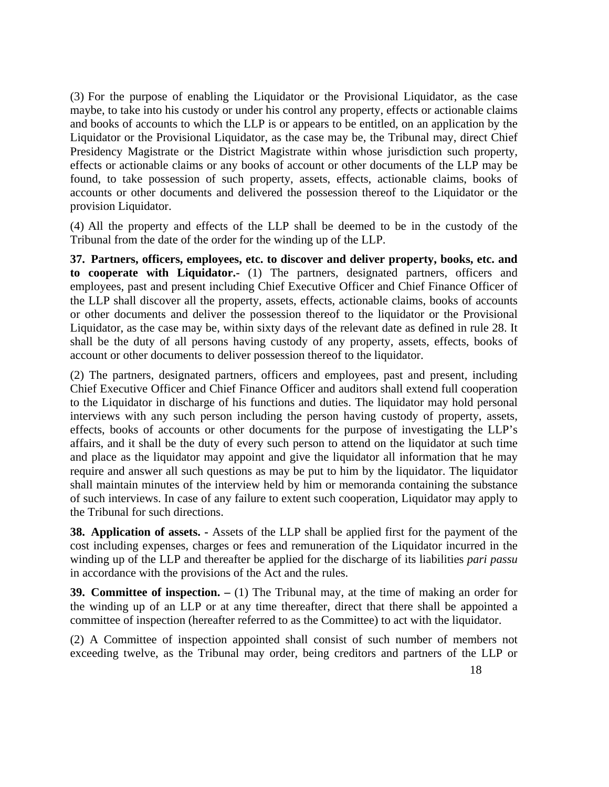(3) For the purpose of enabling the Liquidator or the Provisional Liquidator, as the case maybe, to take into his custody or under his control any property, effects or actionable claims and books of accounts to which the LLP is or appears to be entitled, on an application by the Liquidator or the Provisional Liquidator, as the case may be, the Tribunal may, direct Chief Presidency Magistrate or the District Magistrate within whose jurisdiction such property, effects or actionable claims or any books of account or other documents of the LLP may be found, to take possession of such property, assets, effects, actionable claims, books of accounts or other documents and delivered the possession thereof to the Liquidator or the provision Liquidator.

(4) All the property and effects of the LLP shall be deemed to be in the custody of the Tribunal from the date of the order for the winding up of the LLP.

**37. Partners, officers, employees, etc. to discover and deliver property, books, etc. and to cooperate with Liquidator.-** (1) The partners, designated partners, officers and employees, past and present including Chief Executive Officer and Chief Finance Officer of the LLP shall discover all the property, assets, effects, actionable claims, books of accounts or other documents and deliver the possession thereof to the liquidator or the Provisional Liquidator, as the case may be, within sixty days of the relevant date as defined in rule 28. It shall be the duty of all persons having custody of any property, assets, effects, books of account or other documents to deliver possession thereof to the liquidator.

(2) The partners, designated partners, officers and employees, past and present, including Chief Executive Officer and Chief Finance Officer and auditors shall extend full cooperation to the Liquidator in discharge of his functions and duties. The liquidator may hold personal interviews with any such person including the person having custody of property, assets, effects, books of accounts or other documents for the purpose of investigating the LLP's affairs, and it shall be the duty of every such person to attend on the liquidator at such time and place as the liquidator may appoint and give the liquidator all information that he may require and answer all such questions as may be put to him by the liquidator. The liquidator shall maintain minutes of the interview held by him or memoranda containing the substance of such interviews. In case of any failure to extent such cooperation, Liquidator may apply to the Tribunal for such directions.

**38. Application of assets. -** Assets of the LLP shall be applied first for the payment of the cost including expenses, charges or fees and remuneration of the Liquidator incurred in the winding up of the LLP and thereafter be applied for the discharge of its liabilities *pari passu*  in accordance with the provisions of the Act and the rules.

**39. Committee of inspection. –** (1) The Tribunal may, at the time of making an order for the winding up of an LLP or at any time thereafter, direct that there shall be appointed a committee of inspection (hereafter referred to as the Committee) to act with the liquidator.

(2) A Committee of inspection appointed shall consist of such number of members not exceeding twelve, as the Tribunal may order, being creditors and partners of the LLP or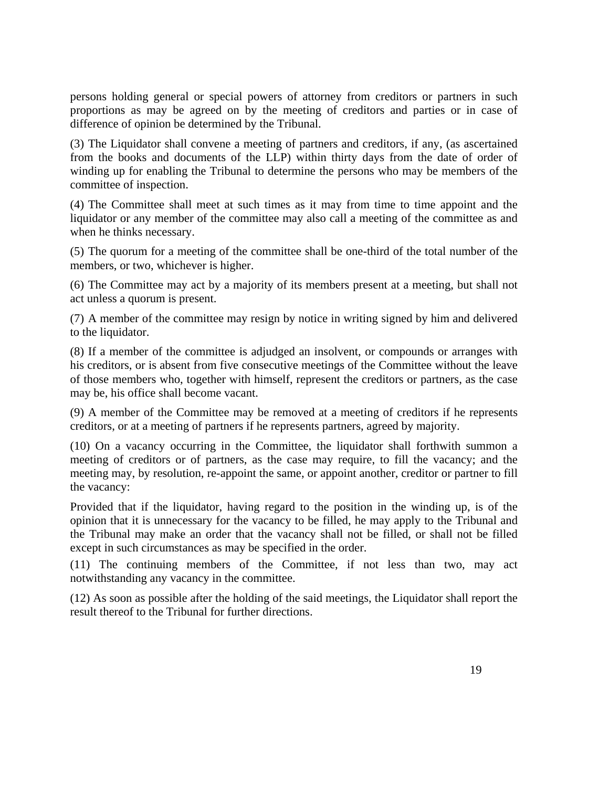persons holding general or special powers of attorney from creditors or partners in such proportions as may be agreed on by the meeting of creditors and parties or in case of difference of opinion be determined by the Tribunal.

(3) The Liquidator shall convene a meeting of partners and creditors, if any, (as ascertained from the books and documents of the LLP) within thirty days from the date of order of winding up for enabling the Tribunal to determine the persons who may be members of the committee of inspection.

(4) The Committee shall meet at such times as it may from time to time appoint and the liquidator or any member of the committee may also call a meeting of the committee as and when he thinks necessary.

(5) The quorum for a meeting of the committee shall be one-third of the total number of the members, or two, whichever is higher.

(6) The Committee may act by a majority of its members present at a meeting, but shall not act unless a quorum is present.

(7) A member of the committee may resign by notice in writing signed by him and delivered to the liquidator.

(8) If a member of the committee is adjudged an insolvent, or compounds or arranges with his creditors, or is absent from five consecutive meetings of the Committee without the leave of those members who, together with himself, represent the creditors or partners, as the case may be, his office shall become vacant.

(9) A member of the Committee may be removed at a meeting of creditors if he represents creditors, or at a meeting of partners if he represents partners, agreed by majority.

(10) On a vacancy occurring in the Committee, the liquidator shall forthwith summon a meeting of creditors or of partners, as the case may require, to fill the vacancy; and the meeting may, by resolution, re-appoint the same, or appoint another, creditor or partner to fill the vacancy:

 Provided that if the liquidator, having regard to the position in the winding up, is of the opinion that it is unnecessary for the vacancy to be filled, he may apply to the Tribunal and the Tribunal may make an order that the vacancy shall not be filled, or shall not be filled except in such circumstances as may be specified in the order.

(11) The continuing members of the Committee, if not less than two, may act notwithstanding any vacancy in the committee.

(12) As soon as possible after the holding of the said meetings, the Liquidator shall report the result thereof to the Tribunal for further directions.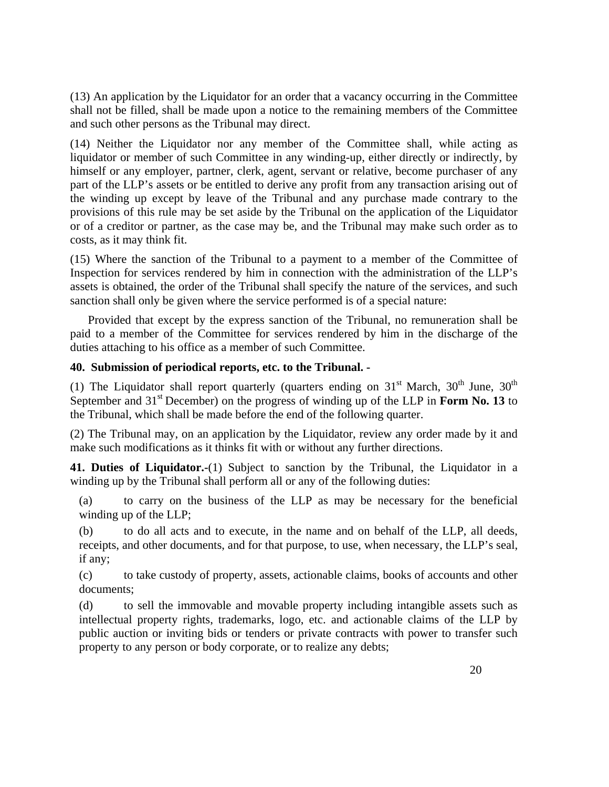(13) An application by the Liquidator for an order that a vacancy occurring in the Committee shall not be filled, shall be made upon a notice to the remaining members of the Committee and such other persons as the Tribunal may direct.

(14) Neither the Liquidator nor any member of the Committee shall, while acting as liquidator or member of such Committee in any winding-up, either directly or indirectly, by himself or any employer, partner, clerk, agent, servant or relative, become purchaser of any part of the LLP's assets or be entitled to derive any profit from any transaction arising out of the winding up except by leave of the Tribunal and any purchase made contrary to the provisions of this rule may be set aside by the Tribunal on the application of the Liquidator or of a creditor or partner, as the case may be, and the Tribunal may make such order as to costs, as it may think fit.

(15) Where the sanction of the Tribunal to a payment to a member of the Committee of Inspection for services rendered by him in connection with the administration of the LLP's assets is obtained, the order of the Tribunal shall specify the nature of the services, and such sanction shall only be given where the service performed is of a special nature:

 Provided that except by the express sanction of the Tribunal, no remuneration shall be paid to a member of the Committee for services rendered by him in the discharge of the duties attaching to his office as a member of such Committee.

## **40. Submission of periodical reports, etc. to the Tribunal. -**

(1) The Liquidator shall report quarterly (quarters ending on  $31<sup>st</sup>$  March,  $30<sup>th</sup>$  June,  $30<sup>th</sup>$ September and 31<sup>st</sup> December) on the progress of winding up of the LLP in **Form No. 13** to the Tribunal, which shall be made before the end of the following quarter.

(2) The Tribunal may, on an application by the Liquidator, review any order made by it and make such modifications as it thinks fit with or without any further directions.

**41. Duties of Liquidator.-**(1) Subject to sanction by the Tribunal, the Liquidator in a winding up by the Tribunal shall perform all or any of the following duties:

(a) to carry on the business of the LLP as may be necessary for the beneficial winding up of the LLP;

(b) to do all acts and to execute, in the name and on behalf of the LLP, all deeds, receipts, and other documents, and for that purpose, to use, when necessary, the LLP's seal, if any;

(c) to take custody of property, assets, actionable claims, books of accounts and other documents;

(d) to sell the immovable and movable property including intangible assets such as intellectual property rights, trademarks, logo, etc. and actionable claims of the LLP by public auction or inviting bids or tenders or private contracts with power to transfer such property to any person or body corporate, or to realize any debts;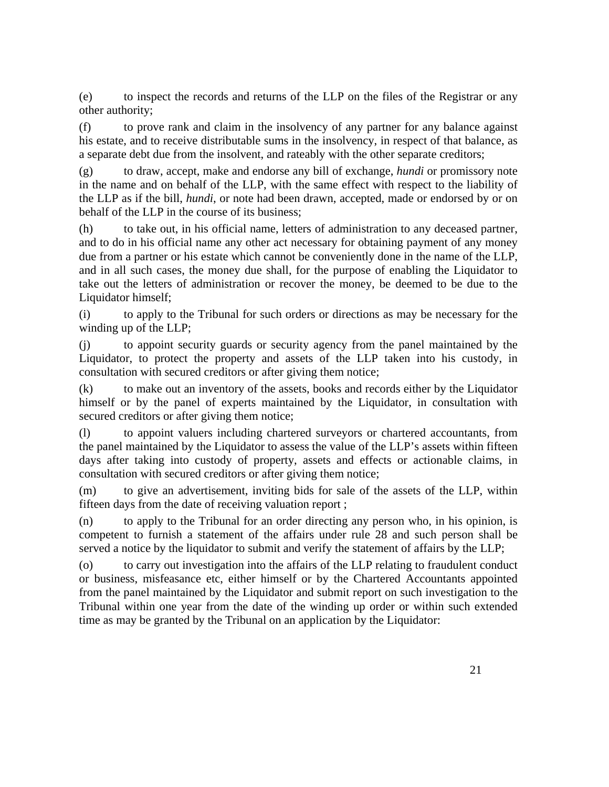(e) to inspect the records and returns of the LLP on the files of the Registrar or any other authority;

(f) to prove rank and claim in the insolvency of any partner for any balance against his estate, and to receive distributable sums in the insolvency, in respect of that balance, as a separate debt due from the insolvent, and rateably with the other separate creditors;

(g) to draw, accept, make and endorse any bill of exchange, *hundi* or promissory note in the name and on behalf of the LLP, with the same effect with respect to the liability of the LLP as if the bill, *hundi*, or note had been drawn, accepted, made or endorsed by or on behalf of the LLP in the course of its business;

(h) to take out, in his official name, letters of administration to any deceased partner, and to do in his official name any other act necessary for obtaining payment of any money due from a partner or his estate which cannot be conveniently done in the name of the LLP, and in all such cases, the money due shall, for the purpose of enabling the Liquidator to take out the letters of administration or recover the money, be deemed to be due to the Liquidator himself;

(i) to apply to the Tribunal for such orders or directions as may be necessary for the winding up of the LLP;

(j) to appoint security guards or security agency from the panel maintained by the Liquidator, to protect the property and assets of the LLP taken into his custody, in consultation with secured creditors or after giving them notice;

(k) to make out an inventory of the assets, books and records either by the Liquidator himself or by the panel of experts maintained by the Liquidator, in consultation with secured creditors or after giving them notice;

(l) to appoint valuers including chartered surveyors or chartered accountants, from the panel maintained by the Liquidator to assess the value of the LLP's assets within fifteen days after taking into custody of property, assets and effects or actionable claims, in consultation with secured creditors or after giving them notice;

(m) to give an advertisement, inviting bids for sale of the assets of the LLP, within fifteen days from the date of receiving valuation report ;

(n) to apply to the Tribunal for an order directing any person who, in his opinion, is competent to furnish a statement of the affairs under rule 28 and such person shall be served a notice by the liquidator to submit and verify the statement of affairs by the LLP;

(o) to carry out investigation into the affairs of the LLP relating to fraudulent conduct or business, misfeasance etc, either himself or by the Chartered Accountants appointed from the panel maintained by the Liquidator and submit report on such investigation to the Tribunal within one year from the date of the winding up order or within such extended time as may be granted by the Tribunal on an application by the Liquidator: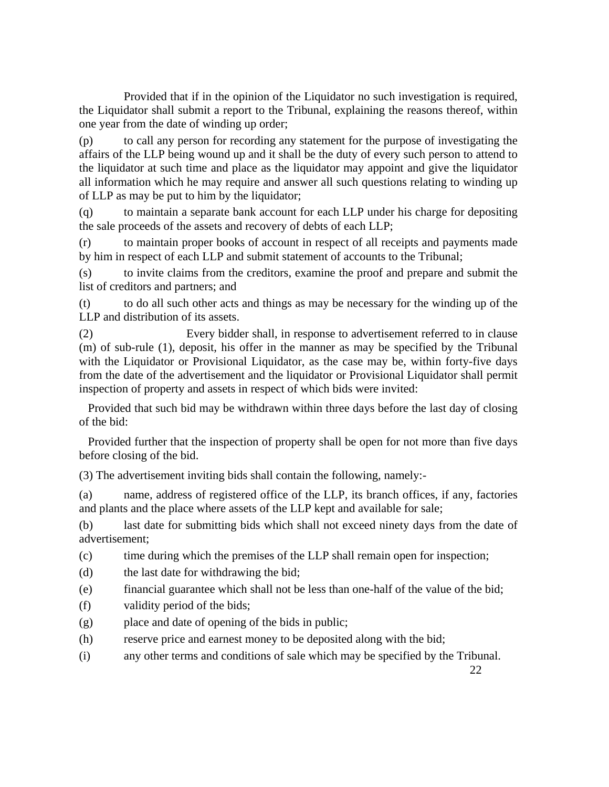Provided that if in the opinion of the Liquidator no such investigation is required, the Liquidator shall submit a report to the Tribunal, explaining the reasons thereof, within one year from the date of winding up order;

(p) to call any person for recording any statement for the purpose of investigating the affairs of the LLP being wound up and it shall be the duty of every such person to attend to the liquidator at such time and place as the liquidator may appoint and give the liquidator all information which he may require and answer all such questions relating to winding up of LLP as may be put to him by the liquidator;

(q) to maintain a separate bank account for each LLP under his charge for depositing the sale proceeds of the assets and recovery of debts of each LLP;

(r) to maintain proper books of account in respect of all receipts and payments made by him in respect of each LLP and submit statement of accounts to the Tribunal;

(s) to invite claims from the creditors, examine the proof and prepare and submit the list of creditors and partners; and

(t) to do all such other acts and things as may be necessary for the winding up of the LLP and distribution of its assets.

(2) Every bidder shall, in response to advertisement referred to in clause (m) of sub-rule (1), deposit, his offer in the manner as may be specified by the Tribunal with the Liquidator or Provisional Liquidator, as the case may be, within forty-five days from the date of the advertisement and the liquidator or Provisional Liquidator shall permit inspection of property and assets in respect of which bids were invited:

 Provided that such bid may be withdrawn within three days before the last day of closing of the bid:

 Provided further that the inspection of property shall be open for not more than five days before closing of the bid.

(3) The advertisement inviting bids shall contain the following, namely:-

(a) name, address of registered office of the LLP, its branch offices, if any, factories and plants and the place where assets of the LLP kept and available for sale;

(b) last date for submitting bids which shall not exceed ninety days from the date of advertisement;

(c) time during which the premises of the LLP shall remain open for inspection;

- (d) the last date for withdrawing the bid;
- (e) financial guarantee which shall not be less than one-half of the value of the bid;
- (f) validity period of the bids;
- (g) place and date of opening of the bids in public;
- (h) reserve price and earnest money to be deposited along with the bid;
- (i) any other terms and conditions of sale which may be specified by the Tribunal.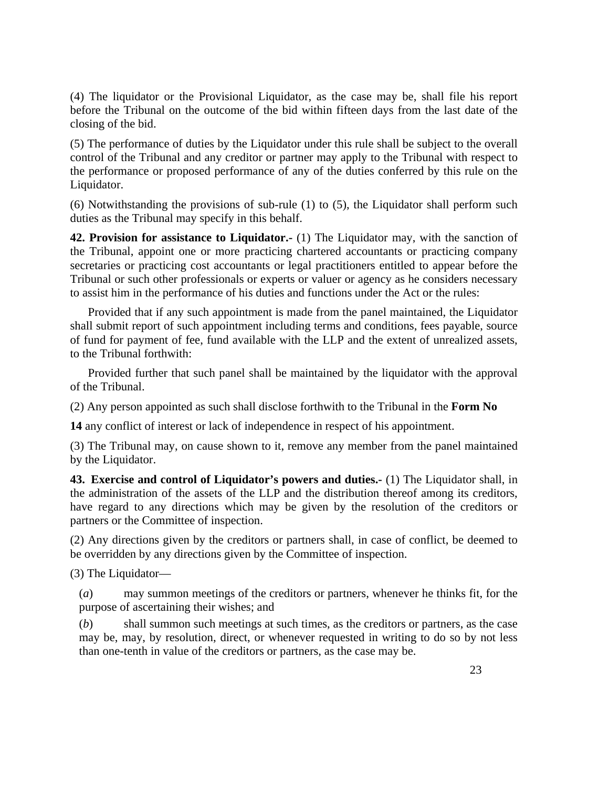(4) The liquidator or the Provisional Liquidator, as the case may be, shall file his report before the Tribunal on the outcome of the bid within fifteen days from the last date of the closing of the bid.

(5) The performance of duties by the Liquidator under this rule shall be subject to the overall control of the Tribunal and any creditor or partner may apply to the Tribunal with respect to the performance or proposed performance of any of the duties conferred by this rule on the Liquidator.

(6) Notwithstanding the provisions of sub-rule (1) to (5), the Liquidator shall perform such duties as the Tribunal may specify in this behalf.

**42. Provision for assistance to Liquidator.-** (1) The Liquidator may, with the sanction of the Tribunal, appoint one or more practicing chartered accountants or practicing company secretaries or practicing cost accountants or legal practitioners entitled to appear before the Tribunal or such other professionals or experts or valuer or agency as he considers necessary to assist him in the performance of his duties and functions under the Act or the rules:

 Provided that if any such appointment is made from the panel maintained, the Liquidator shall submit report of such appointment including terms and conditions, fees payable, source of fund for payment of fee, fund available with the LLP and the extent of unrealized assets, to the Tribunal forthwith:

 Provided further that such panel shall be maintained by the liquidator with the approval of the Tribunal.

(2) Any person appointed as such shall disclose forthwith to the Tribunal in the **Form No**

**14** any conflict of interest or lack of independence in respect of his appointment.

(3) The Tribunal may, on cause shown to it, remove any member from the panel maintained by the Liquidator.

**43. Exercise and control of Liquidator's powers and duties.-** (1) The Liquidator shall, in the administration of the assets of the LLP and the distribution thereof among its creditors, have regard to any directions which may be given by the resolution of the creditors or partners or the Committee of inspection.

(2) Any directions given by the creditors or partners shall, in case of conflict, be deemed to be overridden by any directions given by the Committee of inspection.

(3) The Liquidator—

(*a*) may summon meetings of the creditors or partners, whenever he thinks fit, for the purpose of ascertaining their wishes; and

(*b*) shall summon such meetings at such times, as the creditors or partners, as the case may be, may, by resolution, direct, or whenever requested in writing to do so by not less than one-tenth in value of the creditors or partners, as the case may be.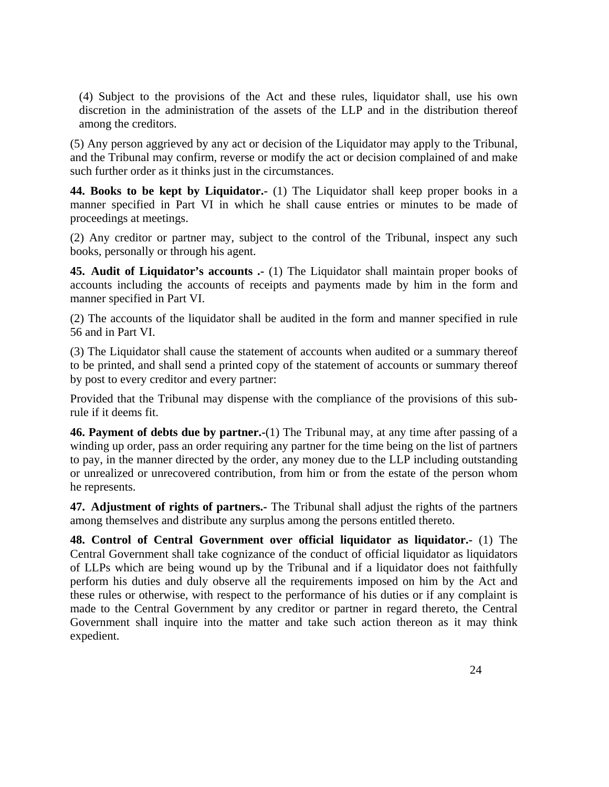(4) Subject to the provisions of the Act and these rules, liquidator shall, use his own discretion in the administration of the assets of the LLP and in the distribution thereof among the creditors.

(5) Any person aggrieved by any act or decision of the Liquidator may apply to the Tribunal, and the Tribunal may confirm, reverse or modify the act or decision complained of and make such further order as it thinks just in the circumstances.

**44. Books to be kept by Liquidator.-** (1) The Liquidator shall keep proper books in a manner specified in Part VI in which he shall cause entries or minutes to be made of proceedings at meetings.

(2) Any creditor or partner may, subject to the control of the Tribunal, inspect any such books, personally or through his agent.

**45. Audit of Liquidator's accounts .-** (1) The Liquidator shall maintain proper books of accounts including the accounts of receipts and payments made by him in the form and manner specified in Part VI.

(2) The accounts of the liquidator shall be audited in the form and manner specified in rule 56 and in Part VI.

(3) The Liquidator shall cause the statement of accounts when audited or a summary thereof to be printed, and shall send a printed copy of the statement of accounts or summary thereof by post to every creditor and every partner:

Provided that the Tribunal may dispense with the compliance of the provisions of this subrule if it deems fit.

**46. Payment of debts due by partner.-**(1) The Tribunal may, at any time after passing of a winding up order, pass an order requiring any partner for the time being on the list of partners to pay, in the manner directed by the order, any money due to the LLP including outstanding or unrealized or unrecovered contribution, from him or from the estate of the person whom he represents.

**47. Adjustment of rights of partners.-** The Tribunal shall adjust the rights of the partners among themselves and distribute any surplus among the persons entitled thereto.

**48. Control of Central Government over official liquidator as liquidator.-** (1) The Central Government shall take cognizance of the conduct of official liquidator as liquidators of LLPs which are being wound up by the Tribunal and if a liquidator does not faithfully perform his duties and duly observe all the requirements imposed on him by the Act and these rules or otherwise, with respect to the performance of his duties or if any complaint is made to the Central Government by any creditor or partner in regard thereto, the Central Government shall inquire into the matter and take such action thereon as it may think expedient.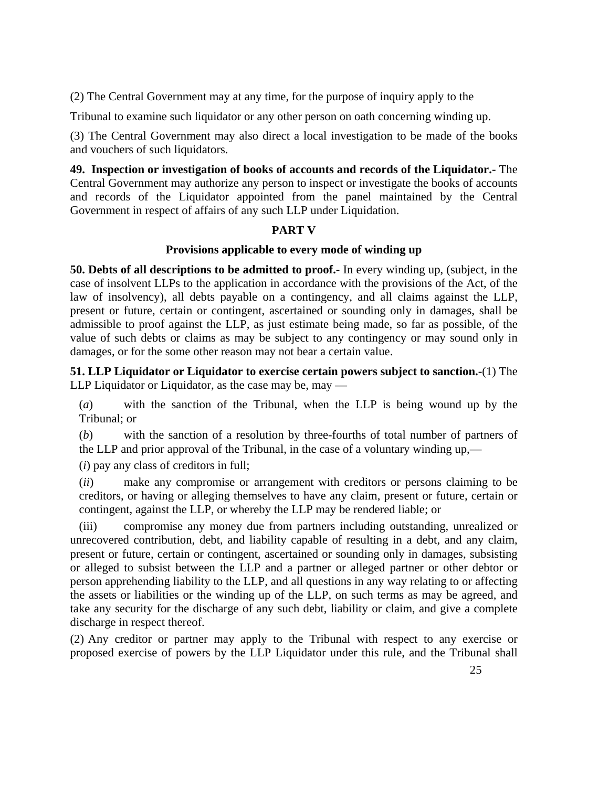(2) The Central Government may at any time, for the purpose of inquiry apply to the

Tribunal to examine such liquidator or any other person on oath concerning winding up.

(3) The Central Government may also direct a local investigation to be made of the books and vouchers of such liquidators.

**49. Inspection or investigation of books of accounts and records of the Liquidator.-** The Central Government may authorize any person to inspect or investigate the books of accounts and records of the Liquidator appointed from the panel maintained by the Central Government in respect of affairs of any such LLP under Liquidation.

# **PART V**

# **Provisions applicable to every mode of winding up**

**50. Debts of all descriptions to be admitted to proof.-** In every winding up, (subject, in the case of insolvent LLPs to the application in accordance with the provisions of the Act, of the law of insolvency), all debts payable on a contingency, and all claims against the LLP, present or future, certain or contingent, ascertained or sounding only in damages, shall be admissible to proof against the LLP, as just estimate being made, so far as possible, of the value of such debts or claims as may be subject to any contingency or may sound only in damages, or for the some other reason may not bear a certain value.

**51. LLP Liquidator or Liquidator to exercise certain powers subject to sanction.-**(1) The LLP Liquidator or Liquidator, as the case may be, may —

(*a*) with the sanction of the Tribunal, when the LLP is being wound up by the Tribunal; or

(*b*) with the sanction of a resolution by three-fourths of total number of partners of the LLP and prior approval of the Tribunal, in the case of a voluntary winding up,—

(*i*) pay any class of creditors in full;

(*ii*) make any compromise or arrangement with creditors or persons claiming to be creditors, or having or alleging themselves to have any claim, present or future, certain or contingent, against the LLP, or whereby the LLP may be rendered liable; or

(iii) compromise any money due from partners including outstanding, unrealized or unrecovered contribution, debt, and liability capable of resulting in a debt, and any claim, present or future, certain or contingent, ascertained or sounding only in damages, subsisting or alleged to subsist between the LLP and a partner or alleged partner or other debtor or person apprehending liability to the LLP, and all questions in any way relating to or affecting the assets or liabilities or the winding up of the LLP, on such terms as may be agreed, and take any security for the discharge of any such debt, liability or claim, and give a complete discharge in respect thereof.

(2) Any creditor or partner may apply to the Tribunal with respect to any exercise or proposed exercise of powers by the LLP Liquidator under this rule, and the Tribunal shall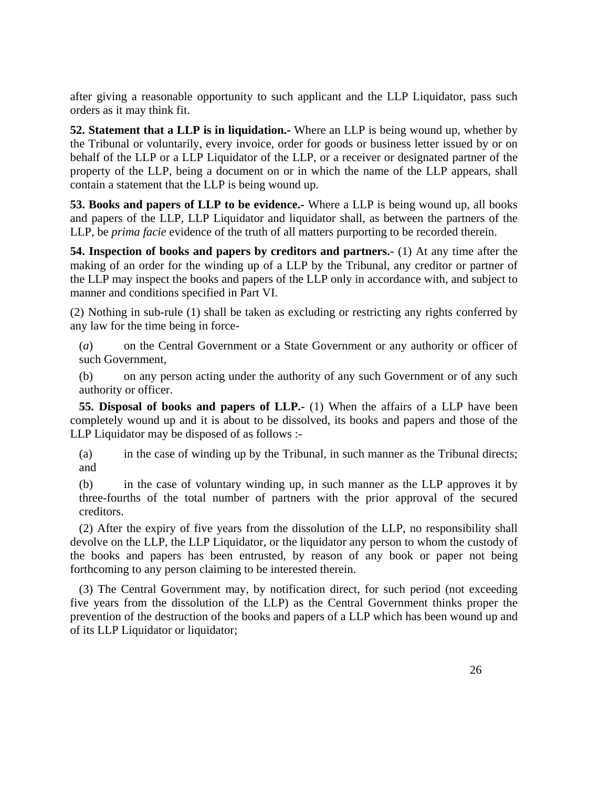after giving a reasonable opportunity to such applicant and the LLP Liquidator, pass such orders as it may think fit.

**52. Statement that a LLP is in liquidation.-** Where an LLP is being wound up, whether by the Tribunal or voluntarily, every invoice, order for goods or business letter issued by or on behalf of the LLP or a LLP Liquidator of the LLP, or a receiver or designated partner of the property of the LLP, being a document on or in which the name of the LLP appears, shall contain a statement that the LLP is being wound up.

**53. Books and papers of LLP to be evidence.-** Where a LLP is being wound up, all books and papers of the LLP, LLP Liquidator and liquidator shall, as between the partners of the LLP, be *prima facie* evidence of the truth of all matters purporting to be recorded therein.

**54. Inspection of books and papers by creditors and partners.-** (1) At any time after the making of an order for the winding up of a LLP by the Tribunal, any creditor or partner of the LLP may inspect the books and papers of the LLP only in accordance with, and subject to manner and conditions specified in Part VI.

(2) Nothing in sub-rule (1) shall be taken as excluding or restricting any rights conferred by any law for the time being in force-

(*a*) on the Central Government or a State Government or any authority or officer of such Government,

(b) on any person acting under the authority of any such Government or of any such authority or officer.

**55. Disposal of books and papers of LLP.-** (1) When the affairs of a LLP have been completely wound up and it is about to be dissolved, its books and papers and those of the LLP Liquidator may be disposed of as follows :-

(a) in the case of winding up by the Tribunal, in such manner as the Tribunal directs; and

(b) in the case of voluntary winding up, in such manner as the LLP approves it by three-fourths of the total number of partners with the prior approval of the secured creditors.

(2) After the expiry of five years from the dissolution of the LLP, no responsibility shall devolve on the LLP, the LLP Liquidator, or the liquidator any person to whom the custody of the books and papers has been entrusted, by reason of any book or paper not being forthcoming to any person claiming to be interested therein.

(3) The Central Government may, by notification direct, for such period (not exceeding five years from the dissolution of the LLP) as the Central Government thinks proper the prevention of the destruction of the books and papers of a LLP which has been wound up and of its LLP Liquidator or liquidator;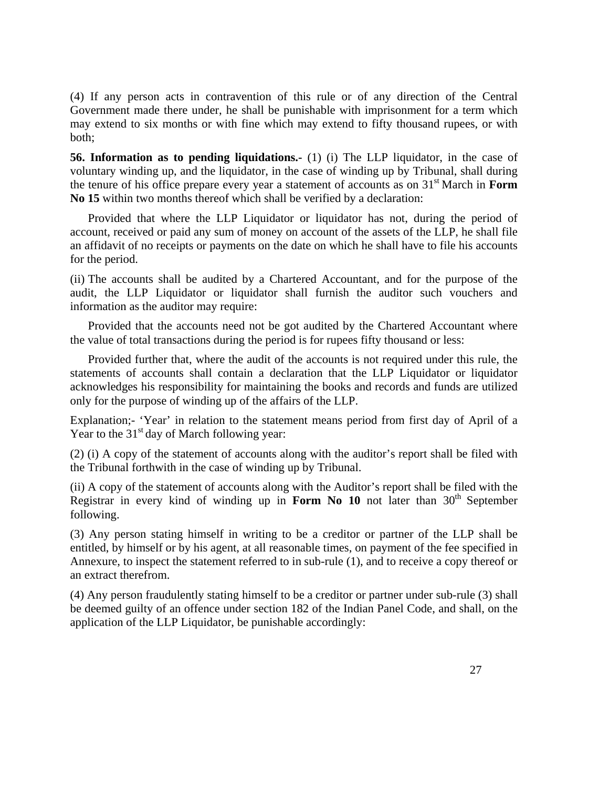(4) If any person acts in contravention of this rule or of any direction of the Central Government made there under, he shall be punishable with imprisonment for a term which may extend to six months or with fine which may extend to fifty thousand rupees, or with both;

**56. Information as to pending liquidations.-** (1) (i) The LLP liquidator, in the case of voluntary winding up, and the liquidator, in the case of winding up by Tribunal, shall during the tenure of his office prepare every year a statement of accounts as on 31st March in **Form No 15** within two months thereof which shall be verified by a declaration:

 Provided that where the LLP Liquidator or liquidator has not, during the period of account, received or paid any sum of money on account of the assets of the LLP, he shall file an affidavit of no receipts or payments on the date on which he shall have to file his accounts for the period.

(ii) The accounts shall be audited by a Chartered Accountant, and for the purpose of the audit, the LLP Liquidator or liquidator shall furnish the auditor such vouchers and information as the auditor may require:

 Provided that the accounts need not be got audited by the Chartered Accountant where the value of total transactions during the period is for rupees fifty thousand or less:

 Provided further that, where the audit of the accounts is not required under this rule, the statements of accounts shall contain a declaration that the LLP Liquidator or liquidator acknowledges his responsibility for maintaining the books and records and funds are utilized only for the purpose of winding up of the affairs of the LLP.

Explanation;- 'Year' in relation to the statement means period from first day of April of a Year to the  $31<sup>st</sup>$  day of March following year:

(2) (i) A copy of the statement of accounts along with the auditor's report shall be filed with the Tribunal forthwith in the case of winding up by Tribunal.

(ii) A copy of the statement of accounts along with the Auditor's report shall be filed with the Registrar in every kind of winding up in **Form No 10** not later than  $30<sup>th</sup>$  September following.

(3) Any person stating himself in writing to be a creditor or partner of the LLP shall be entitled, by himself or by his agent, at all reasonable times, on payment of the fee specified in Annexure, to inspect the statement referred to in sub-rule (1), and to receive a copy thereof or an extract therefrom.

(4) Any person fraudulently stating himself to be a creditor or partner under sub-rule (3) shall be deemed guilty of an offence under section 182 of the Indian Panel Code, and shall, on the application of the LLP Liquidator, be punishable accordingly: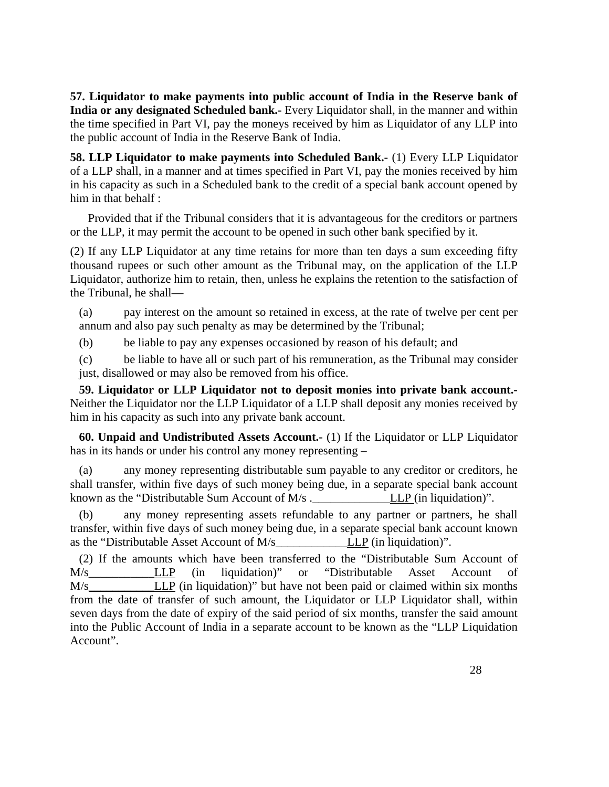**57. Liquidator to make payments into public account of India in the Reserve bank of India or any designated Scheduled bank.-** Every Liquidator shall, in the manner and within the time specified in Part VI, pay the moneys received by him as Liquidator of any LLP into the public account of India in the Reserve Bank of India.

**58. LLP Liquidator to make payments into Scheduled Bank.-** (1) Every LLP Liquidator of a LLP shall, in a manner and at times specified in Part VI, pay the monies received by him in his capacity as such in a Scheduled bank to the credit of a special bank account opened by him in that behalf :

 Provided that if the Tribunal considers that it is advantageous for the creditors or partners or the LLP, it may permit the account to be opened in such other bank specified by it.

(2) If any LLP Liquidator at any time retains for more than ten days a sum exceeding fifty thousand rupees or such other amount as the Tribunal may, on the application of the LLP Liquidator, authorize him to retain, then, unless he explains the retention to the satisfaction of the Tribunal, he shall—

(a) pay interest on the amount so retained in excess, at the rate of twelve per cent per annum and also pay such penalty as may be determined by the Tribunal;

(b) be liable to pay any expenses occasioned by reason of his default; and

(c) be liable to have all or such part of his remuneration, as the Tribunal may consider just, disallowed or may also be removed from his office.

**59. Liquidator or LLP Liquidator not to deposit monies into private bank account.-**  Neither the Liquidator nor the LLP Liquidator of a LLP shall deposit any monies received by him in his capacity as such into any private bank account.

**60. Unpaid and Undistributed Assets Account.-** (1) If the Liquidator or LLP Liquidator has in its hands or under his control any money representing –

(a) any money representing distributable sum payable to any creditor or creditors, he shall transfer, within five days of such money being due, in a separate special bank account known as the "Distributable Sum Account of M/s . LLP (in liquidation)".

(b) any money representing assets refundable to any partner or partners, he shall transfer, within five days of such money being due, in a separate special bank account known as the "Distributable Asset Account of  $M/s$  LLP (in liquidation)".

(2) If the amounts which have been transferred to the "Distributable Sum Account of M/s\_\_\_\_\_\_\_\_\_\_\_LLP (in liquidation)" or "Distributable Asset Account of M/s\_\_\_\_\_\_\_\_\_\_\_LLP (in liquidation)" but have not been paid or claimed within six months from the date of transfer of such amount, the Liquidator or LLP Liquidator shall, within seven days from the date of expiry of the said period of six months, transfer the said amount into the Public Account of India in a separate account to be known as the "LLP Liquidation Account".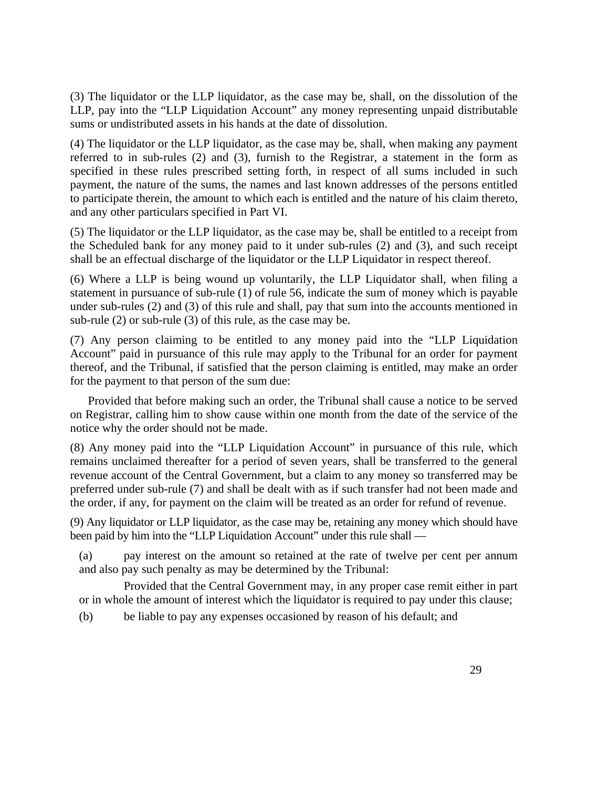(3) The liquidator or the LLP liquidator, as the case may be, shall, on the dissolution of the LLP, pay into the "LLP Liquidation Account" any money representing unpaid distributable sums or undistributed assets in his hands at the date of dissolution.

(4) The liquidator or the LLP liquidator, as the case may be, shall, when making any payment referred to in sub-rules (2) and (3), furnish to the Registrar, a statement in the form as specified in these rules prescribed setting forth, in respect of all sums included in such payment, the nature of the sums, the names and last known addresses of the persons entitled to participate therein, the amount to which each is entitled and the nature of his claim thereto, and any other particulars specified in Part VI.

(5) The liquidator or the LLP liquidator, as the case may be, shall be entitled to a receipt from the Scheduled bank for any money paid to it under sub-rules (2) and (3), and such receipt shall be an effectual discharge of the liquidator or the LLP Liquidator in respect thereof.

(6) Where a LLP is being wound up voluntarily, the LLP Liquidator shall, when filing a statement in pursuance of sub-rule (1) of rule 56, indicate the sum of money which is payable under sub-rules (2) and (3) of this rule and shall, pay that sum into the accounts mentioned in sub-rule (2) or sub-rule (3) of this rule, as the case may be.

(7) Any person claiming to be entitled to any money paid into the "LLP Liquidation Account" paid in pursuance of this rule may apply to the Tribunal for an order for payment thereof, and the Tribunal, if satisfied that the person claiming is entitled, may make an order for the payment to that person of the sum due:

 Provided that before making such an order, the Tribunal shall cause a notice to be served on Registrar, calling him to show cause within one month from the date of the service of the notice why the order should not be made.

(8) Any money paid into the "LLP Liquidation Account" in pursuance of this rule, which remains unclaimed thereafter for a period of seven years, shall be transferred to the general revenue account of the Central Government, but a claim to any money so transferred may be preferred under sub-rule (7) and shall be dealt with as if such transfer had not been made and the order, if any, for payment on the claim will be treated as an order for refund of revenue.

(9) Any liquidator or LLP liquidator, as the case may be, retaining any money which should have been paid by him into the "LLP Liquidation Account" under this rule shall —

(a) pay interest on the amount so retained at the rate of twelve per cent per annum and also pay such penalty as may be determined by the Tribunal:

 Provided that the Central Government may, in any proper case remit either in part or in whole the amount of interest which the liquidator is required to pay under this clause;

(b) be liable to pay any expenses occasioned by reason of his default; and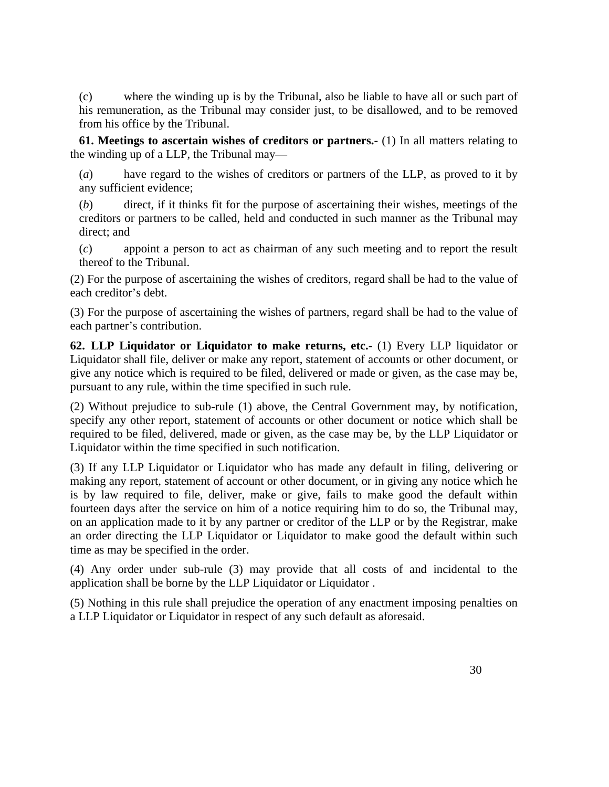(c) where the winding up is by the Tribunal, also be liable to have all or such part of his remuneration, as the Tribunal may consider just, to be disallowed, and to be removed from his office by the Tribunal.

**61. Meetings to ascertain wishes of creditors or partners.-** (1) In all matters relating to the winding up of a LLP, the Tribunal may—

(*a*) have regard to the wishes of creditors or partners of the LLP, as proved to it by any sufficient evidence;

(*b*) direct, if it thinks fit for the purpose of ascertaining their wishes, meetings of the creditors or partners to be called, held and conducted in such manner as the Tribunal may direct; and

(*c*) appoint a person to act as chairman of any such meeting and to report the result thereof to the Tribunal.

(2) For the purpose of ascertaining the wishes of creditors, regard shall be had to the value of each creditor's debt.

(3) For the purpose of ascertaining the wishes of partners, regard shall be had to the value of each partner's contribution.

**62. LLP Liquidator or Liquidator to make returns, etc.-** (1) Every LLP liquidator or Liquidator shall file, deliver or make any report, statement of accounts or other document, or give any notice which is required to be filed, delivered or made or given, as the case may be, pursuant to any rule, within the time specified in such rule.

(2) Without prejudice to sub-rule (1) above, the Central Government may, by notification, specify any other report, statement of accounts or other document or notice which shall be required to be filed, delivered, made or given, as the case may be, by the LLP Liquidator or Liquidator within the time specified in such notification.

(3) If any LLP Liquidator or Liquidator who has made any default in filing, delivering or making any report, statement of account or other document, or in giving any notice which he is by law required to file, deliver, make or give, fails to make good the default within fourteen days after the service on him of a notice requiring him to do so, the Tribunal may, on an application made to it by any partner or creditor of the LLP or by the Registrar, make an order directing the LLP Liquidator or Liquidator to make good the default within such time as may be specified in the order.

(4) Any order under sub-rule (3) may provide that all costs of and incidental to the application shall be borne by the LLP Liquidator or Liquidator .

(5) Nothing in this rule shall prejudice the operation of any enactment imposing penalties on a LLP Liquidator or Liquidator in respect of any such default as aforesaid.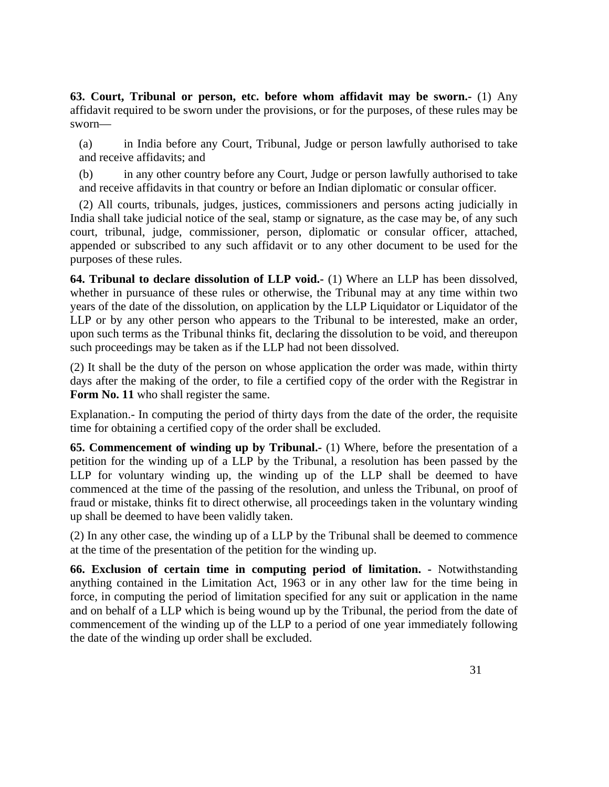**63. Court, Tribunal or person, etc. before whom affidavit may be sworn.-** (1) Any affidavit required to be sworn under the provisions, or for the purposes, of these rules may be sworn—

(a) in India before any Court, Tribunal, Judge or person lawfully authorised to take and receive affidavits; and

(b) in any other country before any Court, Judge or person lawfully authorised to take and receive affidavits in that country or before an Indian diplomatic or consular officer.

(2) All courts, tribunals, judges, justices, commissioners and persons acting judicially in India shall take judicial notice of the seal, stamp or signature, as the case may be, of any such court, tribunal, judge, commissioner, person, diplomatic or consular officer, attached, appended or subscribed to any such affidavit or to any other document to be used for the purposes of these rules.

**64. Tribunal to declare dissolution of LLP void.-** (1) Where an LLP has been dissolved, whether in pursuance of these rules or otherwise, the Tribunal may at any time within two years of the date of the dissolution, on application by the LLP Liquidator or Liquidator of the LLP or by any other person who appears to the Tribunal to be interested, make an order, upon such terms as the Tribunal thinks fit, declaring the dissolution to be void, and thereupon such proceedings may be taken as if the LLP had not been dissolved.

(2) It shall be the duty of the person on whose application the order was made, within thirty days after the making of the order, to file a certified copy of the order with the Registrar in Form No. 11 who shall register the same.

Explanation.- In computing the period of thirty days from the date of the order, the requisite time for obtaining a certified copy of the order shall be excluded.

**65. Commencement of winding up by Tribunal.-** (1) Where, before the presentation of a petition for the winding up of a LLP by the Tribunal, a resolution has been passed by the LLP for voluntary winding up, the winding up of the LLP shall be deemed to have commenced at the time of the passing of the resolution, and unless the Tribunal, on proof of fraud or mistake, thinks fit to direct otherwise, all proceedings taken in the voluntary winding up shall be deemed to have been validly taken.

(2) In any other case, the winding up of a LLP by the Tribunal shall be deemed to commence at the time of the presentation of the petition for the winding up.

**66. Exclusion of certain time in computing period of limitation. -** Notwithstanding anything contained in the Limitation Act, 1963 or in any other law for the time being in force, in computing the period of limitation specified for any suit or application in the name and on behalf of a LLP which is being wound up by the Tribunal, the period from the date of commencement of the winding up of the LLP to a period of one year immediately following the date of the winding up order shall be excluded.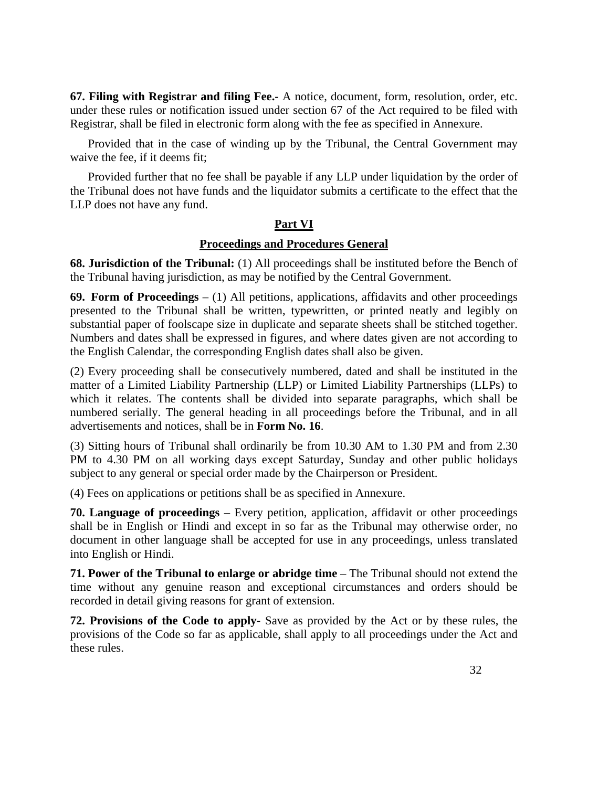**67. Filing with Registrar and filing Fee.-** A notice, document, form, resolution, order, etc. under these rules or notification issued under section 67 of the Act required to be filed with Registrar, shall be filed in electronic form along with the fee as specified in Annexure.

 Provided that in the case of winding up by the Tribunal, the Central Government may waive the fee, if it deems fit;

 Provided further that no fee shall be payable if any LLP under liquidation by the order of the Tribunal does not have funds and the liquidator submits a certificate to the effect that the LLP does not have any fund.

## **Part VI**

## **Proceedings and Procedures General**

**68. Jurisdiction of the Tribunal:** (1) All proceedings shall be instituted before the Bench of the Tribunal having jurisdiction, as may be notified by the Central Government.

**69. Form of Proceedings** – (1) All petitions, applications, affidavits and other proceedings presented to the Tribunal shall be written, typewritten, or printed neatly and legibly on substantial paper of foolscape size in duplicate and separate sheets shall be stitched together. Numbers and dates shall be expressed in figures, and where dates given are not according to the English Calendar, the corresponding English dates shall also be given.

(2) Every proceeding shall be consecutively numbered, dated and shall be instituted in the matter of a Limited Liability Partnership (LLP) or Limited Liability Partnerships (LLPs) to which it relates. The contents shall be divided into separate paragraphs, which shall be numbered serially. The general heading in all proceedings before the Tribunal, and in all advertisements and notices, shall be in **Form No. 16**.

(3) Sitting hours of Tribunal shall ordinarily be from 10.30 AM to 1.30 PM and from 2.30 PM to 4.30 PM on all working days except Saturday, Sunday and other public holidays subject to any general or special order made by the Chairperson or President.

(4) Fees on applications or petitions shall be as specified in Annexure.

**70. Language of proceedings** – Every petition, application, affidavit or other proceedings shall be in English or Hindi and except in so far as the Tribunal may otherwise order, no document in other language shall be accepted for use in any proceedings, unless translated into English or Hindi.

**71. Power of the Tribunal to enlarge or abridge time** – The Tribunal should not extend the time without any genuine reason and exceptional circumstances and orders should be recorded in detail giving reasons for grant of extension.

**72. Provisions of the Code to apply-** Save as provided by the Act or by these rules, the provisions of the Code so far as applicable, shall apply to all proceedings under the Act and these rules.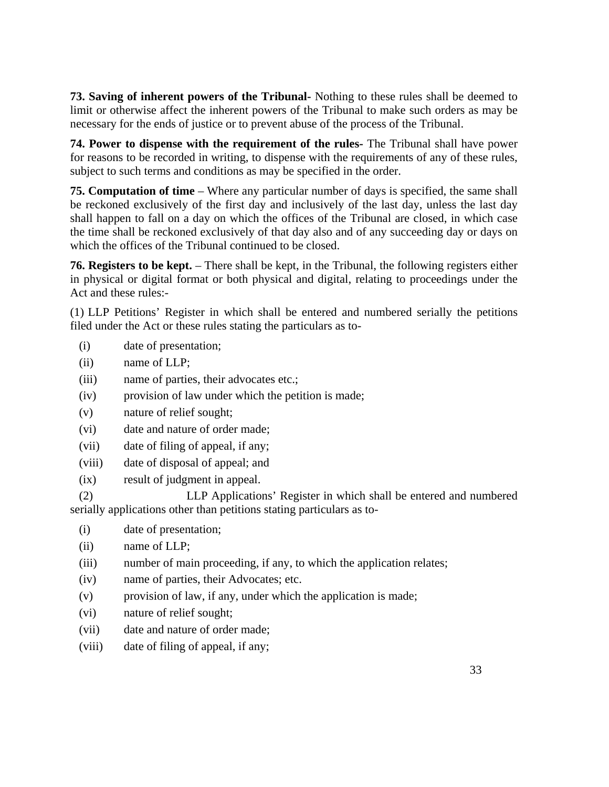**73. Saving of inherent powers of the Tribunal-** Nothing to these rules shall be deemed to limit or otherwise affect the inherent powers of the Tribunal to make such orders as may be necessary for the ends of justice or to prevent abuse of the process of the Tribunal.

**74. Power to dispense with the requirement of the rules-** The Tribunal shall have power for reasons to be recorded in writing, to dispense with the requirements of any of these rules, subject to such terms and conditions as may be specified in the order.

**75. Computation of time** – Where any particular number of days is specified, the same shall be reckoned exclusively of the first day and inclusively of the last day, unless the last day shall happen to fall on a day on which the offices of the Tribunal are closed, in which case the time shall be reckoned exclusively of that day also and of any succeeding day or days on which the offices of the Tribunal continued to be closed.

**76. Registers to be kept.** – There shall be kept, in the Tribunal, the following registers either in physical or digital format or both physical and digital, relating to proceedings under the Act and these rules:-

(1) LLP Petitions' Register in which shall be entered and numbered serially the petitions filed under the Act or these rules stating the particulars as to-

- (i) date of presentation;
- (ii) name of LLP;
- (iii) name of parties, their advocates etc.;
- (iv) provision of law under which the petition is made;
- (v) nature of relief sought;
- (vi) date and nature of order made;
- (vii) date of filing of appeal, if any;
- (viii) date of disposal of appeal; and
- (ix) result of judgment in appeal.

(2) LLP Applications' Register in which shall be entered and numbered serially applications other than petitions stating particulars as to-

- (i) date of presentation;
- (ii) name of LLP;
- (iii) number of main proceeding, if any, to which the application relates;
- (iv) name of parties, their Advocates; etc.
- (v) provision of law, if any, under which the application is made;
- (vi) nature of relief sought;
- (vii) date and nature of order made;
- (viii) date of filing of appeal, if any;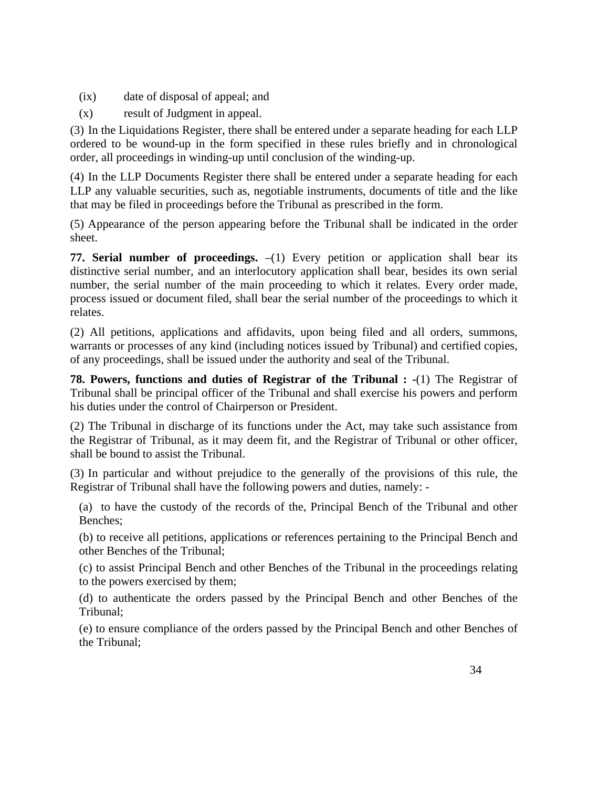- (ix) date of disposal of appeal; and
- (x) result of Judgment in appeal.

(3) In the Liquidations Register, there shall be entered under a separate heading for each LLP ordered to be wound-up in the form specified in these rules briefly and in chronological order, all proceedings in winding-up until conclusion of the winding-up.

(4) In the LLP Documents Register there shall be entered under a separate heading for each LLP any valuable securities, such as, negotiable instruments, documents of title and the like that may be filed in proceedings before the Tribunal as prescribed in the form.

(5) Appearance of the person appearing before the Tribunal shall be indicated in the order sheet.

**77. Serial number of proceedings.**  $-(1)$  Every petition or application shall bear its distinctive serial number, and an interlocutory application shall bear, besides its own serial number, the serial number of the main proceeding to which it relates. Every order made, process issued or document filed, shall bear the serial number of the proceedings to which it relates.

(2) All petitions, applications and affidavits, upon being filed and all orders, summons, warrants or processes of any kind (including notices issued by Tribunal) and certified copies, of any proceedings, shall be issued under the authority and seal of the Tribunal.

**78. Powers, functions and duties of Registrar of the Tribunal : -**(1) The Registrar of Tribunal shall be principal officer of the Tribunal and shall exercise his powers and perform his duties under the control of Chairperson or President.

(2) The Tribunal in discharge of its functions under the Act, may take such assistance from the Registrar of Tribunal, as it may deem fit, and the Registrar of Tribunal or other officer, shall be bound to assist the Tribunal.

(3) In particular and without prejudice to the generally of the provisions of this rule, the Registrar of Tribunal shall have the following powers and duties, namely: -

(a) to have the custody of the records of the, Principal Bench of the Tribunal and other Benches;

(b) to receive all petitions, applications or references pertaining to the Principal Bench and other Benches of the Tribunal;

(c) to assist Principal Bench and other Benches of the Tribunal in the proceedings relating to the powers exercised by them;

(d) to authenticate the orders passed by the Principal Bench and other Benches of the Tribunal;

(e) to ensure compliance of the orders passed by the Principal Bench and other Benches of the Tribunal;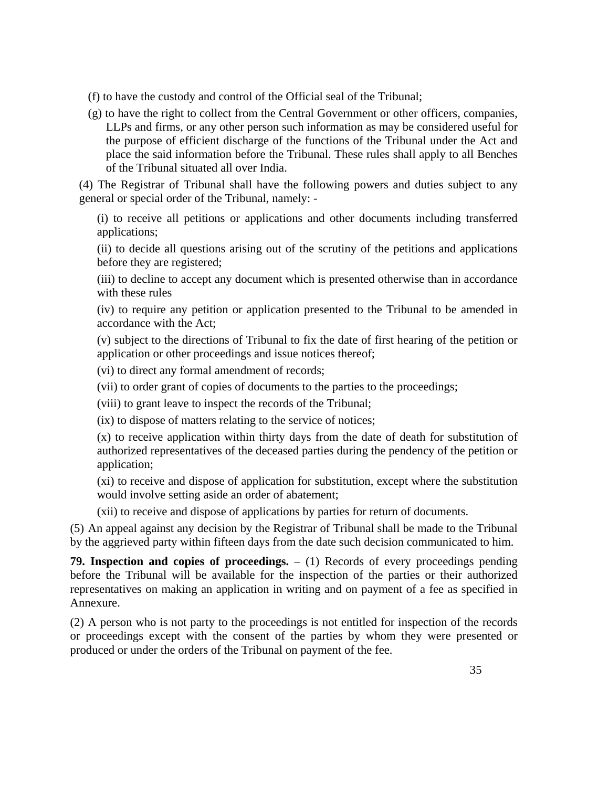- (f) to have the custody and control of the Official seal of the Tribunal;
- (g) to have the right to collect from the Central Government or other officers, companies, LLPs and firms, or any other person such information as may be considered useful for the purpose of efficient discharge of the functions of the Tribunal under the Act and place the said information before the Tribunal. These rules shall apply to all Benches of the Tribunal situated all over India.

(4) The Registrar of Tribunal shall have the following powers and duties subject to any general or special order of the Tribunal, namely: -

(i) to receive all petitions or applications and other documents including transferred applications;

(ii) to decide all questions arising out of the scrutiny of the petitions and applications before they are registered;

(iii) to decline to accept any document which is presented otherwise than in accordance with these rules

(iv) to require any petition or application presented to the Tribunal to be amended in accordance with the Act;

(v) subject to the directions of Tribunal to fix the date of first hearing of the petition or application or other proceedings and issue notices thereof;

(vi) to direct any formal amendment of records;

(vii) to order grant of copies of documents to the parties to the proceedings;

(viii) to grant leave to inspect the records of the Tribunal;

(ix) to dispose of matters relating to the service of notices;

(x) to receive application within thirty days from the date of death for substitution of authorized representatives of the deceased parties during the pendency of the petition or application;

(xi) to receive and dispose of application for substitution, except where the substitution would involve setting aside an order of abatement;

(xii) to receive and dispose of applications by parties for return of documents.

(5) An appeal against any decision by the Registrar of Tribunal shall be made to the Tribunal by the aggrieved party within fifteen days from the date such decision communicated to him.

**79. Inspection and copies of proceedings.** – (1) Records of every proceedings pending before the Tribunal will be available for the inspection of the parties or their authorized representatives on making an application in writing and on payment of a fee as specified in Annexure.

(2) A person who is not party to the proceedings is not entitled for inspection of the records or proceedings except with the consent of the parties by whom they were presented or produced or under the orders of the Tribunal on payment of the fee.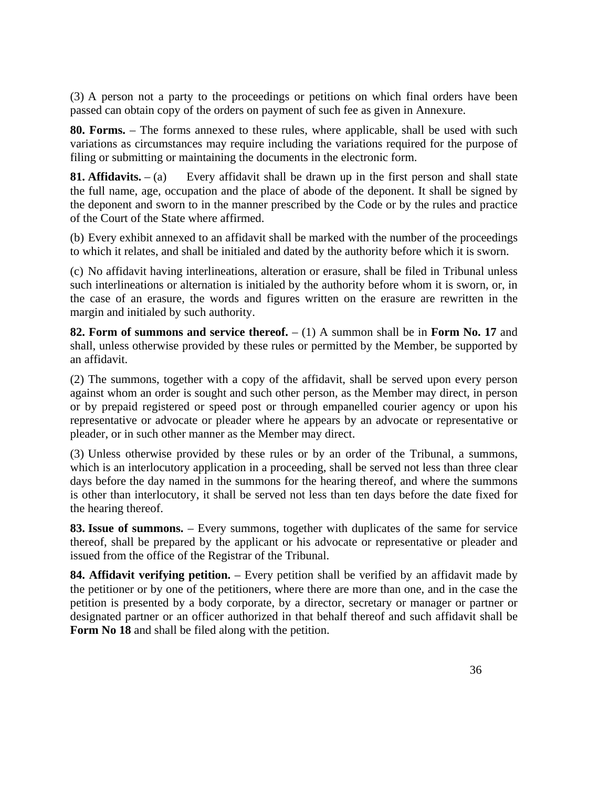(3) A person not a party to the proceedings or petitions on which final orders have been passed can obtain copy of the orders on payment of such fee as given in Annexure.

**80. Forms.** – The forms annexed to these rules, where applicable, shall be used with such variations as circumstances may require including the variations required for the purpose of filing or submitting or maintaining the documents in the electronic form.

**81. Affidavits.**  $-$  (a) Every affidavit shall be drawn up in the first person and shall state the full name, age, occupation and the place of abode of the deponent. It shall be signed by the deponent and sworn to in the manner prescribed by the Code or by the rules and practice of the Court of the State where affirmed.

(b) Every exhibit annexed to an affidavit shall be marked with the number of the proceedings to which it relates, and shall be initialed and dated by the authority before which it is sworn.

(c) No affidavit having interlineations, alteration or erasure, shall be filed in Tribunal unless such interlineations or alternation is initialed by the authority before whom it is sworn, or, in the case of an erasure, the words and figures written on the erasure are rewritten in the margin and initialed by such authority.

**82. Form of summons and service thereof.** – (1) A summon shall be in **Form No. 17** and shall, unless otherwise provided by these rules or permitted by the Member, be supported by an affidavit.

(2) The summons, together with a copy of the affidavit, shall be served upon every person against whom an order is sought and such other person, as the Member may direct, in person or by prepaid registered or speed post or through empanelled courier agency or upon his representative or advocate or pleader where he appears by an advocate or representative or pleader, or in such other manner as the Member may direct.

(3) Unless otherwise provided by these rules or by an order of the Tribunal, a summons, which is an interlocutory application in a proceeding, shall be served not less than three clear days before the day named in the summons for the hearing thereof, and where the summons is other than interlocutory, it shall be served not less than ten days before the date fixed for the hearing thereof.

**83. Issue of summons.** – Every summons, together with duplicates of the same for service thereof, shall be prepared by the applicant or his advocate or representative or pleader and issued from the office of the Registrar of the Tribunal.

**84. Affidavit verifying petition.** – Every petition shall be verified by an affidavit made by the petitioner or by one of the petitioners, where there are more than one, and in the case the petition is presented by a body corporate, by a director, secretary or manager or partner or designated partner or an officer authorized in that behalf thereof and such affidavit shall be **Form No 18** and shall be filed along with the petition.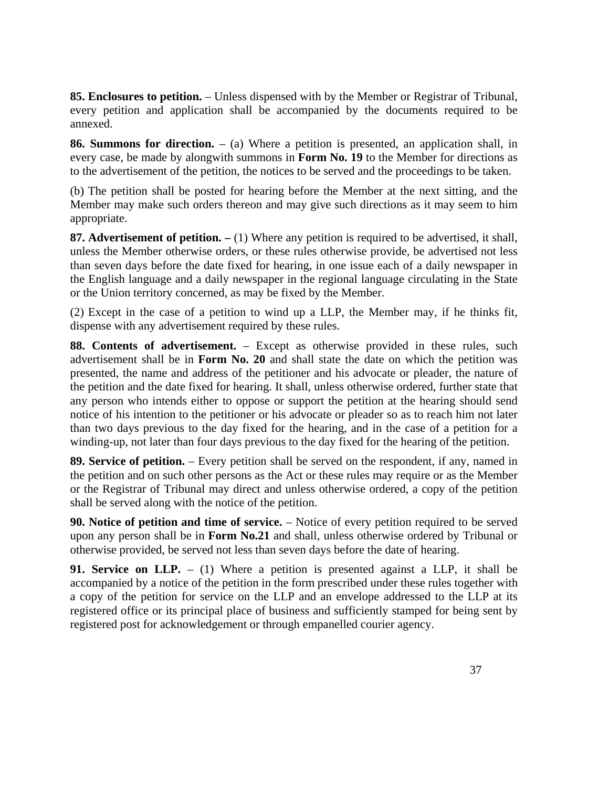**85. Enclosures to petition.** – Unless dispensed with by the Member or Registrar of Tribunal, every petition and application shall be accompanied by the documents required to be annexed.

**86. Summons for direction.** – (a) Where a petition is presented, an application shall, in every case, be made by alongwith summons in **Form No. 19** to the Member for directions as to the advertisement of the petition, the notices to be served and the proceedings to be taken.

(b) The petition shall be posted for hearing before the Member at the next sitting, and the Member may make such orders thereon and may give such directions as it may seem to him appropriate.

87. Advertisement of petition.  $- (1)$  Where any petition is required to be advertised, it shall, unless the Member otherwise orders, or these rules otherwise provide, be advertised not less than seven days before the date fixed for hearing, in one issue each of a daily newspaper in the English language and a daily newspaper in the regional language circulating in the State or the Union territory concerned, as may be fixed by the Member.

(2) Except in the case of a petition to wind up a LLP, the Member may, if he thinks fit, dispense with any advertisement required by these rules.

**88. Contents of advertisement.** – Except as otherwise provided in these rules, such advertisement shall be in **Form No. 20** and shall state the date on which the petition was presented, the name and address of the petitioner and his advocate or pleader, the nature of the petition and the date fixed for hearing. It shall, unless otherwise ordered, further state that any person who intends either to oppose or support the petition at the hearing should send notice of his intention to the petitioner or his advocate or pleader so as to reach him not later than two days previous to the day fixed for the hearing, and in the case of a petition for a winding-up, not later than four days previous to the day fixed for the hearing of the petition.

**89. Service of petition.** – Every petition shall be served on the respondent, if any, named in the petition and on such other persons as the Act or these rules may require or as the Member or the Registrar of Tribunal may direct and unless otherwise ordered, a copy of the petition shall be served along with the notice of the petition.

**90. Notice of petition and time of service.** – Notice of every petition required to be served upon any person shall be in **Form No.21** and shall, unless otherwise ordered by Tribunal or otherwise provided, be served not less than seven days before the date of hearing.

**91. Service on LLP.** – (1) Where a petition is presented against a LLP, it shall be accompanied by a notice of the petition in the form prescribed under these rules together with a copy of the petition for service on the LLP and an envelope addressed to the LLP at its registered office or its principal place of business and sufficiently stamped for being sent by registered post for acknowledgement or through empanelled courier agency.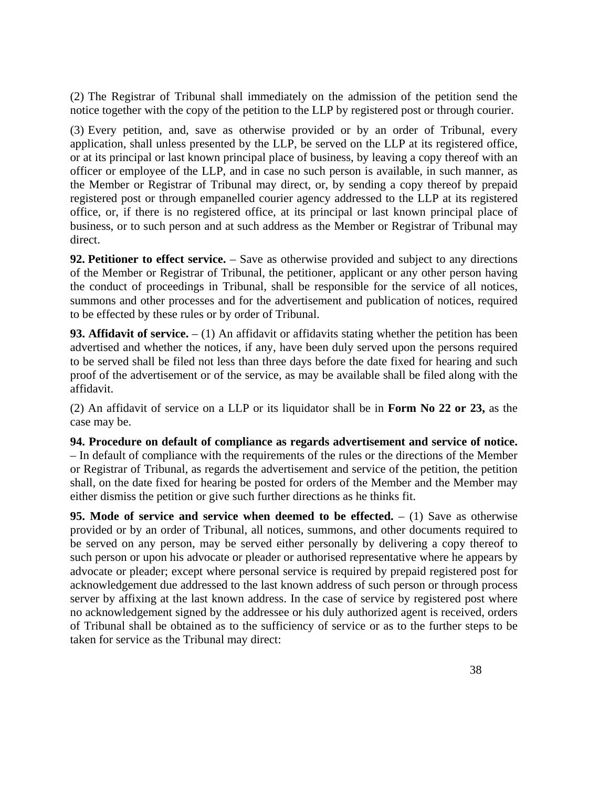(2) The Registrar of Tribunal shall immediately on the admission of the petition send the notice together with the copy of the petition to the LLP by registered post or through courier.

(3) Every petition, and, save as otherwise provided or by an order of Tribunal, every application, shall unless presented by the LLP, be served on the LLP at its registered office, or at its principal or last known principal place of business, by leaving a copy thereof with an officer or employee of the LLP, and in case no such person is available, in such manner, as the Member or Registrar of Tribunal may direct, or, by sending a copy thereof by prepaid registered post or through empanelled courier agency addressed to the LLP at its registered office, or, if there is no registered office, at its principal or last known principal place of business, or to such person and at such address as the Member or Registrar of Tribunal may direct.

**92. Petitioner to effect service.** – Save as otherwise provided and subject to any directions of the Member or Registrar of Tribunal, the petitioner, applicant or any other person having the conduct of proceedings in Tribunal, shall be responsible for the service of all notices, summons and other processes and for the advertisement and publication of notices, required to be effected by these rules or by order of Tribunal.

**93. Affidavit of service.**  $- (1)$  An affidavit or affidavits stating whether the petition has been advertised and whether the notices, if any, have been duly served upon the persons required to be served shall be filed not less than three days before the date fixed for hearing and such proof of the advertisement or of the service, as may be available shall be filed along with the affidavit.

(2) An affidavit of service on a LLP or its liquidator shall be in **Form No 22 or 23,** as the case may be.

**94. Procedure on default of compliance as regards advertisement and service of notice.**  – In default of compliance with the requirements of the rules or the directions of the Member or Registrar of Tribunal, as regards the advertisement and service of the petition, the petition shall, on the date fixed for hearing be posted for orders of the Member and the Member may either dismiss the petition or give such further directions as he thinks fit.

**95. Mode of service and service when deemed to be effected.**  $- (1)$  Save as otherwise provided or by an order of Tribunal, all notices, summons, and other documents required to be served on any person, may be served either personally by delivering a copy thereof to such person or upon his advocate or pleader or authorised representative where he appears by advocate or pleader; except where personal service is required by prepaid registered post for acknowledgement due addressed to the last known address of such person or through process server by affixing at the last known address. In the case of service by registered post where no acknowledgement signed by the addressee or his duly authorized agent is received, orders of Tribunal shall be obtained as to the sufficiency of service or as to the further steps to be taken for service as the Tribunal may direct: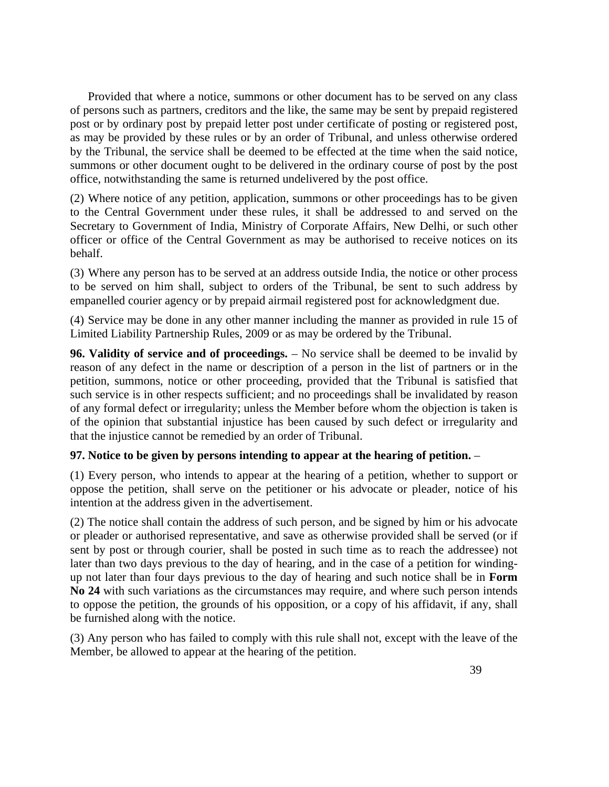Provided that where a notice, summons or other document has to be served on any class of persons such as partners, creditors and the like, the same may be sent by prepaid registered post or by ordinary post by prepaid letter post under certificate of posting or registered post, as may be provided by these rules or by an order of Tribunal, and unless otherwise ordered by the Tribunal, the service shall be deemed to be effected at the time when the said notice, summons or other document ought to be delivered in the ordinary course of post by the post office, notwithstanding the same is returned undelivered by the post office.

(2) Where notice of any petition, application, summons or other proceedings has to be given to the Central Government under these rules, it shall be addressed to and served on the Secretary to Government of India, Ministry of Corporate Affairs, New Delhi, or such other officer or office of the Central Government as may be authorised to receive notices on its behalf.

(3) Where any person has to be served at an address outside India, the notice or other process to be served on him shall, subject to orders of the Tribunal, be sent to such address by empanelled courier agency or by prepaid airmail registered post for acknowledgment due.

(4) Service may be done in any other manner including the manner as provided in rule 15 of Limited Liability Partnership Rules, 2009 or as may be ordered by the Tribunal.

**96. Validity of service and of proceedings.** – No service shall be deemed to be invalid by reason of any defect in the name or description of a person in the list of partners or in the petition, summons, notice or other proceeding, provided that the Tribunal is satisfied that such service is in other respects sufficient; and no proceedings shall be invalidated by reason of any formal defect or irregularity; unless the Member before whom the objection is taken is of the opinion that substantial injustice has been caused by such defect or irregularity and that the injustice cannot be remedied by an order of Tribunal.

#### **97. Notice to be given by persons intending to appear at the hearing of petition.** –

(1) Every person, who intends to appear at the hearing of a petition, whether to support or oppose the petition, shall serve on the petitioner or his advocate or pleader, notice of his intention at the address given in the advertisement.

(2) The notice shall contain the address of such person, and be signed by him or his advocate or pleader or authorised representative, and save as otherwise provided shall be served (or if sent by post or through courier, shall be posted in such time as to reach the addressee) not later than two days previous to the day of hearing, and in the case of a petition for windingup not later than four days previous to the day of hearing and such notice shall be in **Form No 24** with such variations as the circumstances may require, and where such person intends to oppose the petition, the grounds of his opposition, or a copy of his affidavit, if any, shall be furnished along with the notice.

(3) Any person who has failed to comply with this rule shall not, except with the leave of the Member, be allowed to appear at the hearing of the petition.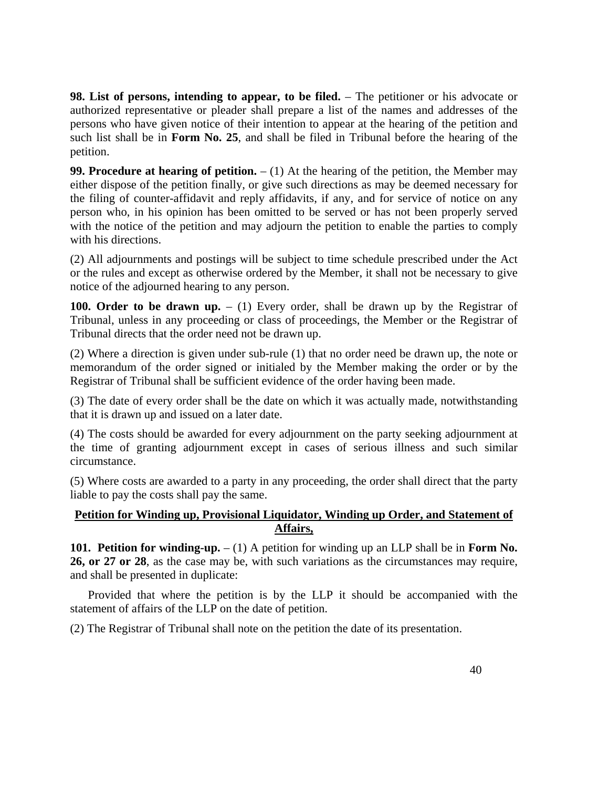**98. List of persons, intending to appear, to be filed.** – The petitioner or his advocate or authorized representative or pleader shall prepare a list of the names and addresses of the persons who have given notice of their intention to appear at the hearing of the petition and such list shall be in **Form No. 25**, and shall be filed in Tribunal before the hearing of the petition.

**99. Procedure at hearing of petition.**  $- (1)$  At the hearing of the petition, the Member may either dispose of the petition finally, or give such directions as may be deemed necessary for the filing of counter-affidavit and reply affidavits, if any, and for service of notice on any person who, in his opinion has been omitted to be served or has not been properly served with the notice of the petition and may adjourn the petition to enable the parties to comply with his directions.

(2) All adjournments and postings will be subject to time schedule prescribed under the Act or the rules and except as otherwise ordered by the Member, it shall not be necessary to give notice of the adjourned hearing to any person.

**100. Order to be drawn up.**  $- (1)$  Every order, shall be drawn up by the Registrar of Tribunal, unless in any proceeding or class of proceedings, the Member or the Registrar of Tribunal directs that the order need not be drawn up.

(2) Where a direction is given under sub-rule (1) that no order need be drawn up, the note or memorandum of the order signed or initialed by the Member making the order or by the Registrar of Tribunal shall be sufficient evidence of the order having been made.

(3) The date of every order shall be the date on which it was actually made, notwithstanding that it is drawn up and issued on a later date.

(4) The costs should be awarded for every adjournment on the party seeking adjournment at the time of granting adjournment except in cases of serious illness and such similar circumstance.

(5) Where costs are awarded to a party in any proceeding, the order shall direct that the party liable to pay the costs shall pay the same.

#### **Petition for Winding up, Provisional Liquidator, Winding up Order, and Statement of Affairs,**

**101. Petition for winding-up.** – (1) A petition for winding up an LLP shall be in **Form No. 26, or 27 or 28**, as the case may be, with such variations as the circumstances may require, and shall be presented in duplicate:

 Provided that where the petition is by the LLP it should be accompanied with the statement of affairs of the LLP on the date of petition.

(2) The Registrar of Tribunal shall note on the petition the date of its presentation.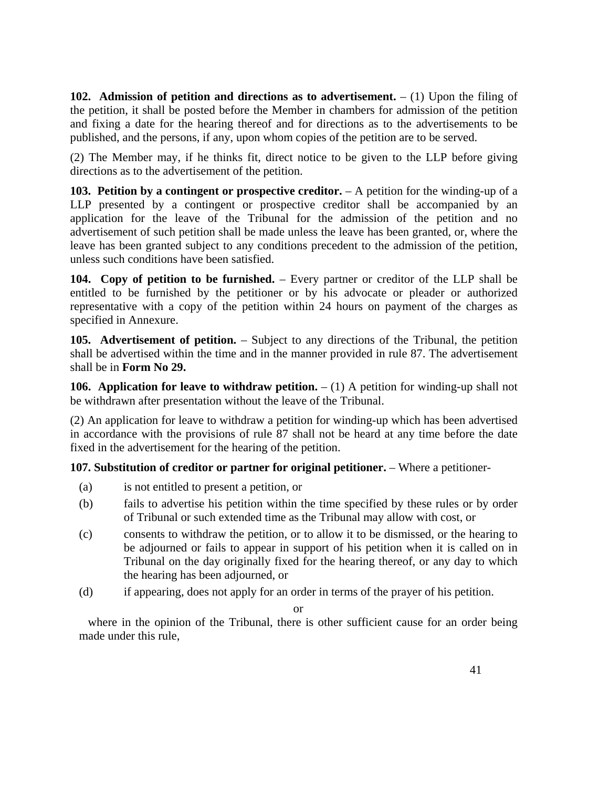**102.** Admission of petition and directions as to advertisement.  $- (1)$  Upon the filing of the petition, it shall be posted before the Member in chambers for admission of the petition and fixing a date for the hearing thereof and for directions as to the advertisements to be published, and the persons, if any, upon whom copies of the petition are to be served.

(2) The Member may, if he thinks fit, direct notice to be given to the LLP before giving directions as to the advertisement of the petition.

**103. Petition by a contingent or prospective creditor.** – A petition for the winding-up of a LLP presented by a contingent or prospective creditor shall be accompanied by an application for the leave of the Tribunal for the admission of the petition and no advertisement of such petition shall be made unless the leave has been granted, or, where the leave has been granted subject to any conditions precedent to the admission of the petition, unless such conditions have been satisfied.

**104. Copy of petition to be furnished.** – Every partner or creditor of the LLP shall be entitled to be furnished by the petitioner or by his advocate or pleader or authorized representative with a copy of the petition within 24 hours on payment of the charges as specified in Annexure.

**105. Advertisement of petition.** – Subject to any directions of the Tribunal, the petition shall be advertised within the time and in the manner provided in rule 87. The advertisement shall be in **Form No 29.**

**106. Application for leave to withdraw petition.**  $- (1)$  A petition for winding-up shall not be withdrawn after presentation without the leave of the Tribunal.

(2) An application for leave to withdraw a petition for winding-up which has been advertised in accordance with the provisions of rule 87 shall not be heard at any time before the date fixed in the advertisement for the hearing of the petition.

**107. Substitution of creditor or partner for original petitioner.** – Where a petitioner-

- (a) is not entitled to present a petition, or
- (b) fails to advertise his petition within the time specified by these rules or by order of Tribunal or such extended time as the Tribunal may allow with cost, or
- (c) consents to withdraw the petition, or to allow it to be dismissed, or the hearing to be adjourned or fails to appear in support of his petition when it is called on in Tribunal on the day originally fixed for the hearing thereof, or any day to which the hearing has been adjourned, or
- (d) if appearing, does not apply for an order in terms of the prayer of his petition.

or

 where in the opinion of the Tribunal, there is other sufficient cause for an order being made under this rule,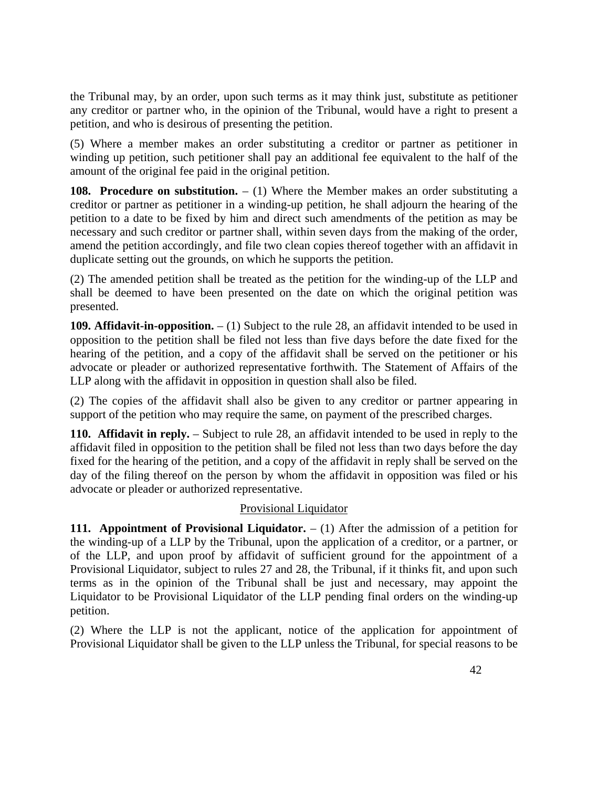the Tribunal may, by an order, upon such terms as it may think just, substitute as petitioner any creditor or partner who, in the opinion of the Tribunal, would have a right to present a petition, and who is desirous of presenting the petition.

(5) Where a member makes an order substituting a creditor or partner as petitioner in winding up petition, such petitioner shall pay an additional fee equivalent to the half of the amount of the original fee paid in the original petition.

**108. Procedure on substitution.**  $- (1)$  Where the Member makes an order substituting a creditor or partner as petitioner in a winding-up petition, he shall adjourn the hearing of the petition to a date to be fixed by him and direct such amendments of the petition as may be necessary and such creditor or partner shall, within seven days from the making of the order, amend the petition accordingly, and file two clean copies thereof together with an affidavit in duplicate setting out the grounds, on which he supports the petition.

(2) The amended petition shall be treated as the petition for the winding-up of the LLP and shall be deemed to have been presented on the date on which the original petition was presented.

**109. Affidavit-in-opposition.** – (1) Subject to the rule 28, an affidavit intended to be used in opposition to the petition shall be filed not less than five days before the date fixed for the hearing of the petition, and a copy of the affidavit shall be served on the petitioner or his advocate or pleader or authorized representative forthwith. The Statement of Affairs of the LLP along with the affidavit in opposition in question shall also be filed.

(2) The copies of the affidavit shall also be given to any creditor or partner appearing in support of the petition who may require the same, on payment of the prescribed charges.

**110. Affidavit in reply.** – Subject to rule 28, an affidavit intended to be used in reply to the affidavit filed in opposition to the petition shall be filed not less than two days before the day fixed for the hearing of the petition, and a copy of the affidavit in reply shall be served on the day of the filing thereof on the person by whom the affidavit in opposition was filed or his advocate or pleader or authorized representative.

#### Provisional Liquidator

**111. Appointment of Provisional Liquidator.**  $- (1)$  After the admission of a petition for the winding-up of a LLP by the Tribunal, upon the application of a creditor, or a partner, or of the LLP, and upon proof by affidavit of sufficient ground for the appointment of a Provisional Liquidator, subject to rules 27 and 28, the Tribunal, if it thinks fit, and upon such terms as in the opinion of the Tribunal shall be just and necessary, may appoint the Liquidator to be Provisional Liquidator of the LLP pending final orders on the winding-up petition.

(2) Where the LLP is not the applicant, notice of the application for appointment of Provisional Liquidator shall be given to the LLP unless the Tribunal, for special reasons to be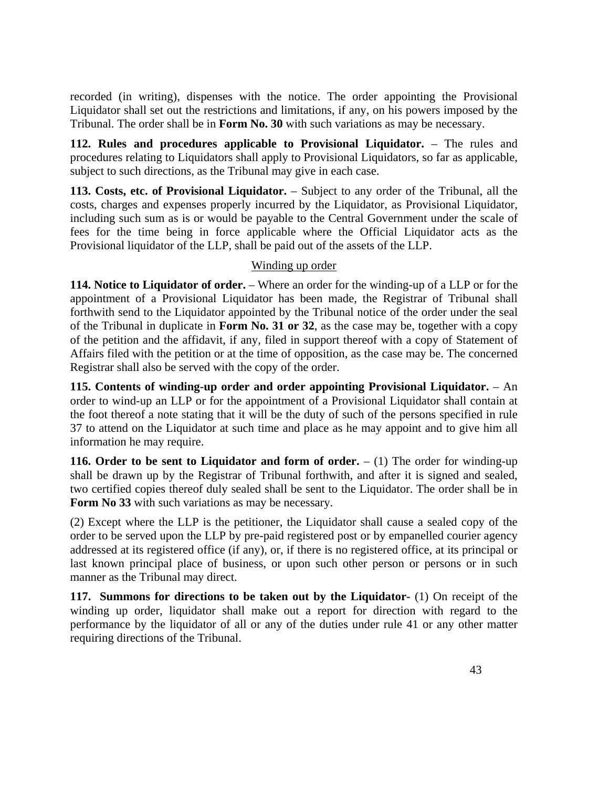recorded (in writing), dispenses with the notice. The order appointing the Provisional Liquidator shall set out the restrictions and limitations, if any, on his powers imposed by the Tribunal. The order shall be in **Form No. 30** with such variations as may be necessary.

**112. Rules and procedures applicable to Provisional Liquidator.** – The rules and procedures relating to Liquidators shall apply to Provisional Liquidators, so far as applicable, subject to such directions, as the Tribunal may give in each case.

**113. Costs, etc. of Provisional Liquidator.** – Subject to any order of the Tribunal, all the costs, charges and expenses properly incurred by the Liquidator, as Provisional Liquidator, including such sum as is or would be payable to the Central Government under the scale of fees for the time being in force applicable where the Official Liquidator acts as the Provisional liquidator of the LLP, shall be paid out of the assets of the LLP.

#### Winding up order

**114. Notice to Liquidator of order.** – Where an order for the winding-up of a LLP or for the appointment of a Provisional Liquidator has been made, the Registrar of Tribunal shall forthwith send to the Liquidator appointed by the Tribunal notice of the order under the seal of the Tribunal in duplicate in **Form No. 31 or 32**, as the case may be, together with a copy of the petition and the affidavit, if any, filed in support thereof with a copy of Statement of Affairs filed with the petition or at the time of opposition, as the case may be. The concerned Registrar shall also be served with the copy of the order.

**115. Contents of winding-up order and order appointing Provisional Liquidator.** – An order to wind-up an LLP or for the appointment of a Provisional Liquidator shall contain at the foot thereof a note stating that it will be the duty of such of the persons specified in rule 37 to attend on the Liquidator at such time and place as he may appoint and to give him all information he may require.

**116. Order to be sent to Liquidator and form of order.**  $- (1)$  The order for winding-up shall be drawn up by the Registrar of Tribunal forthwith, and after it is signed and sealed, two certified copies thereof duly sealed shall be sent to the Liquidator. The order shall be in **Form No 33** with such variations as may be necessary.

(2) Except where the LLP is the petitioner, the Liquidator shall cause a sealed copy of the order to be served upon the LLP by pre-paid registered post or by empanelled courier agency addressed at its registered office (if any), or, if there is no registered office, at its principal or last known principal place of business, or upon such other person or persons or in such manner as the Tribunal may direct.

**117. Summons for directions to be taken out by the Liquidator-** (1) On receipt of the winding up order, liquidator shall make out a report for direction with regard to the performance by the liquidator of all or any of the duties under rule 41 or any other matter requiring directions of the Tribunal.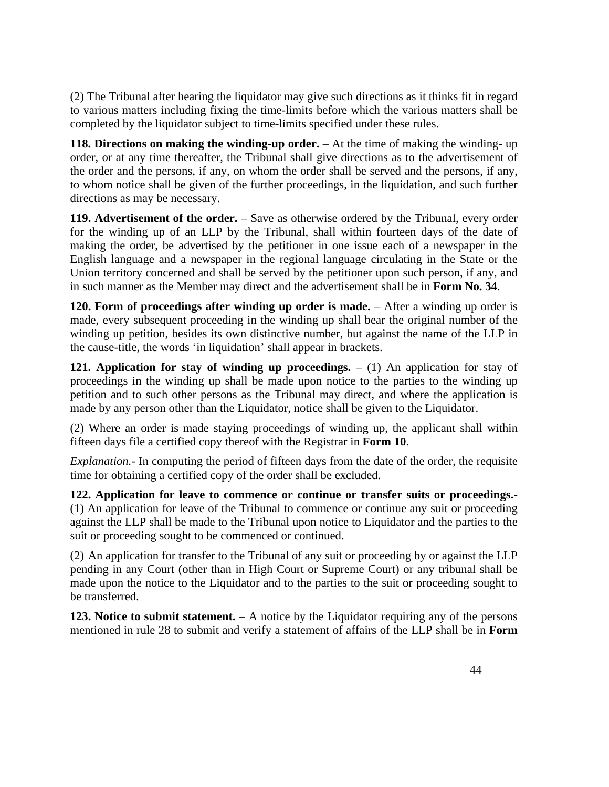(2) The Tribunal after hearing the liquidator may give such directions as it thinks fit in regard to various matters including fixing the time-limits before which the various matters shall be completed by the liquidator subject to time-limits specified under these rules.

**118. Directions on making the winding-up order.** – At the time of making the winding- up order, or at any time thereafter, the Tribunal shall give directions as to the advertisement of the order and the persons, if any, on whom the order shall be served and the persons, if any, to whom notice shall be given of the further proceedings, in the liquidation, and such further directions as may be necessary.

119. Advertisement of the order. – Save as otherwise ordered by the Tribunal, every order for the winding up of an LLP by the Tribunal, shall within fourteen days of the date of making the order, be advertised by the petitioner in one issue each of a newspaper in the English language and a newspaper in the regional language circulating in the State or the Union territory concerned and shall be served by the petitioner upon such person, if any, and in such manner as the Member may direct and the advertisement shall be in **Form No. 34**.

**120. Form of proceedings after winding up order is made.** – After a winding up order is made, every subsequent proceeding in the winding up shall bear the original number of the winding up petition, besides its own distinctive number, but against the name of the LLP in the cause-title, the words 'in liquidation' shall appear in brackets.

**121. Application for stay of winding up proceedings.**  $- (1)$  An application for stay of proceedings in the winding up shall be made upon notice to the parties to the winding up petition and to such other persons as the Tribunal may direct, and where the application is made by any person other than the Liquidator, notice shall be given to the Liquidator.

(2) Where an order is made staying proceedings of winding up, the applicant shall within fifteen days file a certified copy thereof with the Registrar in **Form 10**.

*Explanation.-* In computing the period of fifteen days from the date of the order, the requisite time for obtaining a certified copy of the order shall be excluded.

**122. Application for leave to commence or continue or transfer suits or proceedings.-**  (1) An application for leave of the Tribunal to commence or continue any suit or proceeding against the LLP shall be made to the Tribunal upon notice to Liquidator and the parties to the suit or proceeding sought to be commenced or continued.

(2) An application for transfer to the Tribunal of any suit or proceeding by or against the LLP pending in any Court (other than in High Court or Supreme Court) or any tribunal shall be made upon the notice to the Liquidator and to the parties to the suit or proceeding sought to be transferred.

**123. Notice to submit statement.** – A notice by the Liquidator requiring any of the persons mentioned in rule 28 to submit and verify a statement of affairs of the LLP shall be in **Form**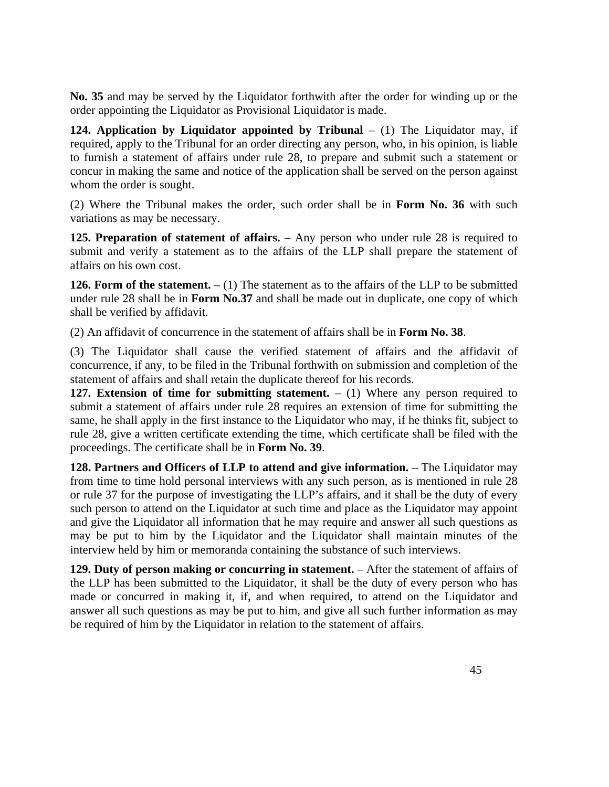**No. 35** and may be served by the Liquidator forthwith after the order for winding up or the order appointing the Liquidator as Provisional Liquidator is made.

**124. Application by Liquidator appointed by Tribunal – (1)** The Liquidator may, if required, apply to the Tribunal for an order directing any person, who, in his opinion, is liable to furnish a statement of affairs under rule 28, to prepare and submit such a statement or concur in making the same and notice of the application shall be served on the person against whom the order is sought.

(2) Where the Tribunal makes the order, such order shall be in **Form No. 36** with such variations as may be necessary.

**125. Preparation of statement of affairs.** – Any person who under rule 28 is required to submit and verify a statement as to the affairs of the LLP shall prepare the statement of affairs on his own cost.

**126. Form of the statement.**  $- (1)$  The statement as to the affairs of the LLP to be submitted under rule 28 shall be in **Form No.37** and shall be made out in duplicate, one copy of which shall be verified by affidavit.

(2) An affidavit of concurrence in the statement of affairs shall be in **Form No. 38**.

(3) The Liquidator shall cause the verified statement of affairs and the affidavit of concurrence, if any, to be filed in the Tribunal forthwith on submission and completion of the statement of affairs and shall retain the duplicate thereof for his records.

**127. Extension of time for submitting statement.**  $- (1)$  Where any person required to submit a statement of affairs under rule 28 requires an extension of time for submitting the same, he shall apply in the first instance to the Liquidator who may, if he thinks fit, subject to rule 28, give a written certificate extending the time, which certificate shall be filed with the proceedings. The certificate shall be in **Form No. 39**.

**128. Partners and Officers of LLP to attend and give information.** – The Liquidator may from time to time hold personal interviews with any such person, as is mentioned in rule 28 or rule 37 for the purpose of investigating the LLP's affairs, and it shall be the duty of every such person to attend on the Liquidator at such time and place as the Liquidator may appoint and give the Liquidator all information that he may require and answer all such questions as may be put to him by the Liquidator and the Liquidator shall maintain minutes of the interview held by him or memoranda containing the substance of such interviews.

**129. Duty of person making or concurring in statement.** – After the statement of affairs of the LLP has been submitted to the Liquidator, it shall be the duty of every person who has made or concurred in making it, if, and when required, to attend on the Liquidator and answer all such questions as may be put to him, and give all such further information as may be required of him by the Liquidator in relation to the statement of affairs.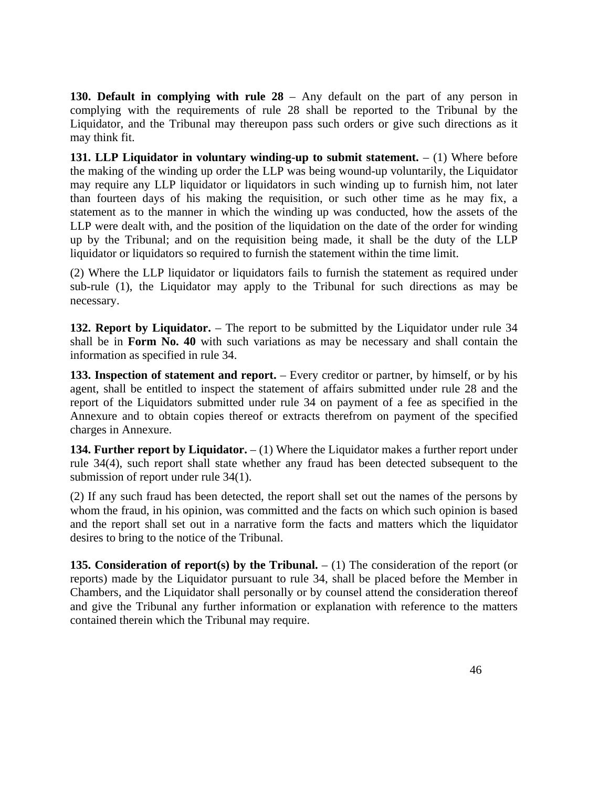**130. Default in complying with rule 28** – Any default on the part of any person in complying with the requirements of rule 28 shall be reported to the Tribunal by the Liquidator, and the Tribunal may thereupon pass such orders or give such directions as it may think fit.

**131. LLP Liquidator in voluntary winding-up to submit statement.** – (1) Where before the making of the winding up order the LLP was being wound-up voluntarily, the Liquidator may require any LLP liquidator or liquidators in such winding up to furnish him, not later than fourteen days of his making the requisition, or such other time as he may fix, a statement as to the manner in which the winding up was conducted, how the assets of the LLP were dealt with, and the position of the liquidation on the date of the order for winding up by the Tribunal; and on the requisition being made, it shall be the duty of the LLP liquidator or liquidators so required to furnish the statement within the time limit.

(2) Where the LLP liquidator or liquidators fails to furnish the statement as required under sub-rule (1), the Liquidator may apply to the Tribunal for such directions as may be necessary.

**132. Report by Liquidator.** – The report to be submitted by the Liquidator under rule 34 shall be in **Form No. 40** with such variations as may be necessary and shall contain the information as specified in rule 34.

**133. Inspection of statement and report.** – Every creditor or partner, by himself, or by his agent, shall be entitled to inspect the statement of affairs submitted under rule 28 and the report of the Liquidators submitted under rule 34 on payment of a fee as specified in the Annexure and to obtain copies thereof or extracts therefrom on payment of the specified charges in Annexure.

**134. Further report by Liquidator.**  $- (1)$  Where the Liquidator makes a further report under rule 34(4), such report shall state whether any fraud has been detected subsequent to the submission of report under rule 34(1).

(2) If any such fraud has been detected, the report shall set out the names of the persons by whom the fraud, in his opinion, was committed and the facts on which such opinion is based and the report shall set out in a narrative form the facts and matters which the liquidator desires to bring to the notice of the Tribunal.

**135. Consideration of report(s) by the Tribunal.**  $- (1)$  The consideration of the report (or reports) made by the Liquidator pursuant to rule 34, shall be placed before the Member in Chambers, and the Liquidator shall personally or by counsel attend the consideration thereof and give the Tribunal any further information or explanation with reference to the matters contained therein which the Tribunal may require.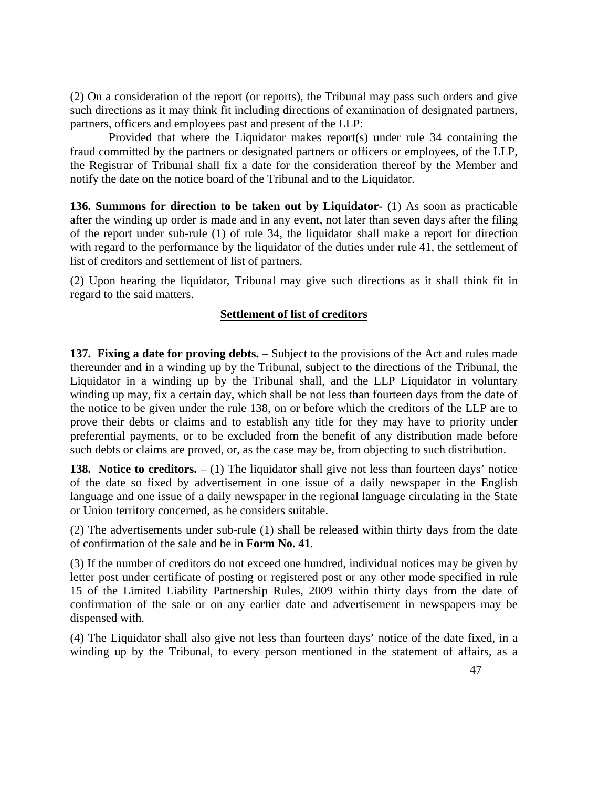(2) On a consideration of the report (or reports), the Tribunal may pass such orders and give such directions as it may think fit including directions of examination of designated partners, partners, officers and employees past and present of the LLP:

Provided that where the Liquidator makes report(s) under rule 34 containing the fraud committed by the partners or designated partners or officers or employees, of the LLP, the Registrar of Tribunal shall fix a date for the consideration thereof by the Member and notify the date on the notice board of the Tribunal and to the Liquidator.

**136. Summons for direction to be taken out by Liquidator-** (1) As soon as practicable after the winding up order is made and in any event, not later than seven days after the filing of the report under sub-rule (1) of rule 34, the liquidator shall make a report for direction with regard to the performance by the liquidator of the duties under rule 41, the settlement of list of creditors and settlement of list of partners.

(2) Upon hearing the liquidator, Tribunal may give such directions as it shall think fit in regard to the said matters.

#### **Settlement of list of creditors**

**137. Fixing a date for proving debts.** – Subject to the provisions of the Act and rules made thereunder and in a winding up by the Tribunal, subject to the directions of the Tribunal, the Liquidator in a winding up by the Tribunal shall, and the LLP Liquidator in voluntary winding up may, fix a certain day, which shall be not less than fourteen days from the date of the notice to be given under the rule 138, on or before which the creditors of the LLP are to prove their debts or claims and to establish any title for they may have to priority under preferential payments, or to be excluded from the benefit of any distribution made before such debts or claims are proved, or, as the case may be, from objecting to such distribution.

**138.** Notice to creditors.  $- (1)$  The liquidator shall give not less than fourteen days' notice of the date so fixed by advertisement in one issue of a daily newspaper in the English language and one issue of a daily newspaper in the regional language circulating in the State or Union territory concerned, as he considers suitable.

(2) The advertisements under sub-rule (1) shall be released within thirty days from the date of confirmation of the sale and be in **Form No. 41**.

(3) If the number of creditors do not exceed one hundred, individual notices may be given by letter post under certificate of posting or registered post or any other mode specified in rule 15 of the Limited Liability Partnership Rules, 2009 within thirty days from the date of confirmation of the sale or on any earlier date and advertisement in newspapers may be dispensed with.

(4) The Liquidator shall also give not less than fourteen days' notice of the date fixed, in a winding up by the Tribunal, to every person mentioned in the statement of affairs, as a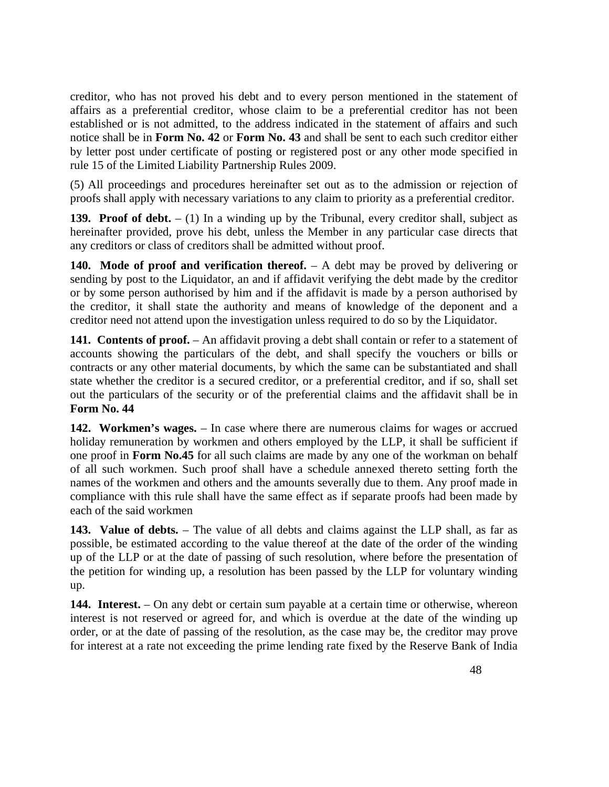creditor, who has not proved his debt and to every person mentioned in the statement of affairs as a preferential creditor, whose claim to be a preferential creditor has not been established or is not admitted, to the address indicated in the statement of affairs and such notice shall be in **Form No. 42** or **Form No. 43** and shall be sent to each such creditor either by letter post under certificate of posting or registered post or any other mode specified in rule 15 of the Limited Liability Partnership Rules 2009.

(5) All proceedings and procedures hereinafter set out as to the admission or rejection of proofs shall apply with necessary variations to any claim to priority as a preferential creditor.

**139. Proof of debt.**  $- (1)$  In a winding up by the Tribunal, every creditor shall, subject as hereinafter provided, prove his debt, unless the Member in any particular case directs that any creditors or class of creditors shall be admitted without proof.

**140. Mode of proof and verification thereof.** – A debt may be proved by delivering or sending by post to the Liquidator, an and if affidavit verifying the debt made by the creditor or by some person authorised by him and if the affidavit is made by a person authorised by the creditor, it shall state the authority and means of knowledge of the deponent and a creditor need not attend upon the investigation unless required to do so by the Liquidator.

141. Contents of proof. – An affidavit proving a debt shall contain or refer to a statement of accounts showing the particulars of the debt, and shall specify the vouchers or bills or contracts or any other material documents, by which the same can be substantiated and shall state whether the creditor is a secured creditor, or a preferential creditor, and if so, shall set out the particulars of the security or of the preferential claims and the affidavit shall be in **Form No. 44**

**142. Workmen's wages.** – In case where there are numerous claims for wages or accrued holiday remuneration by workmen and others employed by the LLP, it shall be sufficient if one proof in **Form No.45** for all such claims are made by any one of the workman on behalf of all such workmen. Such proof shall have a schedule annexed thereto setting forth the names of the workmen and others and the amounts severally due to them. Any proof made in compliance with this rule shall have the same effect as if separate proofs had been made by each of the said workmen

143. Value of debts. – The value of all debts and claims against the LLP shall, as far as possible, be estimated according to the value thereof at the date of the order of the winding up of the LLP or at the date of passing of such resolution, where before the presentation of the petition for winding up, a resolution has been passed by the LLP for voluntary winding up.

144. Interest. – On any debt or certain sum payable at a certain time or otherwise, whereon interest is not reserved or agreed for, and which is overdue at the date of the winding up order, or at the date of passing of the resolution, as the case may be, the creditor may prove for interest at a rate not exceeding the prime lending rate fixed by the Reserve Bank of India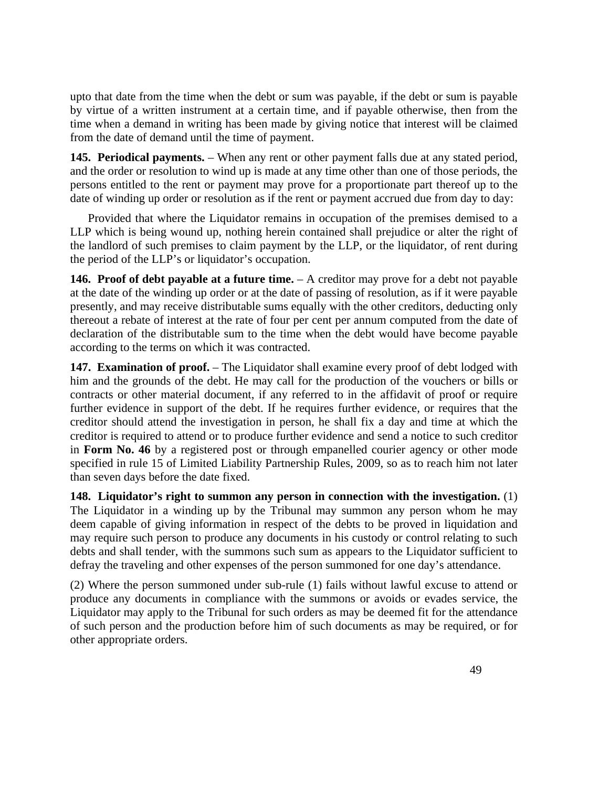upto that date from the time when the debt or sum was payable, if the debt or sum is payable by virtue of a written instrument at a certain time, and if payable otherwise, then from the time when a demand in writing has been made by giving notice that interest will be claimed from the date of demand until the time of payment.

**145. Periodical payments.** – When any rent or other payment falls due at any stated period, and the order or resolution to wind up is made at any time other than one of those periods, the persons entitled to the rent or payment may prove for a proportionate part thereof up to the date of winding up order or resolution as if the rent or payment accrued due from day to day:

 Provided that where the Liquidator remains in occupation of the premises demised to a LLP which is being wound up, nothing herein contained shall prejudice or alter the right of the landlord of such premises to claim payment by the LLP, or the liquidator, of rent during the period of the LLP's or liquidator's occupation.

**146. Proof of debt payable at a future time.** – A creditor may prove for a debt not payable at the date of the winding up order or at the date of passing of resolution, as if it were payable presently, and may receive distributable sums equally with the other creditors, deducting only thereout a rebate of interest at the rate of four per cent per annum computed from the date of declaration of the distributable sum to the time when the debt would have become payable according to the terms on which it was contracted.

**147. Examination of proof.** – The Liquidator shall examine every proof of debt lodged with him and the grounds of the debt. He may call for the production of the vouchers or bills or contracts or other material document, if any referred to in the affidavit of proof or require further evidence in support of the debt. If he requires further evidence, or requires that the creditor should attend the investigation in person, he shall fix a day and time at which the creditor is required to attend or to produce further evidence and send a notice to such creditor in **Form No. 46** by a registered post or through empanelled courier agency or other mode specified in rule 15 of Limited Liability Partnership Rules, 2009, so as to reach him not later than seven days before the date fixed.

**148. Liquidator's right to summon any person in connection with the investigation.** (1) The Liquidator in a winding up by the Tribunal may summon any person whom he may deem capable of giving information in respect of the debts to be proved in liquidation and may require such person to produce any documents in his custody or control relating to such debts and shall tender, with the summons such sum as appears to the Liquidator sufficient to defray the traveling and other expenses of the person summoned for one day's attendance.

(2) Where the person summoned under sub-rule (1) fails without lawful excuse to attend or produce any documents in compliance with the summons or avoids or evades service, the Liquidator may apply to the Tribunal for such orders as may be deemed fit for the attendance of such person and the production before him of such documents as may be required, or for other appropriate orders.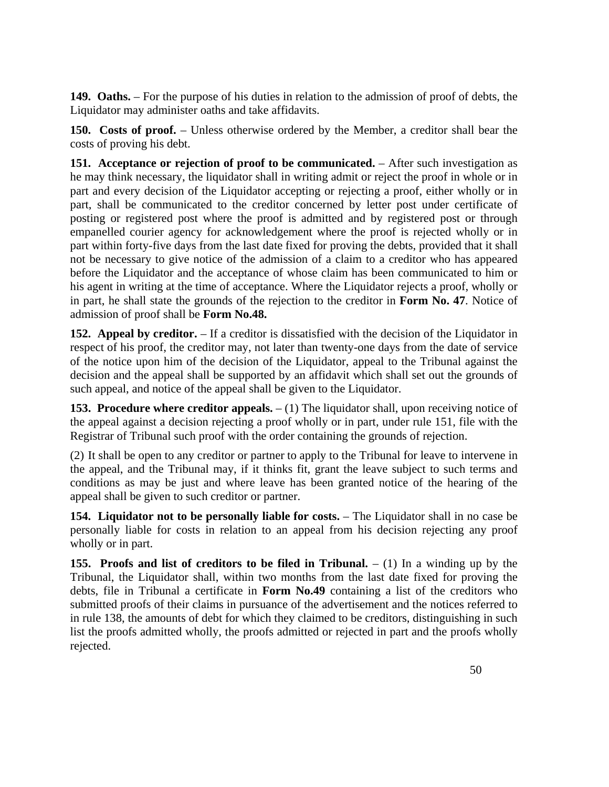**149. Oaths.** – For the purpose of his duties in relation to the admission of proof of debts, the Liquidator may administer oaths and take affidavits.

**150. Costs of proof.** – Unless otherwise ordered by the Member, a creditor shall bear the costs of proving his debt.

**151.** Acceptance or rejection of proof to be communicated. – After such investigation as he may think necessary, the liquidator shall in writing admit or reject the proof in whole or in part and every decision of the Liquidator accepting or rejecting a proof, either wholly or in part, shall be communicated to the creditor concerned by letter post under certificate of posting or registered post where the proof is admitted and by registered post or through empanelled courier agency for acknowledgement where the proof is rejected wholly or in part within forty-five days from the last date fixed for proving the debts, provided that it shall not be necessary to give notice of the admission of a claim to a creditor who has appeared before the Liquidator and the acceptance of whose claim has been communicated to him or his agent in writing at the time of acceptance. Where the Liquidator rejects a proof, wholly or in part, he shall state the grounds of the rejection to the creditor in **Form No. 47**. Notice of admission of proof shall be **Form No.48.**

**152. Appeal by creditor.** – If a creditor is dissatisfied with the decision of the Liquidator in respect of his proof, the creditor may, not later than twenty-one days from the date of service of the notice upon him of the decision of the Liquidator, appeal to the Tribunal against the decision and the appeal shall be supported by an affidavit which shall set out the grounds of such appeal, and notice of the appeal shall be given to the Liquidator.

**153. Procedure where creditor appeals.**  $- (1)$  The liquidator shall, upon receiving notice of the appeal against a decision rejecting a proof wholly or in part, under rule 151, file with the Registrar of Tribunal such proof with the order containing the grounds of rejection.

(2) It shall be open to any creditor or partner to apply to the Tribunal for leave to intervene in the appeal, and the Tribunal may, if it thinks fit, grant the leave subject to such terms and conditions as may be just and where leave has been granted notice of the hearing of the appeal shall be given to such creditor or partner.

**154. Liquidator not to be personally liable for costs.** – The Liquidator shall in no case be personally liable for costs in relation to an appeal from his decision rejecting any proof wholly or in part.

**155. Proofs and list of creditors to be filed in Tribunal.**  $- (1)$  In a winding up by the Tribunal, the Liquidator shall, within two months from the last date fixed for proving the debts, file in Tribunal a certificate in **Form No.49** containing a list of the creditors who submitted proofs of their claims in pursuance of the advertisement and the notices referred to in rule 138, the amounts of debt for which they claimed to be creditors, distinguishing in such list the proofs admitted wholly, the proofs admitted or rejected in part and the proofs wholly rejected.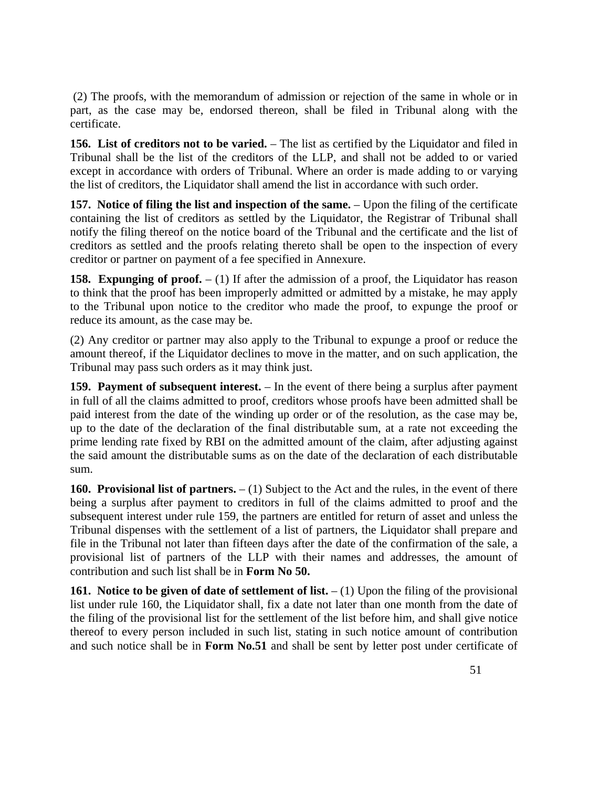(2) The proofs, with the memorandum of admission or rejection of the same in whole or in part, as the case may be, endorsed thereon, shall be filed in Tribunal along with the certificate.

**156. List of creditors not to be varied.** – The list as certified by the Liquidator and filed in Tribunal shall be the list of the creditors of the LLP, and shall not be added to or varied except in accordance with orders of Tribunal. Where an order is made adding to or varying the list of creditors, the Liquidator shall amend the list in accordance with such order.

**157.** Notice of filing the list and inspection of the same. – Upon the filing of the certificate containing the list of creditors as settled by the Liquidator, the Registrar of Tribunal shall notify the filing thereof on the notice board of the Tribunal and the certificate and the list of creditors as settled and the proofs relating thereto shall be open to the inspection of every creditor or partner on payment of a fee specified in Annexure.

**158. Expunging of proof.**  $- (1)$  If after the admission of a proof, the Liquidator has reason to think that the proof has been improperly admitted or admitted by a mistake, he may apply to the Tribunal upon notice to the creditor who made the proof, to expunge the proof or reduce its amount, as the case may be.

(2) Any creditor or partner may also apply to the Tribunal to expunge a proof or reduce the amount thereof, if the Liquidator declines to move in the matter, and on such application, the Tribunal may pass such orders as it may think just.

**159. Payment of subsequent interest.** – In the event of there being a surplus after payment in full of all the claims admitted to proof, creditors whose proofs have been admitted shall be paid interest from the date of the winding up order or of the resolution, as the case may be, up to the date of the declaration of the final distributable sum, at a rate not exceeding the prime lending rate fixed by RBI on the admitted amount of the claim, after adjusting against the said amount the distributable sums as on the date of the declaration of each distributable sum.

**160. Provisional list of partners.**  $- (1)$  Subject to the Act and the rules, in the event of there being a surplus after payment to creditors in full of the claims admitted to proof and the subsequent interest under rule 159, the partners are entitled for return of asset and unless the Tribunal dispenses with the settlement of a list of partners, the Liquidator shall prepare and file in the Tribunal not later than fifteen days after the date of the confirmation of the sale, a provisional list of partners of the LLP with their names and addresses, the amount of contribution and such list shall be in **Form No 50.**

**161.** Notice to be given of date of settlement of list.  $- (1)$  Upon the filing of the provisional list under rule 160, the Liquidator shall, fix a date not later than one month from the date of the filing of the provisional list for the settlement of the list before him, and shall give notice thereof to every person included in such list, stating in such notice amount of contribution and such notice shall be in **Form No.51** and shall be sent by letter post under certificate of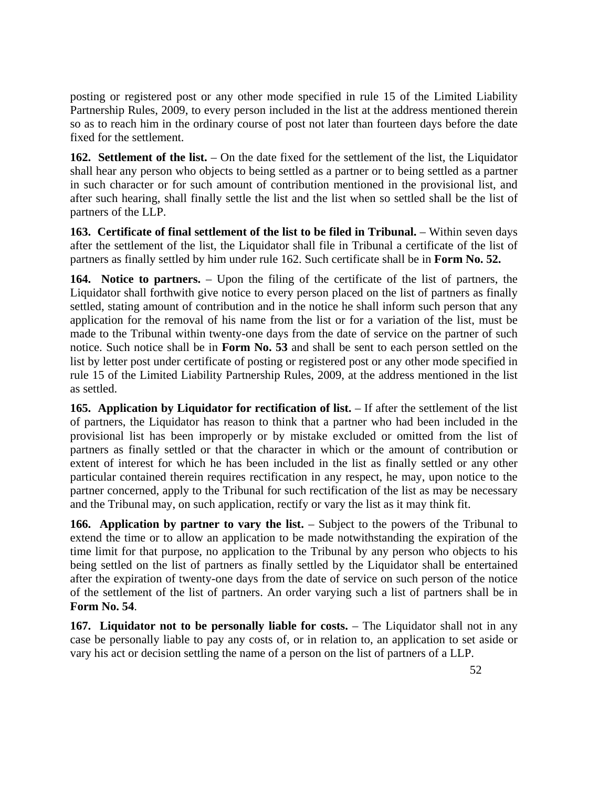posting or registered post or any other mode specified in rule 15 of the Limited Liability Partnership Rules, 2009, to every person included in the list at the address mentioned therein so as to reach him in the ordinary course of post not later than fourteen days before the date fixed for the settlement.

**162. Settlement of the list.** – On the date fixed for the settlement of the list, the Liquidator shall hear any person who objects to being settled as a partner or to being settled as a partner in such character or for such amount of contribution mentioned in the provisional list, and after such hearing, shall finally settle the list and the list when so settled shall be the list of partners of the LLP.

**163. Certificate of final settlement of the list to be filed in Tribunal.** – Within seven days after the settlement of the list, the Liquidator shall file in Tribunal a certificate of the list of partners as finally settled by him under rule 162. Such certificate shall be in **Form No. 52.**

**164. Notice to partners.** – Upon the filing of the certificate of the list of partners, the Liquidator shall forthwith give notice to every person placed on the list of partners as finally settled, stating amount of contribution and in the notice he shall inform such person that any application for the removal of his name from the list or for a variation of the list, must be made to the Tribunal within twenty-one days from the date of service on the partner of such notice. Such notice shall be in **Form No. 53** and shall be sent to each person settled on the list by letter post under certificate of posting or registered post or any other mode specified in rule 15 of the Limited Liability Partnership Rules, 2009, at the address mentioned in the list as settled.

**165.** Application by Liquidator for rectification of list.  $-$  If after the settlement of the list of partners, the Liquidator has reason to think that a partner who had been included in the provisional list has been improperly or by mistake excluded or omitted from the list of partners as finally settled or that the character in which or the amount of contribution or extent of interest for which he has been included in the list as finally settled or any other particular contained therein requires rectification in any respect, he may, upon notice to the partner concerned, apply to the Tribunal for such rectification of the list as may be necessary and the Tribunal may, on such application, rectify or vary the list as it may think fit.

**166.** Application by partner to vary the list. – Subject to the powers of the Tribunal to extend the time or to allow an application to be made notwithstanding the expiration of the time limit for that purpose, no application to the Tribunal by any person who objects to his being settled on the list of partners as finally settled by the Liquidator shall be entertained after the expiration of twenty-one days from the date of service on such person of the notice of the settlement of the list of partners. An order varying such a list of partners shall be in **Form No. 54**.

**167. Liquidator not to be personally liable for costs.** – The Liquidator shall not in any case be personally liable to pay any costs of, or in relation to, an application to set aside or vary his act or decision settling the name of a person on the list of partners of a LLP.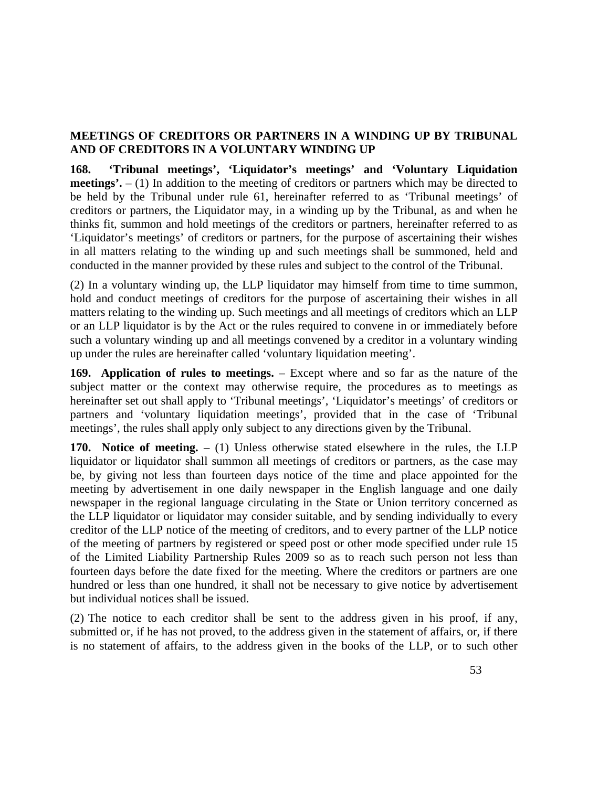### **MEETINGS OF CREDITORS OR PARTNERS IN A WINDING UP BY TRIBUNAL AND OF CREDITORS IN A VOLUNTARY WINDING UP**

**168. 'Tribunal meetings', 'Liquidator's meetings' and 'Voluntary Liquidation meetings'.** – (1) In addition to the meeting of creditors or partners which may be directed to be held by the Tribunal under rule 61, hereinafter referred to as 'Tribunal meetings' of creditors or partners, the Liquidator may, in a winding up by the Tribunal, as and when he thinks fit, summon and hold meetings of the creditors or partners, hereinafter referred to as 'Liquidator's meetings' of creditors or partners, for the purpose of ascertaining their wishes in all matters relating to the winding up and such meetings shall be summoned, held and conducted in the manner provided by these rules and subject to the control of the Tribunal.

(2) In a voluntary winding up, the LLP liquidator may himself from time to time summon, hold and conduct meetings of creditors for the purpose of ascertaining their wishes in all matters relating to the winding up. Such meetings and all meetings of creditors which an LLP or an LLP liquidator is by the Act or the rules required to convene in or immediately before such a voluntary winding up and all meetings convened by a creditor in a voluntary winding up under the rules are hereinafter called 'voluntary liquidation meeting'.

**169. Application of rules to meetings.** – Except where and so far as the nature of the subject matter or the context may otherwise require, the procedures as to meetings as hereinafter set out shall apply to 'Tribunal meetings', 'Liquidator's meetings' of creditors or partners and 'voluntary liquidation meetings', provided that in the case of 'Tribunal meetings', the rules shall apply only subject to any directions given by the Tribunal.

**170.** Notice of meeting.  $- (1)$  Unless otherwise stated elsewhere in the rules, the LLP liquidator or liquidator shall summon all meetings of creditors or partners, as the case may be, by giving not less than fourteen days notice of the time and place appointed for the meeting by advertisement in one daily newspaper in the English language and one daily newspaper in the regional language circulating in the State or Union territory concerned as the LLP liquidator or liquidator may consider suitable, and by sending individually to every creditor of the LLP notice of the meeting of creditors, and to every partner of the LLP notice of the meeting of partners by registered or speed post or other mode specified under rule 15 of the Limited Liability Partnership Rules 2009 so as to reach such person not less than fourteen days before the date fixed for the meeting. Where the creditors or partners are one hundred or less than one hundred, it shall not be necessary to give notice by advertisement but individual notices shall be issued.

(2) The notice to each creditor shall be sent to the address given in his proof, if any, submitted or, if he has not proved, to the address given in the statement of affairs, or, if there is no statement of affairs, to the address given in the books of the LLP, or to such other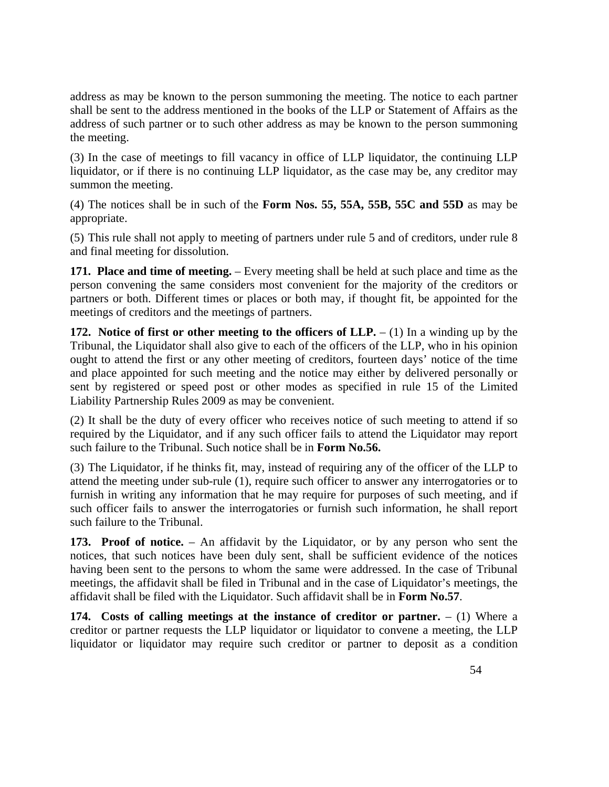address as may be known to the person summoning the meeting. The notice to each partner shall be sent to the address mentioned in the books of the LLP or Statement of Affairs as the address of such partner or to such other address as may be known to the person summoning the meeting.

(3) In the case of meetings to fill vacancy in office of LLP liquidator, the continuing LLP liquidator, or if there is no continuing LLP liquidator, as the case may be, any creditor may summon the meeting.

(4) The notices shall be in such of the **Form Nos. 55, 55A, 55B, 55C and 55D** as may be appropriate.

(5) This rule shall not apply to meeting of partners under rule 5 and of creditors, under rule 8 and final meeting for dissolution.

**171. Place and time of meeting.** – Every meeting shall be held at such place and time as the person convening the same considers most convenient for the majority of the creditors or partners or both. Different times or places or both may, if thought fit, be appointed for the meetings of creditors and the meetings of partners.

**172.** Notice of first or other meeting to the officers of  $LLP - (1)$  In a winding up by the Tribunal, the Liquidator shall also give to each of the officers of the LLP, who in his opinion ought to attend the first or any other meeting of creditors, fourteen days' notice of the time and place appointed for such meeting and the notice may either by delivered personally or sent by registered or speed post or other modes as specified in rule 15 of the Limited Liability Partnership Rules 2009 as may be convenient.

(2) It shall be the duty of every officer who receives notice of such meeting to attend if so required by the Liquidator, and if any such officer fails to attend the Liquidator may report such failure to the Tribunal. Such notice shall be in **Form No.56.**

(3) The Liquidator, if he thinks fit, may, instead of requiring any of the officer of the LLP to attend the meeting under sub-rule (1), require such officer to answer any interrogatories or to furnish in writing any information that he may require for purposes of such meeting, and if such officer fails to answer the interrogatories or furnish such information, he shall report such failure to the Tribunal.

**173. Proof of notice.** – An affidavit by the Liquidator, or by any person who sent the notices, that such notices have been duly sent, shall be sufficient evidence of the notices having been sent to the persons to whom the same were addressed. In the case of Tribunal meetings, the affidavit shall be filed in Tribunal and in the case of Liquidator's meetings, the affidavit shall be filed with the Liquidator. Such affidavit shall be in **Form No.57**.

**174.** Costs of calling meetings at the instance of creditor or partner.  $- (1)$  Where a creditor or partner requests the LLP liquidator or liquidator to convene a meeting, the LLP liquidator or liquidator may require such creditor or partner to deposit as a condition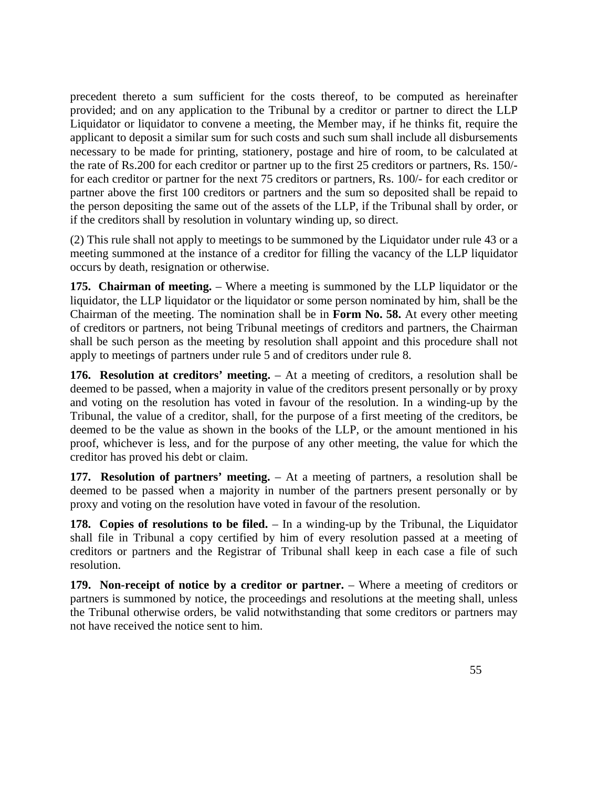precedent thereto a sum sufficient for the costs thereof, to be computed as hereinafter provided; and on any application to the Tribunal by a creditor or partner to direct the LLP Liquidator or liquidator to convene a meeting, the Member may, if he thinks fit, require the applicant to deposit a similar sum for such costs and such sum shall include all disbursements necessary to be made for printing, stationery, postage and hire of room, to be calculated at the rate of Rs.200 for each creditor or partner up to the first 25 creditors or partners, Rs. 150/ for each creditor or partner for the next 75 creditors or partners, Rs. 100/- for each creditor or partner above the first 100 creditors or partners and the sum so deposited shall be repaid to the person depositing the same out of the assets of the LLP, if the Tribunal shall by order, or if the creditors shall by resolution in voluntary winding up, so direct.

(2) This rule shall not apply to meetings to be summoned by the Liquidator under rule 43 or a meeting summoned at the instance of a creditor for filling the vacancy of the LLP liquidator occurs by death, resignation or otherwise.

**175. Chairman of meeting.** – Where a meeting is summoned by the LLP liquidator or the liquidator, the LLP liquidator or the liquidator or some person nominated by him, shall be the Chairman of the meeting. The nomination shall be in **Form No. 58.** At every other meeting of creditors or partners, not being Tribunal meetings of creditors and partners, the Chairman shall be such person as the meeting by resolution shall appoint and this procedure shall not apply to meetings of partners under rule 5 and of creditors under rule 8.

**176. Resolution at creditors' meeting.** – At a meeting of creditors, a resolution shall be deemed to be passed, when a majority in value of the creditors present personally or by proxy and voting on the resolution has voted in favour of the resolution. In a winding-up by the Tribunal, the value of a creditor, shall, for the purpose of a first meeting of the creditors, be deemed to be the value as shown in the books of the LLP, or the amount mentioned in his proof, whichever is less, and for the purpose of any other meeting, the value for which the creditor has proved his debt or claim.

**177. Resolution of partners' meeting.** – At a meeting of partners, a resolution shall be deemed to be passed when a majority in number of the partners present personally or by proxy and voting on the resolution have voted in favour of the resolution.

**178.** Copies of resolutions to be filed. – In a winding-up by the Tribunal, the Liquidator shall file in Tribunal a copy certified by him of every resolution passed at a meeting of creditors or partners and the Registrar of Tribunal shall keep in each case a file of such resolution.

**179.** Non-receipt of notice by a creditor or partner. – Where a meeting of creditors or partners is summoned by notice, the proceedings and resolutions at the meeting shall, unless the Tribunal otherwise orders, be valid notwithstanding that some creditors or partners may not have received the notice sent to him.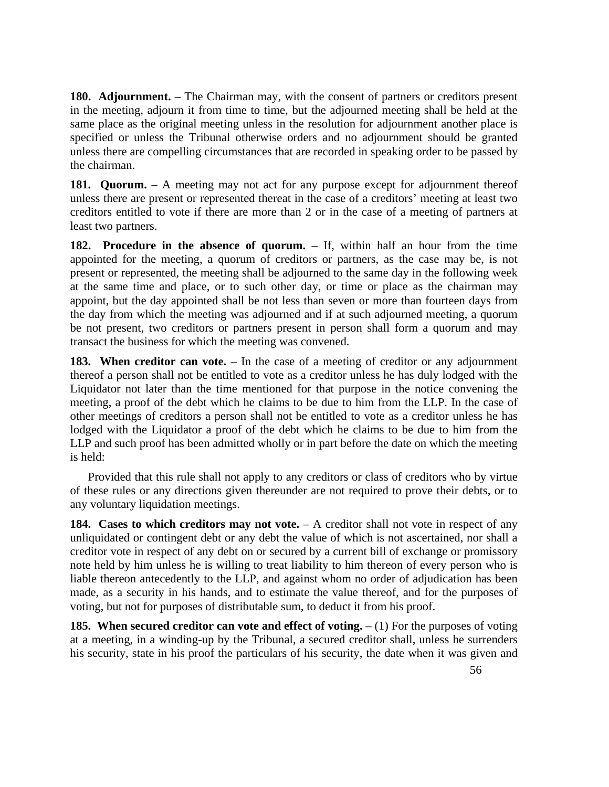**180. Adjournment.** – The Chairman may, with the consent of partners or creditors present in the meeting, adjourn it from time to time, but the adjourned meeting shall be held at the same place as the original meeting unless in the resolution for adjournment another place is specified or unless the Tribunal otherwise orders and no adjournment should be granted unless there are compelling circumstances that are recorded in speaking order to be passed by the chairman.

**181. Quorum.** – A meeting may not act for any purpose except for adjournment thereof unless there are present or represented thereat in the case of a creditors' meeting at least two creditors entitled to vote if there are more than 2 or in the case of a meeting of partners at least two partners.

**182. Procedure in the absence of quorum.** – If, within half an hour from the time appointed for the meeting, a quorum of creditors or partners, as the case may be, is not present or represented, the meeting shall be adjourned to the same day in the following week at the same time and place, or to such other day, or time or place as the chairman may appoint, but the day appointed shall be not less than seven or more than fourteen days from the day from which the meeting was adjourned and if at such adjourned meeting, a quorum be not present, two creditors or partners present in person shall form a quorum and may transact the business for which the meeting was convened.

**183. When creditor can vote.** – In the case of a meeting of creditor or any adjournment thereof a person shall not be entitled to vote as a creditor unless he has duly lodged with the Liquidator not later than the time mentioned for that purpose in the notice convening the meeting, a proof of the debt which he claims to be due to him from the LLP. In the case of other meetings of creditors a person shall not be entitled to vote as a creditor unless he has lodged with the Liquidator a proof of the debt which he claims to be due to him from the LLP and such proof has been admitted wholly or in part before the date on which the meeting is held:

 Provided that this rule shall not apply to any creditors or class of creditors who by virtue of these rules or any directions given thereunder are not required to prove their debts, or to any voluntary liquidation meetings.

184. Cases to which creditors may not vote. – A creditor shall not vote in respect of any unliquidated or contingent debt or any debt the value of which is not ascertained, nor shall a creditor vote in respect of any debt on or secured by a current bill of exchange or promissory note held by him unless he is willing to treat liability to him thereon of every person who is liable thereon antecedently to the LLP, and against whom no order of adjudication has been made, as a security in his hands, and to estimate the value thereof, and for the purposes of voting, but not for purposes of distributable sum, to deduct it from his proof.

**185. When secured creditor can vote and effect of voting.**  $- (1)$  For the purposes of voting at a meeting, in a winding-up by the Tribunal, a secured creditor shall, unless he surrenders his security, state in his proof the particulars of his security, the date when it was given and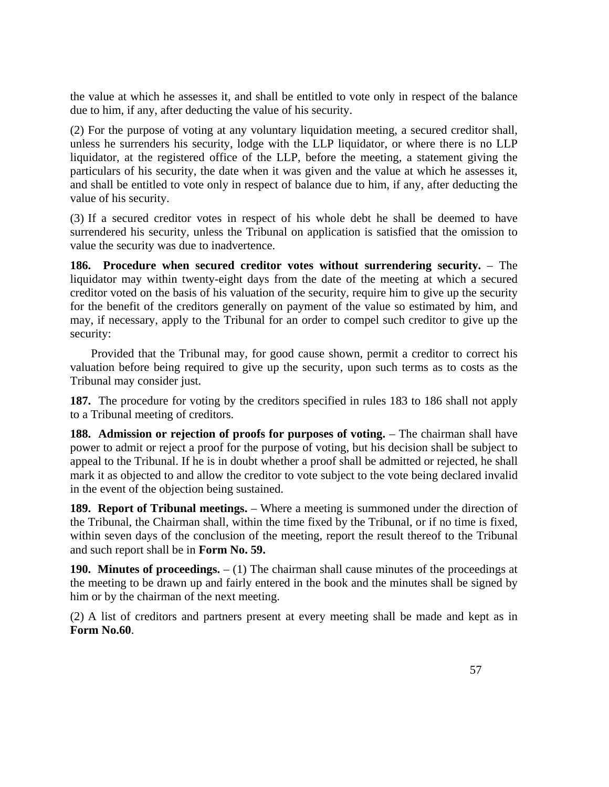the value at which he assesses it, and shall be entitled to vote only in respect of the balance due to him, if any, after deducting the value of his security.

(2) For the purpose of voting at any voluntary liquidation meeting, a secured creditor shall, unless he surrenders his security, lodge with the LLP liquidator, or where there is no LLP liquidator, at the registered office of the LLP, before the meeting, a statement giving the particulars of his security, the date when it was given and the value at which he assesses it, and shall be entitled to vote only in respect of balance due to him, if any, after deducting the value of his security.

(3) If a secured creditor votes in respect of his whole debt he shall be deemed to have surrendered his security, unless the Tribunal on application is satisfied that the omission to value the security was due to inadvertence.

**186. Procedure when secured creditor votes without surrendering security.** – The liquidator may within twenty-eight days from the date of the meeting at which a secured creditor voted on the basis of his valuation of the security, require him to give up the security for the benefit of the creditors generally on payment of the value so estimated by him, and may, if necessary, apply to the Tribunal for an order to compel such creditor to give up the security:

 Provided that the Tribunal may, for good cause shown, permit a creditor to correct his valuation before being required to give up the security, upon such terms as to costs as the Tribunal may consider just.

**187.** The procedure for voting by the creditors specified in rules 183 to 186 shall not apply to a Tribunal meeting of creditors.

**188.** Admission or rejection of proofs for purposes of voting. – The chairman shall have power to admit or reject a proof for the purpose of voting, but his decision shall be subject to appeal to the Tribunal. If he is in doubt whether a proof shall be admitted or rejected, he shall mark it as objected to and allow the creditor to vote subject to the vote being declared invalid in the event of the objection being sustained.

**189. Report of Tribunal meetings.** – Where a meeting is summoned under the direction of the Tribunal, the Chairman shall, within the time fixed by the Tribunal, or if no time is fixed, within seven days of the conclusion of the meeting, report the result thereof to the Tribunal and such report shall be in **Form No. 59.**

**190. Minutes of proceedings.** – (1) The chairman shall cause minutes of the proceedings at the meeting to be drawn up and fairly entered in the book and the minutes shall be signed by him or by the chairman of the next meeting.

(2) A list of creditors and partners present at every meeting shall be made and kept as in **Form No.60**.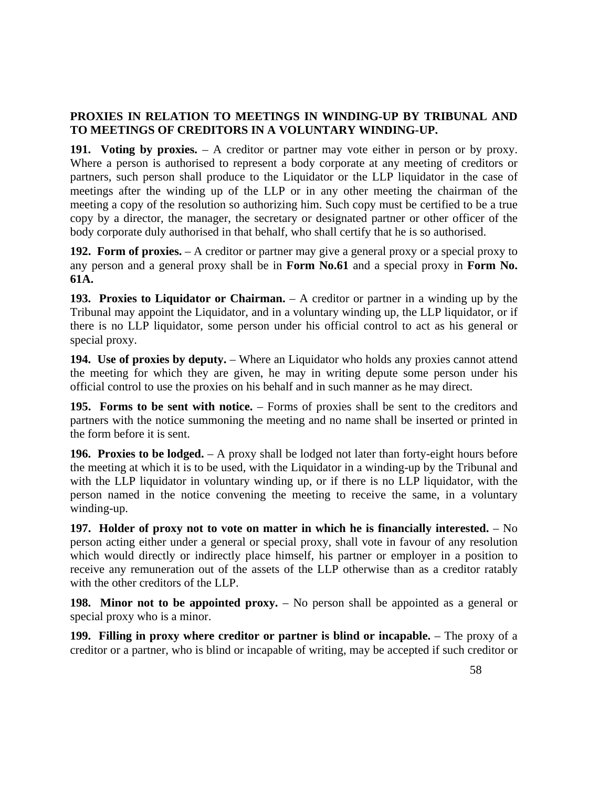# **PROXIES IN RELATION TO MEETINGS IN WINDING-UP BY TRIBUNAL AND TO MEETINGS OF CREDITORS IN A VOLUNTARY WINDING-UP.**

**191. Voting by proxies.** – A creditor or partner may vote either in person or by proxy. Where a person is authorised to represent a body corporate at any meeting of creditors or partners, such person shall produce to the Liquidator or the LLP liquidator in the case of meetings after the winding up of the LLP or in any other meeting the chairman of the meeting a copy of the resolution so authorizing him. Such copy must be certified to be a true copy by a director, the manager, the secretary or designated partner or other officer of the body corporate duly authorised in that behalf, who shall certify that he is so authorised.

**192. Form of proxies.** – A creditor or partner may give a general proxy or a special proxy to any person and a general proxy shall be in **Form No.61** and a special proxy in **Form No. 61A.**

**193. Proxies to Liquidator or Chairman.** – A creditor or partner in a winding up by the Tribunal may appoint the Liquidator, and in a voluntary winding up, the LLP liquidator, or if there is no LLP liquidator, some person under his official control to act as his general or special proxy.

**194.** Use of proxies by deputy. – Where an Liquidator who holds any proxies cannot attend the meeting for which they are given, he may in writing depute some person under his official control to use the proxies on his behalf and in such manner as he may direct.

**195. Forms to be sent with notice.** – Forms of proxies shall be sent to the creditors and partners with the notice summoning the meeting and no name shall be inserted or printed in the form before it is sent.

**196. Proxies to be lodged.** – A proxy shall be lodged not later than forty-eight hours before the meeting at which it is to be used, with the Liquidator in a winding-up by the Tribunal and with the LLP liquidator in voluntary winding up, or if there is no LLP liquidator, with the person named in the notice convening the meeting to receive the same, in a voluntary winding-up.

**197. Holder of proxy not to vote on matter in which he is financially interested.** – No person acting either under a general or special proxy, shall vote in favour of any resolution which would directly or indirectly place himself, his partner or employer in a position to receive any remuneration out of the assets of the LLP otherwise than as a creditor ratably with the other creditors of the LLP.

**198. Minor not to be appointed proxy.** – No person shall be appointed as a general or special proxy who is a minor.

**199. Filling in proxy where creditor or partner is blind or incapable.** – The proxy of a creditor or a partner, who is blind or incapable of writing, may be accepted if such creditor or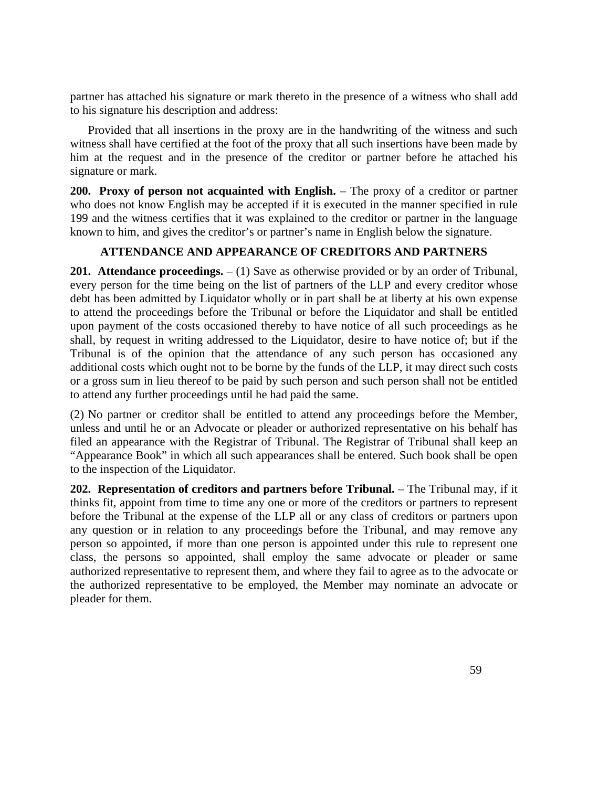partner has attached his signature or mark thereto in the presence of a witness who shall add to his signature his description and address:

 Provided that all insertions in the proxy are in the handwriting of the witness and such witness shall have certified at the foot of the proxy that all such insertions have been made by him at the request and in the presence of the creditor or partner before he attached his signature or mark.

200. Proxy of person not acquainted with English. – The proxy of a creditor or partner who does not know English may be accepted if it is executed in the manner specified in rule 199 and the witness certifies that it was explained to the creditor or partner in the language known to him, and gives the creditor's or partner's name in English below the signature.

# **ATTENDANCE AND APPEARANCE OF CREDITORS AND PARTNERS**

**201.** Attendance proceedings.  $- (1)$  Save as otherwise provided or by an order of Tribunal, every person for the time being on the list of partners of the LLP and every creditor whose debt has been admitted by Liquidator wholly or in part shall be at liberty at his own expense to attend the proceedings before the Tribunal or before the Liquidator and shall be entitled upon payment of the costs occasioned thereby to have notice of all such proceedings as he shall, by request in writing addressed to the Liquidator, desire to have notice of; but if the Tribunal is of the opinion that the attendance of any such person has occasioned any additional costs which ought not to be borne by the funds of the LLP, it may direct such costs or a gross sum in lieu thereof to be paid by such person and such person shall not be entitled to attend any further proceedings until he had paid the same.

(2) No partner or creditor shall be entitled to attend any proceedings before the Member, unless and until he or an Advocate or pleader or authorized representative on his behalf has filed an appearance with the Registrar of Tribunal. The Registrar of Tribunal shall keep an "Appearance Book" in which all such appearances shall be entered. Such book shall be open to the inspection of the Liquidator.

**202. Representation of creditors and partners before Tribunal.** – The Tribunal may, if it thinks fit, appoint from time to time any one or more of the creditors or partners to represent before the Tribunal at the expense of the LLP all or any class of creditors or partners upon any question or in relation to any proceedings before the Tribunal, and may remove any person so appointed, if more than one person is appointed under this rule to represent one class, the persons so appointed, shall employ the same advocate or pleader or same authorized representative to represent them, and where they fail to agree as to the advocate or the authorized representative to be employed, the Member may nominate an advocate or pleader for them.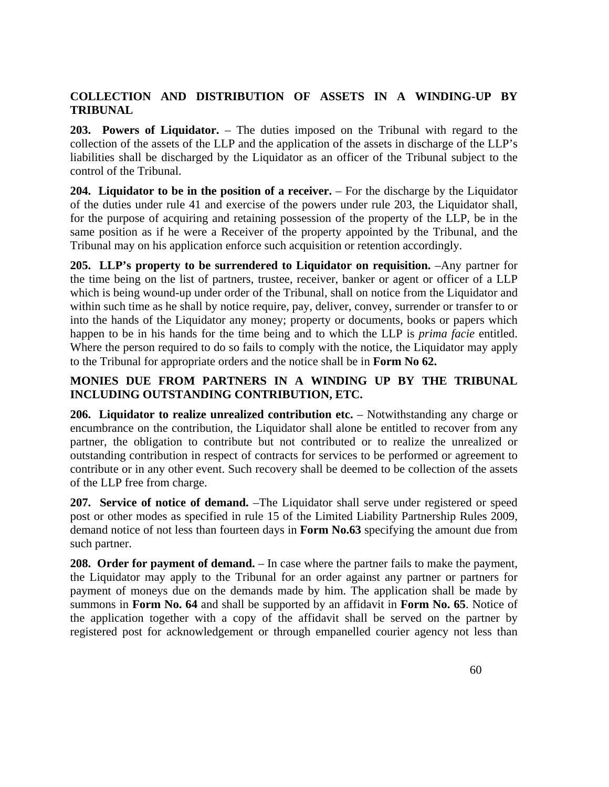# **COLLECTION AND DISTRIBUTION OF ASSETS IN A WINDING-UP BY TRIBUNAL**

**203. Powers of Liquidator.** – The duties imposed on the Tribunal with regard to the collection of the assets of the LLP and the application of the assets in discharge of the LLP's liabilities shall be discharged by the Liquidator as an officer of the Tribunal subject to the control of the Tribunal.

**204. Liquidator to be in the position of a receiver.** – For the discharge by the Liquidator of the duties under rule 41 and exercise of the powers under rule 203, the Liquidator shall, for the purpose of acquiring and retaining possession of the property of the LLP, be in the same position as if he were a Receiver of the property appointed by the Tribunal, and the Tribunal may on his application enforce such acquisition or retention accordingly.

**205. LLP's property to be surrendered to Liquidator on requisition.** –Any partner for the time being on the list of partners, trustee, receiver, banker or agent or officer of a LLP which is being wound-up under order of the Tribunal, shall on notice from the Liquidator and within such time as he shall by notice require, pay, deliver, convey, surrender or transfer to or into the hands of the Liquidator any money; property or documents, books or papers which happen to be in his hands for the time being and to which the LLP is *prima facie* entitled. Where the person required to do so fails to comply with the notice, the Liquidator may apply to the Tribunal for appropriate orders and the notice shall be in **Form No 62.**

# **MONIES DUE FROM PARTNERS IN A WINDING UP BY THE TRIBUNAL INCLUDING OUTSTANDING CONTRIBUTION, ETC.**

**206. Liquidator to realize unrealized contribution etc.** – Notwithstanding any charge or encumbrance on the contribution, the Liquidator shall alone be entitled to recover from any partner, the obligation to contribute but not contributed or to realize the unrealized or outstanding contribution in respect of contracts for services to be performed or agreement to contribute or in any other event. Such recovery shall be deemed to be collection of the assets of the LLP free from charge.

**207. Service of notice of demand.** –The Liquidator shall serve under registered or speed post or other modes as specified in rule 15 of the Limited Liability Partnership Rules 2009, demand notice of not less than fourteen days in **Form No.63** specifying the amount due from such partner.

**208. Order for payment of demand.** – In case where the partner fails to make the payment, the Liquidator may apply to the Tribunal for an order against any partner or partners for payment of moneys due on the demands made by him. The application shall be made by summons in **Form No. 64** and shall be supported by an affidavit in **Form No. 65**. Notice of the application together with a copy of the affidavit shall be served on the partner by registered post for acknowledgement or through empanelled courier agency not less than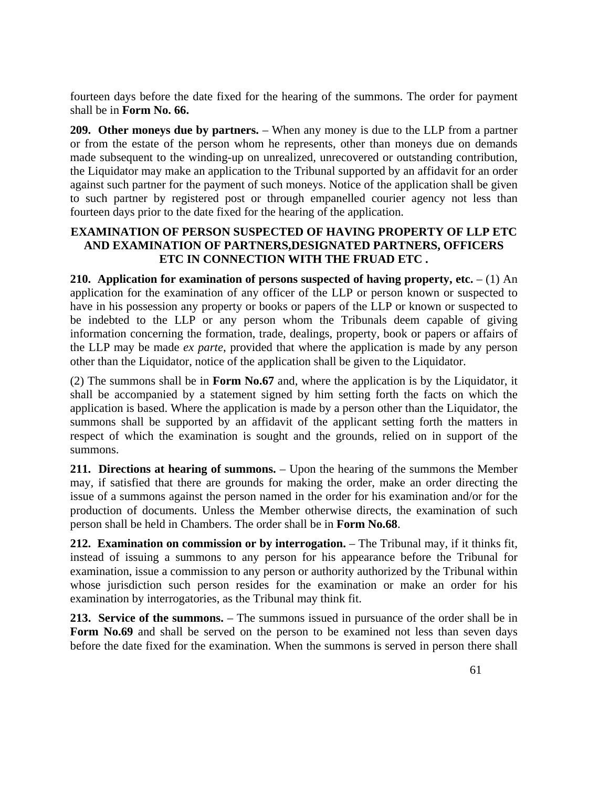fourteen days before the date fixed for the hearing of the summons. The order for payment shall be in **Form No. 66.**

**209. Other moneys due by partners.** – When any money is due to the LLP from a partner or from the estate of the person whom he represents, other than moneys due on demands made subsequent to the winding-up on unrealized, unrecovered or outstanding contribution, the Liquidator may make an application to the Tribunal supported by an affidavit for an order against such partner for the payment of such moneys. Notice of the application shall be given to such partner by registered post or through empanelled courier agency not less than fourteen days prior to the date fixed for the hearing of the application.

#### **EXAMINATION OF PERSON SUSPECTED OF HAVING PROPERTY OF LLP ETC AND EXAMINATION OF PARTNERS,DESIGNATED PARTNERS, OFFICERS ETC IN CONNECTION WITH THE FRUAD ETC .**

**210.** Application for examination of persons suspected of having property, etc.  $- (1)$  An application for the examination of any officer of the LLP or person known or suspected to have in his possession any property or books or papers of the LLP or known or suspected to be indebted to the LLP or any person whom the Tribunals deem capable of giving information concerning the formation, trade, dealings, property, book or papers or affairs of the LLP may be made *ex parte*, provided that where the application is made by any person other than the Liquidator, notice of the application shall be given to the Liquidator.

(2) The summons shall be in **Form No.67** and, where the application is by the Liquidator, it shall be accompanied by a statement signed by him setting forth the facts on which the application is based. Where the application is made by a person other than the Liquidator, the summons shall be supported by an affidavit of the applicant setting forth the matters in respect of which the examination is sought and the grounds, relied on in support of the summons.

**211. Directions at hearing of summons.** – Upon the hearing of the summons the Member may, if satisfied that there are grounds for making the order, make an order directing the issue of a summons against the person named in the order for his examination and/or for the production of documents. Unless the Member otherwise directs, the examination of such person shall be held in Chambers. The order shall be in **Form No.68**.

**212. Examination on commission or by interrogation.** – The Tribunal may, if it thinks fit, instead of issuing a summons to any person for his appearance before the Tribunal for examination, issue a commission to any person or authority authorized by the Tribunal within whose jurisdiction such person resides for the examination or make an order for his examination by interrogatories, as the Tribunal may think fit.

**213. Service of the summons.** – The summons issued in pursuance of the order shall be in Form No.69 and shall be served on the person to be examined not less than seven days before the date fixed for the examination. When the summons is served in person there shall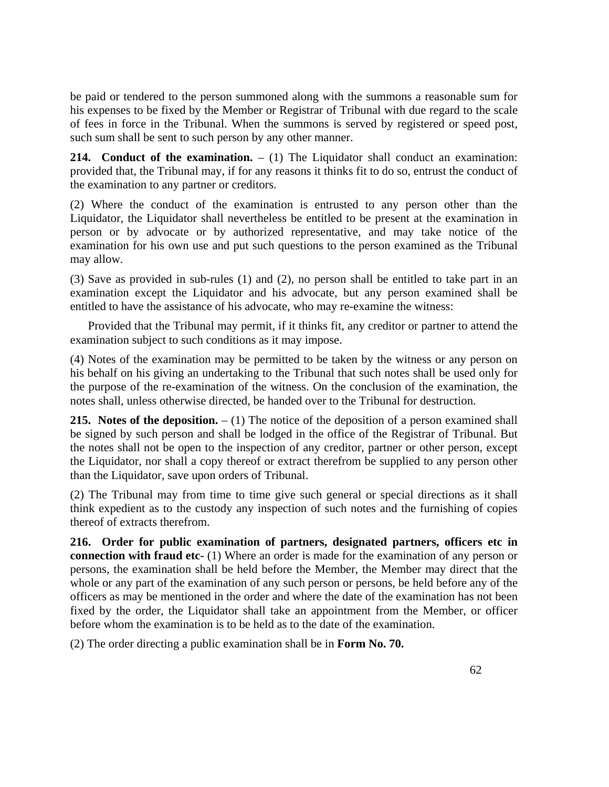be paid or tendered to the person summoned along with the summons a reasonable sum for his expenses to be fixed by the Member or Registrar of Tribunal with due regard to the scale of fees in force in the Tribunal. When the summons is served by registered or speed post, such sum shall be sent to such person by any other manner.

**214.** Conduct of the examination.  $- (1)$  The Liquidator shall conduct an examination: provided that, the Tribunal may, if for any reasons it thinks fit to do so, entrust the conduct of the examination to any partner or creditors.

(2) Where the conduct of the examination is entrusted to any person other than the Liquidator, the Liquidator shall nevertheless be entitled to be present at the examination in person or by advocate or by authorized representative, and may take notice of the examination for his own use and put such questions to the person examined as the Tribunal may allow.

(3) Save as provided in sub-rules (1) and (2), no person shall be entitled to take part in an examination except the Liquidator and his advocate, but any person examined shall be entitled to have the assistance of his advocate, who may re-examine the witness:

Provided that the Tribunal may permit, if it thinks fit, any creditor or partner to attend the examination subject to such conditions as it may impose.

(4) Notes of the examination may be permitted to be taken by the witness or any person on his behalf on his giving an undertaking to the Tribunal that such notes shall be used only for the purpose of the re-examination of the witness. On the conclusion of the examination, the notes shall, unless otherwise directed, be handed over to the Tribunal for destruction.

**215.** Notes of the deposition.  $- (1)$  The notice of the deposition of a person examined shall be signed by such person and shall be lodged in the office of the Registrar of Tribunal. But the notes shall not be open to the inspection of any creditor, partner or other person, except the Liquidator, nor shall a copy thereof or extract therefrom be supplied to any person other than the Liquidator, save upon orders of Tribunal.

(2) The Tribunal may from time to time give such general or special directions as it shall think expedient as to the custody any inspection of such notes and the furnishing of copies thereof of extracts therefrom.

**216. Order for public examination of partners, designated partners, officers etc in connection with fraud etc-** (1) Where an order is made for the examination of any person or persons, the examination shall be held before the Member, the Member may direct that the whole or any part of the examination of any such person or persons, be held before any of the officers as may be mentioned in the order and where the date of the examination has not been fixed by the order, the Liquidator shall take an appointment from the Member, or officer before whom the examination is to be held as to the date of the examination.

(2) The order directing a public examination shall be in **Form No. 70.**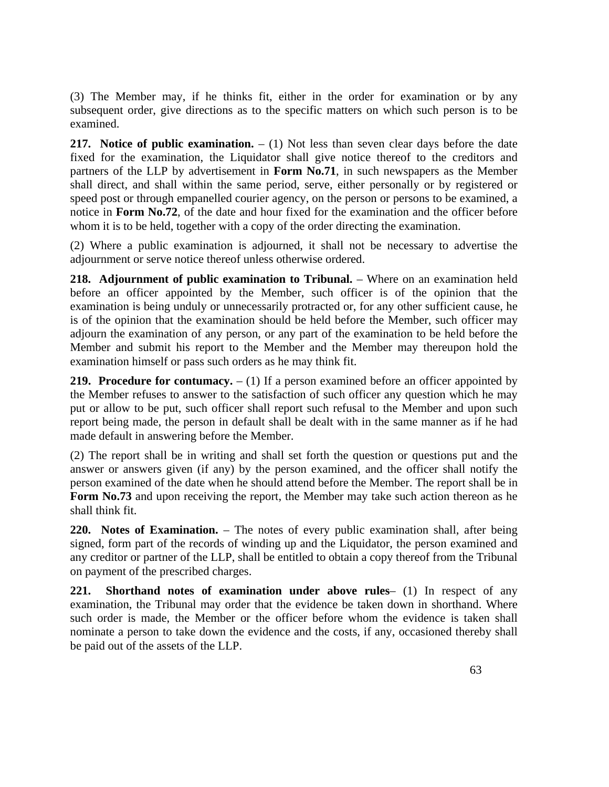(3) The Member may, if he thinks fit, either in the order for examination or by any subsequent order, give directions as to the specific matters on which such person is to be examined.

**217.** Notice of public examination.  $- (1)$  Not less than seven clear days before the date fixed for the examination, the Liquidator shall give notice thereof to the creditors and partners of the LLP by advertisement in **Form No.71**, in such newspapers as the Member shall direct, and shall within the same period, serve, either personally or by registered or speed post or through empanelled courier agency, on the person or persons to be examined, a notice in **Form No.72**, of the date and hour fixed for the examination and the officer before whom it is to be held, together with a copy of the order directing the examination.

(2) Where a public examination is adjourned, it shall not be necessary to advertise the adjournment or serve notice thereof unless otherwise ordered.

**218.** Adjournment of public examination to Tribunal. – Where on an examination held before an officer appointed by the Member, such officer is of the opinion that the examination is being unduly or unnecessarily protracted or, for any other sufficient cause, he is of the opinion that the examination should be held before the Member, such officer may adjourn the examination of any person, or any part of the examination to be held before the Member and submit his report to the Member and the Member may thereupon hold the examination himself or pass such orders as he may think fit.

**219. Procedure for contumacy.**  $- (1)$  If a person examined before an officer appointed by the Member refuses to answer to the satisfaction of such officer any question which he may put or allow to be put, such officer shall report such refusal to the Member and upon such report being made, the person in default shall be dealt with in the same manner as if he had made default in answering before the Member.

(2) The report shall be in writing and shall set forth the question or questions put and the answer or answers given (if any) by the person examined, and the officer shall notify the person examined of the date when he should attend before the Member. The report shall be in **Form No.73** and upon receiving the report, the Member may take such action thereon as he shall think fit.

**220. Notes of Examination.** – The notes of every public examination shall, after being signed, form part of the records of winding up and the Liquidator, the person examined and any creditor or partner of the LLP, shall be entitled to obtain a copy thereof from the Tribunal on payment of the prescribed charges.

**221. Shorthand notes of examination under above rules**– (1) In respect of any examination, the Tribunal may order that the evidence be taken down in shorthand. Where such order is made, the Member or the officer before whom the evidence is taken shall nominate a person to take down the evidence and the costs, if any, occasioned thereby shall be paid out of the assets of the LLP.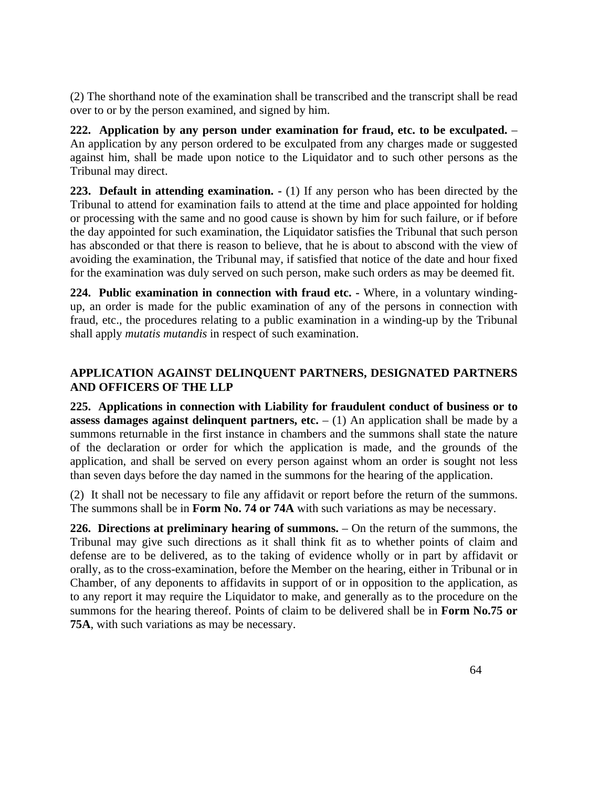(2) The shorthand note of the examination shall be transcribed and the transcript shall be read over to or by the person examined, and signed by him.

**222. Application by any person under examination for fraud, etc. to be exculpated.** – An application by any person ordered to be exculpated from any charges made or suggested against him, shall be made upon notice to the Liquidator and to such other persons as the Tribunal may direct.

**223. Default in attending examination.**  $\cdot$  (1) If any person who has been directed by the Tribunal to attend for examination fails to attend at the time and place appointed for holding or processing with the same and no good cause is shown by him for such failure, or if before the day appointed for such examination, the Liquidator satisfies the Tribunal that such person has absconded or that there is reason to believe, that he is about to abscond with the view of avoiding the examination, the Tribunal may, if satisfied that notice of the date and hour fixed for the examination was duly served on such person, make such orders as may be deemed fit.

**224. Public examination in connection with fraud etc. -** Where, in a voluntary windingup, an order is made for the public examination of any of the persons in connection with fraud, etc., the procedures relating to a public examination in a winding-up by the Tribunal shall apply *mutatis mutandis* in respect of such examination.

# **APPLICATION AGAINST DELINQUENT PARTNERS, DESIGNATED PARTNERS AND OFFICERS OF THE LLP**

**225. Applications in connection with Liability for fraudulent conduct of business or to assess damages against delinquent partners, etc.**  $- (1)$  An application shall be made by a summons returnable in the first instance in chambers and the summons shall state the nature of the declaration or order for which the application is made, and the grounds of the application, and shall be served on every person against whom an order is sought not less than seven days before the day named in the summons for the hearing of the application.

(2) It shall not be necessary to file any affidavit or report before the return of the summons. The summons shall be in **Form No. 74 or 74A** with such variations as may be necessary.

**226. Directions at preliminary hearing of summons.** – On the return of the summons, the Tribunal may give such directions as it shall think fit as to whether points of claim and defense are to be delivered, as to the taking of evidence wholly or in part by affidavit or orally, as to the cross-examination, before the Member on the hearing, either in Tribunal or in Chamber, of any deponents to affidavits in support of or in opposition to the application, as to any report it may require the Liquidator to make, and generally as to the procedure on the summons for the hearing thereof. Points of claim to be delivered shall be in **Form No.75 or 75A**, with such variations as may be necessary.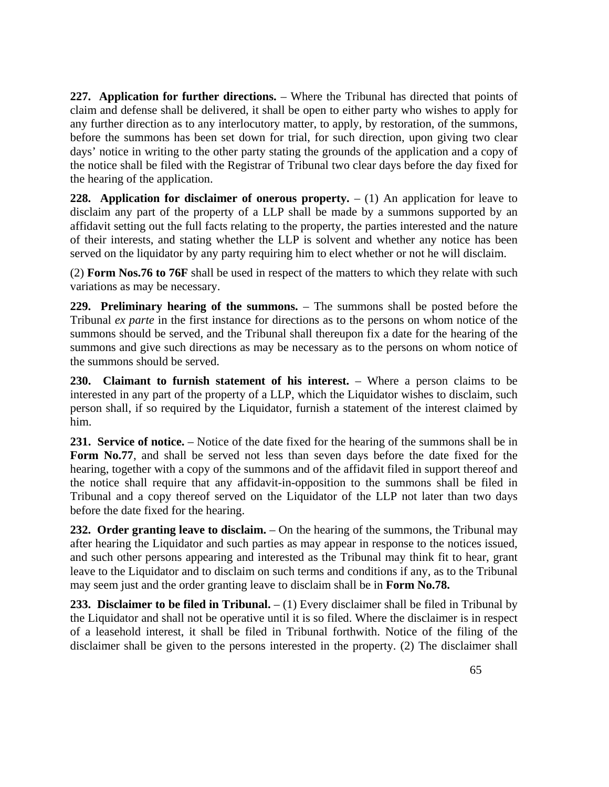**227. Application for further directions.** – Where the Tribunal has directed that points of claim and defense shall be delivered, it shall be open to either party who wishes to apply for any further direction as to any interlocutory matter, to apply, by restoration, of the summons, before the summons has been set down for trial, for such direction, upon giving two clear days' notice in writing to the other party stating the grounds of the application and a copy of the notice shall be filed with the Registrar of Tribunal two clear days before the day fixed for the hearing of the application.

**228.** Application for disclaimer of onerous property.  $- (1)$  An application for leave to disclaim any part of the property of a LLP shall be made by a summons supported by an affidavit setting out the full facts relating to the property, the parties interested and the nature of their interests, and stating whether the LLP is solvent and whether any notice has been served on the liquidator by any party requiring him to elect whether or not he will disclaim.

(2) **Form Nos.76 to 76F** shall be used in respect of the matters to which they relate with such variations as may be necessary.

**229. Preliminary hearing of the summons.** – The summons shall be posted before the Tribunal *ex parte* in the first instance for directions as to the persons on whom notice of the summons should be served, and the Tribunal shall thereupon fix a date for the hearing of the summons and give such directions as may be necessary as to the persons on whom notice of the summons should be served.

230. Claimant to furnish statement of his interest. – Where a person claims to be interested in any part of the property of a LLP, which the Liquidator wishes to disclaim, such person shall, if so required by the Liquidator, furnish a statement of the interest claimed by him.

231. Service of notice. – Notice of the date fixed for the hearing of the summons shall be in Form No.77, and shall be served not less than seven days before the date fixed for the hearing, together with a copy of the summons and of the affidavit filed in support thereof and the notice shall require that any affidavit-in-opposition to the summons shall be filed in Tribunal and a copy thereof served on the Liquidator of the LLP not later than two days before the date fixed for the hearing.

232. Order granting leave to disclaim.  $-$  On the hearing of the summons, the Tribunal may after hearing the Liquidator and such parties as may appear in response to the notices issued, and such other persons appearing and interested as the Tribunal may think fit to hear, grant leave to the Liquidator and to disclaim on such terms and conditions if any, as to the Tribunal may seem just and the order granting leave to disclaim shall be in **Form No.78.**

**233. Disclaimer to be filed in Tribunal.**  $- (1)$  Every disclaimer shall be filed in Tribunal by the Liquidator and shall not be operative until it is so filed. Where the disclaimer is in respect of a leasehold interest, it shall be filed in Tribunal forthwith. Notice of the filing of the disclaimer shall be given to the persons interested in the property. (2) The disclaimer shall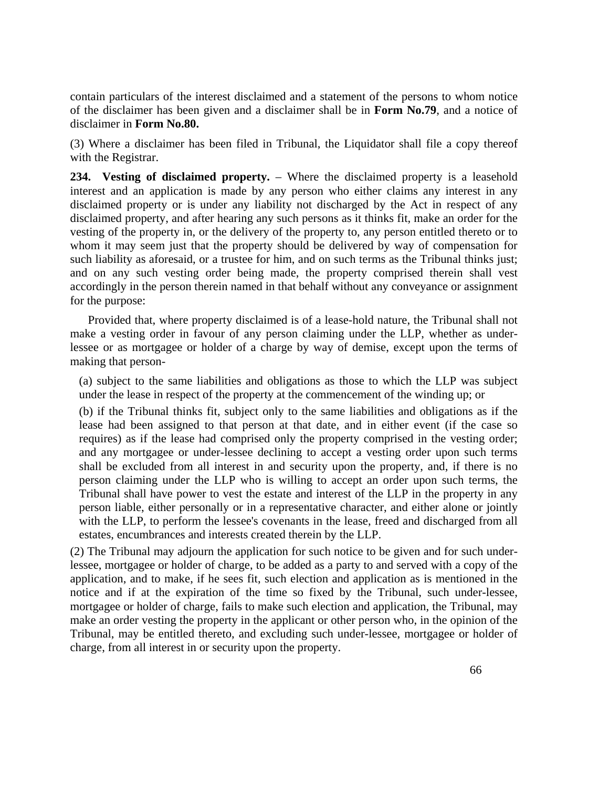contain particulars of the interest disclaimed and a statement of the persons to whom notice of the disclaimer has been given and a disclaimer shall be in **Form No.79**, and a notice of disclaimer in **Form No.80.**

(3) Where a disclaimer has been filed in Tribunal, the Liquidator shall file a copy thereof with the Registrar.

**234. Vesting of disclaimed property.** – Where the disclaimed property is a leasehold interest and an application is made by any person who either claims any interest in any disclaimed property or is under any liability not discharged by the Act in respect of any disclaimed property, and after hearing any such persons as it thinks fit, make an order for the vesting of the property in, or the delivery of the property to, any person entitled thereto or to whom it may seem just that the property should be delivered by way of compensation for such liability as aforesaid, or a trustee for him, and on such terms as the Tribunal thinks just; and on any such vesting order being made, the property comprised therein shall vest accordingly in the person therein named in that behalf without any conveyance or assignment for the purpose:

 Provided that, where property disclaimed is of a lease-hold nature, the Tribunal shall not make a vesting order in favour of any person claiming under the LLP, whether as underlessee or as mortgagee or holder of a charge by way of demise, except upon the terms of making that person-

(a) subject to the same liabilities and obligations as those to which the LLP was subject under the lease in respect of the property at the commencement of the winding up; or

(b) if the Tribunal thinks fit, subject only to the same liabilities and obligations as if the lease had been assigned to that person at that date, and in either event (if the case so requires) as if the lease had comprised only the property comprised in the vesting order; and any mortgagee or under-lessee declining to accept a vesting order upon such terms shall be excluded from all interest in and security upon the property, and, if there is no person claiming under the LLP who is willing to accept an order upon such terms, the Tribunal shall have power to vest the estate and interest of the LLP in the property in any person liable, either personally or in a representative character, and either alone or jointly with the LLP, to perform the lessee's covenants in the lease, freed and discharged from all estates, encumbrances and interests created therein by the LLP.

(2) The Tribunal may adjourn the application for such notice to be given and for such underlessee, mortgagee or holder of charge, to be added as a party to and served with a copy of the application, and to make, if he sees fit, such election and application as is mentioned in the notice and if at the expiration of the time so fixed by the Tribunal, such under-lessee, mortgagee or holder of charge, fails to make such election and application, the Tribunal, may make an order vesting the property in the applicant or other person who, in the opinion of the Tribunal, may be entitled thereto, and excluding such under-lessee, mortgagee or holder of charge, from all interest in or security upon the property.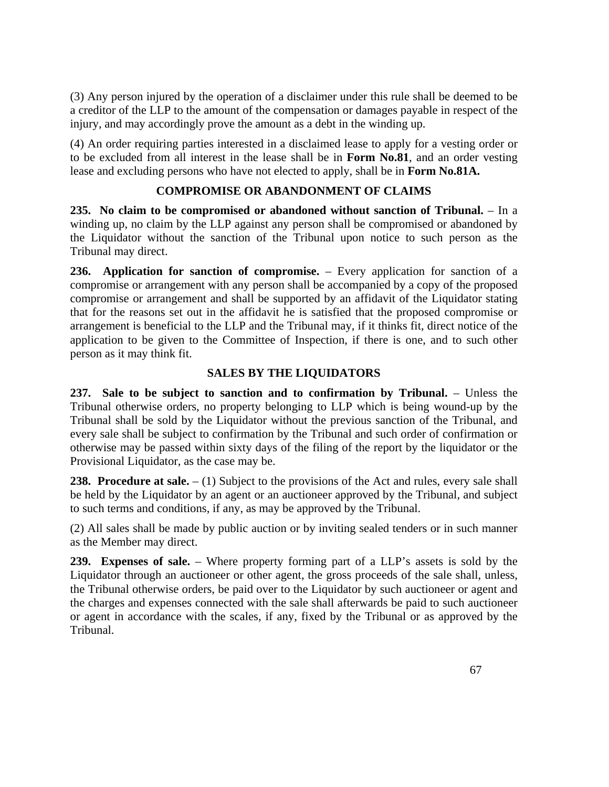(3) Any person injured by the operation of a disclaimer under this rule shall be deemed to be a creditor of the LLP to the amount of the compensation or damages payable in respect of the injury, and may accordingly prove the amount as a debt in the winding up.

(4) An order requiring parties interested in a disclaimed lease to apply for a vesting order or to be excluded from all interest in the lease shall be in **Form No.81**, and an order vesting lease and excluding persons who have not elected to apply, shall be in **Form No.81A.**

# **COMPROMISE OR ABANDONMENT OF CLAIMS**

**235. No claim to be compromised or abandoned without sanction of Tribunal.** – In a winding up, no claim by the LLP against any person shall be compromised or abandoned by the Liquidator without the sanction of the Tribunal upon notice to such person as the Tribunal may direct.

**236. Application for sanction of compromise.** – Every application for sanction of a compromise or arrangement with any person shall be accompanied by a copy of the proposed compromise or arrangement and shall be supported by an affidavit of the Liquidator stating that for the reasons set out in the affidavit he is satisfied that the proposed compromise or arrangement is beneficial to the LLP and the Tribunal may, if it thinks fit, direct notice of the application to be given to the Committee of Inspection, if there is one, and to such other person as it may think fit.

# **SALES BY THE LIQUIDATORS**

**237. Sale to be subject to sanction and to confirmation by Tribunal.** – Unless the Tribunal otherwise orders, no property belonging to LLP which is being wound-up by the Tribunal shall be sold by the Liquidator without the previous sanction of the Tribunal, and every sale shall be subject to confirmation by the Tribunal and such order of confirmation or otherwise may be passed within sixty days of the filing of the report by the liquidator or the Provisional Liquidator, as the case may be.

238. Procedure at sale.  $- (1)$  Subject to the provisions of the Act and rules, every sale shall be held by the Liquidator by an agent or an auctioneer approved by the Tribunal, and subject to such terms and conditions, if any, as may be approved by the Tribunal.

(2) All sales shall be made by public auction or by inviting sealed tenders or in such manner as the Member may direct.

**239. Expenses of sale.** – Where property forming part of a LLP's assets is sold by the Liquidator through an auctioneer or other agent, the gross proceeds of the sale shall, unless, the Tribunal otherwise orders, be paid over to the Liquidator by such auctioneer or agent and the charges and expenses connected with the sale shall afterwards be paid to such auctioneer or agent in accordance with the scales, if any, fixed by the Tribunal or as approved by the Tribunal.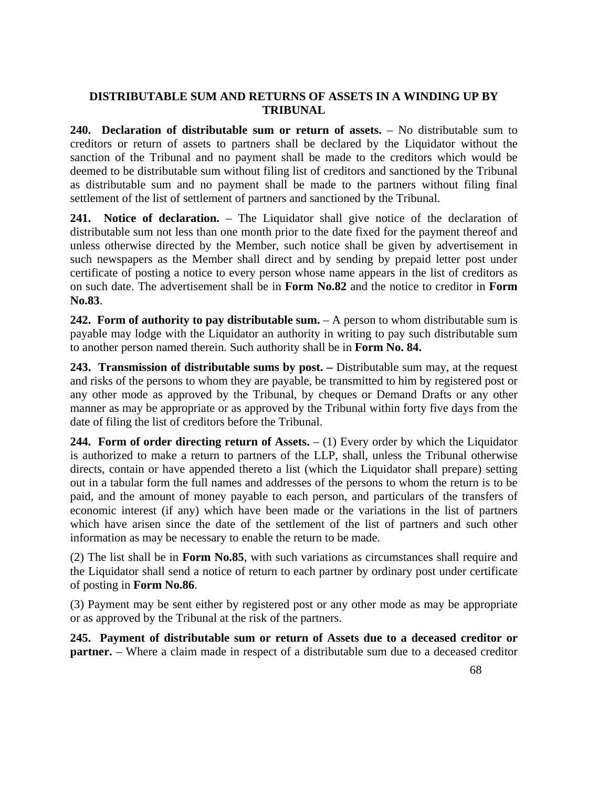#### **DISTRIBUTABLE SUM AND RETURNS OF ASSETS IN A WINDING UP BY TRIBUNAL**

**240. Declaration of distributable sum or return of assets.** – No distributable sum to creditors or return of assets to partners shall be declared by the Liquidator without the sanction of the Tribunal and no payment shall be made to the creditors which would be deemed to be distributable sum without filing list of creditors and sanctioned by the Tribunal as distributable sum and no payment shall be made to the partners without filing final settlement of the list of settlement of partners and sanctioned by the Tribunal.

**241. Notice of declaration.** – The Liquidator shall give notice of the declaration of distributable sum not less than one month prior to the date fixed for the payment thereof and unless otherwise directed by the Member, such notice shall be given by advertisement in such newspapers as the Member shall direct and by sending by prepaid letter post under certificate of posting a notice to every person whose name appears in the list of creditors as on such date. The advertisement shall be in **Form No.82** and the notice to creditor in **Form No.83**.

**242. Form of authority to pay distributable sum.**  $- A$  person to whom distributable sum is payable may lodge with the Liquidator an authority in writing to pay such distributable sum to another person named therein. Such authority shall be in **Form No. 84.**

**243. Transmission of distributable sums by post. –** Distributable sum may, at the request and risks of the persons to whom they are payable, be transmitted to him by registered post or any other mode as approved by the Tribunal, by cheques or Demand Drafts or any other manner as may be appropriate or as approved by the Tribunal within forty five days from the date of filing the list of creditors before the Tribunal.

**244. Form of order directing return of Assets.**  $- (1)$  Every order by which the Liquidator is authorized to make a return to partners of the LLP, shall, unless the Tribunal otherwise directs, contain or have appended thereto a list (which the Liquidator shall prepare) setting out in a tabular form the full names and addresses of the persons to whom the return is to be paid, and the amount of money payable to each person, and particulars of the transfers of economic interest (if any) which have been made or the variations in the list of partners which have arisen since the date of the settlement of the list of partners and such other information as may be necessary to enable the return to be made.

(2) The list shall be in **Form No.85**, with such variations as circumstances shall require and the Liquidator shall send a notice of return to each partner by ordinary post under certificate of posting in **Form No.86**.

(3) Payment may be sent either by registered post or any other mode as may be appropriate or as approved by the Tribunal at the risk of the partners.

**245. Payment of distributable sum or return of Assets due to a deceased creditor or partner.** – Where a claim made in respect of a distributable sum due to a deceased creditor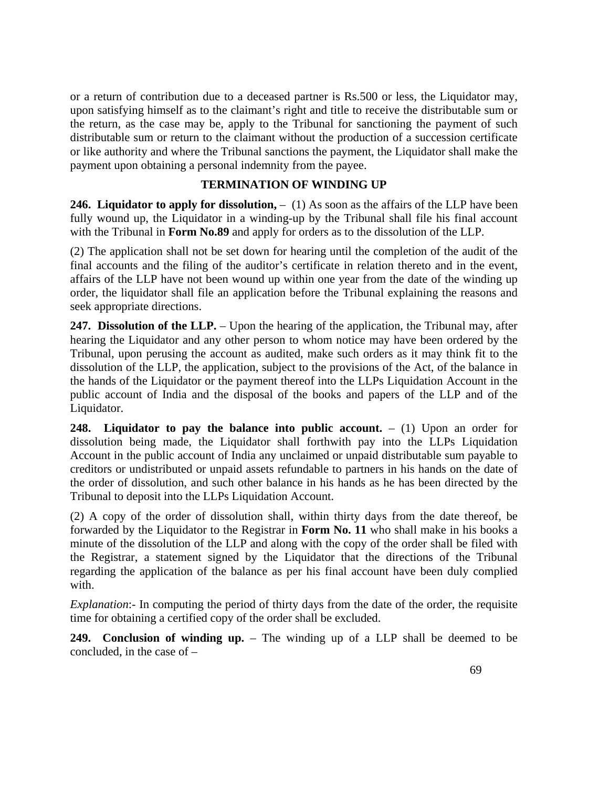or a return of contribution due to a deceased partner is Rs.500 or less, the Liquidator may, upon satisfying himself as to the claimant's right and title to receive the distributable sum or the return, as the case may be, apply to the Tribunal for sanctioning the payment of such distributable sum or return to the claimant without the production of a succession certificate or like authority and where the Tribunal sanctions the payment, the Liquidator shall make the payment upon obtaining a personal indemnity from the payee.

#### **TERMINATION OF WINDING UP**

**246. Liquidator to apply for dissolution,**  $- (1)$  As soon as the affairs of the LLP have been fully wound up, the Liquidator in a winding-up by the Tribunal shall file his final account with the Tribunal in **Form No.89** and apply for orders as to the dissolution of the LLP.

(2) The application shall not be set down for hearing until the completion of the audit of the final accounts and the filing of the auditor's certificate in relation thereto and in the event, affairs of the LLP have not been wound up within one year from the date of the winding up order, the liquidator shall file an application before the Tribunal explaining the reasons and seek appropriate directions.

247. Dissolution of the LLP. – Upon the hearing of the application, the Tribunal may, after hearing the Liquidator and any other person to whom notice may have been ordered by the Tribunal, upon perusing the account as audited, make such orders as it may think fit to the dissolution of the LLP, the application, subject to the provisions of the Act, of the balance in the hands of the Liquidator or the payment thereof into the LLPs Liquidation Account in the public account of India and the disposal of the books and papers of the LLP and of the Liquidator.

**248.** Liquidator to pay the balance into public account.  $- (1)$  Upon an order for dissolution being made, the Liquidator shall forthwith pay into the LLPs Liquidation Account in the public account of India any unclaimed or unpaid distributable sum payable to creditors or undistributed or unpaid assets refundable to partners in his hands on the date of the order of dissolution, and such other balance in his hands as he has been directed by the Tribunal to deposit into the LLPs Liquidation Account.

(2) A copy of the order of dissolution shall, within thirty days from the date thereof, be forwarded by the Liquidator to the Registrar in **Form No. 11** who shall make in his books a minute of the dissolution of the LLP and along with the copy of the order shall be filed with the Registrar, a statement signed by the Liquidator that the directions of the Tribunal regarding the application of the balance as per his final account have been duly complied with.

*Explanation*:- In computing the period of thirty days from the date of the order, the requisite time for obtaining a certified copy of the order shall be excluded.

**249. Conclusion of winding up.** – The winding up of a LLP shall be deemed to be concluded, in the case of –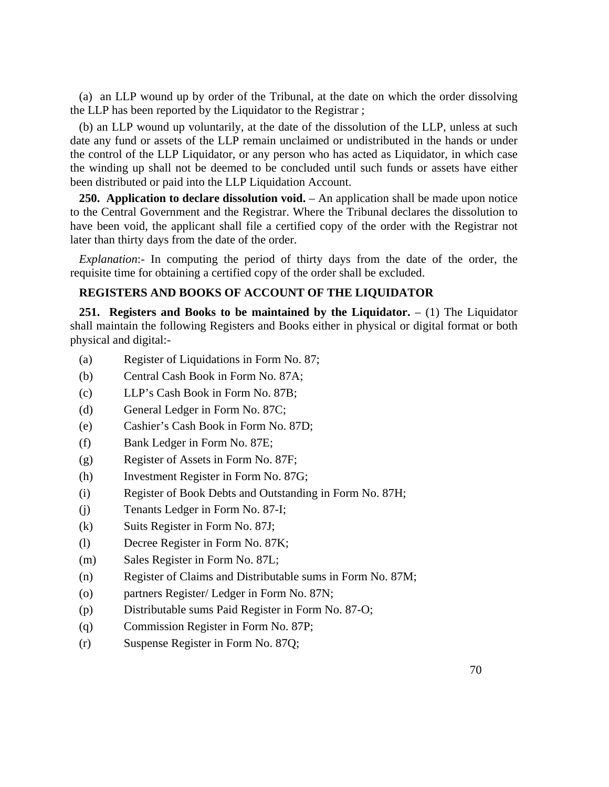(a) an LLP wound up by order of the Tribunal, at the date on which the order dissolving the LLP has been reported by the Liquidator to the Registrar ;

(b) an LLP wound up voluntarily, at the date of the dissolution of the LLP, unless at such date any fund or assets of the LLP remain unclaimed or undistributed in the hands or under the control of the LLP Liquidator, or any person who has acted as Liquidator, in which case the winding up shall not be deemed to be concluded until such funds or assets have either been distributed or paid into the LLP Liquidation Account.

**250. Application to declare dissolution void.** – An application shall be made upon notice to the Central Government and the Registrar. Where the Tribunal declares the dissolution to have been void, the applicant shall file a certified copy of the order with the Registrar not later than thirty days from the date of the order.

*Explanation*:- In computing the period of thirty days from the date of the order, the requisite time for obtaining a certified copy of the order shall be excluded.

# **REGISTERS AND BOOKS OF ACCOUNT OF THE LIQUIDATOR**

**251. Registers and Books to be maintained by the Liquidator.** – (1) The Liquidator shall maintain the following Registers and Books either in physical or digital format or both physical and digital:-

- (a) Register of Liquidations in Form No. 87;
- (b) Central Cash Book in Form No. 87A;
- (c) LLP's Cash Book in Form No. 87B;
- (d) General Ledger in Form No. 87C;
- (e) Cashier's Cash Book in Form No. 87D;
- (f) Bank Ledger in Form No. 87E;
- (g) Register of Assets in Form No. 87F;
- (h) Investment Register in Form No. 87G;
- (i) Register of Book Debts and Outstanding in Form No. 87H;
- (j) Tenants Ledger in Form No. 87-I;
- (k) Suits Register in Form No. 87J;
- (l) Decree Register in Form No. 87K;
- (m) Sales Register in Form No. 87L;
- (n) Register of Claims and Distributable sums in Form No. 87M;
- (o) partners Register/ Ledger in Form No. 87N;
- (p) Distributable sums Paid Register in Form No. 87-O;
- (q) Commission Register in Form No. 87P;
- (r) Suspense Register in Form No. 87Q;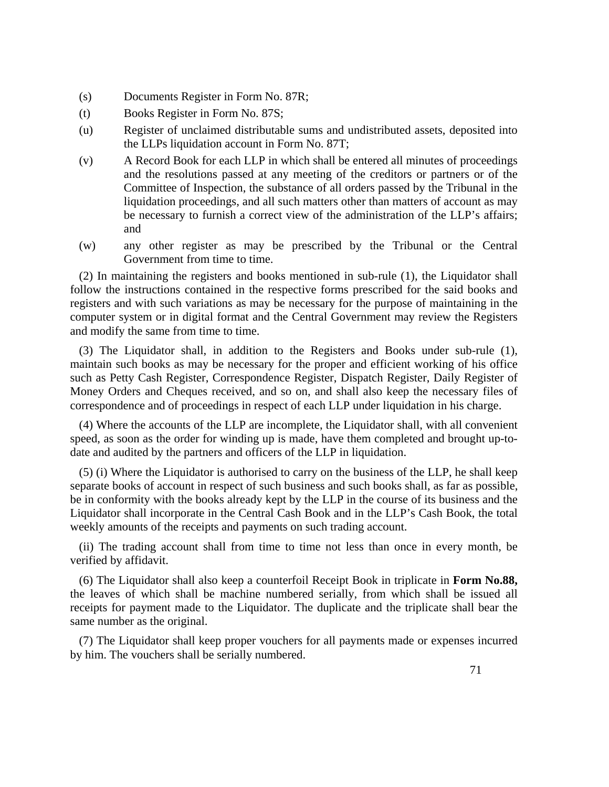- (s) Documents Register in Form No. 87R;
- (t) Books Register in Form No. 87S;
- (u) Register of unclaimed distributable sums and undistributed assets, deposited into the LLPs liquidation account in Form No. 87T;
- (v) A Record Book for each LLP in which shall be entered all minutes of proceedings and the resolutions passed at any meeting of the creditors or partners or of the Committee of Inspection, the substance of all orders passed by the Tribunal in the liquidation proceedings, and all such matters other than matters of account as may be necessary to furnish a correct view of the administration of the LLP's affairs; and
- (w) any other register as may be prescribed by the Tribunal or the Central Government from time to time.

(2) In maintaining the registers and books mentioned in sub-rule (1), the Liquidator shall follow the instructions contained in the respective forms prescribed for the said books and registers and with such variations as may be necessary for the purpose of maintaining in the computer system or in digital format and the Central Government may review the Registers and modify the same from time to time.

(3) The Liquidator shall, in addition to the Registers and Books under sub-rule (1), maintain such books as may be necessary for the proper and efficient working of his office such as Petty Cash Register, Correspondence Register, Dispatch Register, Daily Register of Money Orders and Cheques received, and so on, and shall also keep the necessary files of correspondence and of proceedings in respect of each LLP under liquidation in his charge.

(4) Where the accounts of the LLP are incomplete, the Liquidator shall, with all convenient speed, as soon as the order for winding up is made, have them completed and brought up-todate and audited by the partners and officers of the LLP in liquidation.

(5) (i) Where the Liquidator is authorised to carry on the business of the LLP, he shall keep separate books of account in respect of such business and such books shall, as far as possible, be in conformity with the books already kept by the LLP in the course of its business and the Liquidator shall incorporate in the Central Cash Book and in the LLP's Cash Book, the total weekly amounts of the receipts and payments on such trading account.

(ii) The trading account shall from time to time not less than once in every month, be verified by affidavit.

(6) The Liquidator shall also keep a counterfoil Receipt Book in triplicate in **Form No.88,**  the leaves of which shall be machine numbered serially, from which shall be issued all receipts for payment made to the Liquidator. The duplicate and the triplicate shall bear the same number as the original.

(7) The Liquidator shall keep proper vouchers for all payments made or expenses incurred by him. The vouchers shall be serially numbered.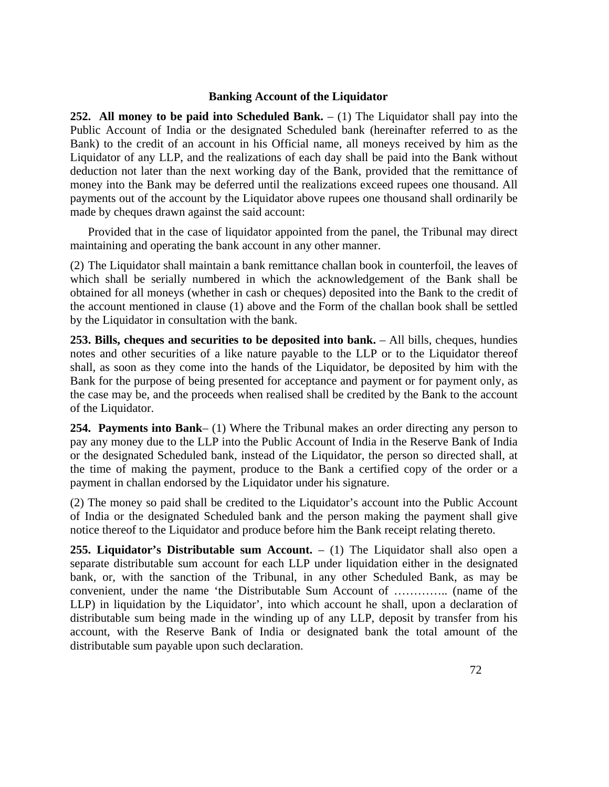#### **Banking Account of the Liquidator**

**252.** All money to be paid into Scheduled Bank.  $- (1)$  The Liquidator shall pay into the Public Account of India or the designated Scheduled bank (hereinafter referred to as the Bank) to the credit of an account in his Official name, all moneys received by him as the Liquidator of any LLP, and the realizations of each day shall be paid into the Bank without deduction not later than the next working day of the Bank, provided that the remittance of money into the Bank may be deferred until the realizations exceed rupees one thousand. All payments out of the account by the Liquidator above rupees one thousand shall ordinarily be made by cheques drawn against the said account:

 Provided that in the case of liquidator appointed from the panel, the Tribunal may direct maintaining and operating the bank account in any other manner.

(2) The Liquidator shall maintain a bank remittance challan book in counterfoil, the leaves of which shall be serially numbered in which the acknowledgement of the Bank shall be obtained for all moneys (whether in cash or cheques) deposited into the Bank to the credit of the account mentioned in clause (1) above and the Form of the challan book shall be settled by the Liquidator in consultation with the bank.

**253. Bills, cheques and securities to be deposited into bank.** – All bills, cheques, hundies notes and other securities of a like nature payable to the LLP or to the Liquidator thereof shall, as soon as they come into the hands of the Liquidator, be deposited by him with the Bank for the purpose of being presented for acceptance and payment or for payment only, as the case may be, and the proceeds when realised shall be credited by the Bank to the account of the Liquidator.

**254. Payments into Bank**– (1) Where the Tribunal makes an order directing any person to pay any money due to the LLP into the Public Account of India in the Reserve Bank of India or the designated Scheduled bank, instead of the Liquidator, the person so directed shall, at the time of making the payment, produce to the Bank a certified copy of the order or a payment in challan endorsed by the Liquidator under his signature.

(2) The money so paid shall be credited to the Liquidator's account into the Public Account of India or the designated Scheduled bank and the person making the payment shall give notice thereof to the Liquidator and produce before him the Bank receipt relating thereto.

**255. Liquidator's Distributable sum Account.** – (1) The Liquidator shall also open a separate distributable sum account for each LLP under liquidation either in the designated bank, or, with the sanction of the Tribunal, in any other Scheduled Bank, as may be convenient, under the name 'the Distributable Sum Account of ………….. (name of the LLP) in liquidation by the Liquidator', into which account he shall, upon a declaration of distributable sum being made in the winding up of any LLP, deposit by transfer from his account, with the Reserve Bank of India or designated bank the total amount of the distributable sum payable upon such declaration.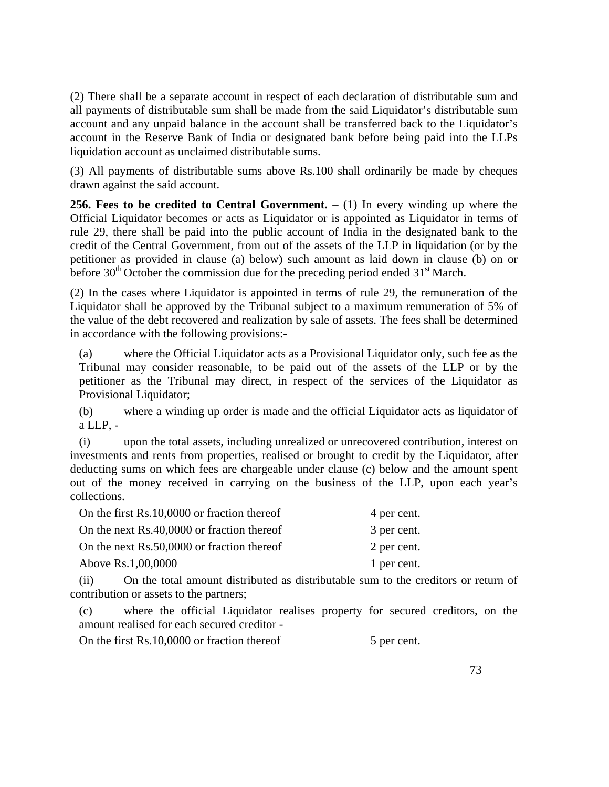(2) There shall be a separate account in respect of each declaration of distributable sum and all payments of distributable sum shall be made from the said Liquidator's distributable sum account and any unpaid balance in the account shall be transferred back to the Liquidator's account in the Reserve Bank of India or designated bank before being paid into the LLPs liquidation account as unclaimed distributable sums.

(3) All payments of distributable sums above Rs.100 shall ordinarily be made by cheques drawn against the said account.

**256. Fees to be credited to Central Government.** – (1) In every winding up where the Official Liquidator becomes or acts as Liquidator or is appointed as Liquidator in terms of rule 29, there shall be paid into the public account of India in the designated bank to the credit of the Central Government, from out of the assets of the LLP in liquidation (or by the petitioner as provided in clause (a) below) such amount as laid down in clause (b) on or before  $30<sup>th</sup>$  October the commission due for the preceding period ended  $31<sup>st</sup>$  March.

(2) In the cases where Liquidator is appointed in terms of rule 29, the remuneration of the Liquidator shall be approved by the Tribunal subject to a maximum remuneration of 5% of the value of the debt recovered and realization by sale of assets. The fees shall be determined in accordance with the following provisions:-

(a) where the Official Liquidator acts as a Provisional Liquidator only, such fee as the Tribunal may consider reasonable, to be paid out of the assets of the LLP or by the petitioner as the Tribunal may direct, in respect of the services of the Liquidator as Provisional Liquidator;

(b) where a winding up order is made and the official Liquidator acts as liquidator of a LLP, -

(i) upon the total assets, including unrealized or unrecovered contribution, interest on investments and rents from properties, realised or brought to credit by the Liquidator, after deducting sums on which fees are chargeable under clause (c) below and the amount spent out of the money received in carrying on the business of the LLP, upon each year's collections.

| On the first Rs.10,0000 or fraction thereof | 4 per cent. |
|---------------------------------------------|-------------|
| On the next Rs.40,0000 or fraction thereof  | 3 per cent. |
| On the next Rs.50,0000 or fraction thereof  | 2 per cent. |
| Above Rs.1,00,0000                          | 1 per cent. |

(ii) On the total amount distributed as distributable sum to the creditors or return of contribution or assets to the partners;

(c) where the official Liquidator realises property for secured creditors, on the amount realised for each secured creditor -

On the first Rs.10,0000 or fraction thereof 5 per cent.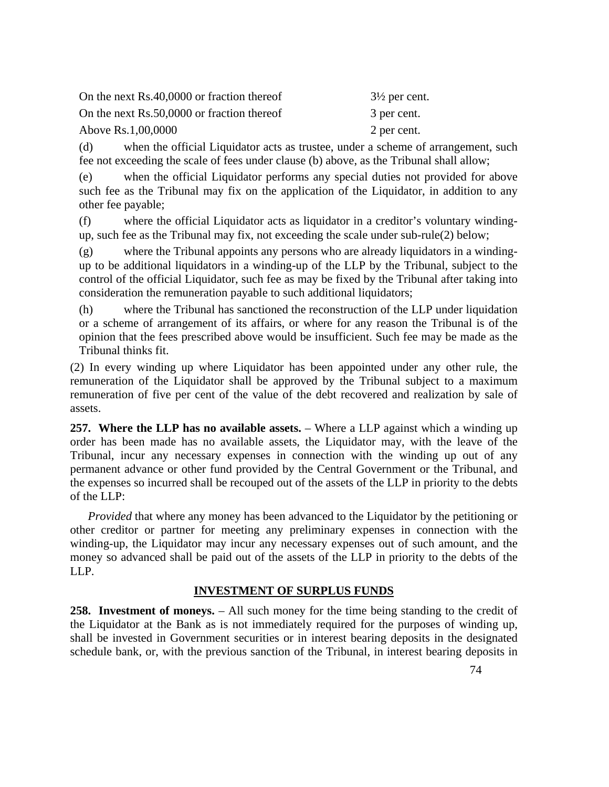| On the next Rs.40,0000 or fraction thereof | $3\frac{1}{2}$ per cent. |
|--------------------------------------------|--------------------------|
| On the next Rs.50,0000 or fraction thereof | 3 per cent.              |
| Above Rs.1,00,0000                         | 2 per cent.              |

(d) when the official Liquidator acts as trustee, under a scheme of arrangement, such fee not exceeding the scale of fees under clause (b) above, as the Tribunal shall allow;

(e) when the official Liquidator performs any special duties not provided for above such fee as the Tribunal may fix on the application of the Liquidator, in addition to any other fee payable;

(f) where the official Liquidator acts as liquidator in a creditor's voluntary windingup, such fee as the Tribunal may fix, not exceeding the scale under sub-rule(2) below;

(g) where the Tribunal appoints any persons who are already liquidators in a windingup to be additional liquidators in a winding-up of the LLP by the Tribunal, subject to the control of the official Liquidator, such fee as may be fixed by the Tribunal after taking into consideration the remuneration payable to such additional liquidators;

(h) where the Tribunal has sanctioned the reconstruction of the LLP under liquidation or a scheme of arrangement of its affairs, or where for any reason the Tribunal is of the opinion that the fees prescribed above would be insufficient. Such fee may be made as the Tribunal thinks fit.

(2) In every winding up where Liquidator has been appointed under any other rule, the remuneration of the Liquidator shall be approved by the Tribunal subject to a maximum remuneration of five per cent of the value of the debt recovered and realization by sale of assets.

**257. Where the LLP has no available assets.** – Where a LLP against which a winding up order has been made has no available assets, the Liquidator may, with the leave of the Tribunal, incur any necessary expenses in connection with the winding up out of any permanent advance or other fund provided by the Central Government or the Tribunal, and the expenses so incurred shall be recouped out of the assets of the LLP in priority to the debts of the LLP:

 *Provided* that where any money has been advanced to the Liquidator by the petitioning or other creditor or partner for meeting any preliminary expenses in connection with the winding-up, the Liquidator may incur any necessary expenses out of such amount, and the money so advanced shall be paid out of the assets of the LLP in priority to the debts of the LLP.

## **INVESTMENT OF SURPLUS FUNDS**

**258. Investment of moneys.** – All such money for the time being standing to the credit of the Liquidator at the Bank as is not immediately required for the purposes of winding up, shall be invested in Government securities or in interest bearing deposits in the designated schedule bank, or, with the previous sanction of the Tribunal, in interest bearing deposits in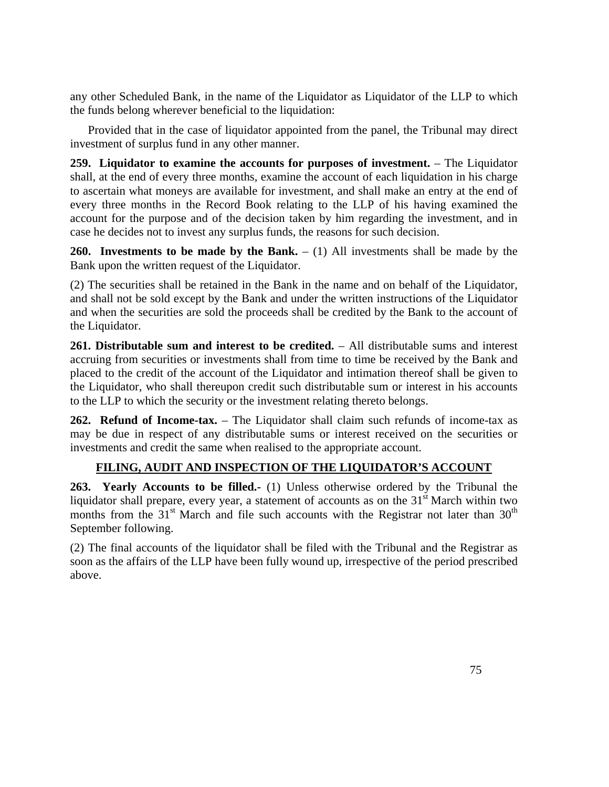any other Scheduled Bank, in the name of the Liquidator as Liquidator of the LLP to which the funds belong wherever beneficial to the liquidation:

 Provided that in the case of liquidator appointed from the panel, the Tribunal may direct investment of surplus fund in any other manner.

**259. Liquidator to examine the accounts for purposes of investment.** – The Liquidator shall, at the end of every three months, examine the account of each liquidation in his charge to ascertain what moneys are available for investment, and shall make an entry at the end of every three months in the Record Book relating to the LLP of his having examined the account for the purpose and of the decision taken by him regarding the investment, and in case he decides not to invest any surplus funds, the reasons for such decision.

**260. Investments to be made by the Bank.** – (1) All investments shall be made by the Bank upon the written request of the Liquidator.

(2) The securities shall be retained in the Bank in the name and on behalf of the Liquidator, and shall not be sold except by the Bank and under the written instructions of the Liquidator and when the securities are sold the proceeds shall be credited by the Bank to the account of the Liquidator.

**261. Distributable sum and interest to be credited.** – All distributable sums and interest accruing from securities or investments shall from time to time be received by the Bank and placed to the credit of the account of the Liquidator and intimation thereof shall be given to the Liquidator, who shall thereupon credit such distributable sum or interest in his accounts to the LLP to which the security or the investment relating thereto belongs.

262. Refund of Income-tax. – The Liquidator shall claim such refunds of income-tax as may be due in respect of any distributable sums or interest received on the securities or investments and credit the same when realised to the appropriate account.

## **FILING, AUDIT AND INSPECTION OF THE LIQUIDATOR'S ACCOUNT**

**263. Yearly Accounts to be filled.-** (1) Unless otherwise ordered by the Tribunal the liquidator shall prepare, every year, a statement of accounts as on the  $31<sup>st</sup>$  March within two months from the  $31<sup>st</sup>$  March and file such accounts with the Registrar not later than  $30<sup>th</sup>$ September following.

(2) The final accounts of the liquidator shall be filed with the Tribunal and the Registrar as soon as the affairs of the LLP have been fully wound up, irrespective of the period prescribed above.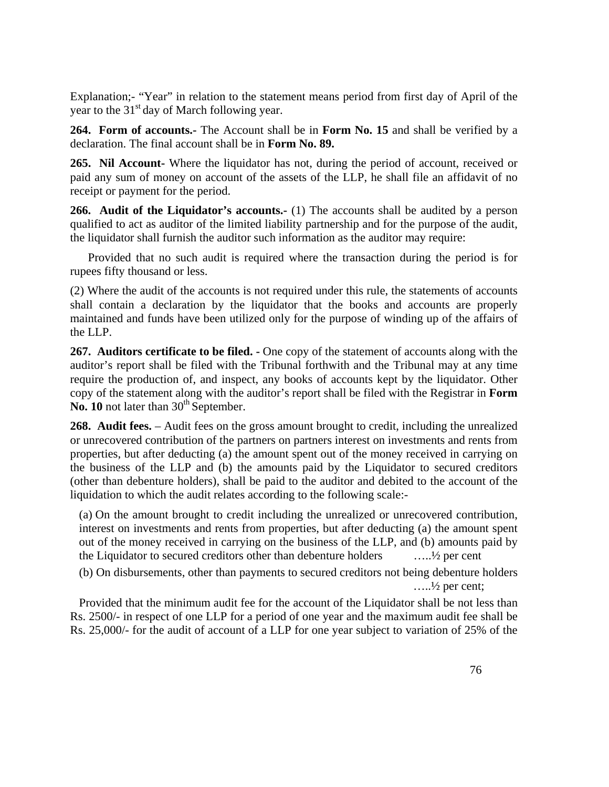Explanation;- "Year" in relation to the statement means period from first day of April of the year to the  $31<sup>st</sup>$  day of March following year.

**264. Form of accounts.-** The Account shall be in **Form No. 15** and shall be verified by a declaration. The final account shall be in **Form No. 89.**

**265. Nil Account-** Where the liquidator has not, during the period of account, received or paid any sum of money on account of the assets of the LLP, he shall file an affidavit of no receipt or payment for the period.

**266. Audit of the Liquidator's accounts.-** (1) The accounts shall be audited by a person qualified to act as auditor of the limited liability partnership and for the purpose of the audit, the liquidator shall furnish the auditor such information as the auditor may require:

 Provided that no such audit is required where the transaction during the period is for rupees fifty thousand or less.

(2) Where the audit of the accounts is not required under this rule, the statements of accounts shall contain a declaration by the liquidator that the books and accounts are properly maintained and funds have been utilized only for the purpose of winding up of the affairs of the LLP.

**267. Auditors certificate to be filed. -** One copy of the statement of accounts along with the auditor's report shall be filed with the Tribunal forthwith and the Tribunal may at any time require the production of, and inspect, any books of accounts kept by the liquidator. Other copy of the statement along with the auditor's report shall be filed with the Registrar in **Form**  No. 10 not later than 30<sup>th</sup> September.

**268. Audit fees.** – Audit fees on the gross amount brought to credit, including the unrealized or unrecovered contribution of the partners on partners interest on investments and rents from properties, but after deducting (a) the amount spent out of the money received in carrying on the business of the LLP and (b) the amounts paid by the Liquidator to secured creditors (other than debenture holders), shall be paid to the auditor and debited to the account of the liquidation to which the audit relates according to the following scale:-

(a) On the amount brought to credit including the unrealized or unrecovered contribution, interest on investments and rents from properties, but after deducting (a) the amount spent out of the money received in carrying on the business of the LLP, and (b) amounts paid by the Liquidator to secured creditors other than debenture holders …..½ per cent

(b) On disbursements, other than payments to secured creditors not being debenture holders  $\dots$   $\frac{1}{2}$  per cent;

Provided that the minimum audit fee for the account of the Liquidator shall be not less than Rs. 2500/- in respect of one LLP for a period of one year and the maximum audit fee shall be Rs. 25,000/- for the audit of account of a LLP for one year subject to variation of 25% of the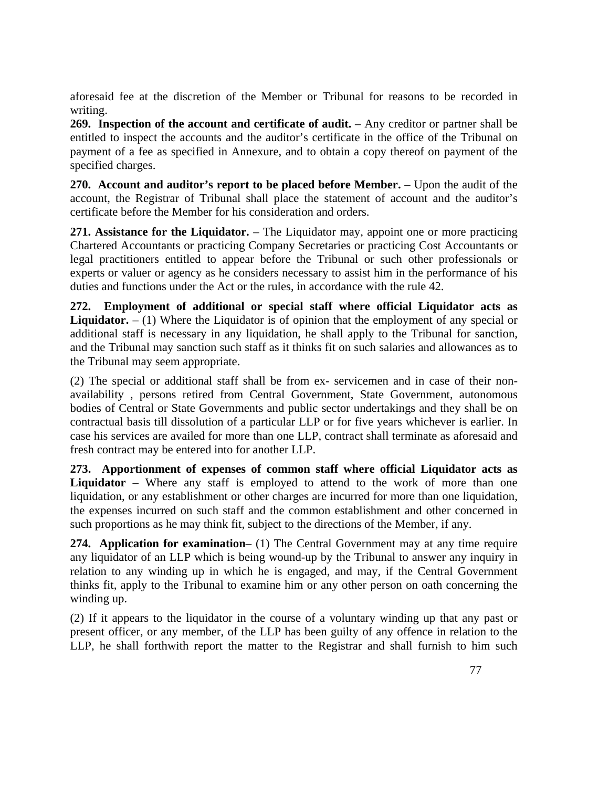aforesaid fee at the discretion of the Member or Tribunal for reasons to be recorded in writing.

**269. Inspection of the account and certificate of audit.** – Any creditor or partner shall be entitled to inspect the accounts and the auditor's certificate in the office of the Tribunal on payment of a fee as specified in Annexure, and to obtain a copy thereof on payment of the specified charges.

**270.** Account and auditor's report to be placed before Member. – Upon the audit of the account, the Registrar of Tribunal shall place the statement of account and the auditor's certificate before the Member for his consideration and orders.

**271. Assistance for the Liquidator.** – The Liquidator may, appoint one or more practicing Chartered Accountants or practicing Company Secretaries or practicing Cost Accountants or legal practitioners entitled to appear before the Tribunal or such other professionals or experts or valuer or agency as he considers necessary to assist him in the performance of his duties and functions under the Act or the rules, in accordance with the rule 42.

**272. Employment of additional or special staff where official Liquidator acts as Liquidator.**  $- (1)$  Where the Liquidator is of opinion that the employment of any special or additional staff is necessary in any liquidation, he shall apply to the Tribunal for sanction, and the Tribunal may sanction such staff as it thinks fit on such salaries and allowances as to the Tribunal may seem appropriate.

(2) The special or additional staff shall be from ex- servicemen and in case of their nonavailability , persons retired from Central Government, State Government, autonomous bodies of Central or State Governments and public sector undertakings and they shall be on contractual basis till dissolution of a particular LLP or for five years whichever is earlier. In case his services are availed for more than one LLP, contract shall terminate as aforesaid and fresh contract may be entered into for another LLP.

**273. Apportionment of expenses of common staff where official Liquidator acts as**  Liquidator – Where any staff is employed to attend to the work of more than one liquidation, or any establishment or other charges are incurred for more than one liquidation, the expenses incurred on such staff and the common establishment and other concerned in such proportions as he may think fit, subject to the directions of the Member, if any.

**274. Application for examination**– (1) The Central Government may at any time require any liquidator of an LLP which is being wound-up by the Tribunal to answer any inquiry in relation to any winding up in which he is engaged, and may, if the Central Government thinks fit, apply to the Tribunal to examine him or any other person on oath concerning the winding up.

(2) If it appears to the liquidator in the course of a voluntary winding up that any past or present officer, or any member, of the LLP has been guilty of any offence in relation to the LLP, he shall forthwith report the matter to the Registrar and shall furnish to him such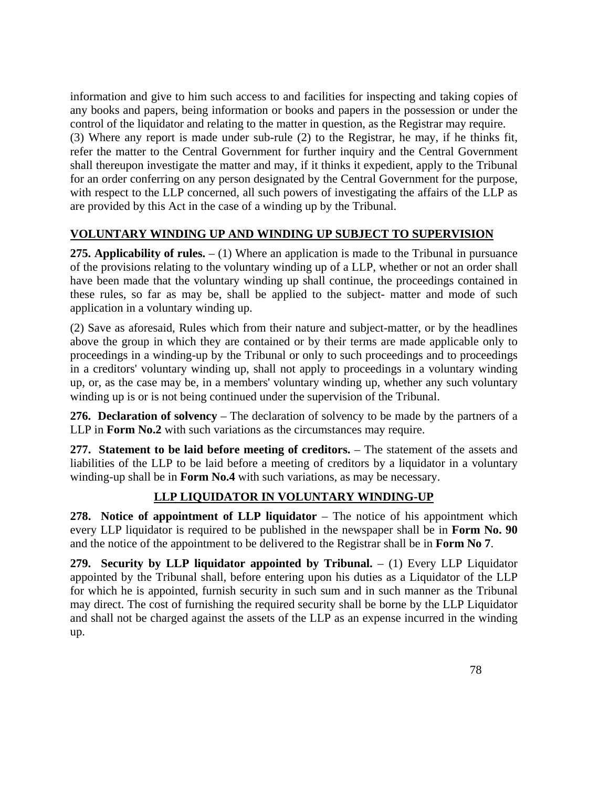information and give to him such access to and facilities for inspecting and taking copies of any books and papers, being information or books and papers in the possession or under the control of the liquidator and relating to the matter in question, as the Registrar may require.

(3) Where any report is made under sub-rule (2) to the Registrar, he may, if he thinks fit, refer the matter to the Central Government for further inquiry and the Central Government shall thereupon investigate the matter and may, if it thinks it expedient, apply to the Tribunal for an order conferring on any person designated by the Central Government for the purpose, with respect to the LLP concerned, all such powers of investigating the affairs of the LLP as are provided by this Act in the case of a winding up by the Tribunal.

### **VOLUNTARY WINDING UP AND WINDING UP SUBJECT TO SUPERVISION**

**275. Applicability of rules.** – (1) Where an application is made to the Tribunal in pursuance of the provisions relating to the voluntary winding up of a LLP, whether or not an order shall have been made that the voluntary winding up shall continue, the proceedings contained in these rules, so far as may be, shall be applied to the subject- matter and mode of such application in a voluntary winding up.

(2) Save as aforesaid, Rules which from their nature and subject-matter, or by the headlines above the group in which they are contained or by their terms are made applicable only to proceedings in a winding-up by the Tribunal or only to such proceedings and to proceedings in a creditors' voluntary winding up, shall not apply to proceedings in a voluntary winding up, or, as the case may be, in a members' voluntary winding up, whether any such voluntary winding up is or is not being continued under the supervision of the Tribunal.

**276. Declaration of solvency** – The declaration of solvency to be made by the partners of a LLP in **Form No.2** with such variations as the circumstances may require.

**277.** Statement to be laid before meeting of creditors. – The statement of the assets and liabilities of the LLP to be laid before a meeting of creditors by a liquidator in a voluntary winding-up shall be in **Form No.4** with such variations, as may be necessary.

## **LLP LIQUIDATOR IN VOLUNTARY WINDING-UP**

**278.** Notice of appointment of LLP liquidator – The notice of his appointment which every LLP liquidator is required to be published in the newspaper shall be in **Form No. 90**  and the notice of the appointment to be delivered to the Registrar shall be in **Form No 7**.

**279. Security by LLP liquidator appointed by Tribunal.** – (1) Every LLP Liquidator appointed by the Tribunal shall, before entering upon his duties as a Liquidator of the LLP for which he is appointed, furnish security in such sum and in such manner as the Tribunal may direct. The cost of furnishing the required security shall be borne by the LLP Liquidator and shall not be charged against the assets of the LLP as an expense incurred in the winding up.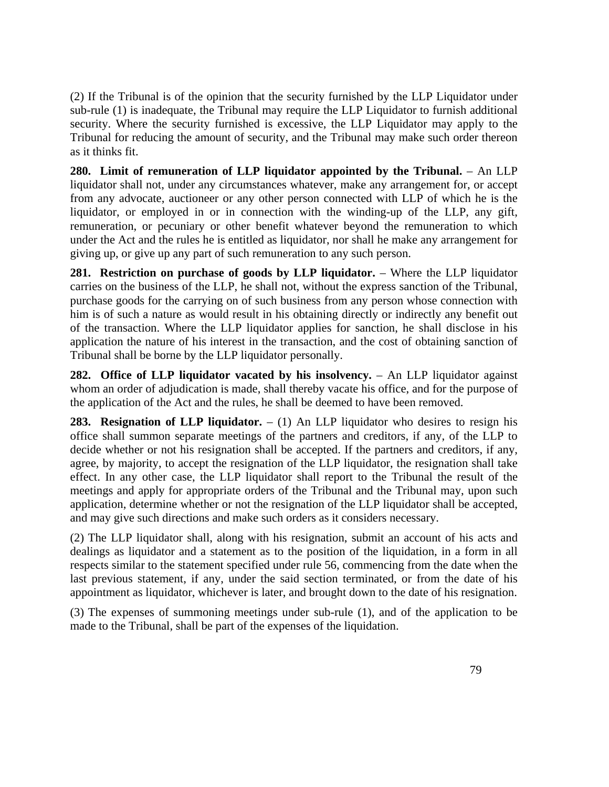(2) If the Tribunal is of the opinion that the security furnished by the LLP Liquidator under sub-rule (1) is inadequate, the Tribunal may require the LLP Liquidator to furnish additional security. Where the security furnished is excessive, the LLP Liquidator may apply to the Tribunal for reducing the amount of security, and the Tribunal may make such order thereon as it thinks fit.

**280. Limit of remuneration of LLP liquidator appointed by the Tribunal.** – An LLP liquidator shall not, under any circumstances whatever, make any arrangement for, or accept from any advocate, auctioneer or any other person connected with LLP of which he is the liquidator, or employed in or in connection with the winding-up of the LLP, any gift, remuneration, or pecuniary or other benefit whatever beyond the remuneration to which under the Act and the rules he is entitled as liquidator, nor shall he make any arrangement for giving up, or give up any part of such remuneration to any such person.

**281. Restriction on purchase of goods by LLP liquidator.** – Where the LLP liquidator carries on the business of the LLP, he shall not, without the express sanction of the Tribunal, purchase goods for the carrying on of such business from any person whose connection with him is of such a nature as would result in his obtaining directly or indirectly any benefit out of the transaction. Where the LLP liquidator applies for sanction, he shall disclose in his application the nature of his interest in the transaction, and the cost of obtaining sanction of Tribunal shall be borne by the LLP liquidator personally.

**282. Office of LLP liquidator vacated by his insolvency.** – An LLP liquidator against whom an order of adjudication is made, shall thereby vacate his office, and for the purpose of the application of the Act and the rules, he shall be deemed to have been removed.

**283. Resignation of LLP liquidator.**  $- (1)$  An LLP liquidator who desires to resign his office shall summon separate meetings of the partners and creditors, if any, of the LLP to decide whether or not his resignation shall be accepted. If the partners and creditors, if any, agree, by majority, to accept the resignation of the LLP liquidator, the resignation shall take effect. In any other case, the LLP liquidator shall report to the Tribunal the result of the meetings and apply for appropriate orders of the Tribunal and the Tribunal may, upon such application, determine whether or not the resignation of the LLP liquidator shall be accepted, and may give such directions and make such orders as it considers necessary.

(2) The LLP liquidator shall, along with his resignation, submit an account of his acts and dealings as liquidator and a statement as to the position of the liquidation, in a form in all respects similar to the statement specified under rule 56, commencing from the date when the last previous statement, if any, under the said section terminated, or from the date of his appointment as liquidator, whichever is later, and brought down to the date of his resignation.

(3) The expenses of summoning meetings under sub-rule (1), and of the application to be made to the Tribunal, shall be part of the expenses of the liquidation.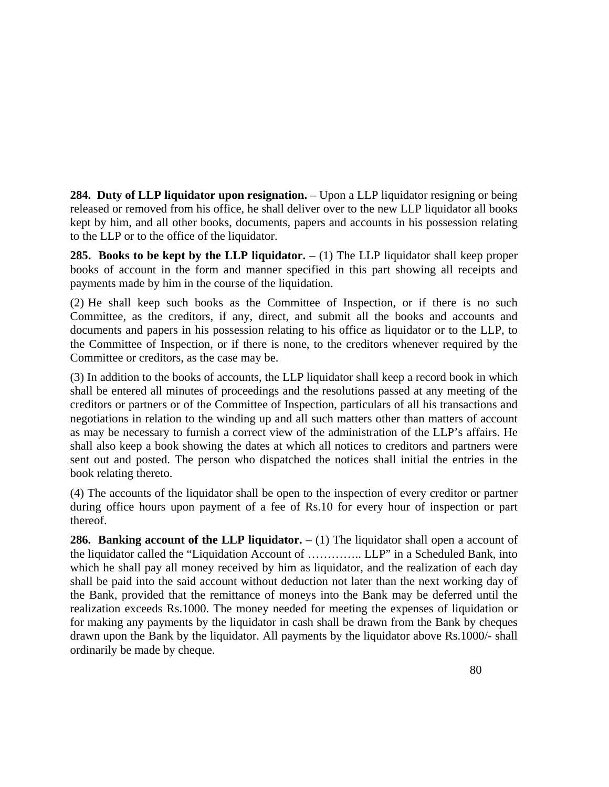**284. Duty of LLP liquidator upon resignation.** – Upon a LLP liquidator resigning or being released or removed from his office, he shall deliver over to the new LLP liquidator all books kept by him, and all other books, documents, papers and accounts in his possession relating to the LLP or to the office of the liquidator.

**285. Books to be kept by the LLP liquidator.**  $- (1)$  The LLP liquidator shall keep proper books of account in the form and manner specified in this part showing all receipts and payments made by him in the course of the liquidation.

(2) He shall keep such books as the Committee of Inspection, or if there is no such Committee, as the creditors, if any, direct, and submit all the books and accounts and documents and papers in his possession relating to his office as liquidator or to the LLP, to the Committee of Inspection, or if there is none, to the creditors whenever required by the Committee or creditors, as the case may be.

(3) In addition to the books of accounts, the LLP liquidator shall keep a record book in which shall be entered all minutes of proceedings and the resolutions passed at any meeting of the creditors or partners or of the Committee of Inspection, particulars of all his transactions and negotiations in relation to the winding up and all such matters other than matters of account as may be necessary to furnish a correct view of the administration of the LLP's affairs. He shall also keep a book showing the dates at which all notices to creditors and partners were sent out and posted. The person who dispatched the notices shall initial the entries in the book relating thereto.

(4) The accounts of the liquidator shall be open to the inspection of every creditor or partner during office hours upon payment of a fee of Rs.10 for every hour of inspection or part thereof.

**286. Banking account of the LLP liquidator.**  $- (1)$  The liquidator shall open a account of the liquidator called the "Liquidation Account of ………….. LLP" in a Scheduled Bank, into which he shall pay all money received by him as liquidator, and the realization of each day shall be paid into the said account without deduction not later than the next working day of the Bank, provided that the remittance of moneys into the Bank may be deferred until the realization exceeds Rs.1000. The money needed for meeting the expenses of liquidation or for making any payments by the liquidator in cash shall be drawn from the Bank by cheques drawn upon the Bank by the liquidator. All payments by the liquidator above Rs.1000/- shall ordinarily be made by cheque.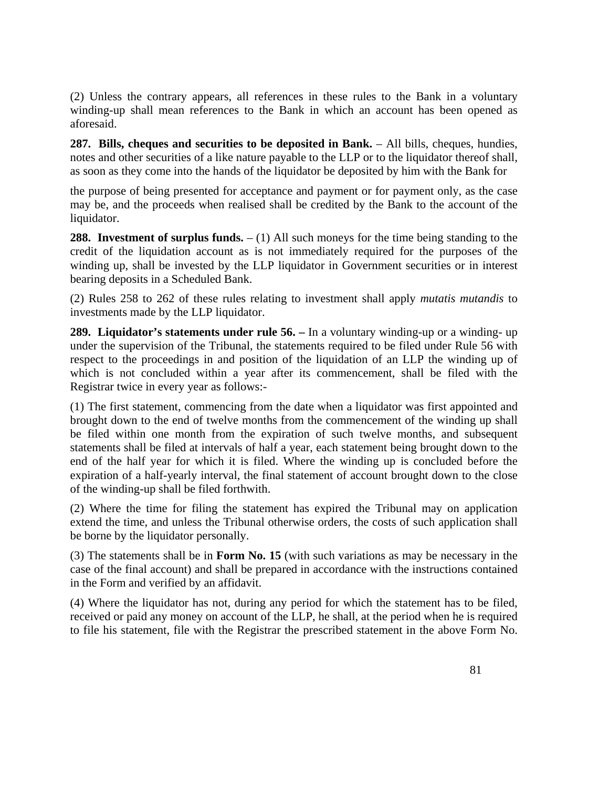(2) Unless the contrary appears, all references in these rules to the Bank in a voluntary winding-up shall mean references to the Bank in which an account has been opened as aforesaid.

**287. Bills, cheques and securities to be deposited in Bank.** – All bills, cheques, hundies, notes and other securities of a like nature payable to the LLP or to the liquidator thereof shall, as soon as they come into the hands of the liquidator be deposited by him with the Bank for

the purpose of being presented for acceptance and payment or for payment only, as the case may be, and the proceeds when realised shall be credited by the Bank to the account of the liquidator.

**288. Investment of surplus funds.**  $- (1)$  All such moneys for the time being standing to the credit of the liquidation account as is not immediately required for the purposes of the winding up, shall be invested by the LLP liquidator in Government securities or in interest bearing deposits in a Scheduled Bank.

(2) Rules 258 to 262 of these rules relating to investment shall apply *mutatis mutandis* to investments made by the LLP liquidator.

**289. Liquidator's statements under rule 56. –** In a voluntary winding-up or a winding- up under the supervision of the Tribunal, the statements required to be filed under Rule 56 with respect to the proceedings in and position of the liquidation of an LLP the winding up of which is not concluded within a year after its commencement, shall be filed with the Registrar twice in every year as follows:-

(1) The first statement, commencing from the date when a liquidator was first appointed and brought down to the end of twelve months from the commencement of the winding up shall be filed within one month from the expiration of such twelve months, and subsequent statements shall be filed at intervals of half a year, each statement being brought down to the end of the half year for which it is filed. Where the winding up is concluded before the expiration of a half-yearly interval, the final statement of account brought down to the close of the winding-up shall be filed forthwith.

(2) Where the time for filing the statement has expired the Tribunal may on application extend the time, and unless the Tribunal otherwise orders, the costs of such application shall be borne by the liquidator personally.

(3) The statements shall be in **Form No. 15** (with such variations as may be necessary in the case of the final account) and shall be prepared in accordance with the instructions contained in the Form and verified by an affidavit.

(4) Where the liquidator has not, during any period for which the statement has to be filed, received or paid any money on account of the LLP, he shall, at the period when he is required to file his statement, file with the Registrar the prescribed statement in the above Form No.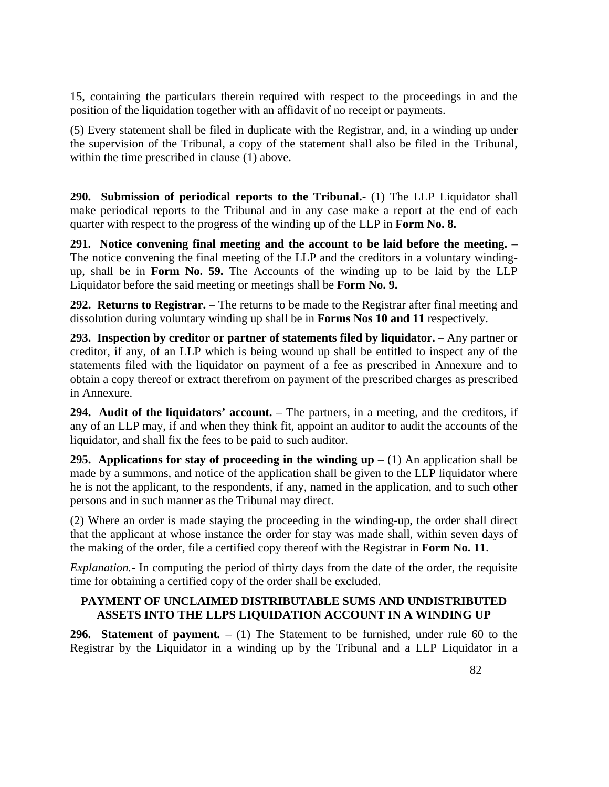15, containing the particulars therein required with respect to the proceedings in and the position of the liquidation together with an affidavit of no receipt or payments.

(5) Every statement shall be filed in duplicate with the Registrar, and, in a winding up under the supervision of the Tribunal, a copy of the statement shall also be filed in the Tribunal, within the time prescribed in clause (1) above.

**290. Submission of periodical reports to the Tribunal.-** (1) The LLP Liquidator shall make periodical reports to the Tribunal and in any case make a report at the end of each quarter with respect to the progress of the winding up of the LLP in **Form No. 8.**

**291. Notice convening final meeting and the account to be laid before the meeting.** – The notice convening the final meeting of the LLP and the creditors in a voluntary windingup, shall be in **Form No. 59.** The Accounts of the winding up to be laid by the LLP Liquidator before the said meeting or meetings shall be **Form No. 9.**

292. Returns to Registrar. – The returns to be made to the Registrar after final meeting and dissolution during voluntary winding up shall be in **Forms Nos 10 and 11** respectively.

**293. Inspection by creditor or partner of statements filed by liquidator.** – Any partner or creditor, if any, of an LLP which is being wound up shall be entitled to inspect any of the statements filed with the liquidator on payment of a fee as prescribed in Annexure and to obtain a copy thereof or extract therefrom on payment of the prescribed charges as prescribed in Annexure.

**294. Audit of the liquidators' account.** – The partners, in a meeting, and the creditors, if any of an LLP may, if and when they think fit, appoint an auditor to audit the accounts of the liquidator, and shall fix the fees to be paid to such auditor.

**295.** Applications for stay of proceeding in the winding up  $- (1)$  An application shall be made by a summons, and notice of the application shall be given to the LLP liquidator where he is not the applicant, to the respondents, if any, named in the application, and to such other persons and in such manner as the Tribunal may direct.

(2) Where an order is made staying the proceeding in the winding-up, the order shall direct that the applicant at whose instance the order for stay was made shall, within seven days of the making of the order, file a certified copy thereof with the Registrar in **Form No. 11**.

*Explanation.*- In computing the period of thirty days from the date of the order, the requisite time for obtaining a certified copy of the order shall be excluded.

### **PAYMENT OF UNCLAIMED DISTRIBUTABLE SUMS AND UNDISTRIBUTED ASSETS INTO THE LLPS LIQUIDATION ACCOUNT IN A WINDING UP**

**296. Statement of payment***.* – (1) The Statement to be furnished, under rule 60 to the Registrar by the Liquidator in a winding up by the Tribunal and a LLP Liquidator in a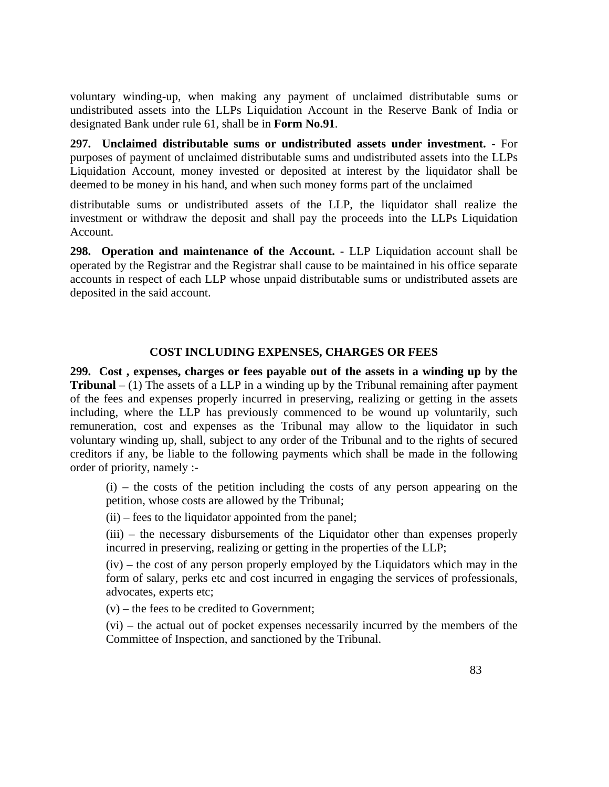voluntary winding-up, when making any payment of unclaimed distributable sums or undistributed assets into the LLPs Liquidation Account in the Reserve Bank of India or designated Bank under rule 61, shall be in **Form No.91**.

**297. Unclaimed distributable sums or undistributed assets under investment.** - For purposes of payment of unclaimed distributable sums and undistributed assets into the LLPs Liquidation Account, money invested or deposited at interest by the liquidator shall be deemed to be money in his hand, and when such money forms part of the unclaimed

distributable sums or undistributed assets of the LLP, the liquidator shall realize the investment or withdraw the deposit and shall pay the proceeds into the LLPs Liquidation Account.

**298. Operation and maintenance of the Account. -** LLP Liquidation account shall be operated by the Registrar and the Registrar shall cause to be maintained in his office separate accounts in respect of each LLP whose unpaid distributable sums or undistributed assets are deposited in the said account.

#### **COST INCLUDING EXPENSES, CHARGES OR FEES**

**299. Cost , expenses, charges or fees payable out of the assets in a winding up by the Tribunal**  $- (1)$  The assets of a LLP in a winding up by the Tribunal remaining after payment of the fees and expenses properly incurred in preserving, realizing or getting in the assets including, where the LLP has previously commenced to be wound up voluntarily, such remuneration, cost and expenses as the Tribunal may allow to the liquidator in such voluntary winding up, shall, subject to any order of the Tribunal and to the rights of secured creditors if any, be liable to the following payments which shall be made in the following order of priority, namely :-

 $(i)$  – the costs of the petition including the costs of any person appearing on the petition, whose costs are allowed by the Tribunal;

(ii) – fees to the liquidator appointed from the panel;

(iii) – the necessary disbursements of the Liquidator other than expenses properly incurred in preserving, realizing or getting in the properties of the LLP;

(iv) – the cost of any person properly employed by the Liquidators which may in the form of salary, perks etc and cost incurred in engaging the services of professionals, advocates, experts etc;

(v) – the fees to be credited to Government;

(vi) – the actual out of pocket expenses necessarily incurred by the members of the Committee of Inspection, and sanctioned by the Tribunal.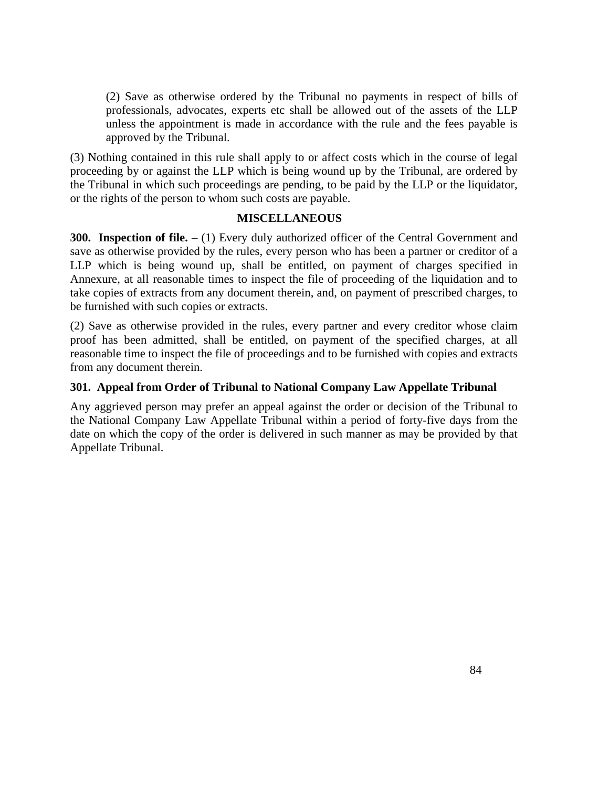(2) Save as otherwise ordered by the Tribunal no payments in respect of bills of professionals, advocates, experts etc shall be allowed out of the assets of the LLP unless the appointment is made in accordance with the rule and the fees payable is approved by the Tribunal.

(3) Nothing contained in this rule shall apply to or affect costs which in the course of legal proceeding by or against the LLP which is being wound up by the Tribunal, are ordered by the Tribunal in which such proceedings are pending, to be paid by the LLP or the liquidator, or the rights of the person to whom such costs are payable.

#### **MISCELLANEOUS**

**300. Inspection of file.**  $- (1)$  Every duly authorized officer of the Central Government and save as otherwise provided by the rules, every person who has been a partner or creditor of a LLP which is being wound up, shall be entitled, on payment of charges specified in Annexure, at all reasonable times to inspect the file of proceeding of the liquidation and to take copies of extracts from any document therein, and, on payment of prescribed charges, to be furnished with such copies or extracts.

(2) Save as otherwise provided in the rules, every partner and every creditor whose claim proof has been admitted, shall be entitled, on payment of the specified charges, at all reasonable time to inspect the file of proceedings and to be furnished with copies and extracts from any document therein.

#### **301. Appeal from Order of Tribunal to National Company Law Appellate Tribunal**

Any aggrieved person may prefer an appeal against the order or decision of the Tribunal to the National Company Law Appellate Tribunal within a period of forty-five days from the date on which the copy of the order is delivered in such manner as may be provided by that Appellate Tribunal.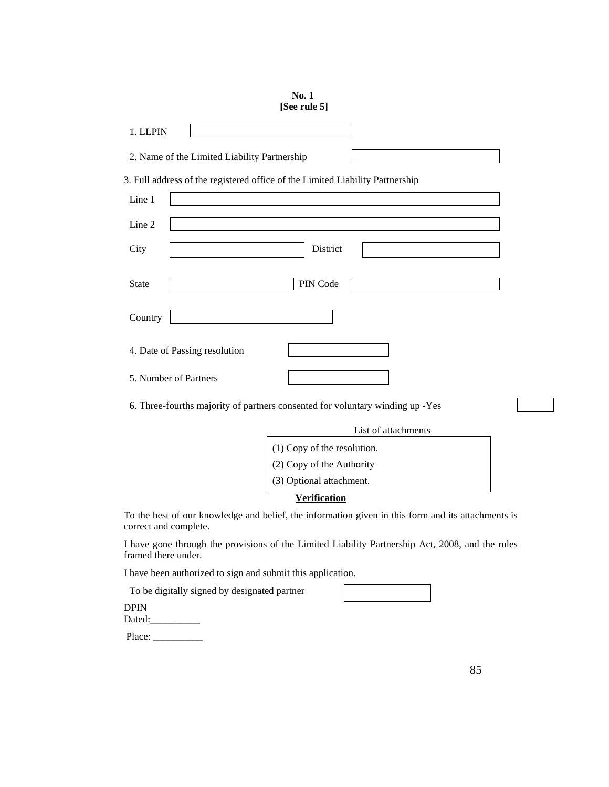| [See rule 5]                                                                                                                |
|-----------------------------------------------------------------------------------------------------------------------------|
| 1. LLPIN                                                                                                                    |
| 2. Name of the Limited Liability Partnership                                                                                |
| 3. Full address of the registered office of the Limited Liability Partnership                                               |
| Line 1                                                                                                                      |
| Line 2                                                                                                                      |
| District<br>City                                                                                                            |
| PIN Code<br><b>State</b>                                                                                                    |
| Country                                                                                                                     |
| 4. Date of Passing resolution                                                                                               |
| 5. Number of Partners                                                                                                       |
| 6. Three-fourths majority of partners consented for voluntary winding up -Yes                                               |
| List of attachments                                                                                                         |
| (1) Copy of the resolution.                                                                                                 |
| (2) Copy of the Authority                                                                                                   |
| (3) Optional attachment.                                                                                                    |
| <b>Verification</b>                                                                                                         |
| To the best of our knowledge and belief, the information given in this form and its attachments is<br>correct and complete. |
| I have gone through the provisions of the Limited Liability Partnership Act, 2008, and the rules<br>framed there under.     |

I have been authorized to sign and submit this application.

To be digitally signed by designated partner

DPIN Dated:

Place: \_\_\_\_\_\_\_\_\_\_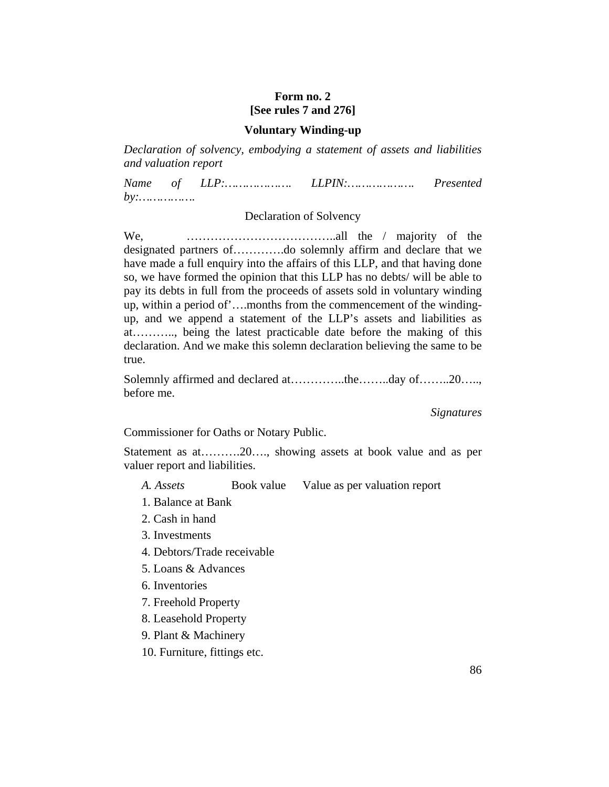### **Form no. 2 [See rules 7 and 276]**

#### **Voluntary Winding-up**

*Declaration of solvency, embodying a statement of assets and liabilities and valuation report*

*Name of LLP:………………. LLPIN:………………. Presented by:…………….*

#### Declaration of Solvency

We, ………………………………..all the / majority of the designated partners of………….do solemnly affirm and declare that we have made a full enquiry into the affairs of this LLP, and that having done so, we have formed the opinion that this LLP has no debts/ will be able to pay its debts in full from the proceeds of assets sold in voluntary winding up, within a period of'….months from the commencement of the windingup, and we append a statement of the LLP's assets and liabilities as at……….., being the latest practicable date before the making of this declaration. And we make this solemn declaration believing the same to be true.

Solemnly affirmed and declared at…………..the……..day of……..20….., before me.

*Signatures*

Commissioner for Oaths or Notary Public.

Statement as at……….20…., showing assets at book value and as per valuer report and liabilities.

*A. Assets* **Book value** Value as per valuation report

- 1. Balance at Bank
- 2. Cash in hand
- 3. Investments
- 4. Debtors/Trade receivable
- 5. Loans & Advances
- 6. Inventories
- 7. Freehold Property
- 8. Leasehold Property
- 9. Plant & Machinery
- 10. Furniture, fittings etc.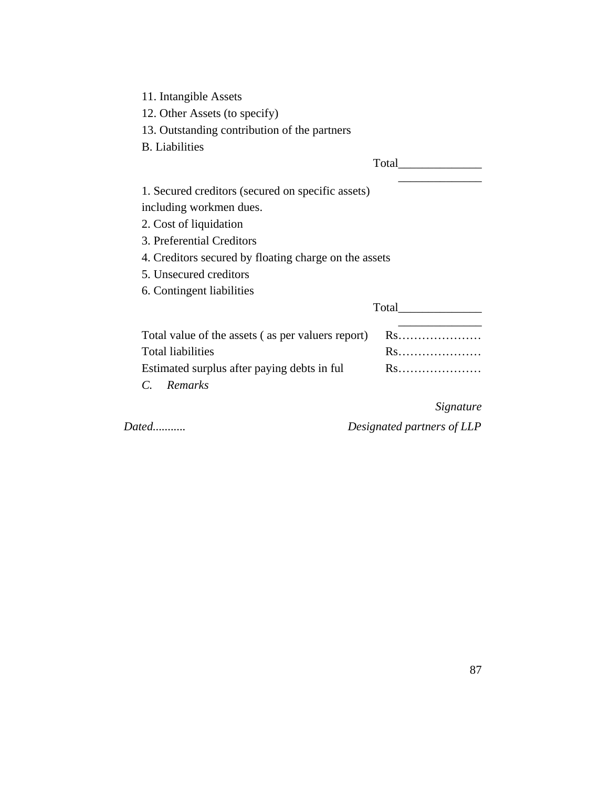11. Intangible Assets

12. Other Assets (to specify)

13. Outstanding contribution of the partners

B. Liabilities

|                                                       | Total        |
|-------------------------------------------------------|--------------|
| 1. Secured creditors (secured on specific assets)     |              |
| including workmen dues.                               |              |
| 2. Cost of liquidation                                |              |
| 3. Preferential Creditors                             |              |
| 4. Creditors secured by floating charge on the assets |              |
| 5. Unsecured creditors                                |              |
| 6. Contingent liabilities                             |              |
|                                                       | <b>Total</b> |
| Total value of the assets (as per valuers report)     | Rs           |
| <b>Total liabilities</b>                              | Rs           |
| Estimated surplus after paying debts in ful           | Rs           |
| Remarks                                               |              |

*Signature*

*Dated........... Designated partners of LLP*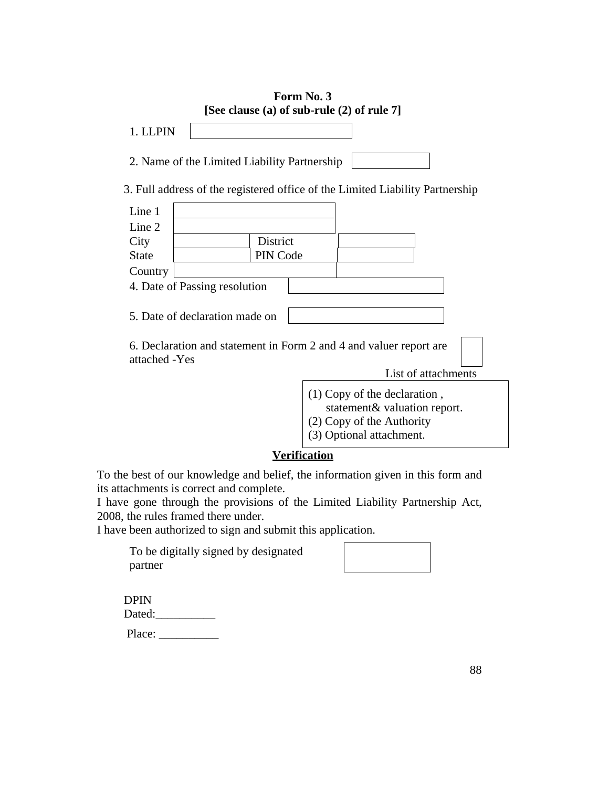|               |                                |                                              | Form No. 3<br>[See clause (a) of sub-rule (2) of rule 7]                                    |
|---------------|--------------------------------|----------------------------------------------|---------------------------------------------------------------------------------------------|
| 1. LLPIN      |                                |                                              |                                                                                             |
|               |                                | 2. Name of the Limited Liability Partnership |                                                                                             |
|               |                                |                                              | 3. Full address of the registered office of the Limited Liability Partnership               |
| Line 1        |                                |                                              |                                                                                             |
| Line 2        |                                |                                              |                                                                                             |
| City          |                                | District                                     |                                                                                             |
| State         |                                | PIN Code                                     |                                                                                             |
| Country       |                                |                                              |                                                                                             |
|               | 4. Date of Passing resolution  |                                              |                                                                                             |
|               | 5. Date of declaration made on |                                              |                                                                                             |
| attached -Yes |                                |                                              | 6. Declaration and statement in Form 2 and 4 and valuer report are                          |
|               |                                |                                              | List of attachments                                                                         |
|               |                                |                                              | $(1)$ Copy of the declaration,<br>statement& valuation report.<br>(2) Copy of the Authority |

(3) Optional attachment.

## **Verification**

To the best of our knowledge and belief, the information given in this form and its attachments is correct and complete.

I have gone through the provisions of the Limited Liability Partnership Act, 2008, the rules framed there under.

I have been authorized to sign and submit this application.

To be digitally signed by designated partner

| DPIN   |  |
|--------|--|
| Dated: |  |
| Place: |  |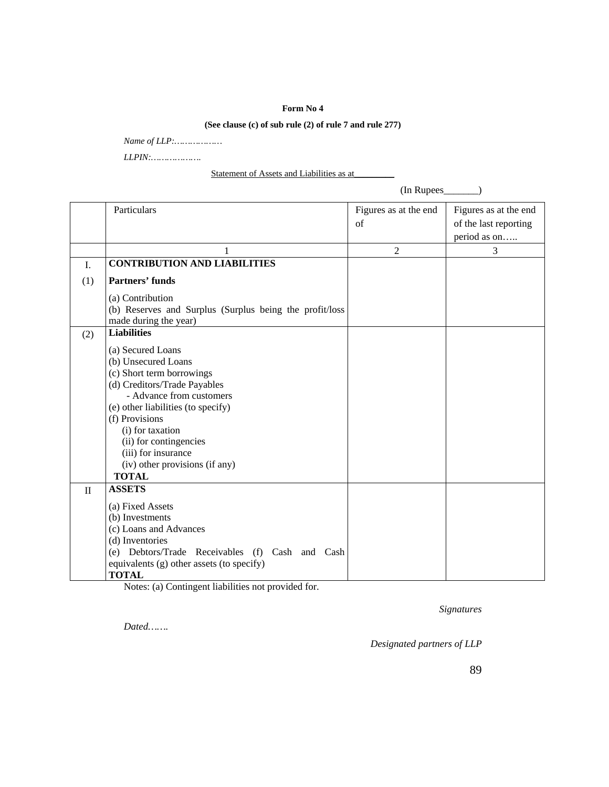#### **Form No 4**

#### **(See clause (c) of sub rule (2) of rule 7 and rule 277)**

*Name of LLP:………………* 

*LLPIN:……………….*

Statement of Assets and Liabilities as at

Particulars Figures as at the end of Figures as at the end of the last reporting period as on….. 1 2 3 I. **CONTRIBUTION AND LIABILITIES** (1) **Partners' funds**  (a) Contribution (b) Reserves and Surplus (Surplus being the profit/loss made during the year) (2) **Liabilities** (a) Secured Loans (b) Unsecured Loans (c) Short term borrowings (d) Creditors/Trade Payables - Advance from customers (e) other liabilities (to specify) (f) Provisions (i) for taxation (ii) for contingencies (iii) for insurance (iv) other provisions (if any) **TOTAL**  II **ASSETS** (a) Fixed Assets (b) Investments (c) Loans and Advances (d) Inventories (e) Debtors/Trade Receivables (f) Cash and Cash equivalents (g) other assets (to specify)

**TOTAL**

Notes: (a) Contingent liabilities not provided for.

*Signatures*

(In Rupees\_\_\_\_\_\_\_)

*Dated…….*

*Designated partners of LLP*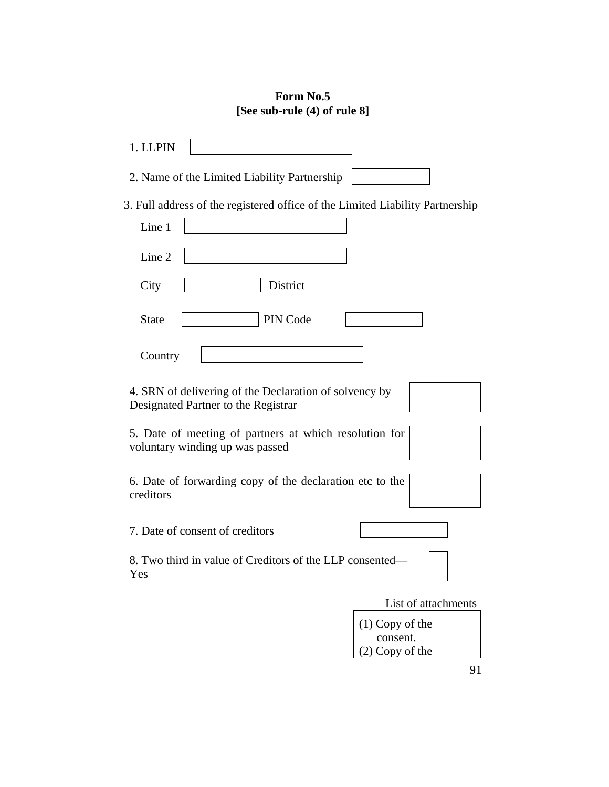## **Form No.5 [See sub-rule (4) of rule 8]**

| 1. LLPIN                                                                                      |
|-----------------------------------------------------------------------------------------------|
| 2. Name of the Limited Liability Partnership                                                  |
| 3. Full address of the registered office of the Limited Liability Partnership                 |
| Line 1                                                                                        |
| Line 2                                                                                        |
| District<br>City                                                                              |
| PIN Code<br><b>State</b>                                                                      |
| Country                                                                                       |
| 4. SRN of delivering of the Declaration of solvency by<br>Designated Partner to the Registrar |
| 5. Date of meeting of partners at which resolution for<br>voluntary winding up was passed     |
| 6. Date of forwarding copy of the declaration etc to the<br>creditors                         |
| 7. Date of consent of creditors                                                               |
| 8. Two third in value of Creditors of the LLP consented—<br>Yes                               |
| List of attachments                                                                           |
| $(1)$ Copy of the                                                                             |
| consent.<br>(2) Copy of the                                                                   |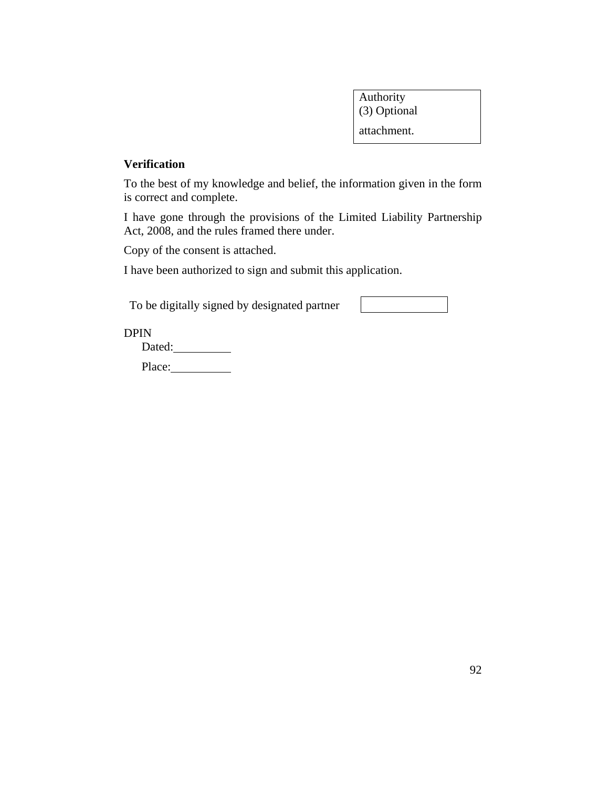Authority (3) Optional attachment.

#### **Verification**

To the best of my knowledge and belief, the information given in the form is correct and complete.

I have gone through the provisions of the Limited Liability Partnership Act, 2008, and the rules framed there under.

Copy of the consent is attached.

I have been authorized to sign and submit this application.

To be digitally signed by designated partner

DPIN

Dated:

Place: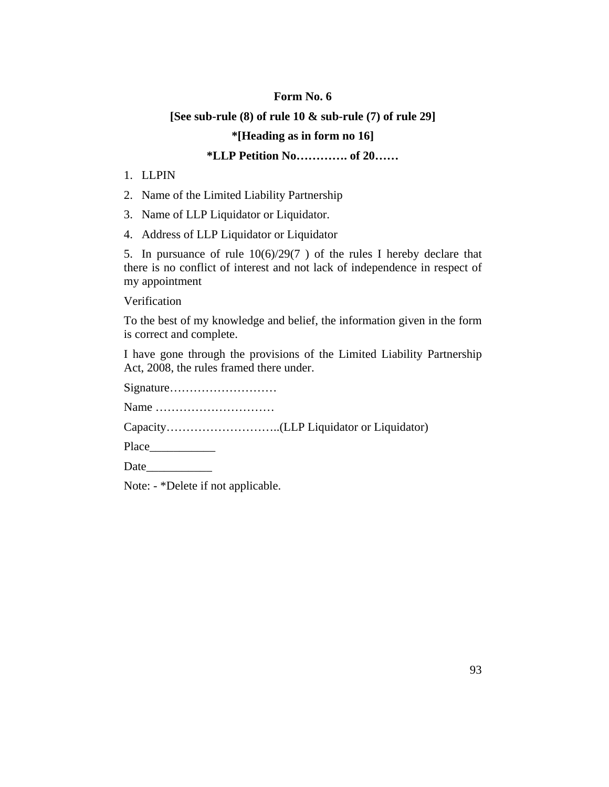#### **Form No. 6**

#### **[See sub-rule (8) of rule 10 & sub-rule (7) of rule 29]**

#### **\*[Heading as in form no 16]**

### **\*LLP Petition No…………. of 20……**

- 1. LLPIN
- 2. Name of the Limited Liability Partnership
- 3. Name of LLP Liquidator or Liquidator.
- 4. Address of LLP Liquidator or Liquidator

5. In pursuance of rule  $10(6)/29(7)$  of the rules I hereby declare that there is no conflict of interest and not lack of independence in respect of my appointment

Verification

To the best of my knowledge and belief, the information given in the form is correct and complete.

I have gone through the provisions of the Limited Liability Partnership Act, 2008, the rules framed there under.

Signature………………………

Name …………………………

Capacity………………………..(LLP Liquidator or Liquidator)

Place\_\_\_\_\_\_\_\_\_\_\_

Date

Note: - \*Delete if not applicable.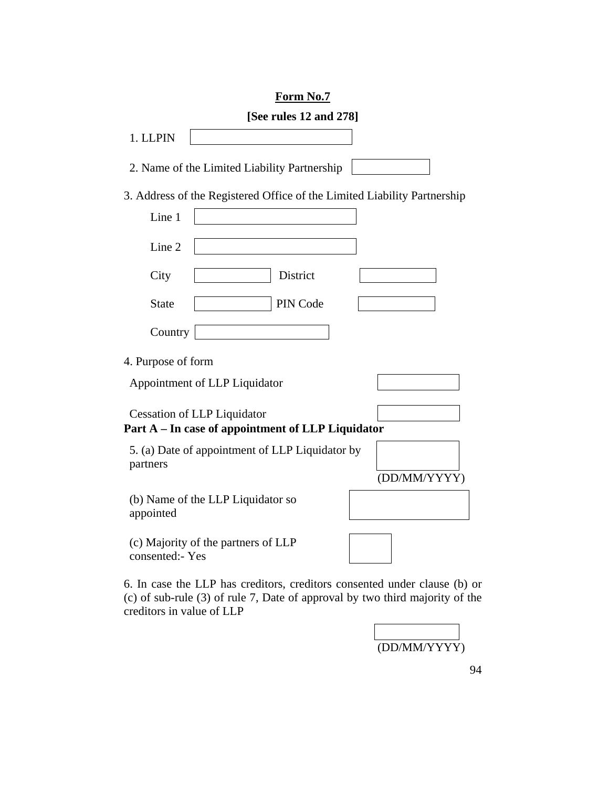## **Form No.7**

|                    | [See rules 12 and 278]                                                                  |  |
|--------------------|-----------------------------------------------------------------------------------------|--|
| 1. LLPIN           |                                                                                         |  |
|                    | 2. Name of the Limited Liability Partnership                                            |  |
|                    | 3. Address of the Registered Office of the Limited Liability Partnership                |  |
| Line 1             |                                                                                         |  |
| Line 2             |                                                                                         |  |
| City               | District                                                                                |  |
| <b>State</b>       | PIN Code                                                                                |  |
| Country            |                                                                                         |  |
| 4. Purpose of form |                                                                                         |  |
|                    | Appointment of LLP Liquidator                                                           |  |
|                    | <b>Cessation of LLP Liquidator</b><br>Part A - In case of appointment of LLP Liquidator |  |
| partners           | 5. (a) Date of appointment of LLP Liquidator by<br>(DD/MM/YYYY)                         |  |
| appointed          | (b) Name of the LLP Liquidator so                                                       |  |
| consented:- Yes    | (c) Majority of the partners of LLP                                                     |  |

6. In case the LLP has creditors, creditors consented under clause (b) or (c) of sub-rule (3) of rule 7, Date of approval by two third majority of the creditors in value of LLP

(DD/MM/YYYY)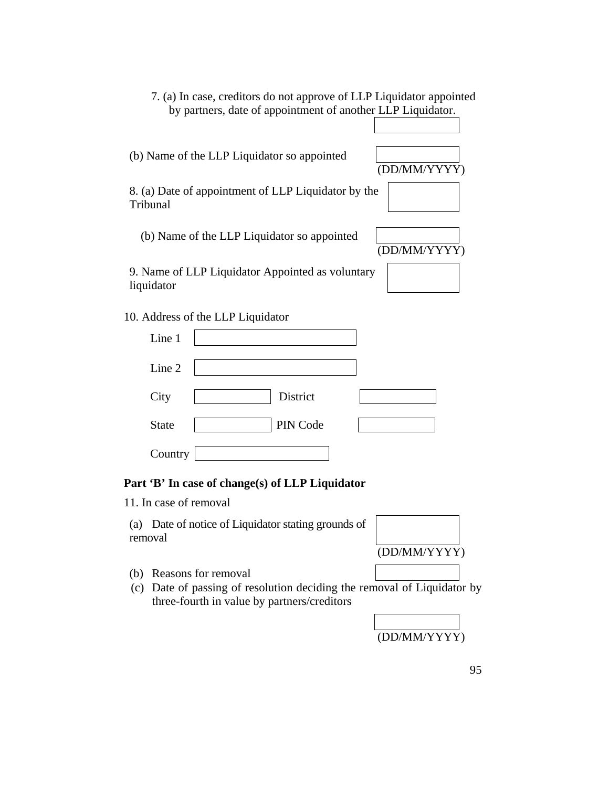7. (a) In case, creditors do not approve of LLP Liquidator appointed by partners, date of appointment of another LLP Liquidator.

(b) Name of the LLP Liquidator so appointed

(DD/MM/YYYY)

8. (a) Date of appointment of LLP Liquidator by the Tribunal

| (b) Name of the LLP Liquidator so appointed |              |
|---------------------------------------------|--------------|
|                                             | (DD/MM/YYYY) |

9. Name of LLP Liquidator Appointed as voluntary liquidator

10. Address of the LLP Liquidator

| Line 1       |          |  |
|--------------|----------|--|
| Line 2       |          |  |
| City         | District |  |
| <b>State</b> | PIN Code |  |
| Country      |          |  |

### **Part 'B' In case of change(s) of LLP Liquidator**

11. In case of removal

(a) Date of notice of Liquidator stating grounds of removal



- (b) Reasons for removal
- (c) Date of passing of resolution deciding the removal of Liquidator by three-fourth in value by partners/creditors

(DD/MM/YYYY)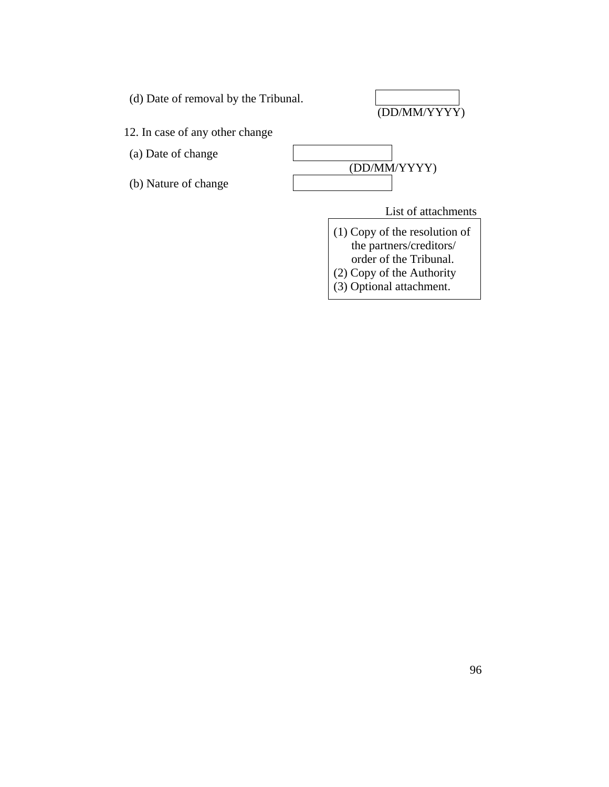

(DD/MM/YYYY)

12. In case of any other change

(a) Date of change

(b) Nature of change



List of attachments

(1) Copy of the resolution of the partners/creditors/

order of the Tribunal.

(2) Copy of the Authority

(3) Optional attachment.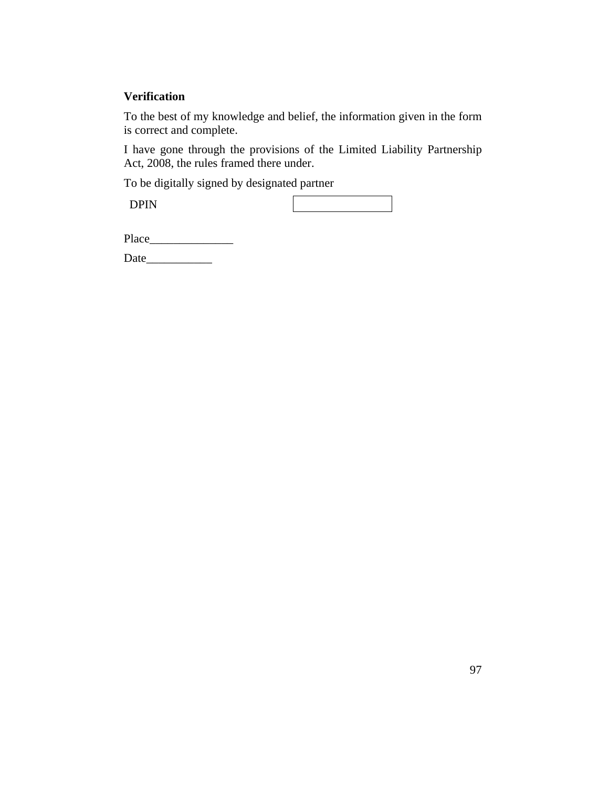### **Verification**

To the best of my knowledge and belief, the information given in the form is correct and complete.

I have gone through the provisions of the Limited Liability Partnership Act, 2008, the rules framed there under.

To be digitally signed by designated partner

DPIN

Date\_\_\_\_\_\_\_\_\_\_\_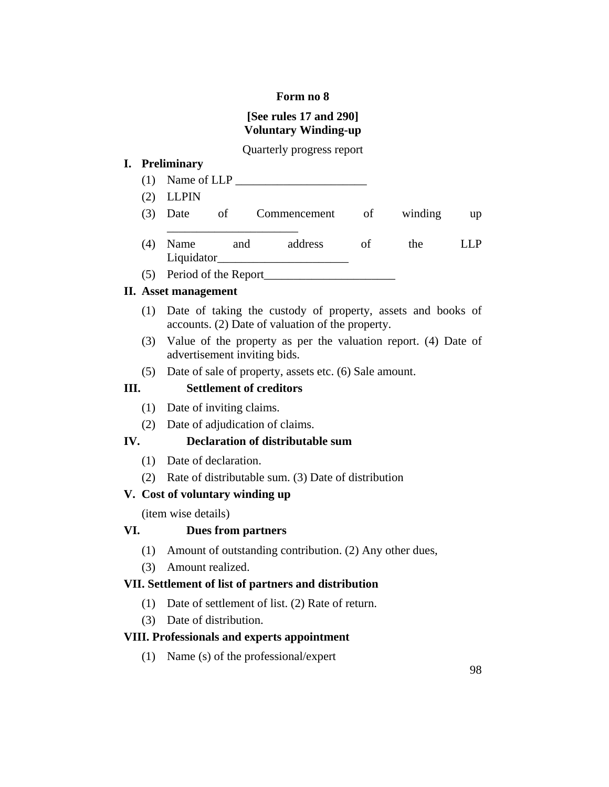#### **Form no 8**

## **[See rules 17 and 290] Voluntary Winding-up**

### Quarterly progress report

## **I. Preliminary**

- (1) Name of LLP \_\_\_\_\_\_\_\_\_\_\_\_\_\_\_\_\_\_\_\_\_\_
- (2) LLPIN
- (3) Date of Commencement of winding up \_\_\_\_\_\_\_\_\_\_\_\_\_\_\_\_\_\_\_\_\_\_ (4) Name and address of the LLP Liquidator
- $(5)$  Period of the Report

### **II. Asset management**

- (1) Date of taking the custody of property, assets and books of accounts. (2) Date of valuation of the property.
- (3) Value of the property as per the valuation report. (4) Date of advertisement inviting bids.
- (5) Date of sale of property, assets etc. (6) Sale amount.

### **III. Settlement of creditors**

- (1) Date of inviting claims.
- (2) Date of adjudication of claims.

### **IV. Declaration of distributable sum**

- (1) Date of declaration.
- (2) Rate of distributable sum. (3) Date of distribution

### **V. Cost of voluntary winding up**

(item wise details)

### **VI. Dues from partners**

- (1) Amount of outstanding contribution. (2) Any other dues,
- (3) Amount realized.

### **VII. Settlement of list of partners and distribution**

- (1) Date of settlement of list. (2) Rate of return.
- (3) Date of distribution.

### **VIII. Professionals and experts appointment**

(1) Name (s) of the professional/expert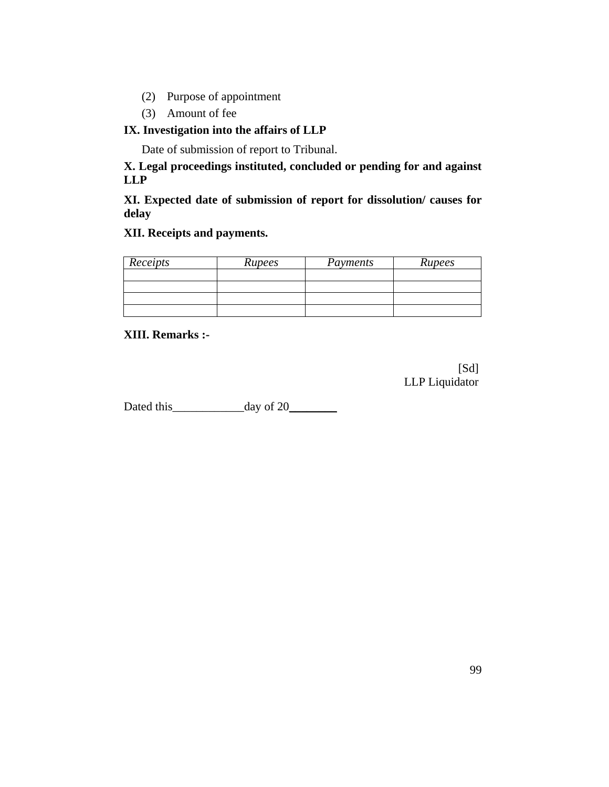- (2) Purpose of appointment
- (3) Amount of fee

### **IX. Investigation into the affairs of LLP**

Date of submission of report to Tribunal.

**X. Legal proceedings instituted, concluded or pending for and against LLP**

**XI. Expected date of submission of report for dissolution/ causes for delay**

### **XII. Receipts and payments.**

| Receipts | Rupees | Payments | Rupees |
|----------|--------|----------|--------|
|          |        |          |        |
|          |        |          |        |
|          |        |          |        |
|          |        |          |        |

#### **XIII. Remarks :-**

[Sd] LLP Liquidator

Dated this\_\_\_\_\_\_\_\_\_\_\_\_day of 20\_\_\_\_\_\_\_\_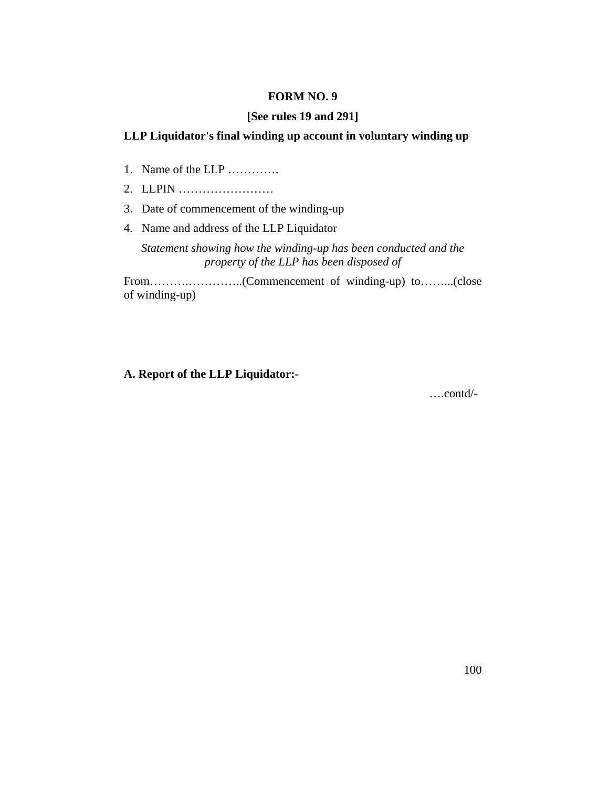#### **FORM NO. 9**

#### **[See rules 19 and 291]**

### **LLP Liquidator's final winding up account in voluntary winding up**

- 1. Name of the LLP ………….
- 2. LLPIN ……………………
- 3. Date of commencement of the winding-up
- 4. Name and address of the LLP Liquidator

*Statement showing how the winding-up has been conducted and the property of the LLP has been disposed of*

From……….…………..(Commencement of winding-up) to……...(close of winding-up)

### **A. Report of the LLP Liquidator:-**

….contd/-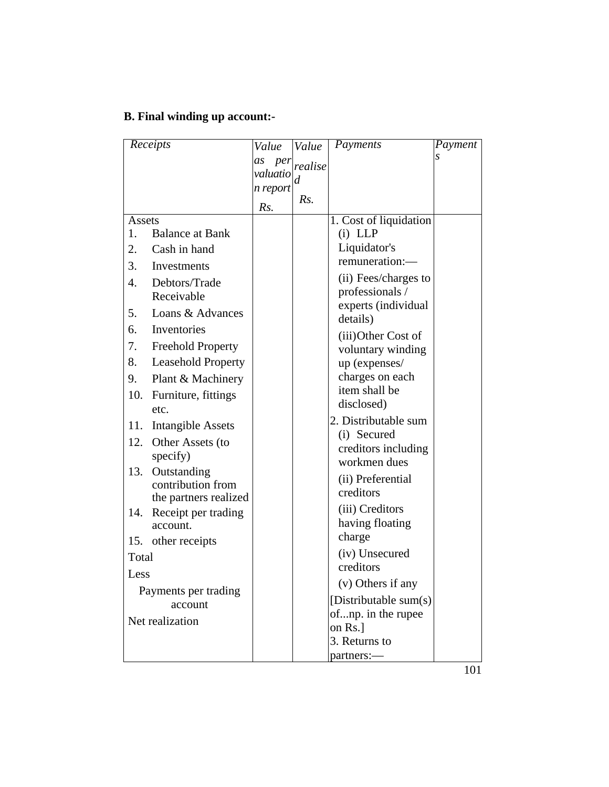# **B. Final winding up account:-**

| Receipts                               | Value                 | Value   | Payments                            | Payment |
|----------------------------------------|-----------------------|---------|-------------------------------------|---------|
|                                        | as<br>per<br>valuatio | realise |                                     |         |
|                                        | n report              | d       |                                     |         |
|                                        | Rs.                   | Rs.     |                                     |         |
| Assets                                 |                       |         | 1. Cost of liquidation              |         |
| <b>Balance at Bank</b><br>1.           |                       |         | $(i)$ LLP                           |         |
| Cash in hand<br>2.                     |                       |         | Liquidator's                        |         |
| 3.<br>Investments                      |                       |         | remuneration:-                      |         |
| Debtors/Trade<br>4.                    |                       |         | (ii) Fees/charges to                |         |
| Receivable                             |                       |         | professionals /                     |         |
| Loans & Advances<br>5.                 |                       |         | experts (individual<br>details)     |         |
| Inventories<br>6.                      |                       |         | (iii) Other Cost of                 |         |
| 7.<br><b>Freehold Property</b>         |                       |         | voluntary winding                   |         |
| 8.<br><b>Leasehold Property</b>        |                       |         | up (expenses/                       |         |
| Plant & Machinery<br>9.                |                       |         | charges on each                     |         |
| Furniture, fittings<br>10.             |                       |         | item shall be                       |         |
| etc.                                   |                       |         | disclosed)                          |         |
| 11.<br>Intangible Assets               |                       |         | 2. Distributable sum                |         |
| 12.<br>Other Assets (to                |                       |         | (i) Secured                         |         |
| specify)                               |                       |         | creditors including<br>workmen dues |         |
| Outstanding<br>13.                     |                       |         |                                     |         |
| contribution from                      |                       |         | (ii) Preferential<br>creditors      |         |
| the partners realized                  |                       |         | (iii) Creditors                     |         |
| 14.<br>Receipt per trading<br>account. |                       |         | having floating                     |         |
| 15. other receipts                     |                       |         | charge                              |         |
| Total                                  |                       |         | (iv) Unsecured                      |         |
|                                        |                       |         | creditors                           |         |
| Less                                   |                       |         | (v) Others if any                   |         |
| Payments per trading<br>account        |                       |         | [Distributable sum $(s)$ ]          |         |
| Net realization                        |                       |         | ofnp. in the rupee                  |         |
|                                        |                       |         | on Rs.                              |         |
|                                        |                       |         | 3. Returns to                       |         |
|                                        |                       |         | partners:-                          |         |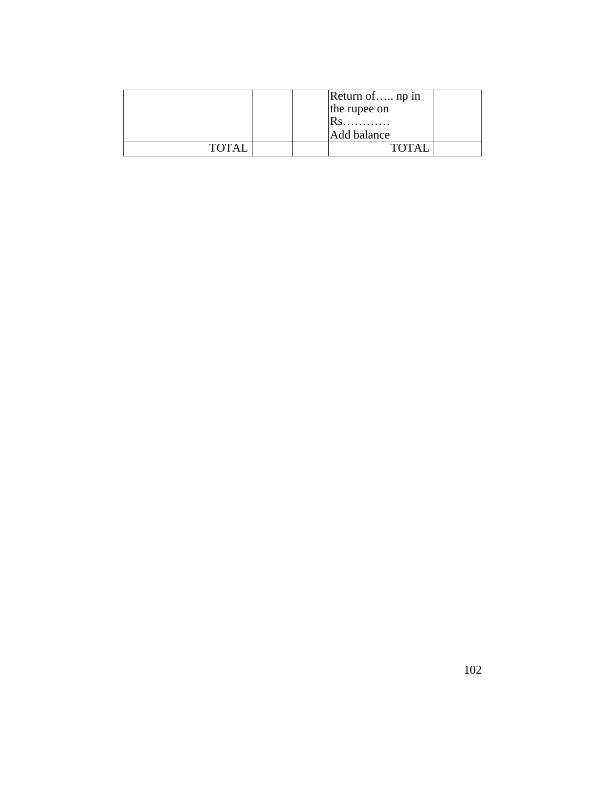|              |  | Return of np in<br>the rupee on<br>$RS$<br>Add balance |  |
|--------------|--|--------------------------------------------------------|--|
| <b>TOTAI</b> |  |                                                        |  |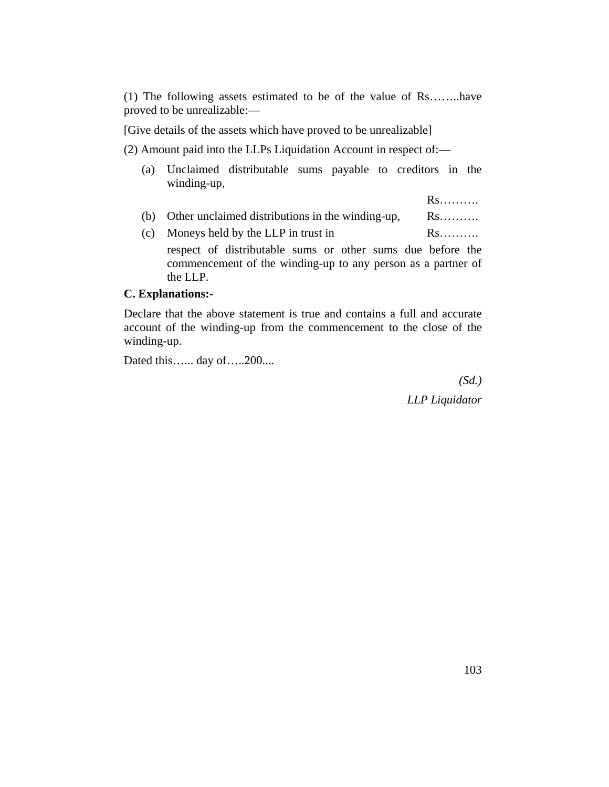(1) The following assets estimated to be of the value of Rs……..have proved to be unrealizable:—

[Give details of the assets which have proved to be unrealizable]

(2) Amount paid into the LLPs Liquidation Account in respect of:—

- (a) Unclaimed distributable sums payable to creditors in the winding-up,
	- Rs……….
- (b) Other unclaimed distributions in the winding-up, Rs……….
- (c) Moneys held by the LLP in trust in  $\mathbb{R}$ s………. respect of distributable sums or other sums due before the commencement of the winding-up to any person as a partner of the LLP.

#### **C. Explanations:-**

Declare that the above statement is true and contains a full and accurate account of the winding-up from the commencement to the close of the winding-up.

Dated this…... day of…..200....

*(Sd.) LLP Liquidator*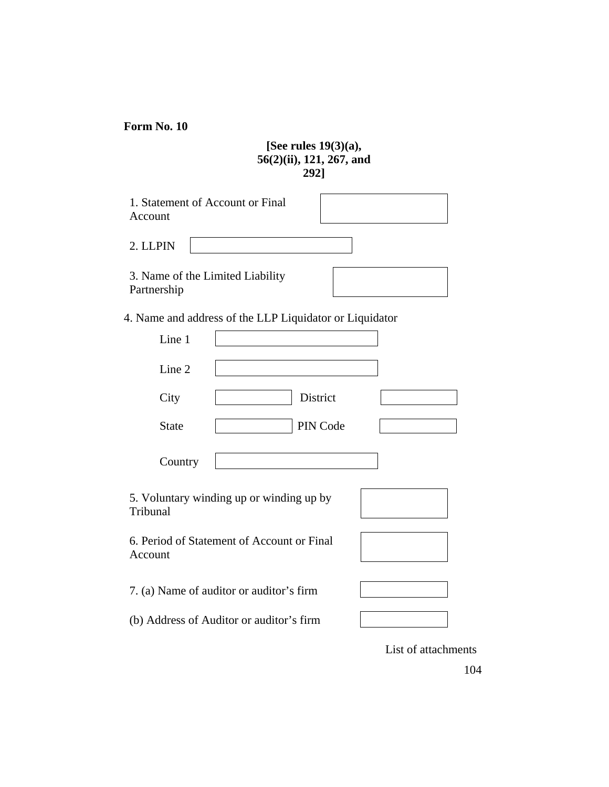**Form No. 10**

### **[See rules 19(3)(a), 56(2)(ii), 121, 267, and 292]**

| 1. Statement of Account or Final<br>Account             |
|---------------------------------------------------------|
| 2. LLPIN                                                |
| 3. Name of the Limited Liability<br>Partnership         |
| 4. Name and address of the LLP Liquidator or Liquidator |
| Line 1                                                  |
| Line 2                                                  |
| District<br>City                                        |
| PIN Code<br><b>State</b>                                |
| Country                                                 |
| 5. Voluntary winding up or winding up by<br>Tribunal    |
| 6. Period of Statement of Account or Final<br>Account   |
| 7. (a) Name of auditor or auditor's firm                |
| (b) Address of Auditor or auditor's firm                |
| List of attachments                                     |

 $104$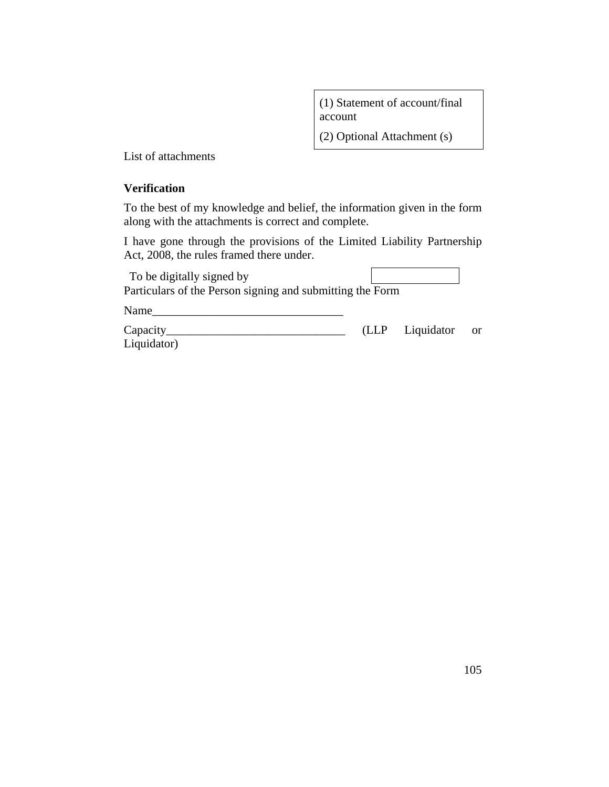(1) Statement of account/final account

(2) Optional Attachment (s)

List of attachments

#### **Verification**

To the best of my knowledge and belief, the information given in the form along with the attachments is correct and complete.

I have gone through the provisions of the Limited Liability Partnership Act, 2008, the rules framed there under.

| To be digitally signed by<br>Particulars of the Person signing and submitting the Form |                 |    |
|----------------------------------------------------------------------------------------|-----------------|----|
| Name                                                                                   |                 |    |
| $Capacity_$<br>Liquidator)                                                             | (LLP Liquidator | or |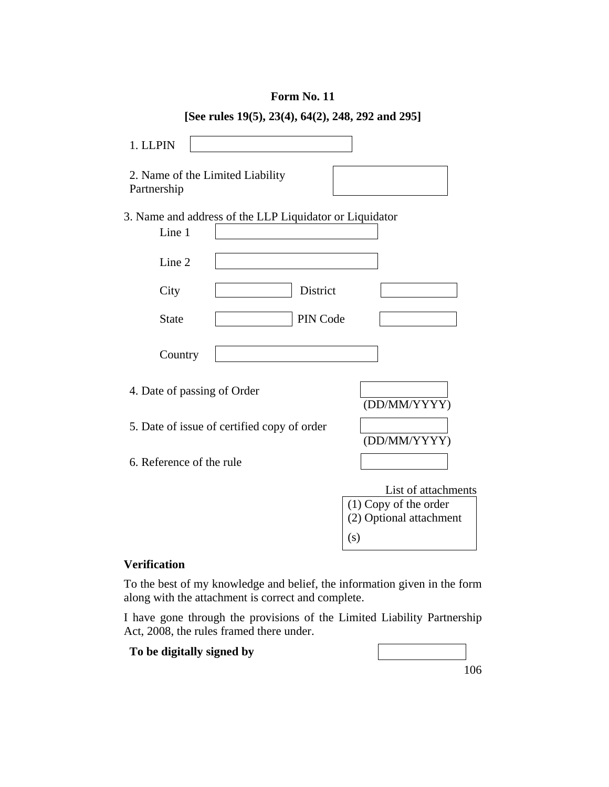|                                                                   | [See rules 19(5), 23(4), 64(2), 248, 292 and 295] |          |                                                                                  |
|-------------------------------------------------------------------|---------------------------------------------------|----------|----------------------------------------------------------------------------------|
| 1. LLPIN                                                          |                                                   |          |                                                                                  |
| 2. Name of the Limited Liability<br>Partnership                   |                                                   |          |                                                                                  |
| 3. Name and address of the LLP Liquidator or Liquidator<br>Line 1 |                                                   |          |                                                                                  |
| Line 2                                                            |                                                   |          |                                                                                  |
| City                                                              |                                                   | District |                                                                                  |
| <b>State</b>                                                      |                                                   | PIN Code |                                                                                  |
| Country                                                           |                                                   |          |                                                                                  |
| 4. Date of passing of Order                                       |                                                   |          | (DD/MM/YYYY)                                                                     |
|                                                                   | 5. Date of issue of certified copy of order       |          | (DD/MM/YYYY)                                                                     |
| 6. Reference of the rule                                          |                                                   |          |                                                                                  |
|                                                                   |                                                   |          | List of attachments<br>$(1)$ Copy of the order<br>(2) Optional attachment<br>(s) |

#### **Form No. 11**

**[See rules 19(5), 23(4), 64(2), 248, 292 and 295]** 

#### **Verification**

To the best of my knowledge and belief, the information given in the form along with the attachment is correct and complete.

I have gone through the provisions of the Limited Liability Partnership Act, 2008, the rules framed there under.

**To be digitally signed by**

|  | 106 |
|--|-----|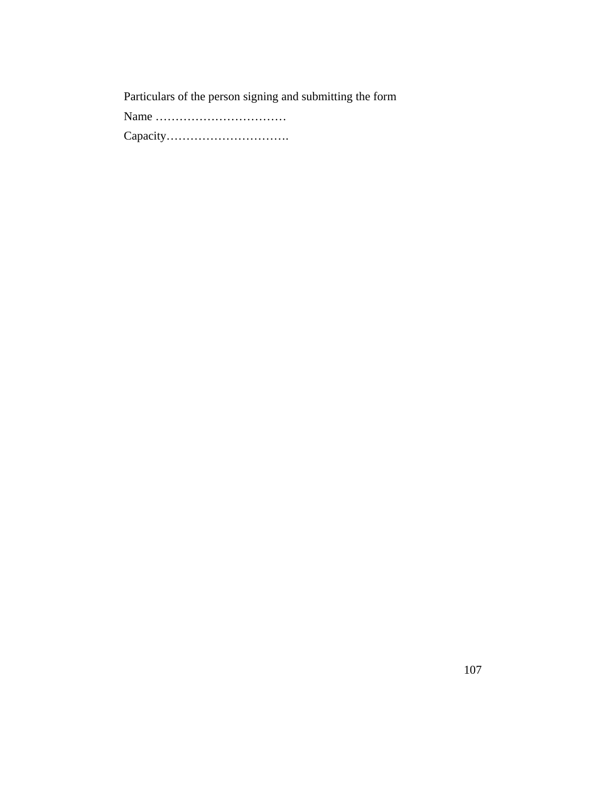Particulars of the person signing and submitting the form

Name ……………………………

Capacity………………………….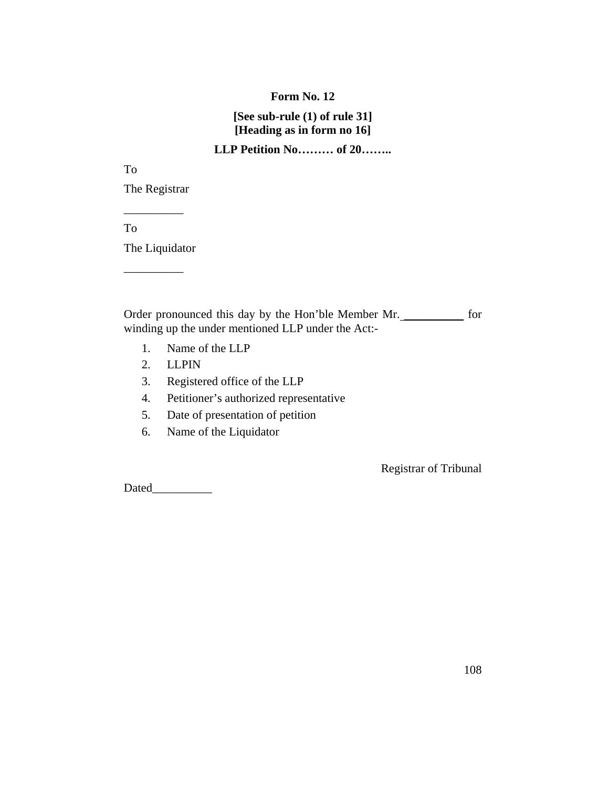#### **Form No. 12**

## **[See sub-rule (1) of rule 31] [Heading as in form no 16]**

## **LLP Petition No……… of 20……..**

To

The Registrar  $\overline{\phantom{a}}$ 

To

The Liquidator

\_\_\_\_\_\_\_\_\_\_

Order pronounced this day by the Hon'ble Member Mr. \_\_\_\_\_\_\_\_\_\_ for winding up the under mentioned LLP under the Act:-

- 1. Name of the LLP
- 2. LLPIN
- 3. Registered office of the LLP
- 4. Petitioner's authorized representative
- 5. Date of presentation of petition
- 6. Name of the Liquidator

Registrar of Tribunal

Dated\_\_\_\_\_\_\_\_\_\_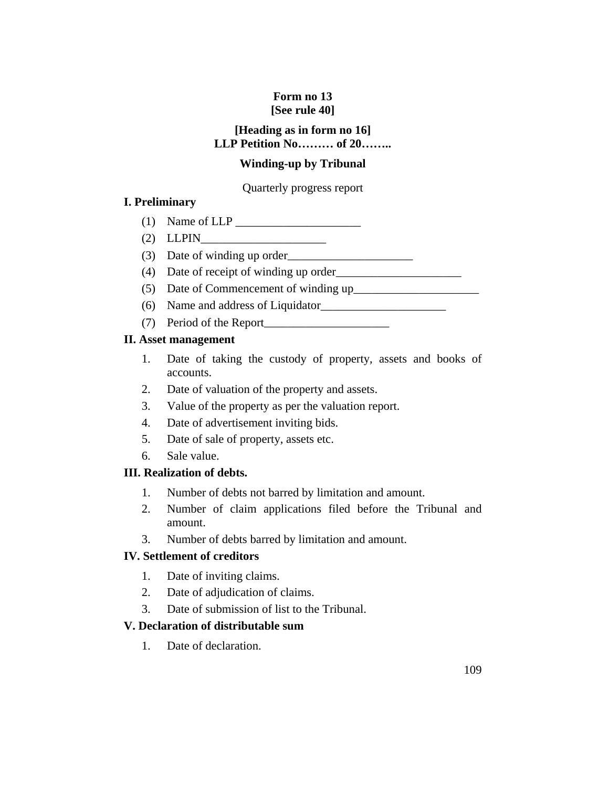# **Form no 13 [See rule 40]**

# **[Heading as in form no 16] LLP Petition No……… of 20……..**

# **Winding-up by Tribunal**

# Quarterly progress report

# **I. Preliminary**

- (1) Name of  $LLP$
- (2) LLPIN\_\_\_\_\_\_\_\_\_\_\_\_\_\_\_\_\_\_\_\_\_
- (3) Date of winding up order\_\_\_\_\_\_\_\_\_\_\_\_\_\_\_\_\_\_\_\_\_
- (4) Date of receipt of winding up order\_\_\_\_\_\_\_\_\_\_\_\_\_\_\_\_\_\_\_\_\_
- (5) Date of Commencement of winding up\_\_\_\_\_\_\_\_\_\_\_\_\_\_\_\_\_\_\_\_\_
- (6) Name and address of Liquidator\_\_\_\_\_\_\_\_\_\_\_\_\_\_\_\_\_\_\_\_\_
- (7) Period of the Report\_\_\_\_\_\_\_\_\_\_\_\_\_\_\_\_\_\_\_\_\_

# **II. Asset management**

- 1. Date of taking the custody of property, assets and books of accounts.
- 2. Date of valuation of the property and assets.
- 3. Value of the property as per the valuation report.
- 4. Date of advertisement inviting bids.
- 5. Date of sale of property, assets etc.
- 6. Sale value.

# **III. Realization of debts.**

- 1. Number of debts not barred by limitation and amount.
- 2. Number of claim applications filed before the Tribunal and amount.
- 3. Number of debts barred by limitation and amount.

# **IV. Settlement of creditors**

- 1. Date of inviting claims.
- 2. Date of adjudication of claims.
- 3. Date of submission of list to the Tribunal.

# **V. Declaration of distributable sum**

1. Date of declaration.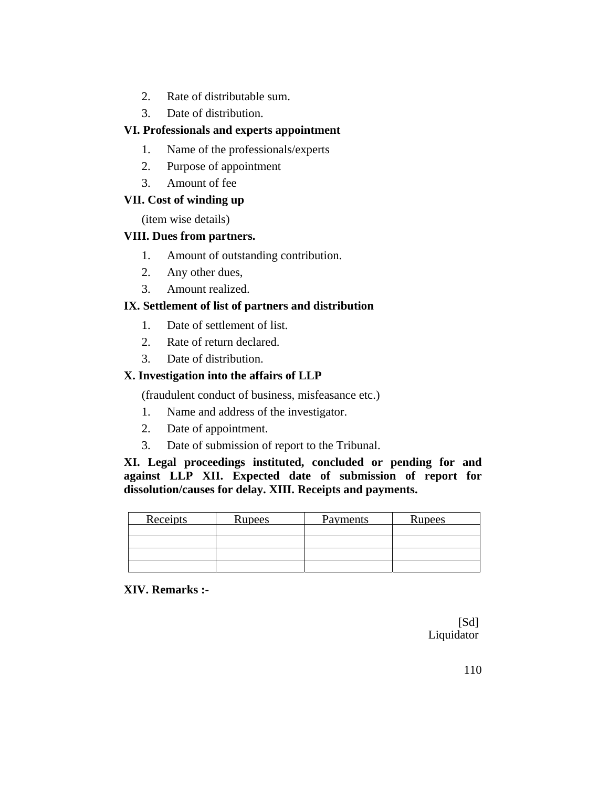- 2. Rate of distributable sum.
- 3. Date of distribution.

# **VI. Professionals and experts appointment**

- 1. Name of the professionals/experts
- 2. Purpose of appointment
- 3. Amount of fee

# **VII. Cost of winding up**

(item wise details)

# **VIII. Dues from partners.**

- 1. Amount of outstanding contribution.
- 2. Any other dues,
- 3. Amount realized.

# **IX. Settlement of list of partners and distribution**

- 1. Date of settlement of list.
- 2. Rate of return declared.
- 3. Date of distribution.

# **X. Investigation into the affairs of LLP**

(fraudulent conduct of business, misfeasance etc.)

- 1. Name and address of the investigator.
- 2. Date of appointment.
- 3. Date of submission of report to the Tribunal.

**XI. Legal proceedings instituted, concluded or pending for and against LLP XII. Expected date of submission of report for dissolution/causes for delay. XIII. Receipts and payments.**

| <b>Receipts</b> | <b>Rupees</b> | Payments | Rupees |
|-----------------|---------------|----------|--------|
|                 |               |          |        |
|                 |               |          |        |
|                 |               |          |        |
|                 |               |          |        |

# **XIV. Remarks :-**

[Sd] Liquidator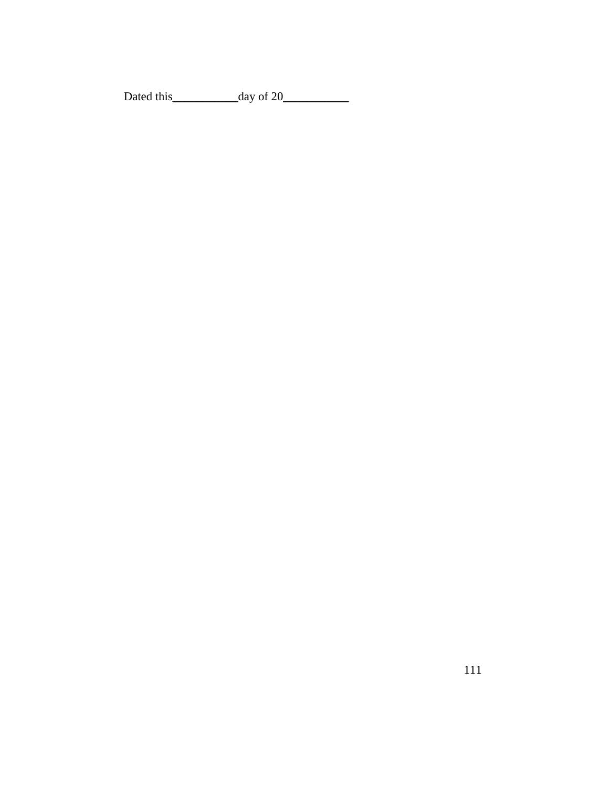Dated this\_\_\_\_\_\_\_\_\_\_\_day of 20\_\_\_\_\_\_\_\_\_\_\_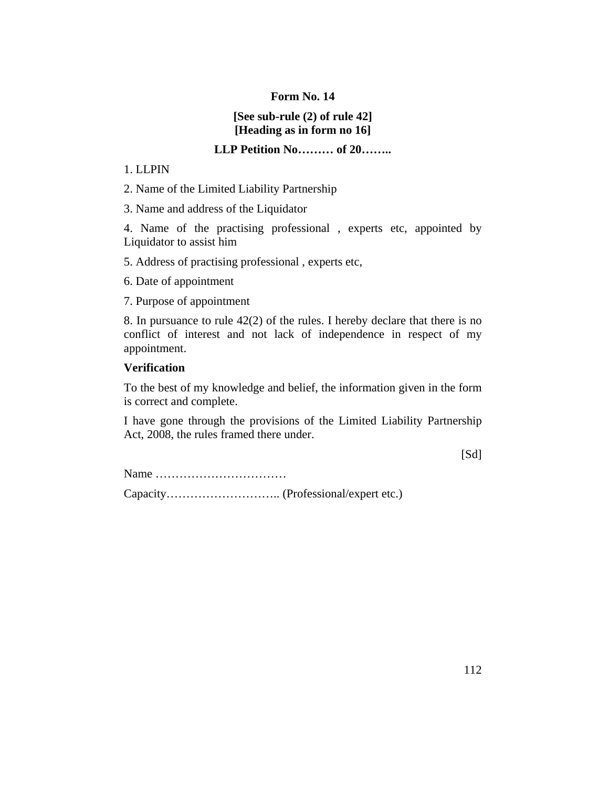# **[See sub-rule (2) of rule 42] [Heading as in form no 16]**

# **LLP Petition No……… of 20……..**

#### 1. LLPIN

2. Name of the Limited Liability Partnership

3. Name and address of the Liquidator

4. Name of the practising professional , experts etc, appointed by Liquidator to assist him

5. Address of practising professional , experts etc,

6. Date of appointment

7. Purpose of appointment

8. In pursuance to rule 42(2) of the rules. I hereby declare that there is no conflict of interest and not lack of independence in respect of my appointment.

# **Verification**

To the best of my knowledge and belief, the information given in the form is correct and complete.

I have gone through the provisions of the Limited Liability Partnership Act, 2008, the rules framed there under.

 $[Sd]$ 

Name ……………………………

Capacity……………………….. (Professional/expert etc.)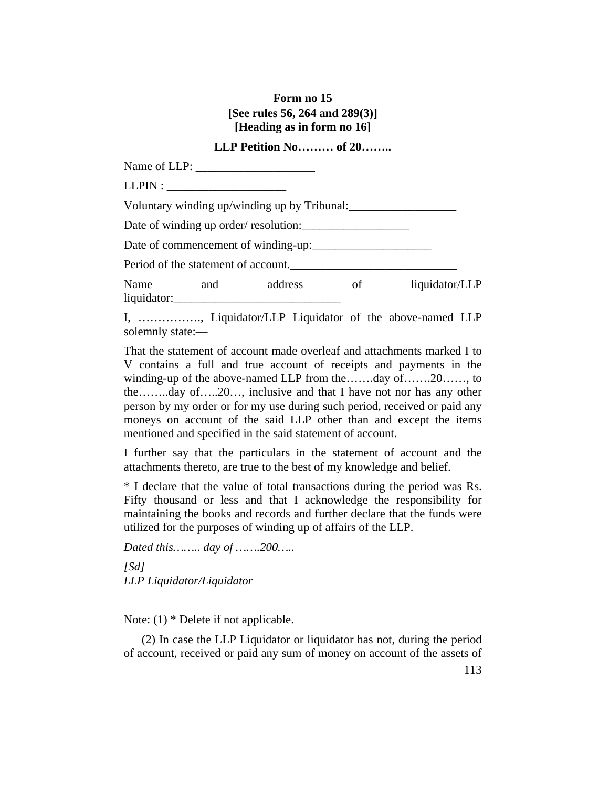# **Form no 15 [See rules 56, 264 and 289(3)] [Heading as in form no 16]**

# **LLP Petition No……… of 20……..**

Name of LLP:  $LLPIN:$ Voluntary winding up/winding up by Tribunal: Date of winding up order/ resolution: Date of commencement of winding-up:\_\_\_\_\_\_\_\_\_\_\_\_\_\_\_\_\_\_\_\_ Period of the statement of account. Name and address of liquidator/LLP liquidator:

I, ……………., Liquidator/LLP Liquidator of the above-named LLP solemnly state:—

That the statement of account made overleaf and attachments marked I to V contains a full and true account of receipts and payments in the winding-up of the above-named LLP from the…….day of…….20……, to the……..day of…..20…, inclusive and that I have not nor has any other person by my order or for my use during such period, received or paid any moneys on account of the said LLP other than and except the items mentioned and specified in the said statement of account.

I further say that the particulars in the statement of account and the attachments thereto, are true to the best of my knowledge and belief.

\* I declare that the value of total transactions during the period was Rs. Fifty thousand or less and that I acknowledge the responsibility for maintaining the books and records and further declare that the funds were utilized for the purposes of winding up of affairs of the LLP.

*Dated this…….. day of …….200….. [Sd] LLP Liquidator/Liquidator*

Note: (1) \* Delete if not applicable.

 (2) In case the LLP Liquidator or liquidator has not, during the period of account, received or paid any sum of money on account of the assets of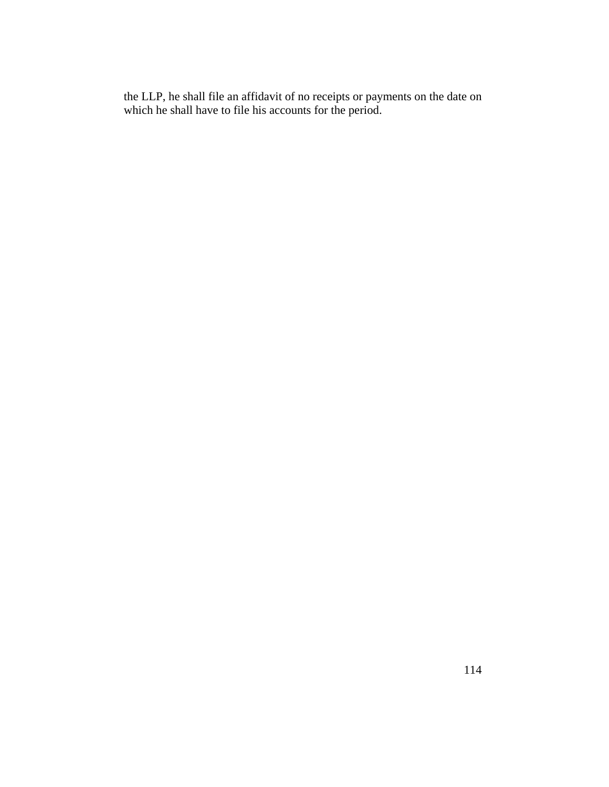the LLP, he shall file an affidavit of no receipts or payments on the date on which he shall have to file his accounts for the period.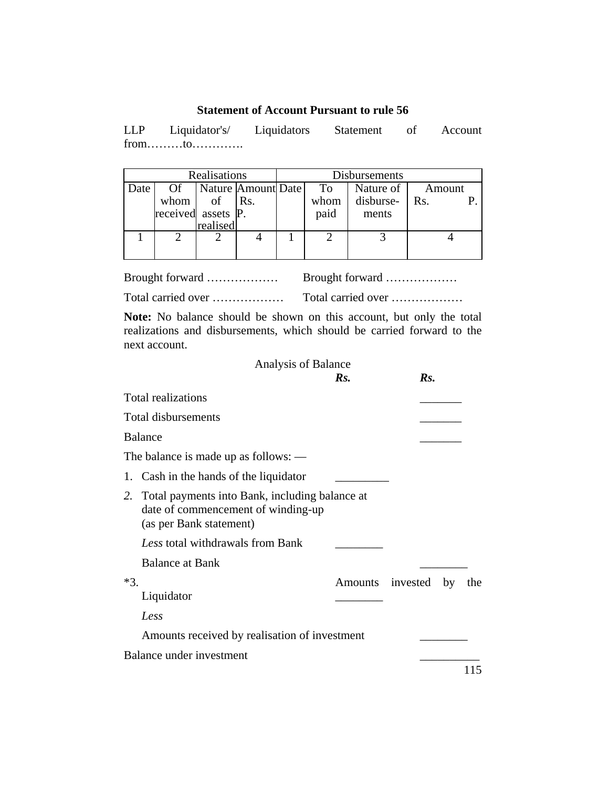# **Statement of Account Pursuant to rule 56**

LLP Liquidator's/ Liquidators Statement of Account from………to………….

| Realisations |                    |          |                    | Disbursements |           |        |
|--------------|--------------------|----------|--------------------|---------------|-----------|--------|
| Date         | Of                 |          | Nature Amount Date | To            | Nature of | Amount |
|              | whom               | of       | Rs.                | whom          | disburse- | Rs.    |
|              | received assets P. |          |                    | paid          | ments     |        |
|              |                    | realised |                    |               |           |        |
|              |                    |          |                    |               |           |        |
|              |                    |          |                    |               |           |        |

| Brought forward    | Brought forward    |
|--------------------|--------------------|
| Total carried over | Total carried over |

**Note:** No balance should be shown on this account, but only the total realizations and disbursements, which should be carried forward to the next account.

# Analysis of Balance<br> $R_S$ .

|       |                                                                                                                    | $\mathbf{R}$ s. | Rs.                 |     |
|-------|--------------------------------------------------------------------------------------------------------------------|-----------------|---------------------|-----|
|       | Total realizations                                                                                                 |                 |                     |     |
|       | Total disbursements                                                                                                |                 |                     |     |
|       | <b>Balance</b>                                                                                                     |                 |                     |     |
|       | The balance is made up as follows: $-$                                                                             |                 |                     |     |
|       | 1. Cash in the hands of the liquidator                                                                             |                 |                     |     |
|       | 2. Total payments into Bank, including balance at<br>date of commencement of winding-up<br>(as per Bank statement) |                 |                     |     |
|       | Less total withdrawals from Bank                                                                                   |                 |                     |     |
|       | <b>Balance at Bank</b>                                                                                             |                 |                     |     |
| $*3.$ | Liquidator<br>Less                                                                                                 |                 | Amounts invested by | the |
|       | Amounts received by realisation of investment                                                                      |                 |                     |     |
|       | Balance under investment                                                                                           |                 |                     |     |
|       |                                                                                                                    |                 |                     | 115 |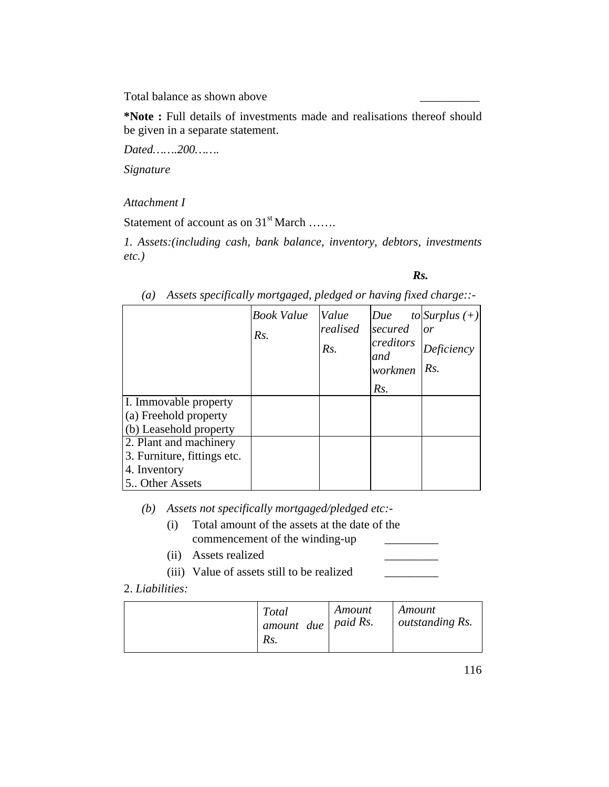Total balance as shown above \_\_\_\_\_\_\_\_\_\_

**\*Note :** Full details of investments made and realisations thereof should be given in a separate statement.

*Dated…….200…….*

*Signature*

# *Attachment I*

Statement of account as on 31<sup>st</sup> March …….

*1. Assets:(including cash, bank balance, inventory, debtors, investments etc.)*

### *Rs.*

|                                                                                          | <b>Book Value</b><br>Rs. | Value<br>realised<br>Rs. | Due<br>secured<br>creditors<br>and<br>workmen<br>Rs. | to Surplus $(+)$<br>or<br>Deficiency<br>Rs. |
|------------------------------------------------------------------------------------------|--------------------------|--------------------------|------------------------------------------------------|---------------------------------------------|
| I. Immovable property<br>(a) Freehold property<br>(b) Leasehold property                 |                          |                          |                                                      |                                             |
| 2. Plant and machinery<br>3. Furniture, fittings etc.<br>4. Inventory<br>5. Other Assets |                          |                          |                                                      |                                             |

*(a) Assets specifically mortgaged, pledged or having fixed charge::-* 

*(b) Assets not specifically mortgaged/pledged etc:-* 

- (i) Total amount of the assets at the date of the commencement of the winding-up
- (ii) Assets realized \_\_\_\_\_\_\_\_\_
- (iii) Value of assets still to be realized \_\_\_\_\_\_\_\_\_

# 2. *Liabilities:*

|  | <b>Total</b><br>$\perp$ amount due   paid Rs.<br>Rs. | Amount | Amount<br>outstanding Rs. |
|--|------------------------------------------------------|--------|---------------------------|
|--|------------------------------------------------------|--------|---------------------------|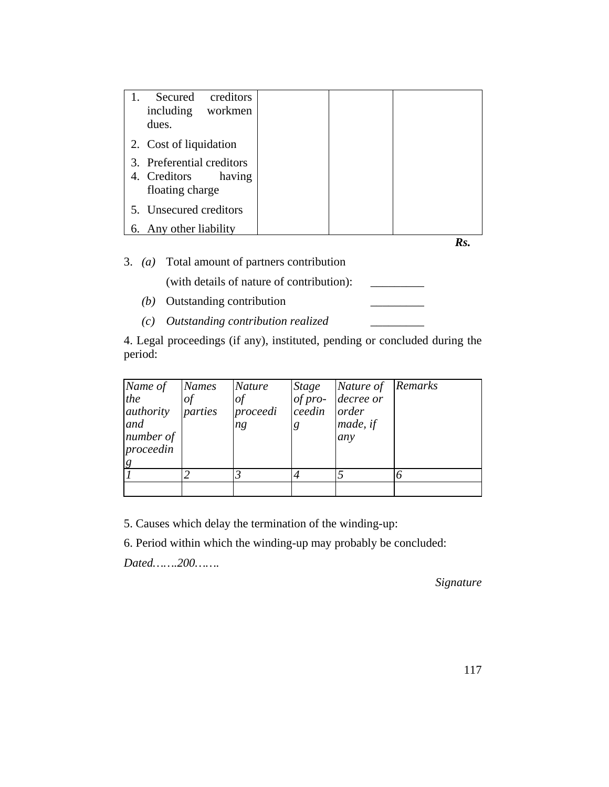| Secured<br>creditors<br>1.<br>including<br>workmen<br>dues.            |  |
|------------------------------------------------------------------------|--|
| 2. Cost of liquidation                                                 |  |
| 3. Preferential creditors<br>4. Creditors<br>having<br>floating charge |  |
| 5. Unsecured creditors                                                 |  |
| 6. Any other liability                                                 |  |
|                                                                        |  |

3. *(a)* Total amount of partners contribution

(with details of nature of contribution): \_\_\_\_\_\_\_\_\_

- *(b)* Outstanding contribution
- *(c) Outstanding contribution realized* \_\_\_\_\_\_\_\_\_

4. Legal proceedings (if any), instituted, pending or concluded during the period:

| Name of<br>the<br>authority<br>and<br>number of<br>proceedin | <b>Names</b><br>$\sigma f$<br>parties | <i>Nature</i><br>of<br>proceedi<br>ng | <i>Stage</i><br>$of pro-$<br>ceedin<br>g | Nature of<br>decree or<br>order<br>made, if<br>any | Remarks |
|--------------------------------------------------------------|---------------------------------------|---------------------------------------|------------------------------------------|----------------------------------------------------|---------|
|                                                              |                                       |                                       |                                          |                                                    |         |
|                                                              |                                       |                                       |                                          |                                                    |         |

5. Causes which delay the termination of the winding-up:

6. Period within which the winding-up may probably be concluded:

*Dated…….200…….*

*Signature*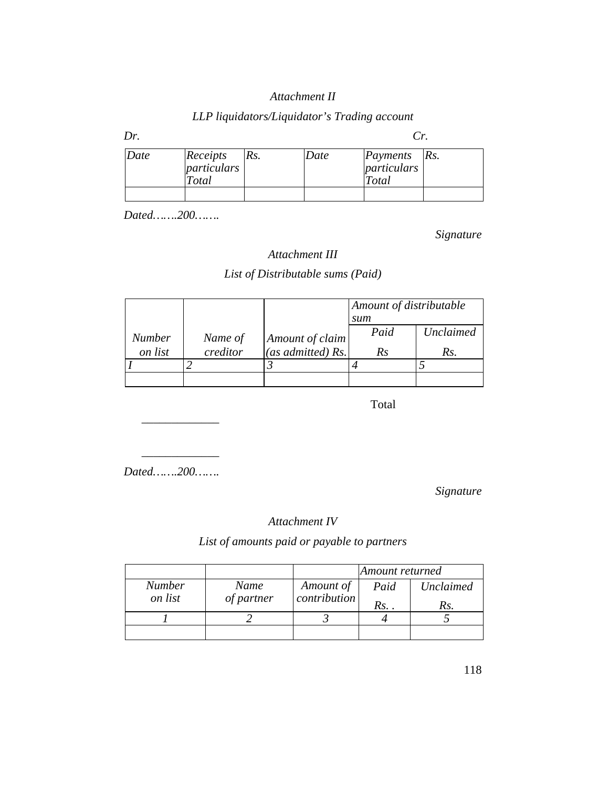# *Attachment II*

# *LLP liquidators/Liquidator's Trading account*

| Dr.  |                                  |     |      | Cr.                                         |  |
|------|----------------------------------|-----|------|---------------------------------------------|--|
| Date | Receipts<br>particulars<br>Total | Rs. | Date | <i>Payments Rs.</i><br>particulars<br>Total |  |
|      |                                  |     |      |                                             |  |

*Dated…….200…….*

*Signature*

# *Attachment III*

# *List of Distributable sums (Paid)*

|               |          |                   | Amount of distributable |           |  |
|---------------|----------|-------------------|-------------------------|-----------|--|
|               |          |                   | sum                     |           |  |
| <b>Number</b> | Name of  | Amount of claim   | Paid                    | Unclaimed |  |
| on list       | creditor | (as admitted) Rs. | Rs                      | Rs.       |  |
|               |          |                   |                         |           |  |
|               |          |                   |                         |           |  |

**Total** 

*Dated…….200…….*

 $\overline{\phantom{a}}$  ,  $\overline{\phantom{a}}$  ,  $\overline{\phantom{a}}$  ,  $\overline{\phantom{a}}$  ,  $\overline{\phantom{a}}$  ,  $\overline{\phantom{a}}$  ,  $\overline{\phantom{a}}$  ,  $\overline{\phantom{a}}$  ,  $\overline{\phantom{a}}$  ,  $\overline{\phantom{a}}$  ,  $\overline{\phantom{a}}$  ,  $\overline{\phantom{a}}$  ,  $\overline{\phantom{a}}$  ,  $\overline{\phantom{a}}$  ,  $\overline{\phantom{a}}$  ,  $\overline{\phantom{a}}$ 

 $\overline{\phantom{a}}$  ,  $\overline{\phantom{a}}$  ,  $\overline{\phantom{a}}$  ,  $\overline{\phantom{a}}$  ,  $\overline{\phantom{a}}$  ,  $\overline{\phantom{a}}$  ,  $\overline{\phantom{a}}$  ,  $\overline{\phantom{a}}$  ,  $\overline{\phantom{a}}$  ,  $\overline{\phantom{a}}$  ,  $\overline{\phantom{a}}$  ,  $\overline{\phantom{a}}$  ,  $\overline{\phantom{a}}$  ,  $\overline{\phantom{a}}$  ,  $\overline{\phantom{a}}$  ,  $\overline{\phantom{a}}$ 

*Signature*

# *Attachment IV*

# *List of amounts paid or payable to partners*

|                          |                    |                           | Amount returned |           |
|--------------------------|--------------------|---------------------------|-----------------|-----------|
| <b>Number</b><br>on list | Name<br>of partner | Amount of<br>contribution | Paid            | Unclaimed |
|                          |                    |                           | Rs. .           | Rs.       |
|                          |                    |                           |                 |           |
|                          |                    |                           |                 |           |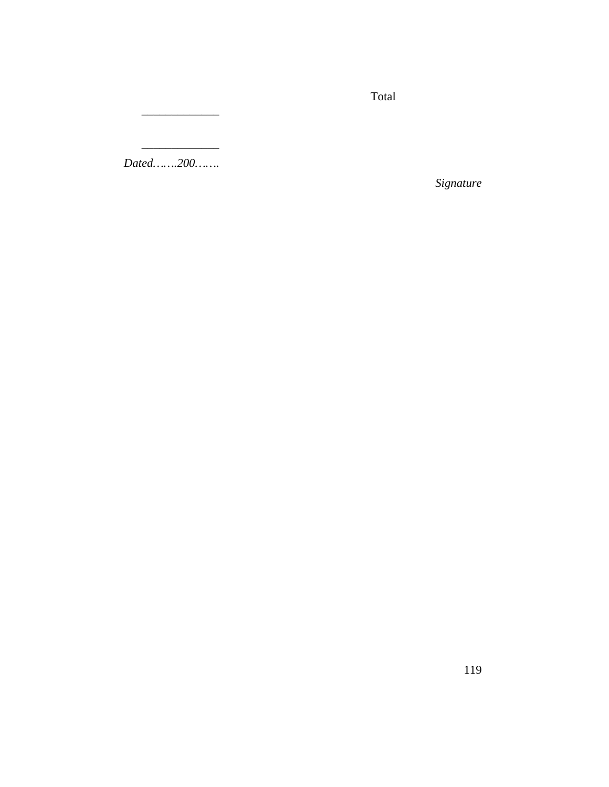Total

*Dated…….200…….*

 $\overline{\phantom{a}}$  ,  $\overline{\phantom{a}}$  ,  $\overline{\phantom{a}}$  ,  $\overline{\phantom{a}}$  ,  $\overline{\phantom{a}}$  ,  $\overline{\phantom{a}}$  ,  $\overline{\phantom{a}}$  ,  $\overline{\phantom{a}}$  ,  $\overline{\phantom{a}}$  ,  $\overline{\phantom{a}}$  ,  $\overline{\phantom{a}}$  ,  $\overline{\phantom{a}}$  ,  $\overline{\phantom{a}}$  ,  $\overline{\phantom{a}}$  ,  $\overline{\phantom{a}}$  ,  $\overline{\phantom{a}}$ 

 $\overline{\phantom{a}}$  ,  $\overline{\phantom{a}}$  ,  $\overline{\phantom{a}}$  ,  $\overline{\phantom{a}}$  ,  $\overline{\phantom{a}}$  ,  $\overline{\phantom{a}}$  ,  $\overline{\phantom{a}}$  ,  $\overline{\phantom{a}}$  ,  $\overline{\phantom{a}}$  ,  $\overline{\phantom{a}}$  ,  $\overline{\phantom{a}}$  ,  $\overline{\phantom{a}}$  ,  $\overline{\phantom{a}}$  ,  $\overline{\phantom{a}}$  ,  $\overline{\phantom{a}}$  ,  $\overline{\phantom{a}}$ 

*Signature*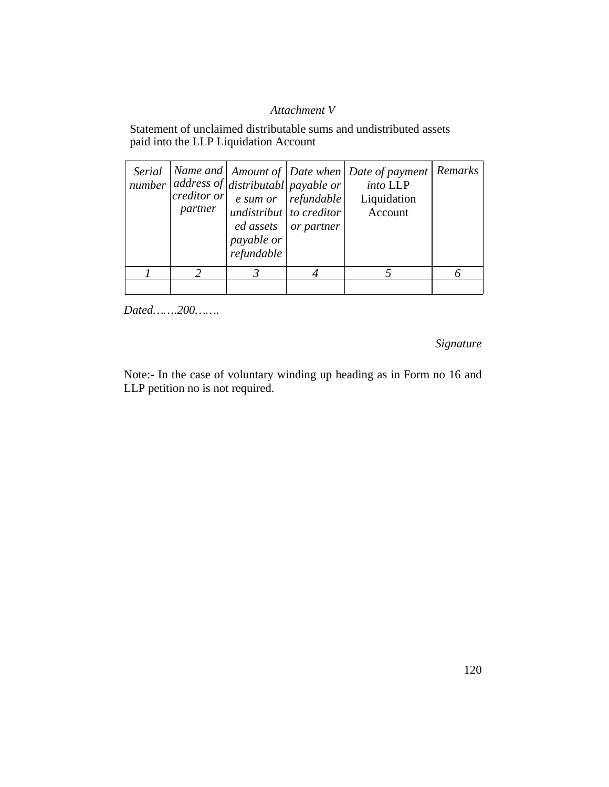# *Attachment V*

Statement of unclaimed distributable sums and undistributed assets paid into the LLP Liquidation Account

| partner | number $ $ address of $ $ distributabl payable or $ $<br>$ creditor \space or \space $ e sum or $ refundable \space $<br>undistribut to creditor<br>payable or<br>refundable | ed assets or partner | Serial   Name and   Amount of   Date when   Date of payment   Remarks<br>into LLP<br>Liquidation<br>Account |  |
|---------|------------------------------------------------------------------------------------------------------------------------------------------------------------------------------|----------------------|-------------------------------------------------------------------------------------------------------------|--|
|         |                                                                                                                                                                              |                      |                                                                                                             |  |
|         |                                                                                                                                                                              |                      |                                                                                                             |  |

*Dated…….200…….*

*Signature*

Note:- In the case of voluntary winding up heading as in Form no 16 and LLP petition no is not required.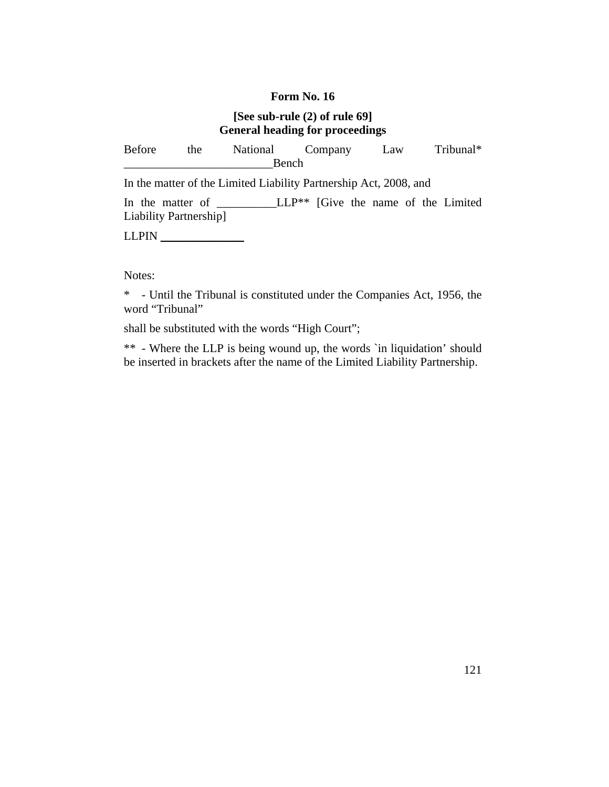# **[See sub-rule (2) of rule 69] General heading for proceedings**

| Before                 | the | National Company                                                  |       |  | Law |  | Tribunal* |
|------------------------|-----|-------------------------------------------------------------------|-------|--|-----|--|-----------|
|                        |     |                                                                   | Bench |  |     |  |           |
|                        |     | In the matter of the Limited Liability Partnership Act, 2008, and |       |  |     |  |           |
| Liability Partnership] |     | In the matter of $LLP^{**}$ [Give the name of the Limited         |       |  |     |  |           |
| LLPIN                  |     |                                                                   |       |  |     |  |           |

Notes:

\* - Until the Tribunal is constituted under the Companies Act, 1956, the word "Tribunal"

shall be substituted with the words "High Court";

\*\* - Where the LLP is being wound up, the words `in liquidation' should be inserted in brackets after the name of the Limited Liability Partnership.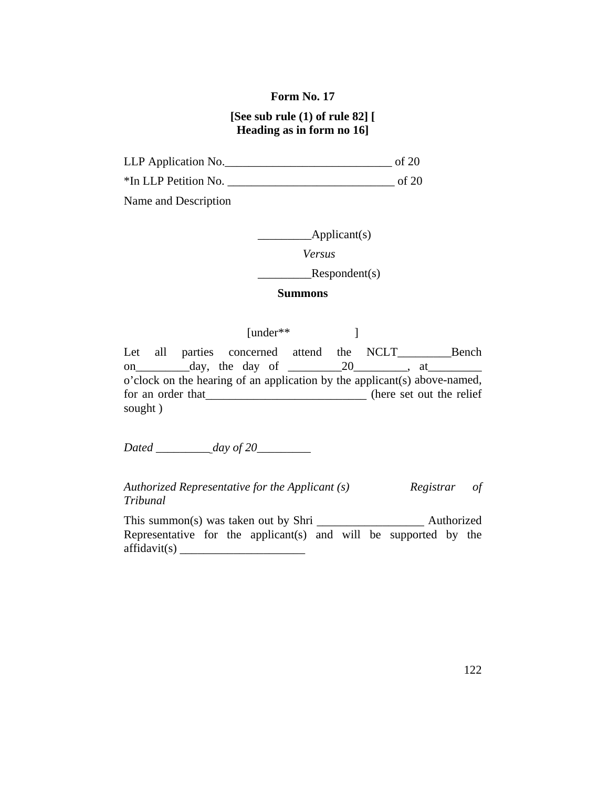# **[See sub rule (1) of rule 82] [ Heading as in form no 16]**

LLP Application No.

\*In LLP Petition No. \_\_\_\_\_\_\_\_\_\_\_\_\_\_\_\_\_\_\_\_\_\_\_\_\_\_\_\_ of 20

Name and Description

\_\_\_\_\_\_\_\_\_\_\_\_\_Applicant(s)

 *Versus*

 $Respondent(s)$ 

#### **Summons**

[under\*\* ] Let all parties concerned attend the NCLT*\_\_\_\_\_\_\_\_\_*Bench on day, the day of 20 , at o'clock on the hearing of an application by the applicant(s) above-named, for an order that*\_\_\_\_\_\_\_\_\_\_\_\_\_\_\_\_\_\_\_\_\_\_\_\_\_\_\_* (here set out the relief sought )

*Dated \_\_\_\_\_\_\_\_\_ day of 20\_\_\_\_\_\_\_\_\_*

*Authorized Representative for the Applicant (s) Registrar of Tribunal*

This summon(s) was taken out by Shri *Authorized* Representative for the applicant(s) and will be supported by the affidavit(s) *\_\_\_\_\_\_\_\_\_\_\_\_\_\_\_\_\_\_\_\_\_*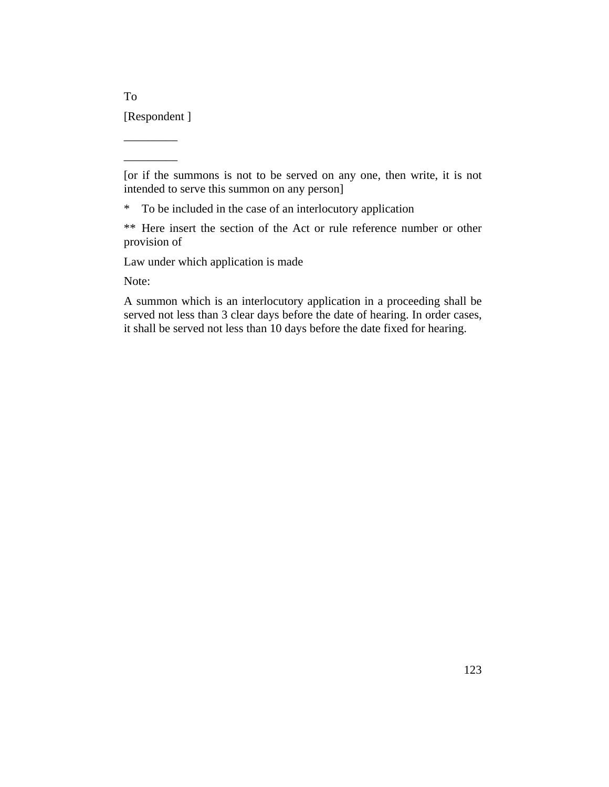[Respondent ]

\_\_\_\_\_\_\_\_\_ \_\_\_\_\_\_\_\_\_

To

[or if the summons is not to be served on any one, then write, it is not intended to serve this summon on any person]

\* To be included in the case of an interlocutory application

\*\* Here insert the section of the Act or rule reference number or other provision of

Law under which application is made

Note:

A summon which is an interlocutory application in a proceeding shall be served not less than 3 clear days before the date of hearing. In order cases, it shall be served not less than 10 days before the date fixed for hearing.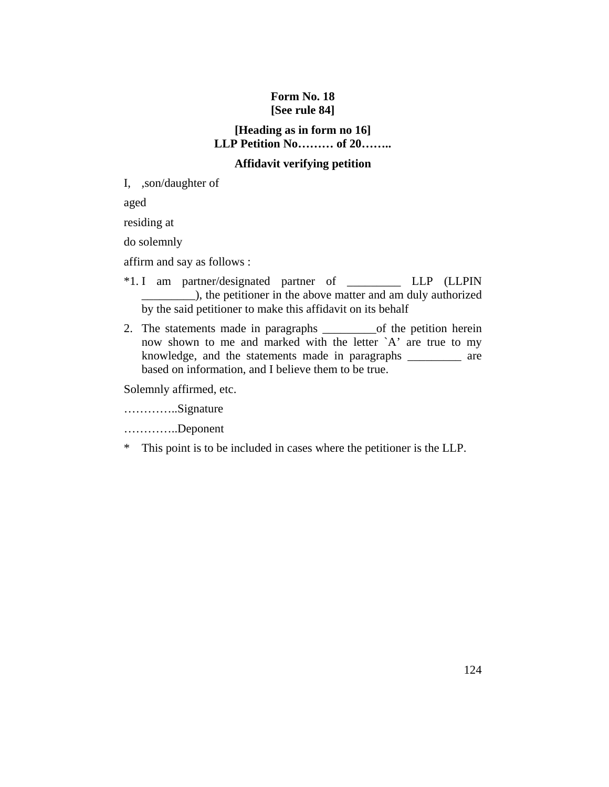# **Form No. 18 [See rule 84]**

# **[Heading as in form no 16] LLP Petition No……… of 20……..**

# **Affidavit verifying petition**

I, ,son/daughter of

aged

residing at

do solemnly

affirm and say as follows :

- \*1. I am partner/designated partner of \_\_\_\_\_\_\_\_\_ LLP (LLPIN \_\_\_\_\_\_\_\_\_), the petitioner in the above matter and am duly authorized by the said petitioner to make this affidavit on its behalf
- 2. The statements made in paragraphs of the petition herein now shown to me and marked with the letter `A' are true to my knowledge, and the statements made in paragraphs \_\_\_\_\_\_\_\_\_ are based on information, and I believe them to be true.

Solemnly affirmed, etc.

…………..Signature

…………..Deponent

\* This point is to be included in cases where the petitioner is the LLP.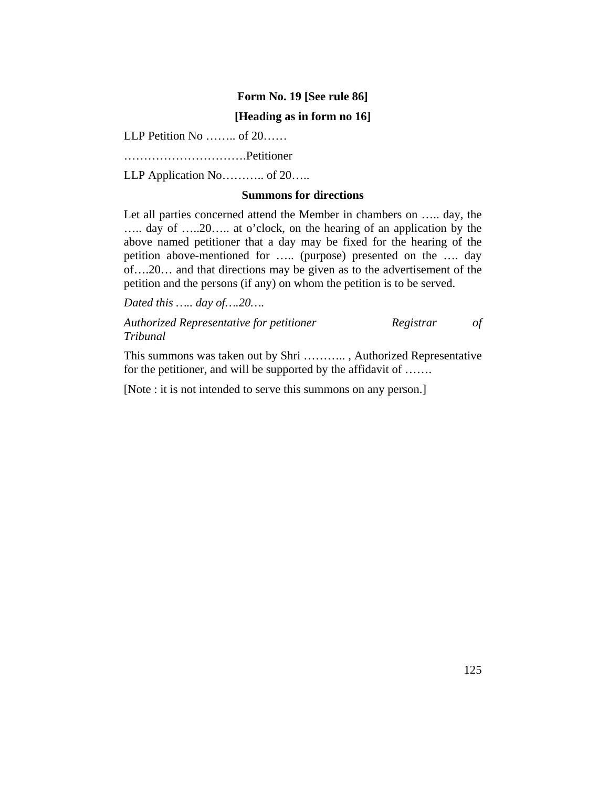#### **Form No. 19 [See rule 86]**

#### **[Heading as in form no 16]**

LLP Petition No …….. of 20……

………………………….Petitioner

LLP Application No............. of 20.....

#### **Summons for directions**

Let all parties concerned attend the Member in chambers on ….. day, the ….. day of …..20….. at o'clock, on the hearing of an application by the above named petitioner that a day may be fixed for the hearing of the petition above-mentioned for ….. (purpose) presented on the …. day of….20… and that directions may be given as to the advertisement of the petition and the persons (if any) on whom the petition is to be served.

*Dated this ….. day of….20….*

*Authorized Representative for petitioner Registrar of Tribunal*

This summons was taken out by Shri ……….. , Authorized Representative for the petitioner, and will be supported by the affidavit of .......

[Note : it is not intended to serve this summons on any person.]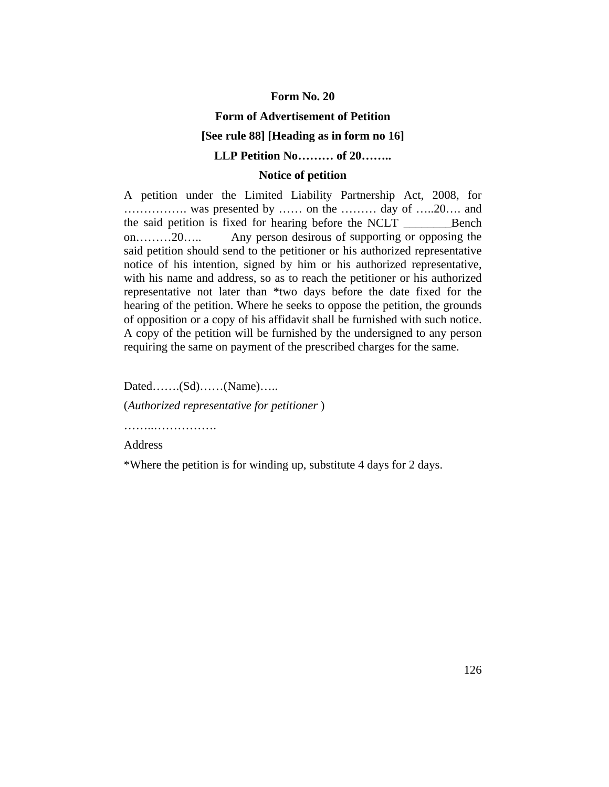#### **Form of Advertisement of Petition**

#### **[See rule 88] [Heading as in form no 16]**

### **LLP Petition No……… of 20……..**

#### **Notice of petition**

A petition under the Limited Liability Partnership Act, 2008, for ……………. was presented by …… on the ……… day of …..20…. and the said petition is fixed for hearing before the NCLT \_\_\_\_\_\_\_\_Bench on………20….. Any person desirous of supporting or opposing the said petition should send to the petitioner or his authorized representative notice of his intention, signed by him or his authorized representative, with his name and address, so as to reach the petitioner or his authorized representative not later than \*two days before the date fixed for the hearing of the petition. Where he seeks to oppose the petition, the grounds of opposition or a copy of his affidavit shall be furnished with such notice. A copy of the petition will be furnished by the undersigned to any person requiring the same on payment of the prescribed charges for the same.

Dated…….(Sd)……(Name)…..

(*Authorized representative for petitioner* )

……..…………….

Address

\*Where the petition is for winding up, substitute 4 days for 2 days.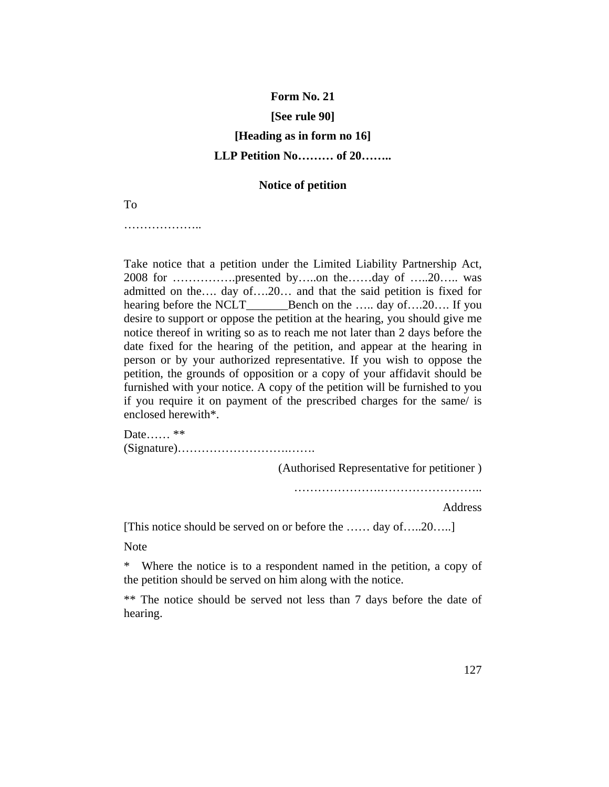#### **[See rule 90]**

# **[Heading as in form no 16] LLP Petition No……… of 20……..**

#### **Notice of petition**

To

…………………

Take notice that a petition under the Limited Liability Partnership Act, 2008 for …………….presented by…..on the……day of …..20….. was admitted on the…. day of….20… and that the said petition is fixed for hearing before the NCLT\_\_\_\_\_\_\_\_Bench on the ….. day of….20…. If you desire to support or oppose the petition at the hearing, you should give me notice thereof in writing so as to reach me not later than 2 days before the date fixed for the hearing of the petition, and appear at the hearing in person or by your authorized representative. If you wish to oppose the petition, the grounds of opposition or a copy of your affidavit should be furnished with your notice. A copy of the petition will be furnished to you if you require it on payment of the prescribed charges for the same/ is enclosed herewith\*.

Date…… \*\* (Signature)……………………….…….

(Authorised Representative for petitioner )

………………….……………………..

Address

[This notice should be served on or before the …… day of…..20…..]

Note

\* Where the notice is to a respondent named in the petition, a copy of the petition should be served on him along with the notice.

\*\* The notice should be served not less than 7 days before the date of hearing.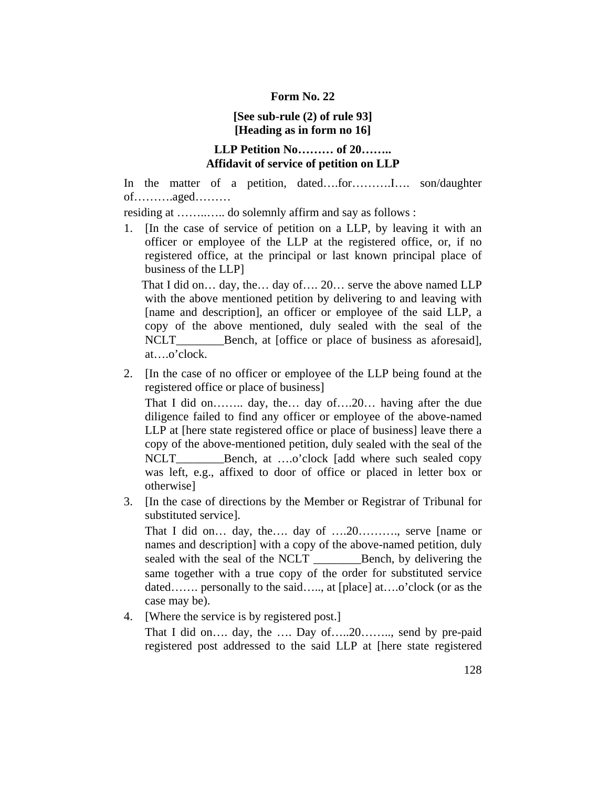# **[See sub-rule (2) of rule 93] [Heading as in form no 16]**

# **LLP Petition No……… of 20…….. Affidavit of service of petition on LLP**

In the matter of a petition, dated….for……….I…. son/daughter of……….aged………

residing at ……..….. do solemnly affirm and say as follows :

1. [In the case of service of petition on a LLP, by leaving it with an officer or employee of the LLP at the registered office, or, if no registered office, at the principal or last known principal place of business of the LLP]

 That I did on… day, the… day of…. 20… serve the above named LLP with the above mentioned petition by delivering to and leaving with [name and description], an officer or employee of the said LLP, a copy of the above mentioned, duly sealed with the seal of the NCLT\_\_\_\_\_\_\_\_\_\_\_\_Bench, at [office or place of business as aforesaid], at….o'clock.

2. [In the case of no officer or employee of the LLP being found at the registered office or place of business]

 That I did on…….. day, the… day of….20… having after the due diligence failed to find any officer or employee of the above-named LLP at [here state registered office or place of business] leave there a copy of the above-mentioned petition, duly sealed with the seal of the NCLT\_\_\_\_\_\_\_\_\_\_Bench, at ....o'clock [add where such sealed copy was left, e.g., affixed to door of office or placed in letter box or otherwise]

3. [In the case of directions by the Member or Registrar of Tribunal for substituted service].

That I did on... day, the.... day of ....20..........., serve [name or names and description] with a copy of the above-named petition, duly sealed with the seal of the NCLT \_\_\_\_\_\_\_\_Bench, by delivering the same together with a true copy of the order for substituted service dated……. personally to the said….., at [place] at….o'clock (or as the case may be).

4. [Where the service is by registered post.]

That I did on.... day, the .... Day of.....20........, send by pre-paid registered post addressed to the said LLP at [here state registered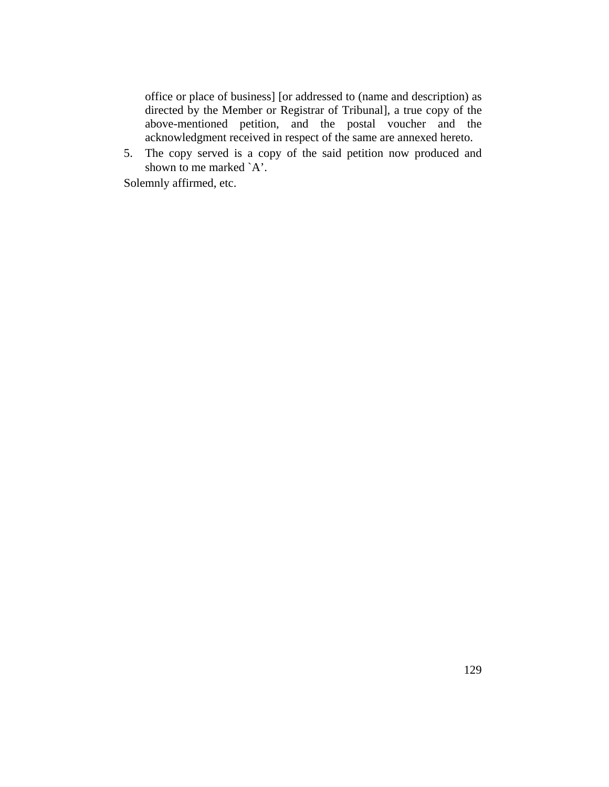office or place of business] [or addressed to (name and description) as directed by the Member or Registrar of Tribunal], a true copy of the above-mentioned petition, and the postal voucher and the acknowledgment received in respect of the same are annexed hereto.

5. The copy served is a copy of the said petition now produced and shown to me marked `A'.

Solemnly affirmed, etc.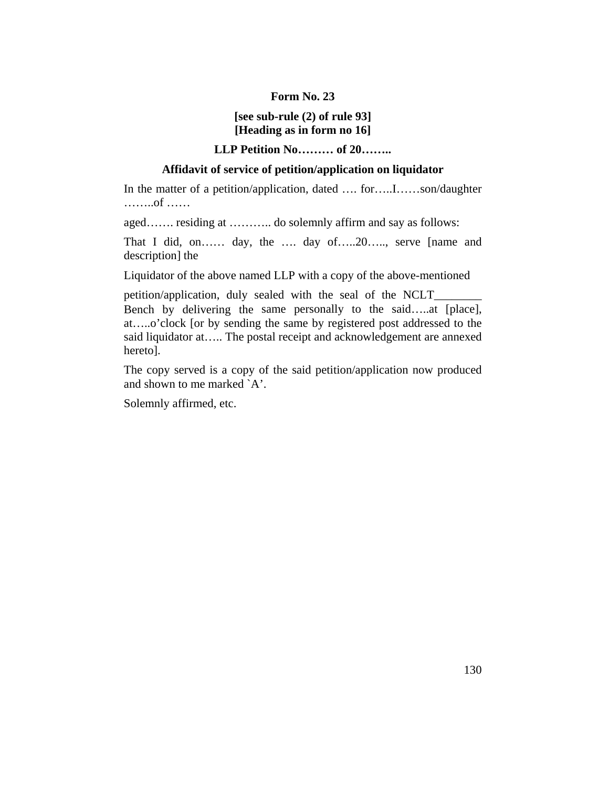# **[see sub-rule (2) of rule 93] [Heading as in form no 16]**

# **LLP Petition No……… of 20……..**

# **Affidavit of service of petition/application on liquidator**

In the matter of a petition/application, dated .... for.....I......son/daughter ……..of ……

aged……. residing at ……….. do solemnly affirm and say as follows:

That I did, on…… day, the …. day of…..20….., serve [name and description] the

Liquidator of the above named LLP with a copy of the above-mentioned

petition/application, duly sealed with the seal of the NCLT\_ Bench by delivering the same personally to the said…..at [place], at…..o'clock [or by sending the same by registered post addressed to the said liquidator at….. The postal receipt and acknowledgement are annexed hereto].

The copy served is a copy of the said petition/application now produced and shown to me marked `A'.

Solemnly affirmed, etc.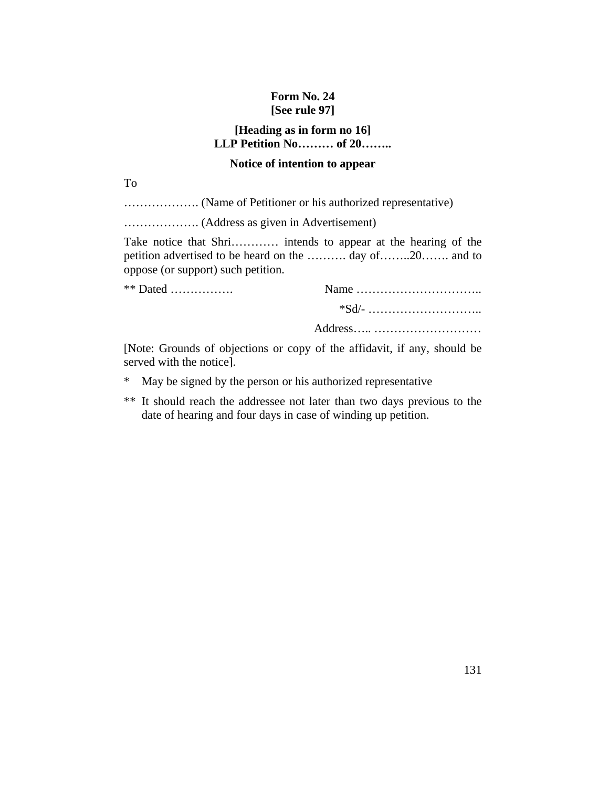# **Form No. 24 [See rule 97]**

# **[Heading as in form no 16] LLP Petition No……… of 20……..**

# **Notice of intention to appear**

To

………………. (Name of Petitioner or his authorized representative)

………………. (Address as given in Advertisement)

Take notice that Shri………… intends to appear at the hearing of the petition advertised to be heard on the ………. day of……..20……. and to oppose (or support) such petition.

| **<br>. |  |
|---------|--|
|         |  |

Address….. ………………………

[Note: Grounds of objections or copy of the affidavit, if any, should be served with the notice].

- \* May be signed by the person or his authorized representative
- \*\* It should reach the addressee not later than two days previous to the date of hearing and four days in case of winding up petition.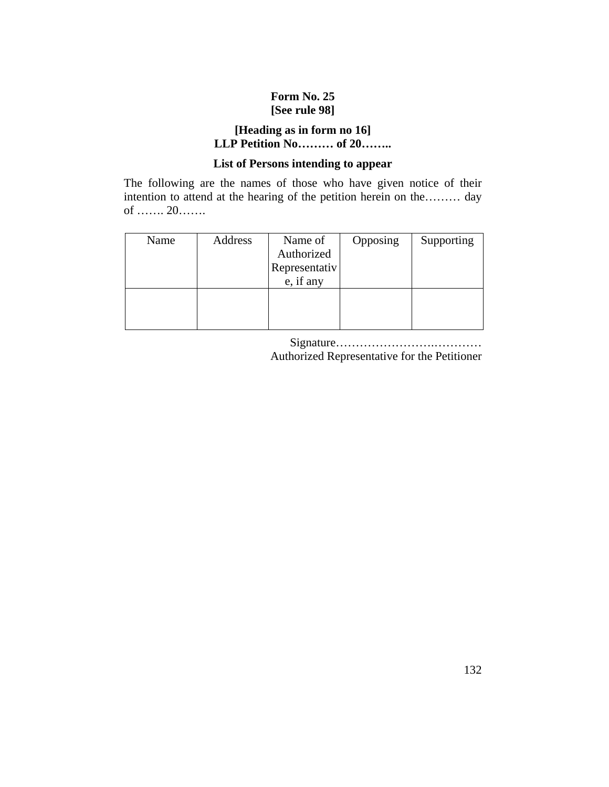# **Form No. 25 [See rule 98]**

# **[Heading as in form no 16] LLP Petition No……… of 20……..**

# **List of Persons intending to appear**

The following are the names of those who have given notice of their intention to attend at the hearing of the petition herein on the……… day of ……. 20…….

| Name | Address | Name of       | Opposing | Supporting |
|------|---------|---------------|----------|------------|
|      |         | Authorized    |          |            |
|      |         | Representativ |          |            |
|      |         | e, if any     |          |            |
|      |         |               |          |            |
|      |         |               |          |            |
|      |         |               |          |            |

Signature…………………….………… Authorized Representative for the Petitioner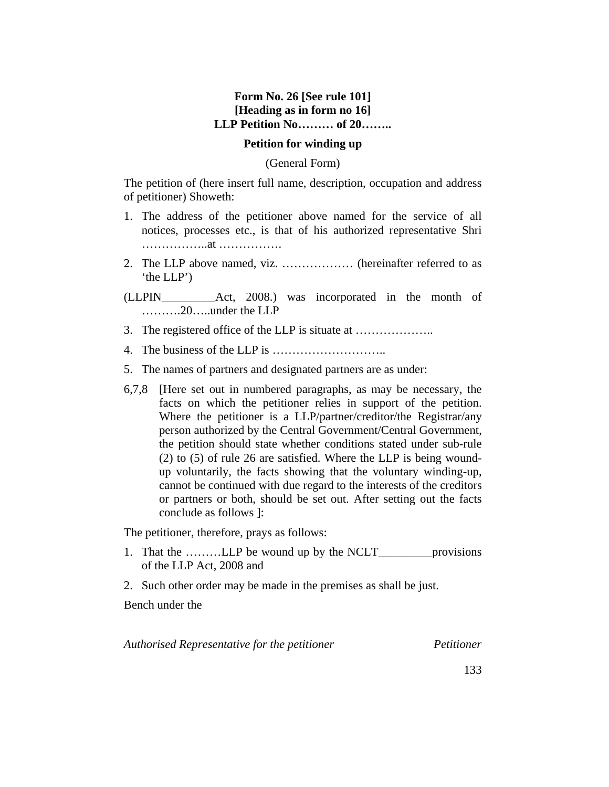# **Form No. 26 [See rule 101] [Heading as in form no 16] LLP Petition No……… of 20……..**

#### **Petition for winding up**

#### (General Form)

The petition of (here insert full name, description, occupation and address of petitioner) Showeth:

- 1. The address of the petitioner above named for the service of all notices, processes etc., is that of his authorized representative Shri ……………..at …………….
- 2. The LLP above named, viz. ……………… (hereinafter referred to as 'the LLP')
- (LLPIN\_\_\_\_\_\_\_\_\_Act, 2008.) was incorporated in the month of ……….20…..under the LLP
- 3. The registered office of the LLP is situate at ………………..
- 4. The business of the LLP is ………………………..
- 5. The names of partners and designated partners are as under:
- 6,7,8 [Here set out in numbered paragraphs, as may be necessary, the facts on which the petitioner relies in support of the petition. Where the petitioner is a LLP/partner/creditor/the Registrar/any person authorized by the Central Government/Central Government, the petition should state whether conditions stated under sub-rule (2) to (5) of rule 26 are satisfied. Where the LLP is being woundup voluntarily, the facts showing that the voluntary winding-up, cannot be continued with due regard to the interests of the creditors or partners or both, should be set out. After setting out the facts conclude as follows ]:

The petitioner, therefore, prays as follows:

- 1. That the ..........LLP be wound up by the NCLT\_\_\_\_\_\_\_\_\_\_\_provisions of the LLP Act, 2008 and
- 2. Such other order may be made in the premises as shall be just.

Bench under the

*Authorised Representative for the petitioner Petitioner*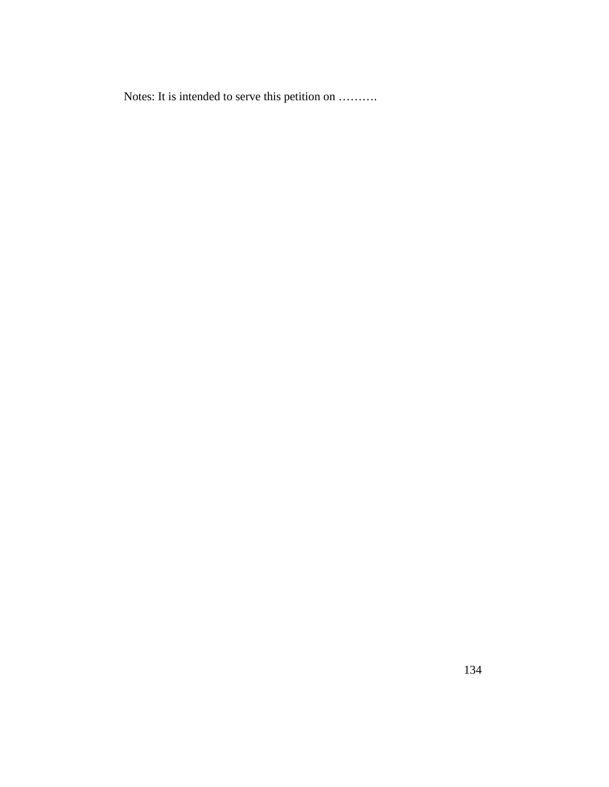Notes: It is intended to serve this petition on ……….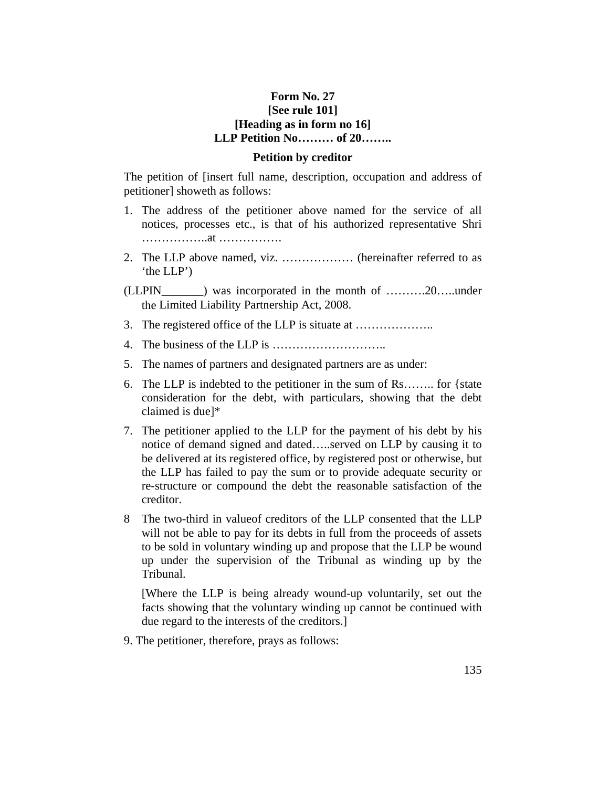### **Form No. 27 [See rule 101] [Heading as in form no 16] LLP Petition No……… of 20……..**

#### **Petition by creditor**

The petition of [insert full name, description, occupation and address of petitioner] showeth as follows:

- 1. The address of the petitioner above named for the service of all notices, processes etc., is that of his authorized representative Shri ……………..at …………….
- 2. The LLP above named, viz. ……………… (hereinafter referred to as 'the LLP')
- (LLPIN\_\_\_\_\_\_\_) was incorporated in the month of ……….20…..under the Limited Liability Partnership Act, 2008.
- 3. The registered office of the LLP is situate at ………………..
- 4. The business of the LLP is ………………………..
- 5. The names of partners and designated partners are as under:
- 6. The LLP is indebted to the petitioner in the sum of Rs…….. for {state consideration for the debt, with particulars, showing that the debt claimed is due]\*
- 7. The petitioner applied to the LLP for the payment of his debt by his notice of demand signed and dated…..served on LLP by causing it to be delivered at its registered office, by registered post or otherwise, but the LLP has failed to pay the sum or to provide adequate security or re-structure or compound the debt the reasonable satisfaction of the creditor.
- 8 The two-third in valueof creditors of the LLP consented that the LLP will not be able to pay for its debts in full from the proceeds of assets to be sold in voluntary winding up and propose that the LLP be wound up under the supervision of the Tribunal as winding up by the Tribunal.

 [Where the LLP is being already wound-up voluntarily, set out the facts showing that the voluntary winding up cannot be continued with due regard to the interests of the creditors.]

9. The petitioner, therefore, prays as follows: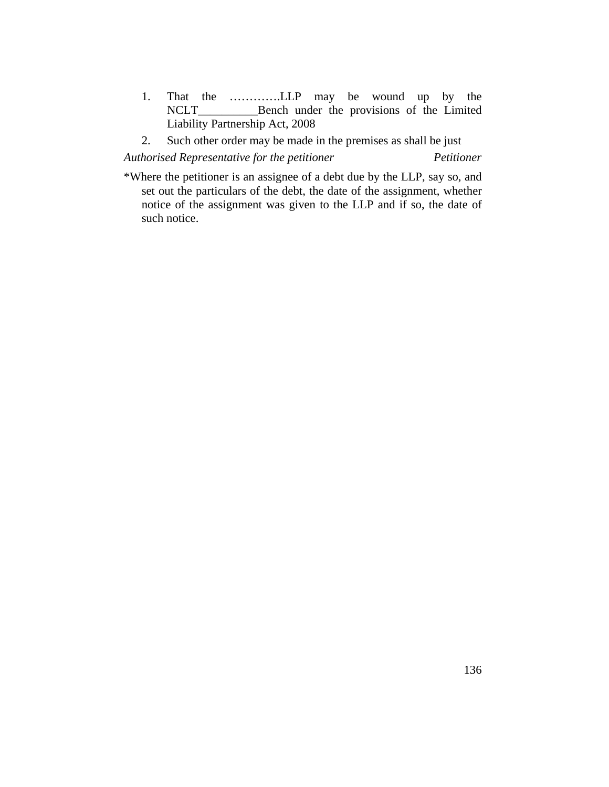- 1. That the …………LLP may be wound up by the NCLT Bench under the provisions of the Limited \_Bench under the provisions of the Limited Liability Partnership Act, 2008
- 2. Such other order may be made in the premises as shall be just

*Authorised Representative for the petitioner Petitioner*

\*Where the petitioner is an assignee of a debt due by the LLP, say so, and set out the particulars of the debt, the date of the assignment, whether notice of the assignment was given to the LLP and if so, the date of such notice.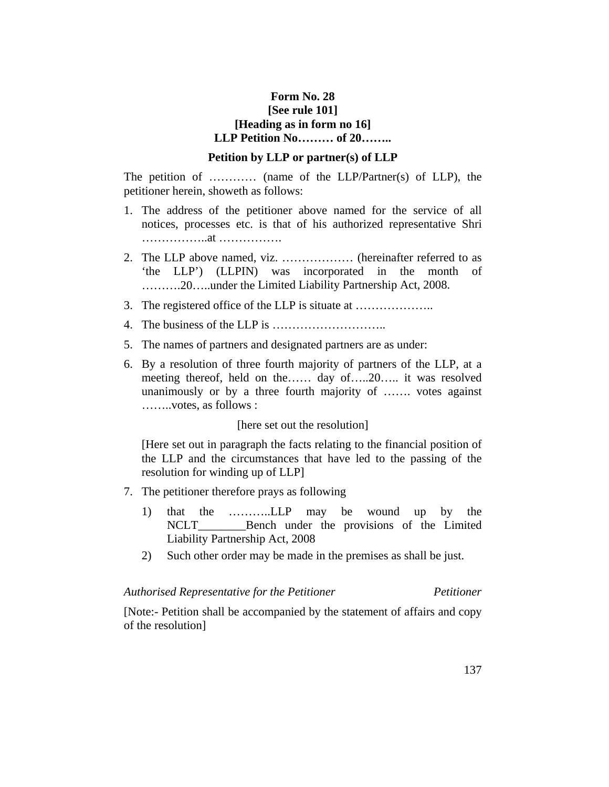# **Form No. 28 [See rule 101] [Heading as in form no 16] LLP Petition No……… of 20……..**

#### **Petition by LLP or partner(s) of LLP**

The petition of ………… (name of the LLP/Partner(s) of LLP), the petitioner herein, showeth as follows:

- 1. The address of the petitioner above named for the service of all notices, processes etc. is that of his authorized representative Shri ……………..at …………….
- 2. The LLP above named, viz. ……………… (hereinafter referred to as 'the LLP') (LLPIN) was incorporated in the month of ……….20…..under the Limited Liability Partnership Act, 2008.
- 3. The registered office of the LLP is situate at ………………..
- 4. The business of the LLP is ………………………..
- 5. The names of partners and designated partners are as under:
- 6. By a resolution of three fourth majority of partners of the LLP, at a meeting thereof, held on the…… day of…..20….. it was resolved unanimously or by a three fourth majority of ……. votes against ……..votes, as follows :

#### [here set out the resolution]

 [Here set out in paragraph the facts relating to the financial position of the LLP and the circumstances that have led to the passing of the resolution for winding up of LLP]

- 7. The petitioner therefore prays as following
	- 1) that the ………..LLP may be wound up by the NCLT Bench under the provisions of the Limited Liability Partnership Act, 2008
	- 2) Such other order may be made in the premises as shall be just.

#### *Authorised Representative for the Petitioner Petitioner*

[Note:- Petition shall be accompanied by the statement of affairs and copy of the resolution]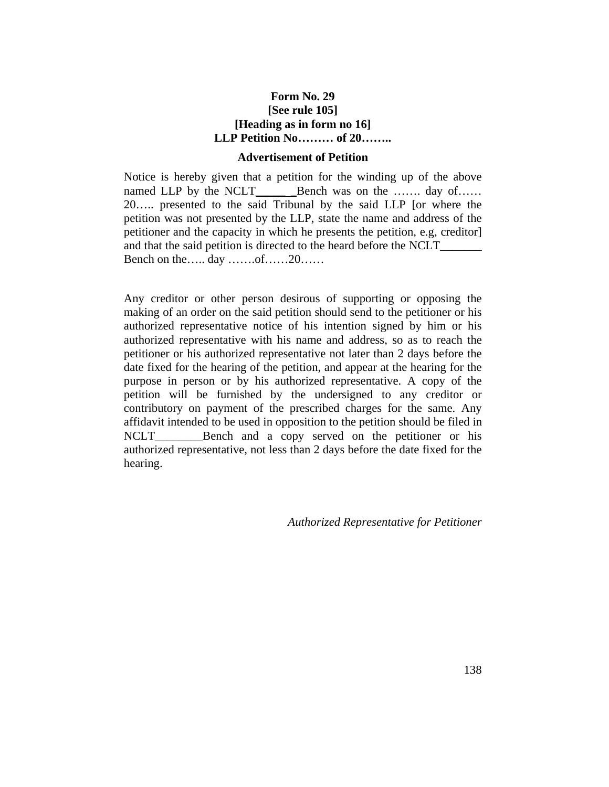# **Form No. 29 [See rule 105] [Heading as in form no 16] LLP Petition No……… of 20……..**

#### **Advertisement of Petition**

Notice is hereby given that a petition for the winding up of the above named LLP by the NCLT\_\_\_\_\_ \_Bench was on the ……. day of…… 20….. presented to the said Tribunal by the said LLP [or where the petition was not presented by the LLP, state the name and address of the petitioner and the capacity in which he presents the petition, e.g, creditor] and that the said petition is directed to the heard before the NCLT Bench on the….. day …….of……20……

Any creditor or other person desirous of supporting or opposing the making of an order on the said petition should send to the petitioner or his authorized representative notice of his intention signed by him or his authorized representative with his name and address, so as to reach the petitioner or his authorized representative not later than 2 days before the date fixed for the hearing of the petition, and appear at the hearing for the purpose in person or by his authorized representative. A copy of the petition will be furnished by the undersigned to any creditor or contributory on payment of the prescribed charges for the same. Any affidavit intended to be used in opposition to the petition should be filed in NCLT\_\_\_\_\_\_\_\_\_Bench and a copy served on the petitioner or his authorized representative, not less than 2 days before the date fixed for the hearing.

*Authorized Representative for Petitioner*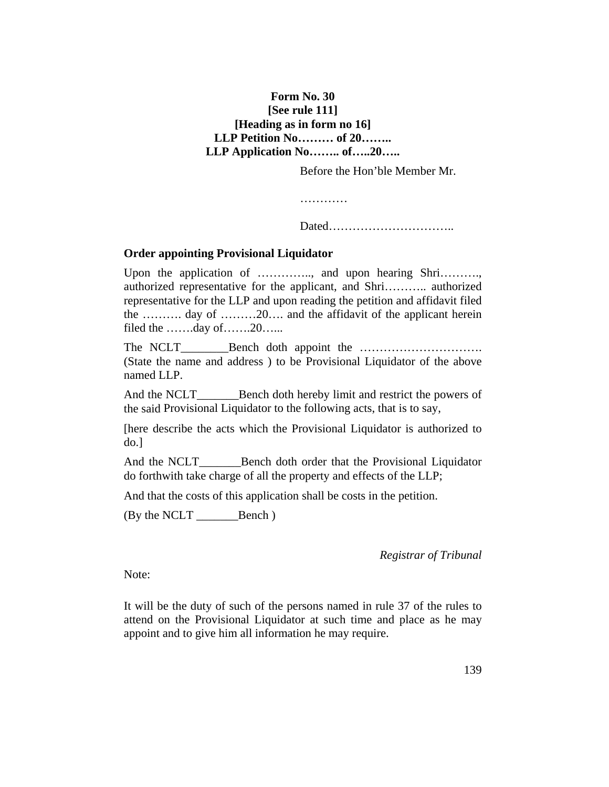# **Form No. 30 [See rule 111] [Heading as in form no 16] LLP Petition No……… of 20…….. LLP Application No…….. of…..20…..**

Before the Hon'ble Member Mr.

…………

Dated…………………………..

# **Order appointing Provisional Liquidator**

Upon the application of ………….., and upon hearing Shri………., authorized representative for the applicant, and Shri……….. authorized representative for the LLP and upon reading the petition and affidavit filed the ………. day of ………20…. and the affidavit of the applicant herein filed the …….day of…….20……

The NCLT\_\_\_\_\_\_\_\_Bench doth appoint the …………………………. (State the name and address ) to be Provisional Liquidator of the above named LLP.

And the NCLT Bench doth hereby limit and restrict the powers of the said Provisional Liquidator to the following acts, that is to say,

[here describe the acts which the Provisional Liquidator is authorized to do.]

And the NCLT\_\_\_\_\_\_\_Bench doth order that the Provisional Liquidator do forthwith take charge of all the property and effects of the LLP;

And that the costs of this application shall be costs in the petition.

(By the NCLT \_\_\_\_\_\_\_Bench )

*Registrar of Tribunal*

Note:

It will be the duty of such of the persons named in rule 37 of the rules to attend on the Provisional Liquidator at such time and place as he may appoint and to give him all information he may require.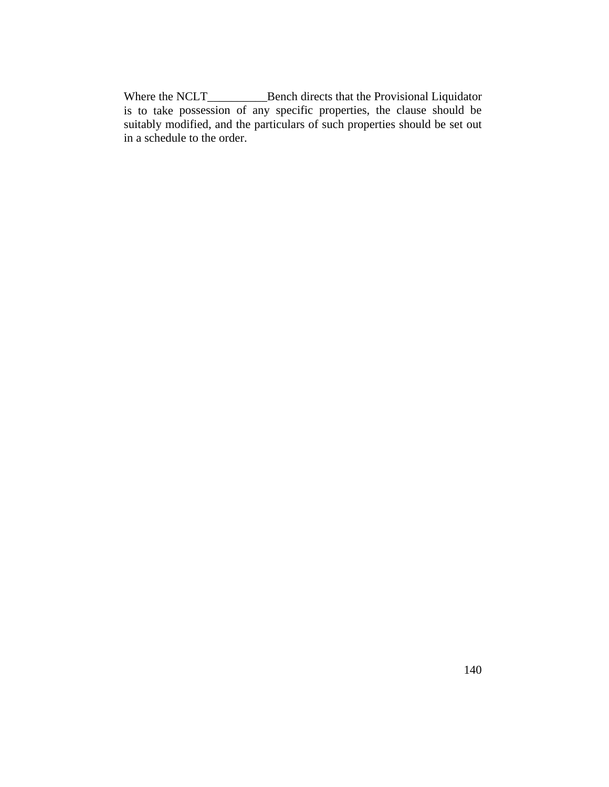Where the NCLT\_\_\_\_\_\_\_\_\_\_\_\_\_\_Bench directs that the Provisional Liquidator is to take possession of any specific properties, the clause should be suitably modified, and the particulars of such properties should be set out in a schedule to the order.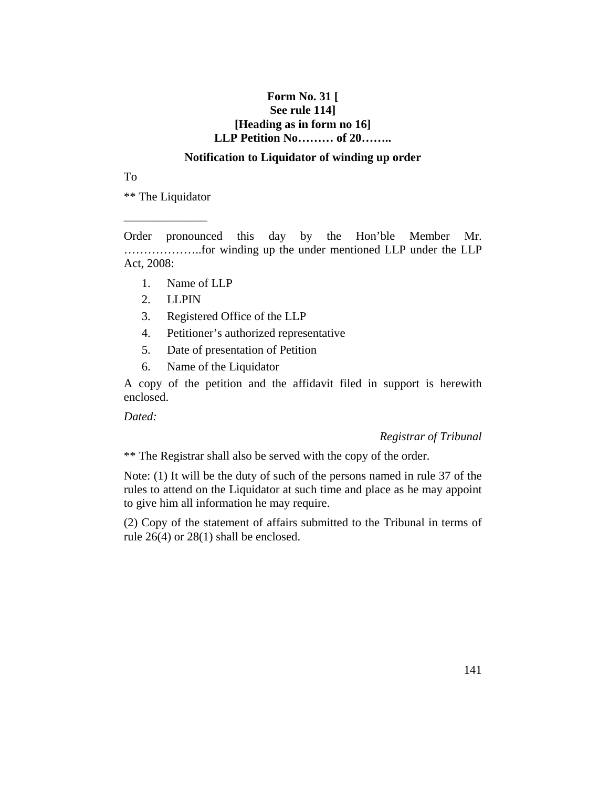# **Form No. 31 [ See rule 114] [Heading as in form no 16] LLP Petition No……… of 20……..**

### **Notification to Liquidator of winding up order**

To

\*\* The Liquidator

\_\_\_\_\_\_\_\_\_\_\_\_\_\_

Order pronounced this day by the Hon'ble Member Mr. ………………..for winding up the under mentioned LLP under the LLP Act, 2008:

- 1. Name of LLP
- 2. LLPIN
- 3. Registered Office of the LLP
- 4. Petitioner's authorized representative
- 5. Date of presentation of Petition
- 6. Name of the Liquidator

A copy of the petition and the affidavit filed in support is herewith enclosed.

*Dated:*

#### *Registrar of Tribunal*

\*\* The Registrar shall also be served with the copy of the order.

Note: (1) It will be the duty of such of the persons named in rule 37 of the rules to attend on the Liquidator at such time and place as he may appoint to give him all information he may require.

(2) Copy of the statement of affairs submitted to the Tribunal in terms of rule 26(4) or 28(1) shall be enclosed.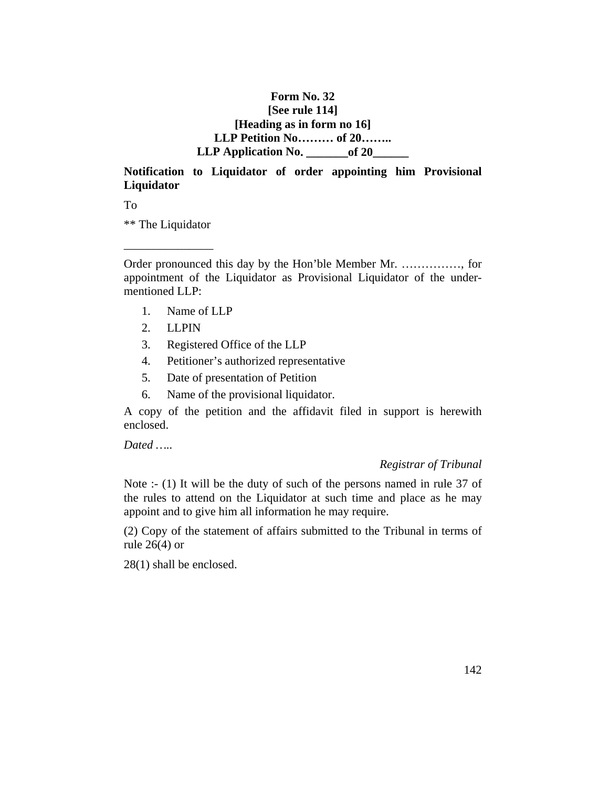# **Form No. 32 [See rule 114] [Heading as in form no 16] LLP Petition No……… of 20……..**  LLP Application No. \_\_\_\_\_\_\_\_of 20\_

# **Notification to Liquidator of order appointing him Provisional Liquidator**

To

\*\* The Liquidator

\_\_\_\_\_\_\_\_\_\_\_\_\_\_\_

Order pronounced this day by the Hon'ble Member Mr. ……………, for appointment of the Liquidator as Provisional Liquidator of the undermentioned LLP:

- 1. Name of LLP
- 2. LLPIN
- 3. Registered Office of the LLP
- 4. Petitioner's authorized representative
- 5. Date of presentation of Petition
- 6. Name of the provisional liquidator.

A copy of the petition and the affidavit filed in support is herewith enclosed.

*Dated …..* 

#### *Registrar of Tribunal*

Note :- (1) It will be the duty of such of the persons named in rule 37 of the rules to attend on the Liquidator at such time and place as he may appoint and to give him all information he may require.

(2) Copy of the statement of affairs submitted to the Tribunal in terms of rule 26(4) or

28(1) shall be enclosed.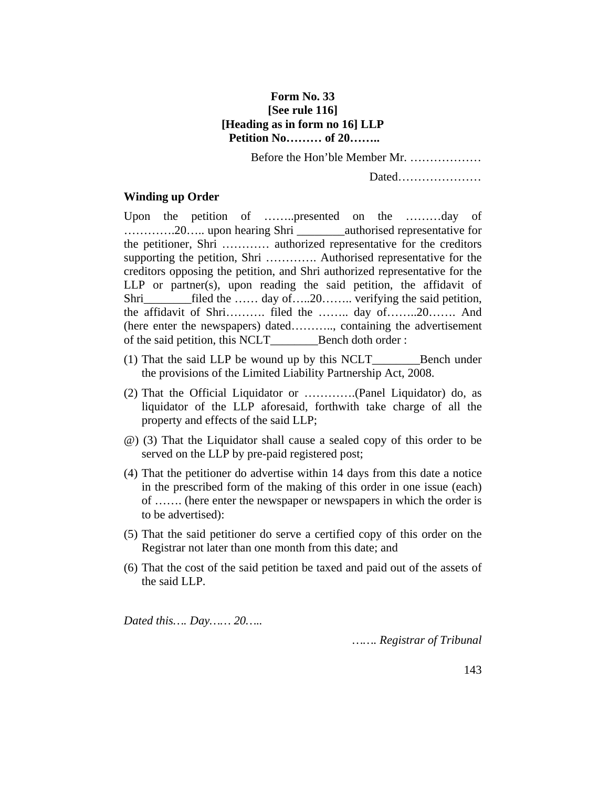# **Form No. 33 [See rule 116] [Heading as in form no 16] LLP Petition No……… of 20……..**

Before the Hon'ble Member Mr. ………………

Dated…………………

#### **Winding up Order**

Upon the petition of ……..presented on the ………day of ………….20….. upon hearing Shri \_\_\_\_\_\_\_\_authorised representative for the petitioner, Shri ………… authorized representative for the creditors supporting the petition, Shri …………. Authorised representative for the creditors opposing the petition, and Shri authorized representative for the LLP or partner(s), upon reading the said petition, the affidavit of Shri\_\_\_\_\_\_\_\_filed the …… day of…..20…….. verifying the said petition, the affidavit of Shri………. filed the …….. day of……..20……. And (here enter the newspapers) dated……….., containing the advertisement of the said petition, this NCLT\_\_\_\_\_\_\_\_Bench doth order :

- (1) That the said LLP be wound up by this NCLT\_\_\_\_\_\_\_\_Bench under the provisions of the Limited Liability Partnership Act, 2008.
- (2) That the Official Liquidator or ………….(Panel Liquidator) do, as liquidator of the LLP aforesaid, forthwith take charge of all the property and effects of the said LLP;
- @) (3) That the Liquidator shall cause a sealed copy of this order to be served on the LLP by pre-paid registered post;
- (4) That the petitioner do advertise within 14 days from this date a notice in the prescribed form of the making of this order in one issue (each) of ……. (here enter the newspaper or newspapers in which the order is to be advertised):
- (5) That the said petitioner do serve a certified copy of this order on the Registrar not later than one month from this date; and
- (6) That the cost of the said petition be taxed and paid out of the assets of the said LLP.

*Dated this…. Day…… 20…..*

*……. Registrar of Tribunal*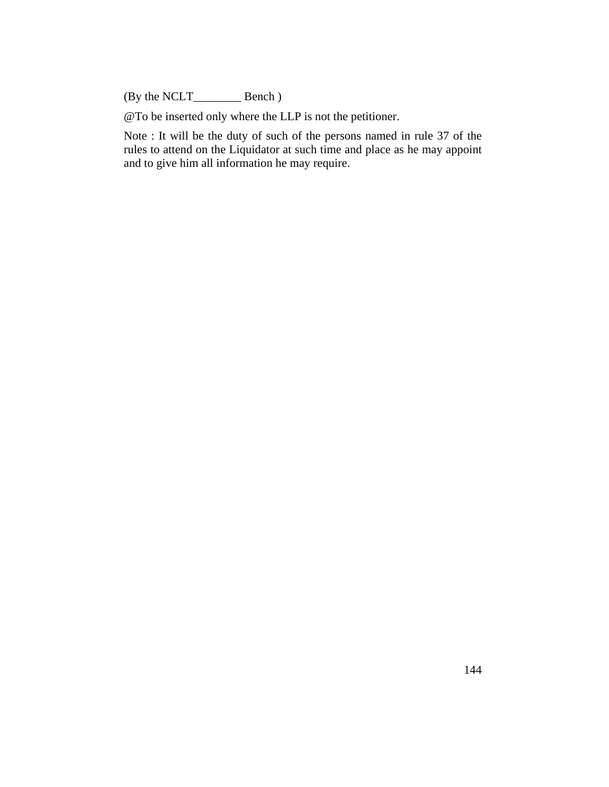(By the NCLT\_\_\_\_\_\_\_\_ Bench )

@To be inserted only where the LLP is not the petitioner.

Note : It will be the duty of such of the persons named in rule 37 of the rules to attend on the Liquidator at such time and place as he may appoint and to give him all information he may require.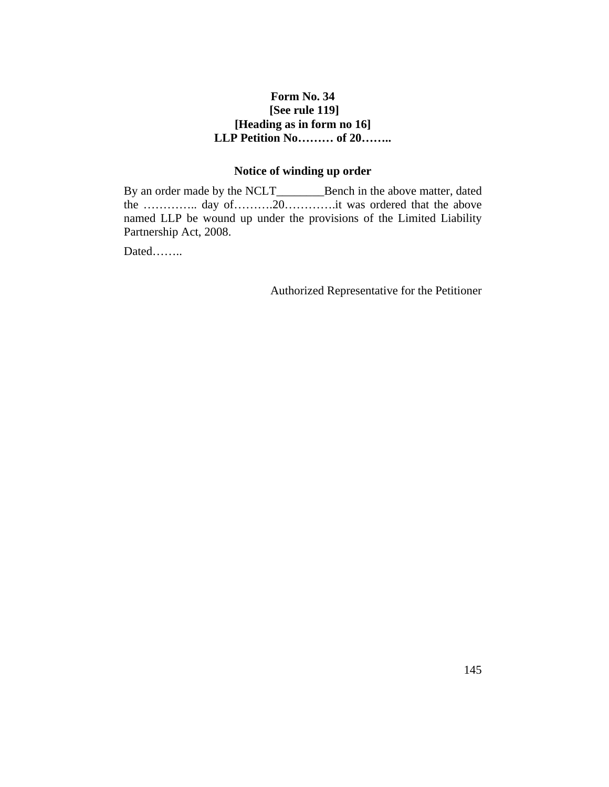## **Form No. 34 [See rule 119] [Heading as in form no 16] LLP Petition No……… of 20……..**

## **Notice of winding up order**

By an order made by the NCLT\_\_\_\_\_\_\_\_Bench in the above matter, dated the ………….. day of……….20………….it was ordered that the above named LLP be wound up under the provisions of the Limited Liability Partnership Act, 2008.

Dated……..

Authorized Representative for the Petitioner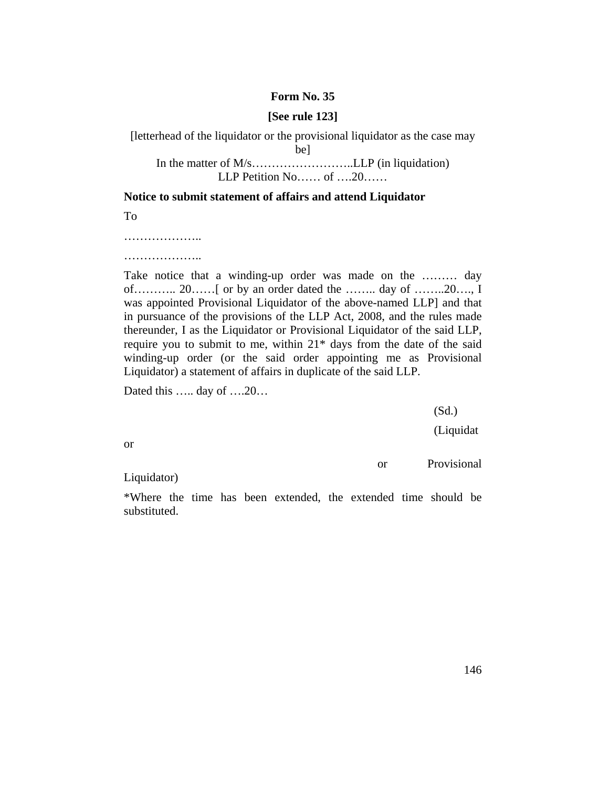#### **Form No. 35**

#### **[See rule 123]**

[letterhead of the liquidator or the provisional liquidator as the case may be] In the matter of M/s……………………..LLP (in liquidation) LLP Petition No…… of ….20……

**Notice to submit statement of affairs and attend Liquidator**

To

………………..

………………………

Take notice that a winding-up order was made on the ……… day of……….. 20……[ or by an order dated the …….. day of ……..20…., I was appointed Provisional Liquidator of the above-named LLP] and that in pursuance of the provisions of the LLP Act, 2008, and the rules made thereunder, I as the Liquidator or Provisional Liquidator of the said LLP, require you to submit to me, within  $21*$  days from the date of the said winding-up order (or the said order appointing me as Provisional Liquidator) a statement of affairs in duplicate of the said LLP.

Dated this ….. day of ….20…

(Sd.)

(Liquidat

or

or Provisional

Liquidator)

\*Where the time has been extended, the extended time should be substituted.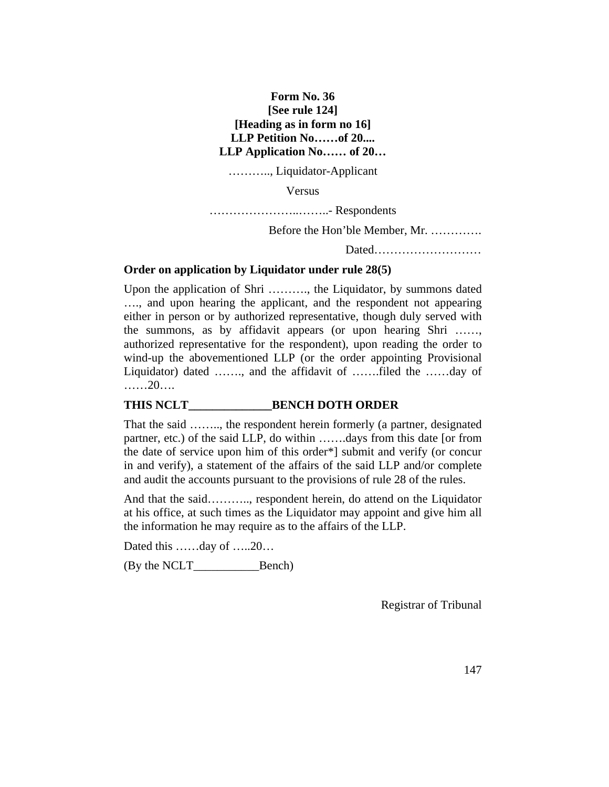## **Form No. 36 [See rule 124] [Heading as in form no 16] LLP Petition No……of 20.... LLP Application No…… of 20…**

……….., Liquidator-Applicant

Versus

…………………..……..- Respondents

Before the Hon'ble Member, Mr. ………….

Dated………………………

#### **Order on application by Liquidator under rule 28(5)**

Upon the application of Shri ………., the Liquidator, by summons dated …., and upon hearing the applicant, and the respondent not appearing either in person or by authorized representative, though duly served with the summons, as by affidavit appears (or upon hearing Shri ……, authorized representative for the respondent), upon reading the order to wind-up the abovementioned LLP (or the order appointing Provisional Liquidator) dated ……., and the affidavit of …….filed the ……day of ……20….

#### **THIS NCLT\_\_\_\_\_\_\_\_\_\_\_\_\_\_BENCH DOTH ORDER**

That the said …….., the respondent herein formerly (a partner, designated partner, etc.) of the said LLP, do within …….days from this date [or from the date of service upon him of this order\*] submit and verify (or concur in and verify), a statement of the affairs of the said LLP and/or complete and audit the accounts pursuant to the provisions of rule 28 of the rules.

And that the said……….., respondent herein, do attend on the Liquidator at his office, at such times as the Liquidator may appoint and give him all the information he may require as to the affairs of the LLP.

Dated this ……day of …..20…

(By the NCLT\_\_\_\_\_\_\_\_\_\_\_Bench)

Registrar of Tribunal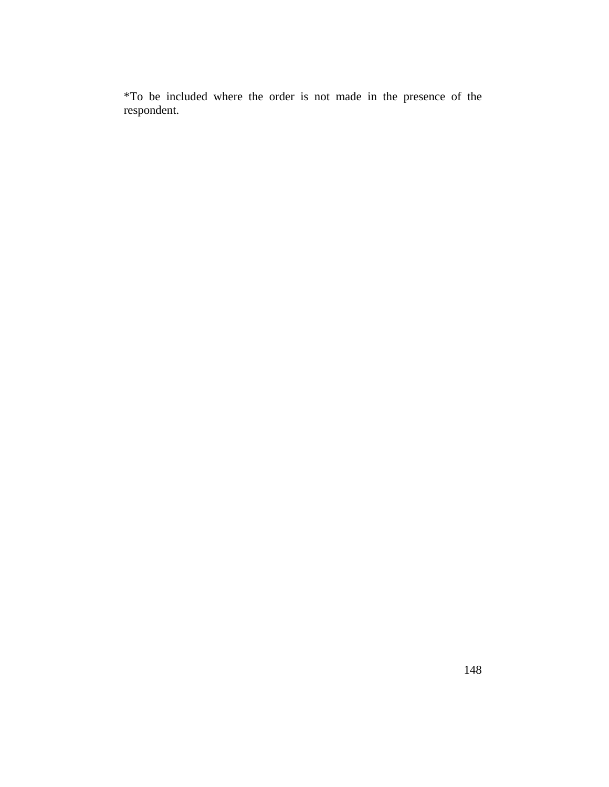\*To be included where the order is not made in the presence of the respondent.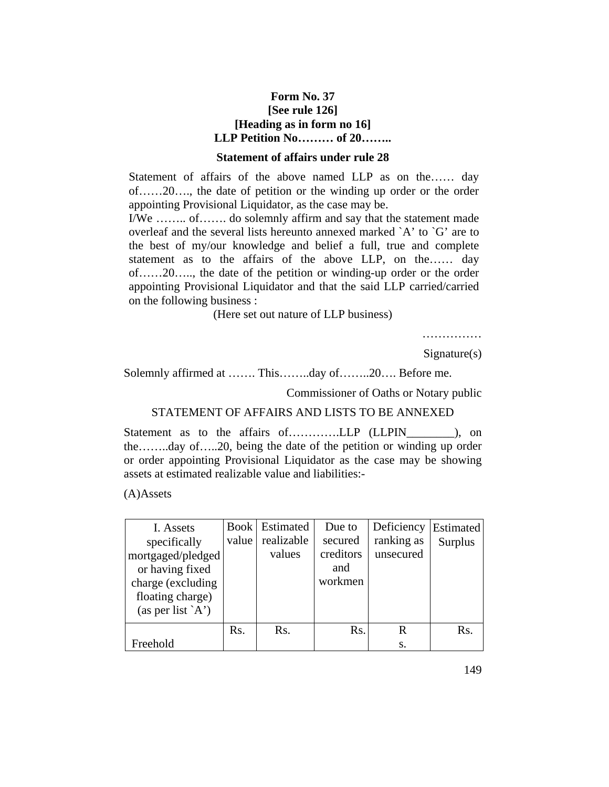### **Form No. 37 [See rule 126] [Heading as in form no 16] LLP Petition No……… of 20……..**

#### **Statement of affairs under rule 28**

Statement of affairs of the above named LLP as on the…… day of……20…., the date of petition or the winding up order or the order appointing Provisional Liquidator, as the case may be.

I/We …….. of……. do solemnly affirm and say that the statement made overleaf and the several lists hereunto annexed marked  $A'$  to  $G'$  are to the best of my/our knowledge and belief a full, true and complete statement as to the affairs of the above LLP, on the…… day of……20….., the date of the petition or winding-up order or the order appointing Provisional Liquidator and that the said LLP carried/carried on the following business :

(Here set out nature of LLP business)

……………

Signature(s)

Solemnly affirmed at ……. This……..day of……..20…. Before me.

Commissioner of Oaths or Notary public

#### STATEMENT OF AFFAIRS AND LISTS TO BE ANNEXED

Statement as to the affairs of..............LLP (LLPIN\_\_\_\_\_\_\_\_), on the……..day of…..20, being the date of the petition or winding up order or order appointing Provisional Liquidator as the case may be showing assets at estimated realizable value and liabilities:-

(A)Assets

| I. Assets                |       | <b>Book</b> Estimated | Due to    | Deficiency | Estimated      |
|--------------------------|-------|-----------------------|-----------|------------|----------------|
| specifically             | value | realizable            | secured   | ranking as | <b>Surplus</b> |
| mortgaged/pledged        |       | values                | creditors | unsecured  |                |
| or having fixed          |       |                       | and       |            |                |
| charge (excluding        |       |                       | workmen   |            |                |
| floating charge)         |       |                       |           |            |                |
| (as per list $\hat{A}$ ) |       |                       |           |            |                |
|                          | Rs.   | Rs.                   | Rs.       | R          | Rs.            |
| Freehold                 |       |                       |           | S.         |                |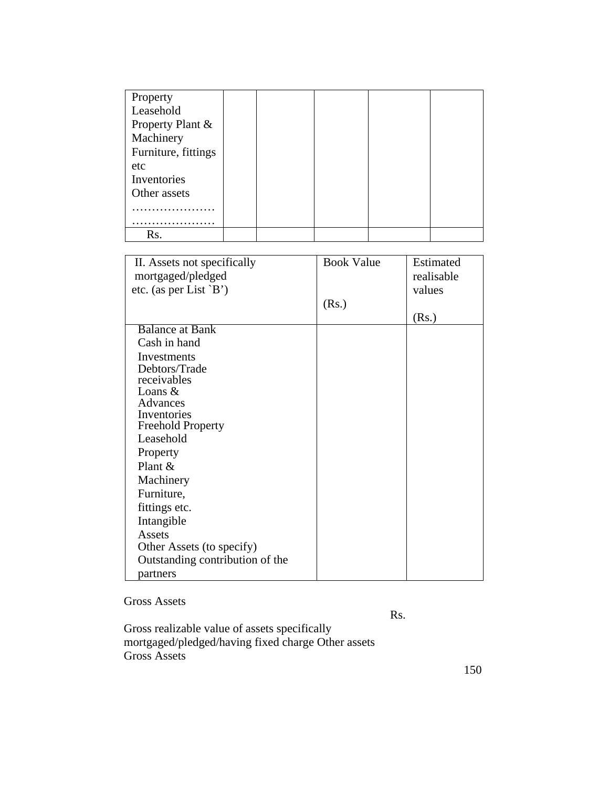| Property            |  |  |  |
|---------------------|--|--|--|
| Leasehold           |  |  |  |
| Property Plant &    |  |  |  |
| Machinery           |  |  |  |
| Furniture, fittings |  |  |  |
| etc                 |  |  |  |
| Inventories         |  |  |  |
| Other assets        |  |  |  |
|                     |  |  |  |
|                     |  |  |  |
| Rs.                 |  |  |  |

| II. Assets not specifically     | <b>Book Value</b> | Estimated  |
|---------------------------------|-------------------|------------|
| mortgaged/pledged               |                   | realisable |
| etc. (as per List $\hat{B}$ )   |                   | values     |
|                                 | (Rs.)             |            |
|                                 |                   | (Rs.)      |
| <b>Balance at Bank</b>          |                   |            |
| Cash in hand                    |                   |            |
| Investments                     |                   |            |
| Debtors/Trade                   |                   |            |
| receivables                     |                   |            |
| Loans $&$                       |                   |            |
| Advances                        |                   |            |
| Inventories                     |                   |            |
| <b>Freehold Property</b>        |                   |            |
| Leasehold                       |                   |            |
| Property                        |                   |            |
| Plant &                         |                   |            |
| Machinery                       |                   |            |
| Furniture,                      |                   |            |
| fittings etc.                   |                   |            |
| Intangible                      |                   |            |
| Assets                          |                   |            |
| Other Assets (to specify)       |                   |            |
| Outstanding contribution of the |                   |            |
| partners                        |                   |            |

Gross Assets

Rs.

Gross realizable value of assets specifically mortgaged/pledged/having fixed charge Other assets Gross Assets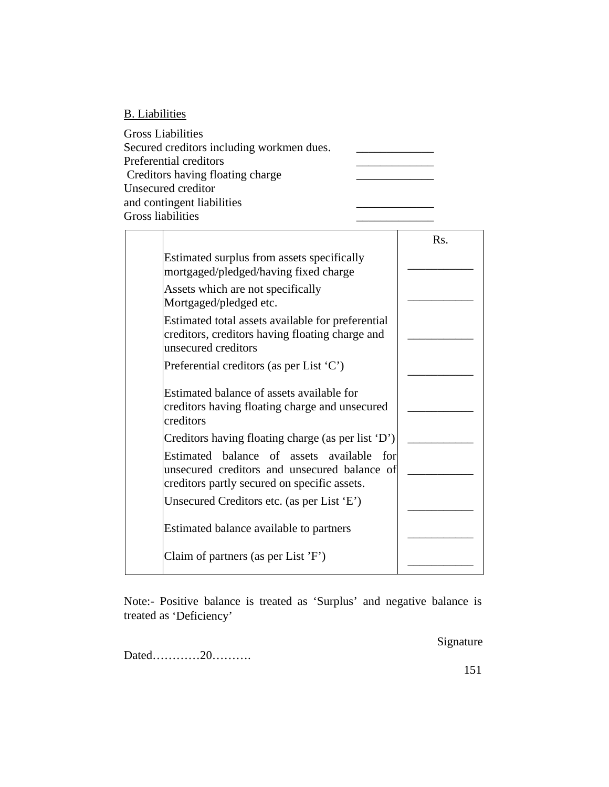## B. Liabilities

| <b>Gross Liabilities</b>                  |  |
|-------------------------------------------|--|
| Secured creditors including workmen dues. |  |
| Preferential creditors                    |  |
| Creditors having floating charge          |  |
| Unsecured creditor                        |  |
| and contingent liabilities                |  |
| <b>Gross liabilities</b>                  |  |

|                                                                                                                                           | Rs. |
|-------------------------------------------------------------------------------------------------------------------------------------------|-----|
| Estimated surplus from assets specifically<br>mortgaged/pledged/having fixed charge                                                       |     |
| Assets which are not specifically<br>Mortgaged/pledged etc.                                                                               |     |
| Estimated total assets available for preferential<br>creditors, creditors having floating charge and<br>unsecured creditors               |     |
| Preferential creditors (as per List $(C)$ )                                                                                               |     |
| Estimated balance of assets available for<br>creditors having floating charge and unsecured<br>creditors                                  |     |
| Creditors having floating charge (as per list 'D')                                                                                        |     |
| Estimated balance of assets available for<br>unsecured creditors and unsecured balance of<br>creditors partly secured on specific assets. |     |
| Unsecured Creditors etc. (as per List 'E')                                                                                                |     |
| Estimated balance available to partners                                                                                                   |     |
| Claim of partners (as per List $'F'$ )                                                                                                    |     |

Note:- Positive balance is treated as 'Surplus' and negative balance is treated as 'Deficiency'

Signature

Dated…………20……….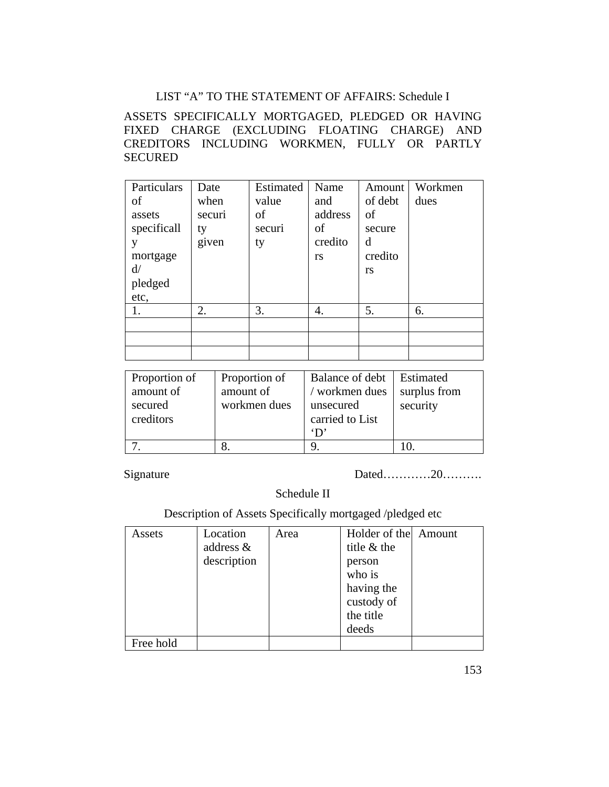## LIST "A" TO THE STATEMENT OF AFFAIRS: Schedule I

## ASSETS SPECIFICALLY MORTGAGED, PLEDGED OR HAVING FIXED CHARGE (EXCLUDING FLOATING CHARGE) AND CREDITORS INCLUDING WORKMEN, FULLY OR PARTLY **SECURED**

| Particulars<br>of<br>assets<br>specificall<br>y<br>mortgage<br>d/<br>pledged<br>etc, | Date<br>when<br>securi<br>ty<br>given | Estimated<br>value<br>of<br>securi<br>ty | Name<br>and<br>address<br>οf<br>credito<br>rs | Amount<br>of debt<br>of<br>secure<br>d<br>credito<br>rs | Workmen<br>dues |
|--------------------------------------------------------------------------------------|---------------------------------------|------------------------------------------|-----------------------------------------------|---------------------------------------------------------|-----------------|
| 1.                                                                                   | 2.                                    | 3.                                       | 4.                                            | 5.                                                      | 6.              |
|                                                                                      |                                       |                                          |                                               |                                                         |                 |
|                                                                                      |                                       |                                          |                                               |                                                         |                 |
|                                                                                      |                                       |                                          |                                               |                                                         |                 |

| Proportion of<br>amount of<br>secured<br>creditors | Proportion of<br>amount of<br>workmen dues | Balance of debt   Estimated<br>/ workmen dues<br>unsecured<br>carried to List<br>$\mathbf{D}$ | surplus from<br>security |
|----------------------------------------------------|--------------------------------------------|-----------------------------------------------------------------------------------------------|--------------------------|
|                                                    |                                            |                                                                                               |                          |

Signature Dated…………20………

Schedule II

Description of Assets Specifically mortgaged /pledged etc

| Assets    | Location     | Area | Holder of the Amount |  |
|-----------|--------------|------|----------------------|--|
|           | address $\&$ |      | title & the          |  |
|           | description  |      | person               |  |
|           |              |      | who is               |  |
|           |              |      | having the           |  |
|           |              |      | custody of           |  |
|           |              |      | the title            |  |
|           |              |      | deeds                |  |
| Free hold |              |      |                      |  |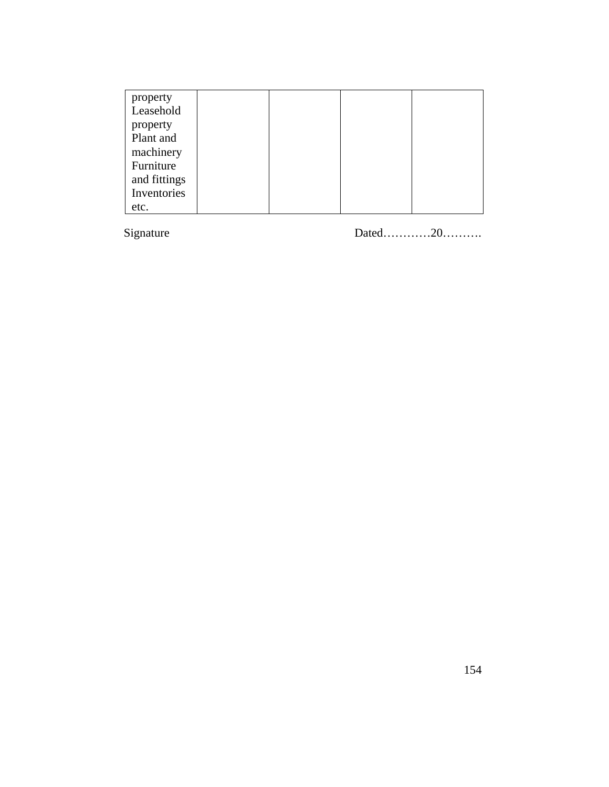| property     |  |  |
|--------------|--|--|
| Leasehold    |  |  |
| property     |  |  |
| Plant and    |  |  |
| machinery    |  |  |
| Furniture    |  |  |
| and fittings |  |  |
| Inventories  |  |  |
| etc.         |  |  |

Signature

Dated.............20...........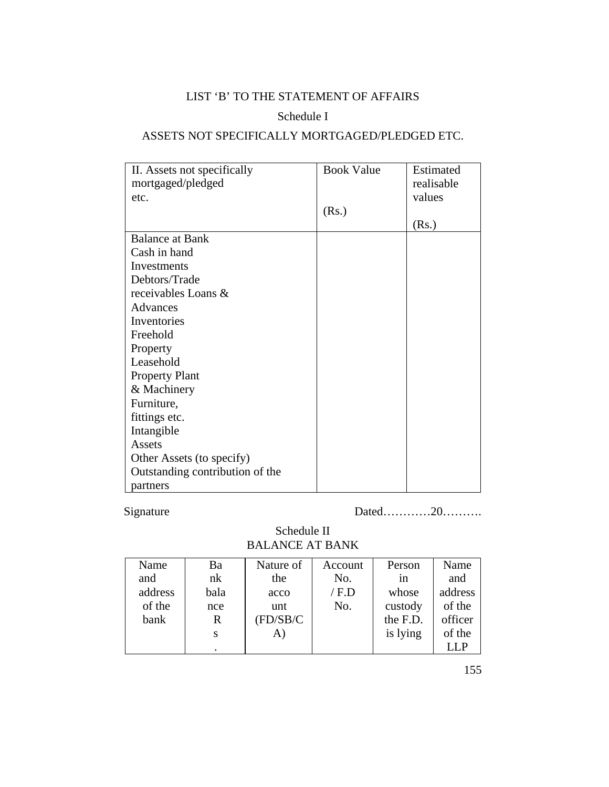# LIST 'B' TO THE STATEMENT OF AFFAIRS

# Schedule I

## ASSETS NOT SPECIFICALLY MORTGAGED/PLEDGED ETC.

| II. Assets not specifically     | <b>Book Value</b> | Estimated  |
|---------------------------------|-------------------|------------|
| mortgaged/pledged               |                   | realisable |
| etc.                            |                   | values     |
|                                 | (Rs.)             |            |
|                                 |                   | (Rs.)      |
| <b>Balance at Bank</b>          |                   |            |
| Cash in hand                    |                   |            |
| Investments                     |                   |            |
| Debtors/Trade                   |                   |            |
| receivables Loans &             |                   |            |
| Advances                        |                   |            |
| Inventories                     |                   |            |
| Freehold                        |                   |            |
| Property                        |                   |            |
| Leasehold                       |                   |            |
| <b>Property Plant</b>           |                   |            |
| & Machinery                     |                   |            |
| Furniture,                      |                   |            |
| fittings etc.                   |                   |            |
| Intangible                      |                   |            |
| Assets                          |                   |            |
| Other Assets (to specify)       |                   |            |
| Outstanding contribution of the |                   |            |
| partners                        |                   |            |

Signature Dated…………20………

Schedule II BALANCE AT BANK

| Name    | Ba   | Nature of | Account | Person   | Name    |
|---------|------|-----------|---------|----------|---------|
| and     | nk   | the       | No.     | 1n       | and     |
| address | bala | acco      | / F.D   | whose    | address |
| of the  | nce  | unt       | No.     | custody  | of the  |
| bank    | R    | (FD/SB/C) |         | the F.D. | officer |
|         | S    | A)        |         | is lying | of the  |
|         |      |           |         |          |         |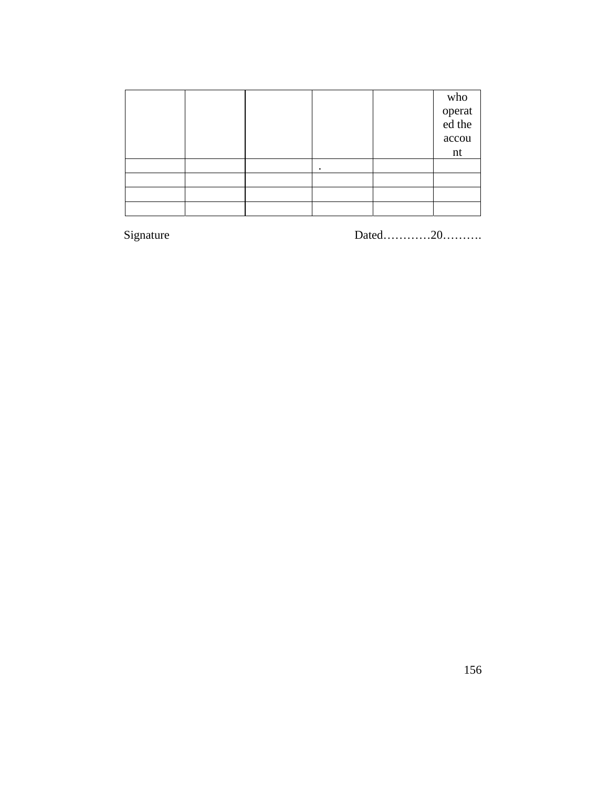|  |   | who<br>operat<br>ed the<br>accou<br>nt |
|--|---|----------------------------------------|
|  | ٠ |                                        |
|  |   |                                        |
|  |   |                                        |
|  |   |                                        |

Signature

Dated............20..........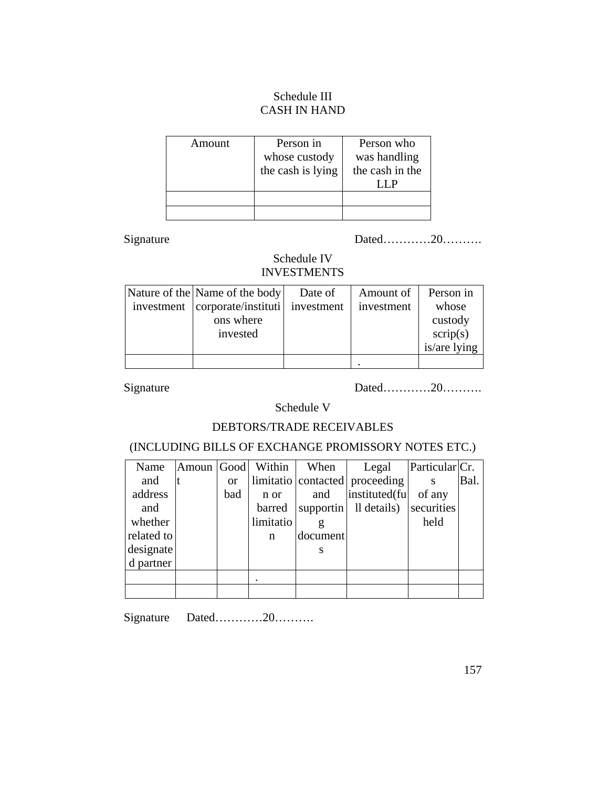## Schedule III CASH IN HAND

| Amount | Person in<br>whose custody<br>the cash is lying | Person who<br>was handling<br>the cash in the |
|--------|-------------------------------------------------|-----------------------------------------------|
|        |                                                 |                                               |
|        |                                                 |                                               |

Signature Dated…………20………

# Schedule IV INVESTMENTS

| Nature of the Name of the body   | Date of    | Amount of  | Person in    |
|----------------------------------|------------|------------|--------------|
| investment   corporate/instituti | investment | investment | whose        |
| ons where                        |            |            | custody      |
| invested                         |            |            | script(s)    |
|                                  |            |            | is/are lying |
|                                  |            |            |              |

Signature Dated…………20………

Schedule V

### DEBTORS/TRADE RECEIVABLES

## (INCLUDING BILLS OF EXCHANGE PROMISSORY NOTES ETC.)

| Name       | Amoun Good |               | Within    | When      | Legal                          | Particular <sub>Cr.</sub> |      |
|------------|------------|---------------|-----------|-----------|--------------------------------|---------------------------|------|
| and        |            | <sub>or</sub> |           |           | limitatio contacted proceeding |                           | Bal. |
| address    |            | bad           | n or      | and       | instituted(fu                  | of any                    |      |
| and        |            |               | barred    | supportin | Il details)                    | securities                |      |
| whether    |            |               | limitatio | g         |                                | held                      |      |
| related to |            |               | n         | document  |                                |                           |      |
| designate  |            |               |           | S         |                                |                           |      |
| d partner  |            |               |           |           |                                |                           |      |
|            |            |               |           |           |                                |                           |      |
|            |            |               |           |           |                                |                           |      |

Signature Dated…………20……….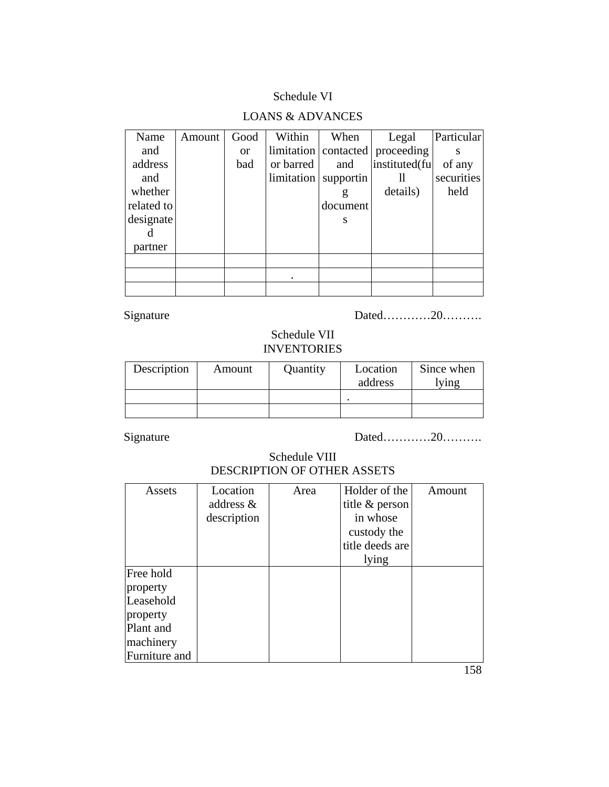## Schedule VI

# LOANS & ADVANCES

| Name       | Amount | Good          | Within     | When      | Legal                               | Particular |
|------------|--------|---------------|------------|-----------|-------------------------------------|------------|
| and        |        | <sub>or</sub> |            |           | limitation   contacted   proceeding |            |
| address    |        | bad           | or barred  | and       | instituted(fu                       | of any     |
| and        |        |               | limitation | supportin | Н                                   | securities |
| whether    |        |               |            | g         | details)                            | held       |
| related to |        |               |            | document  |                                     |            |
| designate  |        |               |            | S         |                                     |            |
|            |        |               |            |           |                                     |            |
| partner    |        |               |            |           |                                     |            |
|            |        |               |            |           |                                     |            |
|            |        |               |            |           |                                     |            |
|            |        |               |            |           |                                     |            |

Signature Dated…………20………

## Schedule VII INVENTORIES

| Description | Amount | Quantity | Location<br>address | Since when<br>ying |
|-------------|--------|----------|---------------------|--------------------|
|             |        |          |                     |                    |
|             |        |          |                     |                    |

Signature Dated…………20………

Schedule VIII DESCRIPTION OF OTHER ASSETS

| Assets        | Location<br>address $\&$<br>description | Area | Holder of the<br>title & person<br>in whose<br>custody the | Amount |
|---------------|-----------------------------------------|------|------------------------------------------------------------|--------|
|               |                                         |      | title deeds are                                            |        |
|               |                                         |      | lying                                                      |        |
| Free hold     |                                         |      |                                                            |        |
| property      |                                         |      |                                                            |        |
| Leasehold     |                                         |      |                                                            |        |
| property      |                                         |      |                                                            |        |
| Plant and     |                                         |      |                                                            |        |
| machinery     |                                         |      |                                                            |        |
| Furniture and |                                         |      |                                                            |        |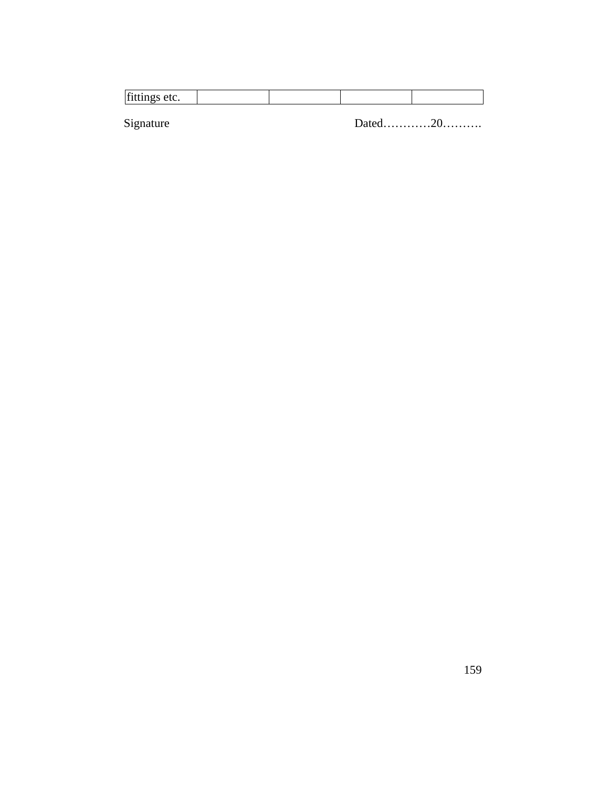| ۱£<br>.<br>. |  |
|--------------|--|

Signature

Dated............20..........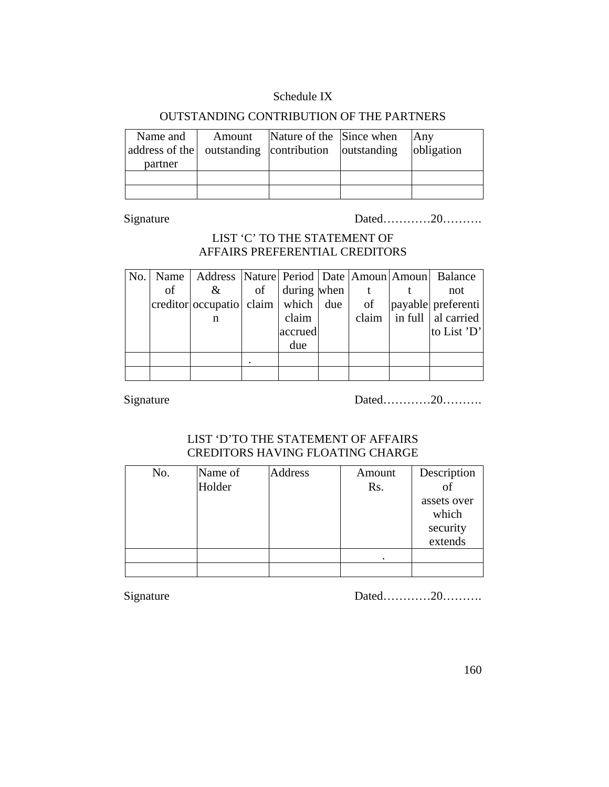## Schedule IX

## OUTSTANDING CONTRIBUTION OF THE PARTNERS

| Name and<br>address of the   outstanding   contribution   outstanding<br>partner | Amount | Nature of the Since when | <b>Any</b><br>obligation |
|----------------------------------------------------------------------------------|--------|--------------------------|--------------------------|
|                                                                                  |        |                          |                          |

Signature Dated…………20………

## LIST 'C' TO THE STATEMENT OF AFFAIRS PREFERENTIAL CREDITORS

|    | No.   Name   Address   Nature   Period   Date   Amoun   Amoun   Balance |    |             |    |                                          |
|----|-------------------------------------------------------------------------|----|-------------|----|------------------------------------------|
| of | $\&$                                                                    | of | during when |    | not                                      |
|    | $ {\rm creditor} $ occupatio $ {\rm claim} $ which $ {\rm due} $        |    |             | of | payable preferenti                       |
|    | n                                                                       |    | claim       |    | claim $\vert$ in full $\vert$ al carried |
|    |                                                                         |    | accrued     |    | to List 'D'                              |
|    |                                                                         |    | due         |    |                                          |
|    |                                                                         |    |             |    |                                          |
|    |                                                                         |    |             |    |                                          |

Signature Dated…………20………

## LIST 'D'TO THE STATEMENT OF AFFAIRS CREDITORS HAVING FLOATING CHARGE

| No. | Name of<br>Holder | Address | Amount<br>Rs. | Description<br>assets over<br>which |
|-----|-------------------|---------|---------------|-------------------------------------|
|     |                   |         |               | security<br>extends                 |
|     |                   |         |               |                                     |
|     |                   |         |               |                                     |

Signature Dated…………20………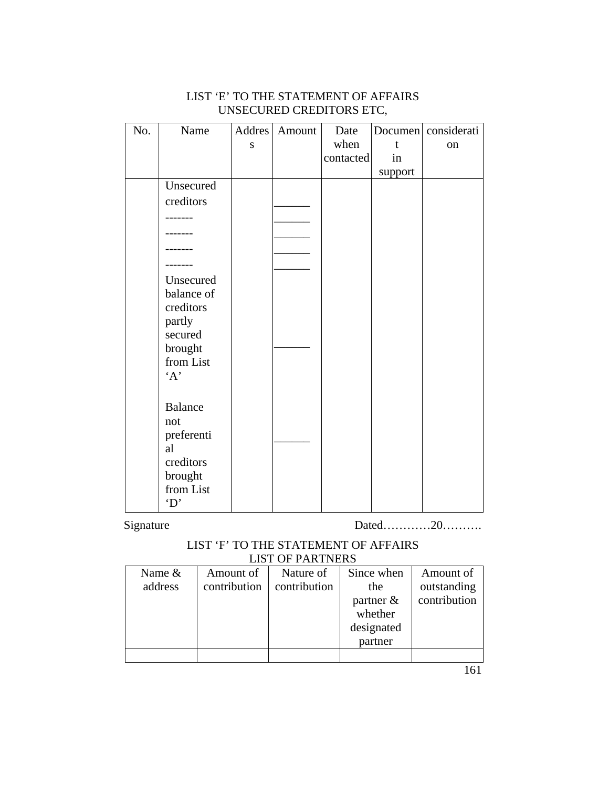| No. | Name                                                      | Addres | Amount | Date      |         | Documen considerati |
|-----|-----------------------------------------------------------|--------|--------|-----------|---------|---------------------|
|     |                                                           | S      |        | when      | t       | on                  |
|     |                                                           |        |        | contacted | in      |                     |
|     |                                                           |        |        |           | support |                     |
|     | Unsecured                                                 |        |        |           |         |                     |
|     | creditors                                                 |        |        |           |         |                     |
|     | $---$                                                     |        |        |           |         |                     |
|     |                                                           |        |        |           |         |                     |
|     |                                                           |        |        |           |         |                     |
|     |                                                           |        |        |           |         |                     |
|     | Unsecured<br>balance of<br>creditors<br>partly<br>secured |        |        |           |         |                     |
|     | brought<br>from List<br>A                                 |        |        |           |         |                     |
|     | <b>Balance</b><br>not<br>preferenti<br>al<br>creditors    |        |        |           |         |                     |
|     | brought<br>from List<br>$\mathbf{D}$                      |        |        |           |         |                     |

## LIST 'E' TO THE STATEMENT OF AFFAIRS UNSECURED CREDITORS ETC,

Signature Dated…………20………

### LIST 'F' TO THE STATEMENT OF AFFAIRS LIST OF PARTNERS

| Name $&$ | Amount of    | Nature of    | Since when   | Amount of    |
|----------|--------------|--------------|--------------|--------------|
| address  | contribution | contribution | the          | outstanding  |
|          |              |              | partner $\&$ | contribution |
|          |              |              | whether      |              |
|          |              |              | designated   |              |
|          |              |              | partner      |              |
|          |              |              |              |              |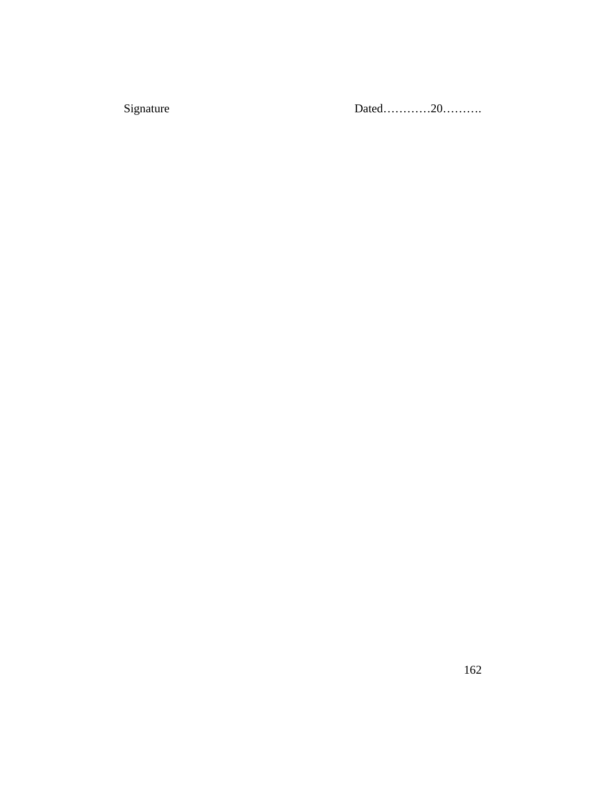Signature

Dated.............20...........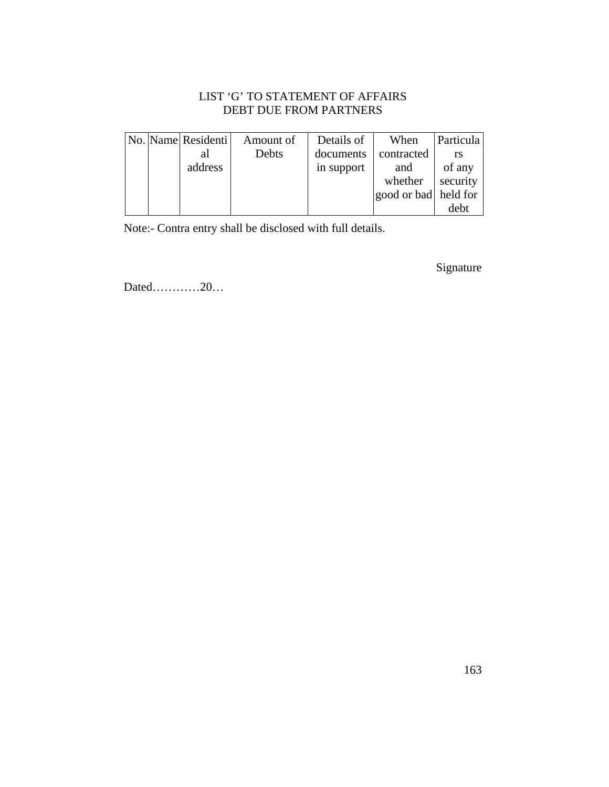## LIST 'G' TO STATEMENT OF AFFAIRS DEBT DUE FROM PARTNERS

|  | No. Name Residenti | Amount of | Details of | When                 | Particula |
|--|--------------------|-----------|------------|----------------------|-----------|
|  | al                 | Debts     | documents  | contracted           |           |
|  | address            |           | in support | and                  | of any    |
|  |                    |           |            | whether              | security  |
|  |                    |           |            | good or bad held for |           |
|  |                    |           |            |                      | debt      |

Note:- Contra entry shall be disclosed with full details.

Signature

Dated…………20…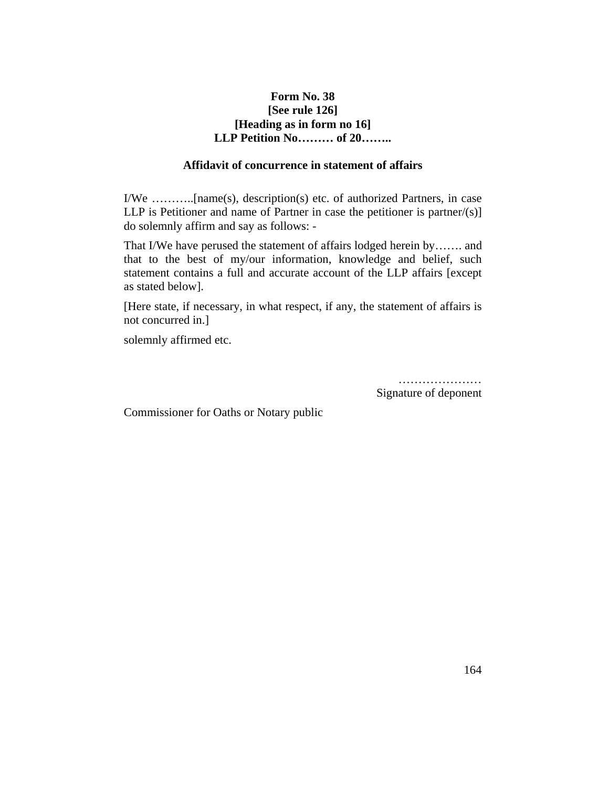## **Form No. 38 [See rule 126] [Heading as in form no 16] LLP Petition No……… of 20……..**

#### **Affidavit of concurrence in statement of affairs**

I/We ………..[name(s), description(s) etc. of authorized Partners, in case LLP is Petitioner and name of Partner in case the petitioner is partner/ $(s)$ ] do solemnly affirm and say as follows: -

That I/We have perused the statement of affairs lodged herein by……. and that to the best of my/our information, knowledge and belief, such statement contains a full and accurate account of the LLP affairs [except as stated below].

[Here state, if necessary, in what respect, if any, the statement of affairs is not concurred in.]

solemnly affirmed etc.

……………………… Signature of deponent

Commissioner for Oaths or Notary public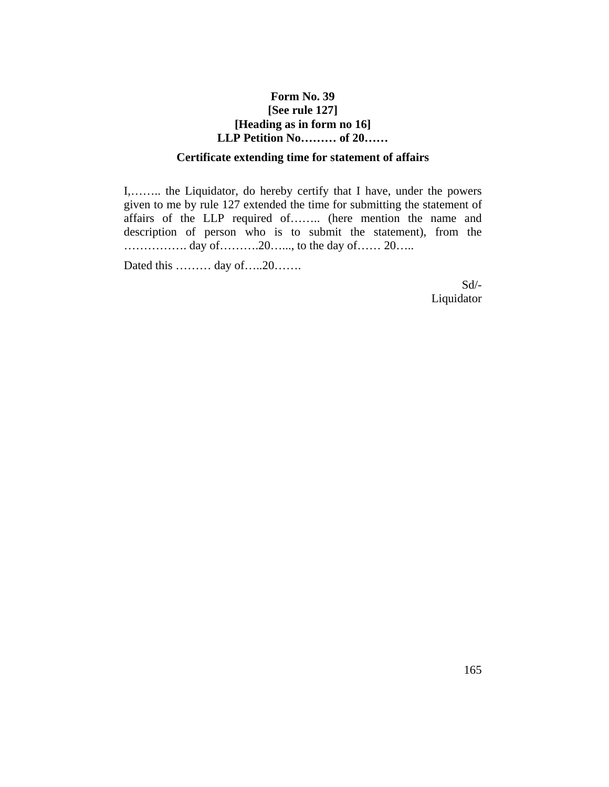## **Form No. 39 [See rule 127] [Heading as in form no 16] LLP Petition No……… of 20……**

#### **Certificate extending time for statement of affairs**

I,…….. the Liquidator, do hereby certify that I have, under the powers given to me by rule 127 extended the time for submitting the statement of affairs of the LLP required of…….. (here mention the name and description of person who is to submit the statement), from the ……………. day of……….20…..., to the day of…… 20…..

Dated this ……… day of…..20…….

Sd/- Liquidator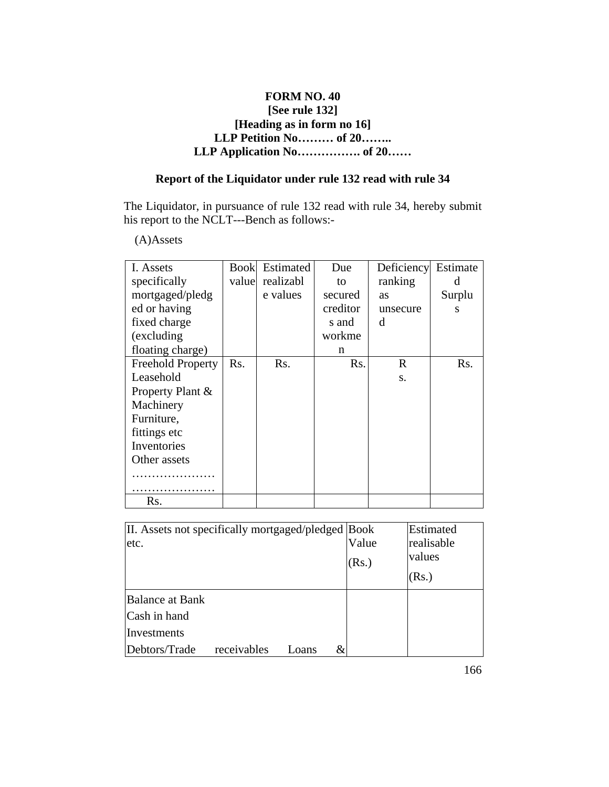## **FORM NO. 40 [See rule 132] [Heading as in form no 16] LLP Petition No……… of 20…….. LLP Application No……………. of 20……**

# **Report of the Liquidator under rule 132 read with rule 34**

The Liquidator, in pursuance of rule 132 read with rule 34, hereby submit his report to the NCLT---Bench as follows:-

# (A)Assets

| I. Assets                | Book | Estimated       | Due      | Deficiency | Estimate |
|--------------------------|------|-----------------|----------|------------|----------|
| specifically             |      | value realizabl | to       | ranking    | d        |
| mortgaged/pledg          |      | e values        | secured  | as         | Surplu   |
| ed or having             |      |                 | creditor | unsecure   | S        |
| fixed charge             |      |                 | s and    | d          |          |
| (excluding)              |      |                 | workme   |            |          |
| floating charge)         |      |                 | n        |            |          |
| <b>Freehold Property</b> | Rs.  | Rs.             | Rs.      | R          | Rs.      |
| Leasehold                |      |                 |          | S.         |          |
| Property Plant &         |      |                 |          |            |          |
| Machinery                |      |                 |          |            |          |
| Furniture,               |      |                 |          |            |          |
| fittings etc             |      |                 |          |            |          |
| Inventories              |      |                 |          |            |          |
| Other assets             |      |                 |          |            |          |
|                          |      |                 |          |            |          |
| Rs.                      |      |                 |          |            |          |

| II. Assets not specifically mortgaged/pledged Book |       | Estimated  |
|----------------------------------------------------|-------|------------|
| etc.                                               | Value | realisable |
|                                                    | (Rs.) | values     |
|                                                    |       | (Rs.)      |
| <b>Balance at Bank</b>                             |       |            |
| Cash in hand                                       |       |            |
| Investments                                        |       |            |
| receivables<br>Debtors/Trade<br>Loans              |       |            |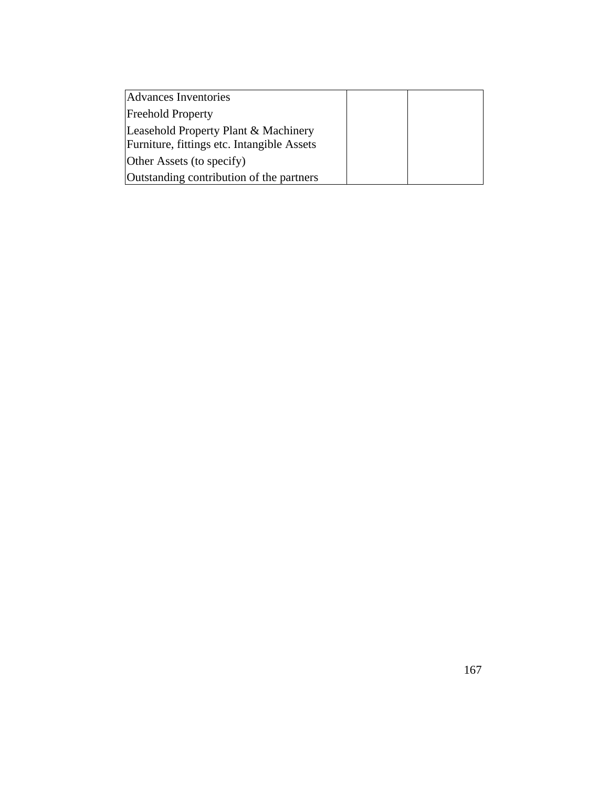| Advances Inventories                                                               |  |
|------------------------------------------------------------------------------------|--|
| <b>Freehold Property</b>                                                           |  |
| Leasehold Property Plant & Machinery<br>Furniture, fittings etc. Intangible Assets |  |
| Other Assets (to specify)                                                          |  |
| Outstanding contribution of the partners                                           |  |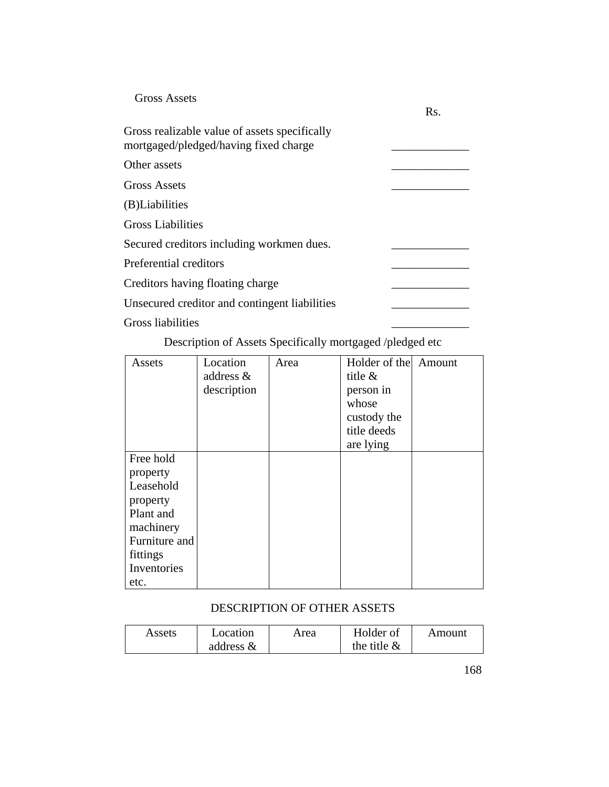| <b>Gross Assets</b>                                                                    | Rs. |
|----------------------------------------------------------------------------------------|-----|
| Gross realizable value of assets specifically<br>mortgaged/pledged/having fixed charge |     |
| Other assets                                                                           |     |
| <b>Gross Assets</b>                                                                    |     |
| (B)Liabilities                                                                         |     |
| Gross Liabilities                                                                      |     |
| Secured creditors including workmen dues.                                              |     |
| Preferential creditors                                                                 |     |
| Creditors having floating charge                                                       |     |
| Unsecured creditor and contingent liabilities                                          |     |
| Gross liabilities                                                                      |     |

Description of Assets Specifically mortgaged /pledged etc

| Assets        | Location    | Area | Holder of the Amount |  |
|---------------|-------------|------|----------------------|--|
|               | address &   |      | title $\&$           |  |
|               | description |      | person in            |  |
|               |             |      | whose                |  |
|               |             |      | custody the          |  |
|               |             |      | title deeds          |  |
|               |             |      | are lying            |  |
| Free hold     |             |      |                      |  |
| property      |             |      |                      |  |
| Leasehold     |             |      |                      |  |
| property      |             |      |                      |  |
| Plant and     |             |      |                      |  |
| machinery     |             |      |                      |  |
| Furniture and |             |      |                      |  |
| fittings      |             |      |                      |  |
| Inventories   |             |      |                      |  |
| etc.          |             |      |                      |  |

## DESCRIPTION OF OTHER ASSETS

| Assets | Location     | Holder of<br>Area |                | Amount |
|--------|--------------|-------------------|----------------|--------|
|        | address $\&$ |                   | the title $\&$ |        |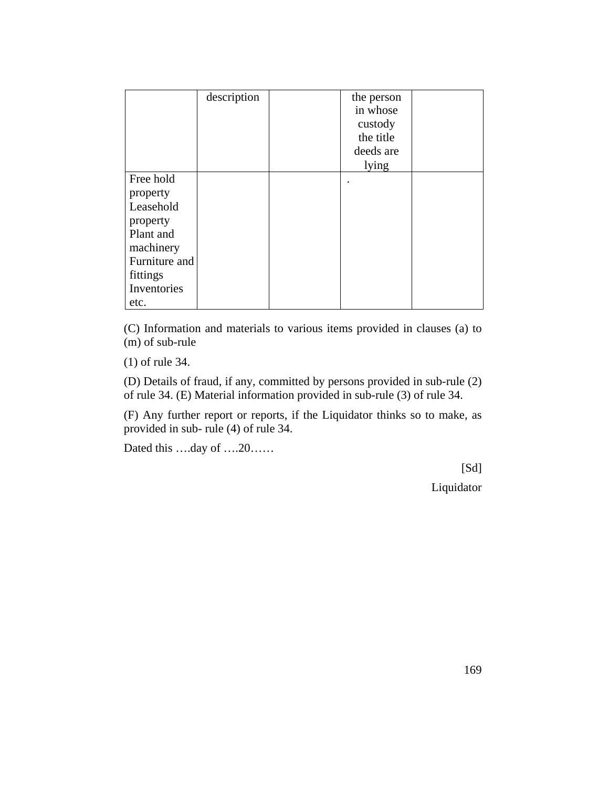|                                                                                                                              | description | the person<br>in whose<br>custody<br>the title<br>deeds are<br>lying |  |
|------------------------------------------------------------------------------------------------------------------------------|-------------|----------------------------------------------------------------------|--|
| Free hold<br>property<br>Leasehold<br>property<br>Plant and<br>machinery<br>Furniture and<br>fittings<br>Inventories<br>etc. |             |                                                                      |  |

(C) Information and materials to various items provided in clauses (a) to  $(m)$  of sub-rule

(1) of rule 34.

(D) Details of fraud, if any, committed by persons provided in sub-rule (2) of rule 34. (E) Material information provided in sub-rule (3) of rule 34.

(F) Any further report or reports, if the Liquidator thinks so to make, as provided in sub- rule (4) of rule 34.

Dated this ….day of ….20……

[Sd]

Liquidator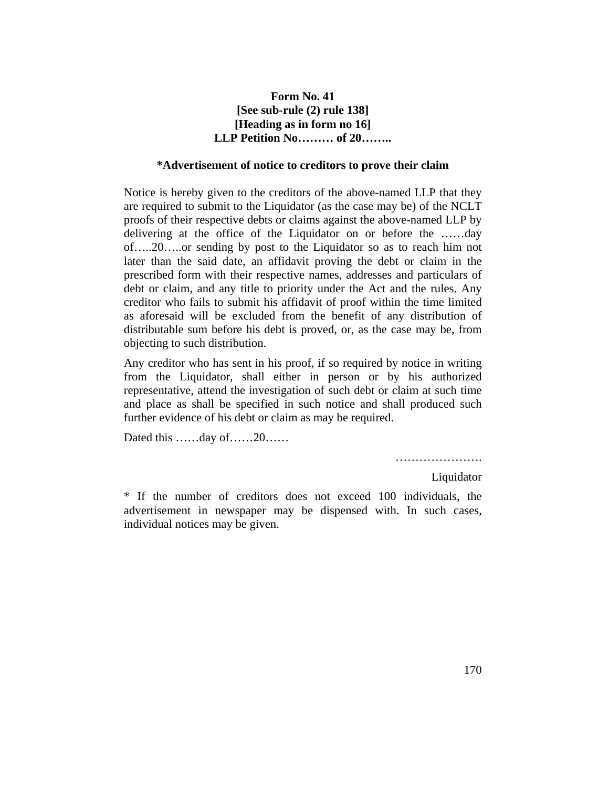## **Form No. 41 [See sub-rule (2) rule 138] [Heading as in form no 16] LLP Petition No……… of 20……..**

#### **\*Advertisement of notice to creditors to prove their claim**

Notice is hereby given to the creditors of the above-named LLP that they are required to submit to the Liquidator (as the case may be) of the NCLT proofs of their respective debts or claims against the above-named LLP by delivering at the office of the Liquidator on or before the ……day of…..20…..or sending by post to the Liquidator so as to reach him not later than the said date, an affidavit proving the debt or claim in the prescribed form with their respective names, addresses and particulars of debt or claim, and any title to priority under the Act and the rules. Any creditor who fails to submit his affidavit of proof within the time limited as aforesaid will be excluded from the benefit of any distribution of distributable sum before his debt is proved, or, as the case may be, from objecting to such distribution.

Any creditor who has sent in his proof, if so required by notice in writing from the Liquidator, shall either in person or by his authorized representative, attend the investigation of such debt or claim at such time and place as shall be specified in such notice and shall produced such further evidence of his debt or claim as may be required.

Dated this ……day of……20……

………………………

Liquidator

\* If the number of creditors does not exceed 100 individuals, the advertisement in newspaper may be dispensed with. In such cases, individual notices may be given.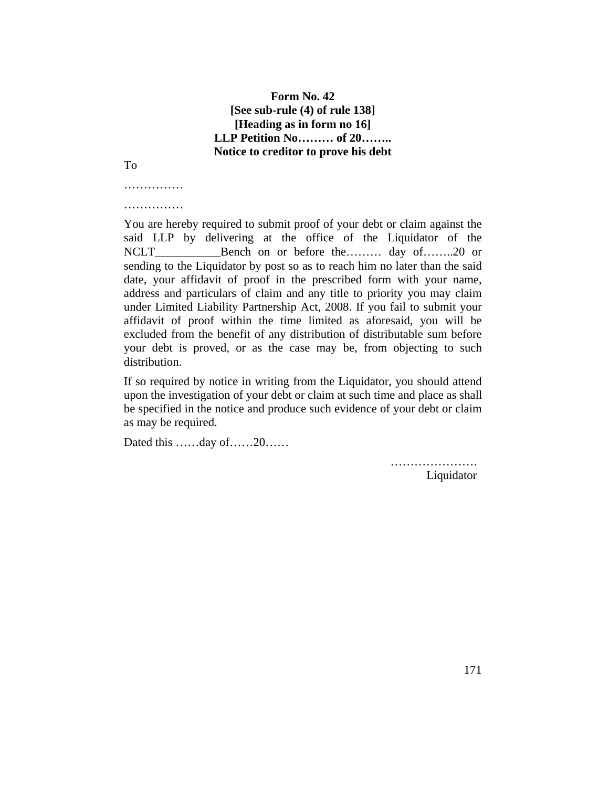## **Form No. 42 [See sub-rule (4) of rule 138] [Heading as in form no 16] LLP Petition No……… of 20…….. Notice to creditor to prove his debt**

To

……………

……………

You are hereby required to submit proof of your debt or claim against the said LLP by delivering at the office of the Liquidator of the NCLT\_\_\_\_\_\_\_\_\_\_\_\_\_\_\_Bench on or before the……… day of…….20 or sending to the Liquidator by post so as to reach him no later than the said date, your affidavit of proof in the prescribed form with your name, address and particulars of claim and any title to priority you may claim under Limited Liability Partnership Act, 2008. If you fail to submit your affidavit of proof within the time limited as aforesaid, you will be excluded from the benefit of any distribution of distributable sum before your debt is proved, or as the case may be, from objecting to such distribution.

If so required by notice in writing from the Liquidator, you should attend upon the investigation of your debt or claim at such time and place as shall be specified in the notice and produce such evidence of your debt or claim as may be required.

Dated this ……day of……20……

……………………… Liquidator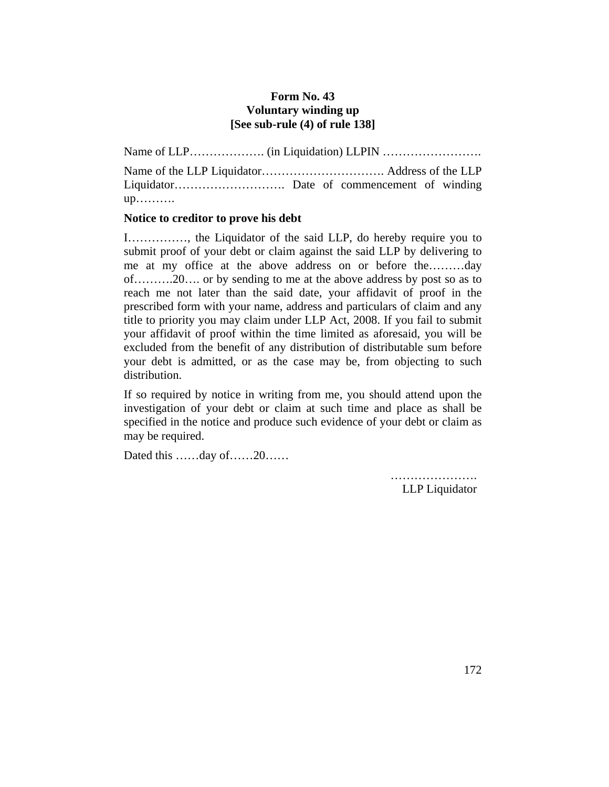## **Form No. 43 Voluntary winding up [See sub-rule (4) of rule 138]**

Name of LLP………………. (in Liquidation) LLPIN …………………….

Name of the LLP Liquidator…………………………. Address of the LLP Liquidator………………………. Date of commencement of winding up……….

### **Notice to creditor to prove his debt**

I……………, the Liquidator of the said LLP, do hereby require you to submit proof of your debt or claim against the said LLP by delivering to me at my office at the above address on or before the………day of……….20…. or by sending to me at the above address by post so as to reach me not later than the said date, your affidavit of proof in the prescribed form with your name, address and particulars of claim and any title to priority you may claim under LLP Act, 2008. If you fail to submit your affidavit of proof within the time limited as aforesaid, you will be excluded from the benefit of any distribution of distributable sum before your debt is admitted, or as the case may be, from objecting to such distribution.

If so required by notice in writing from me, you should attend upon the investigation of your debt or claim at such time and place as shall be specified in the notice and produce such evidence of your debt or claim as may be required.

Dated this ……day of……20……

……………………… LLP Liquidator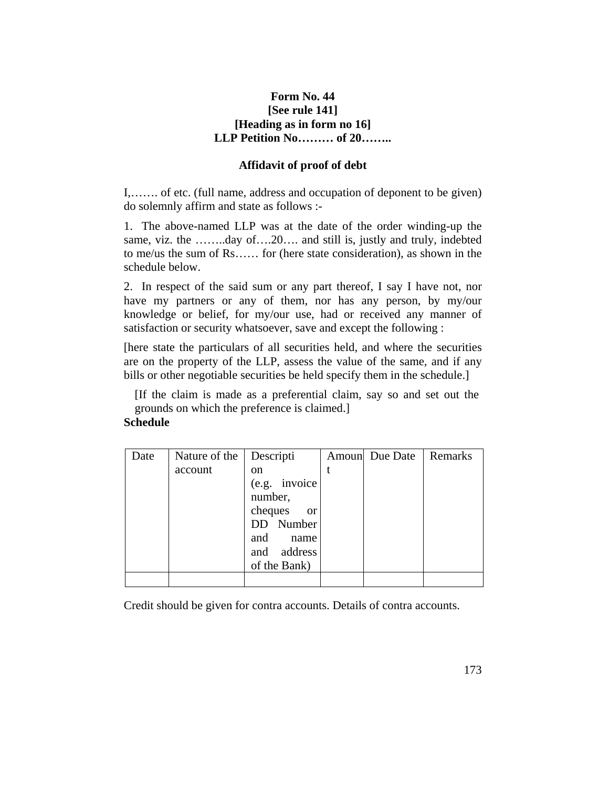## **Form No. 44 [See rule 141] [Heading as in form no 16] LLP Petition No……… of 20……..**

#### **Affidavit of proof of debt**

I,……. of etc. (full name, address and occupation of deponent to be given) do solemnly affirm and state as follows :-

1. The above-named LLP was at the date of the order winding-up the same, viz. the ……..day of….20…. and still is, justly and truly, indebted to me/us the sum of Rs…… for (here state consideration), as shown in the schedule below.

2. In respect of the said sum or any part thereof, I say I have not, nor have my partners or any of them, nor has any person, by my/our knowledge or belief, for my/our use, had or received any manner of satisfaction or security whatsoever, save and except the following :

[here state the particulars of all securities held, and where the securities are on the property of the LLP, assess the value of the same, and if any bills or other negotiable securities be held specify them in the schedule.]

[If the claim is made as a preferential claim, say so and set out the grounds on which the preference is claimed.]

### **Schedule**

| Date | Nature of the | <b>Descripti</b>         | Amoun Due Date | Remarks |
|------|---------------|--------------------------|----------------|---------|
|      | account       | <sub>on</sub>            |                |         |
|      |               | (e.g. invoice            |                |         |
|      |               | number,                  |                |         |
|      |               | cheques<br><sub>or</sub> |                |         |
|      |               | DD Number                |                |         |
|      |               | and<br>name              |                |         |
|      |               | address<br>and           |                |         |
|      |               | of the Bank)             |                |         |
|      |               |                          |                |         |

Credit should be given for contra accounts. Details of contra accounts.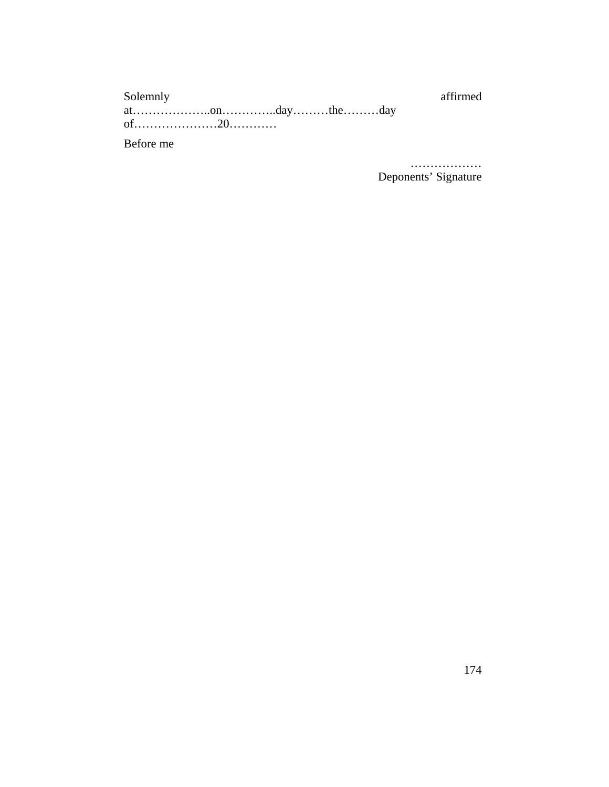| Solemnly  |  |  | affirmed |
|-----------|--|--|----------|
|           |  |  |          |
|           |  |  |          |
| Before me |  |  |          |

. . . . . . . . . . . . . . . . . . Deponents' Signature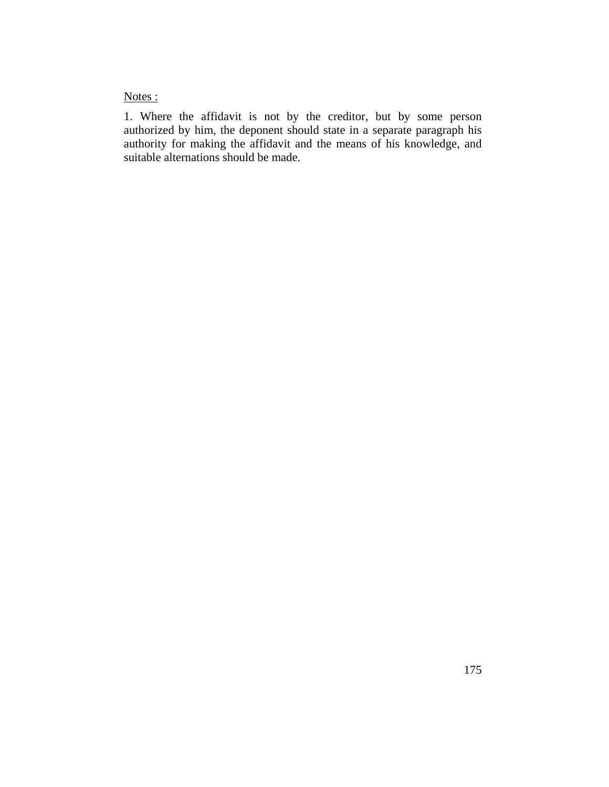Notes :

1. Where the affidavit is not by the creditor, but by some person authorized by him, the deponent should state in a separate paragraph his authority for making the affidavit and the means of his knowledge, and suitable alternations should be made.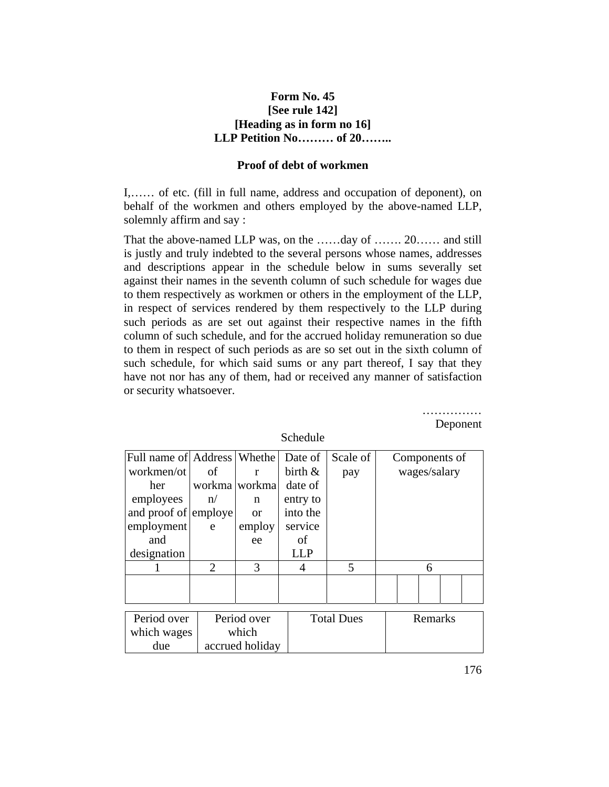### **Form No. 45 [See rule 142] [Heading as in form no 16] LLP Petition No……… of 20……..**

#### **Proof of debt of workmen**

I,…… of etc. (fill in full name, address and occupation of deponent), on behalf of the workmen and others employed by the above-named LLP, solemnly affirm and say :

That the above-named LLP was, on the ……day of ……. 20…… and still is justly and truly indebted to the several persons whose names, addresses and descriptions appear in the schedule below in sums severally set against their names in the seventh column of such schedule for wages due to them respectively as workmen or others in the employment of the LLP, in respect of services rendered by them respectively to the LLP during such periods as are set out against their respective names in the fifth column of such schedule, and for the accrued holiday remuneration so due to them in respect of such periods as are so set out in the sixth column of such schedule, for which said sums or any part thereof, I say that they have not nor has any of them, had or received any manner of satisfaction or security whatsoever.

|                               |                       |                 |            |                   |               |         |              | Deponent |
|-------------------------------|-----------------------|-----------------|------------|-------------------|---------------|---------|--------------|----------|
|                               |                       |                 | Schedule   |                   |               |         |              |          |
| Full name of Address   Whethe |                       |                 | Date of    | Scale of          | Components of |         |              |          |
| workmen/ot                    | οf                    | r               | birth $\&$ | pay               |               |         | wages/salary |          |
| her                           |                       | workma workma   | date of    |                   |               |         |              |          |
| employees                     | n/                    | n               | entry to   |                   |               |         |              |          |
| and proof of employe          |                       | <b>or</b>       | into the   |                   |               |         |              |          |
| employment                    | e                     | employ          | service    |                   |               |         |              |          |
| and                           |                       | ee              | of         |                   |               |         |              |          |
| designation                   |                       |                 | <b>LLP</b> |                   |               |         |              |          |
|                               | $\mathcal{D}_{\cdot}$ | 3               | 4          | 5                 |               | 6       |              |          |
|                               |                       |                 |            |                   |               |         |              |          |
|                               |                       |                 |            |                   |               |         |              |          |
|                               |                       |                 |            |                   |               |         |              |          |
| Period over                   |                       | Period over     |            | <b>Total Dues</b> |               | Remarks |              |          |
| which wages                   |                       | which           |            |                   |               |         |              |          |
| due                           |                       | accrued holiday |            |                   |               |         |              |          |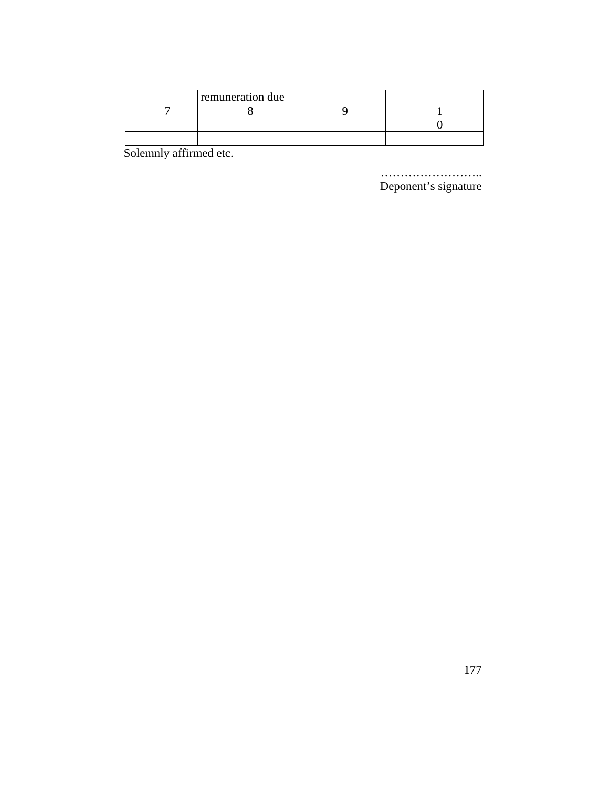| remuneration due |  |
|------------------|--|
|                  |  |
|                  |  |
|                  |  |

Solemnly affirmed etc.

Deponent's signature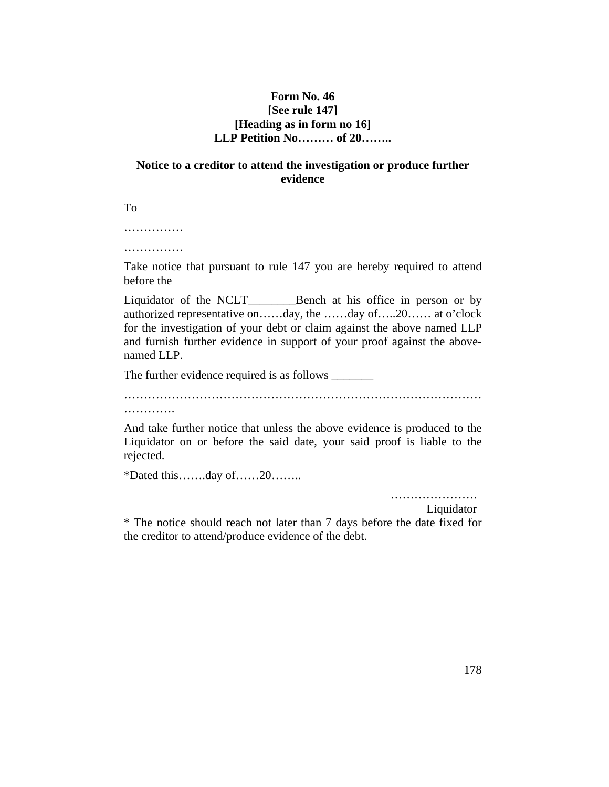## **Form No. 46 [See rule 147] [Heading as in form no 16] LLP Petition No……… of 20……..**

## **Notice to a creditor to attend the investigation or produce further evidence**

To

……………

………………

Take notice that pursuant to rule 147 you are hereby required to attend before the

Liquidator of the NCLT\_\_\_\_\_\_\_Bench at his office in person or by authorized representative on……day, the ……day of…..20…… at o'clock for the investigation of your debt or claim against the above named LLP and furnish further evidence in support of your proof against the abovenamed LLP.

The further evidence required is as follows \_\_\_\_\_\_\_

………………………………………………………………………………

…………

And take further notice that unless the above evidence is produced to the Liquidator on or before the said date, your said proof is liable to the rejected.

\*Dated this…….day of……20……..

………………….

Liquidator

\* The notice should reach not later than 7 days before the date fixed for the creditor to attend/produce evidence of the debt.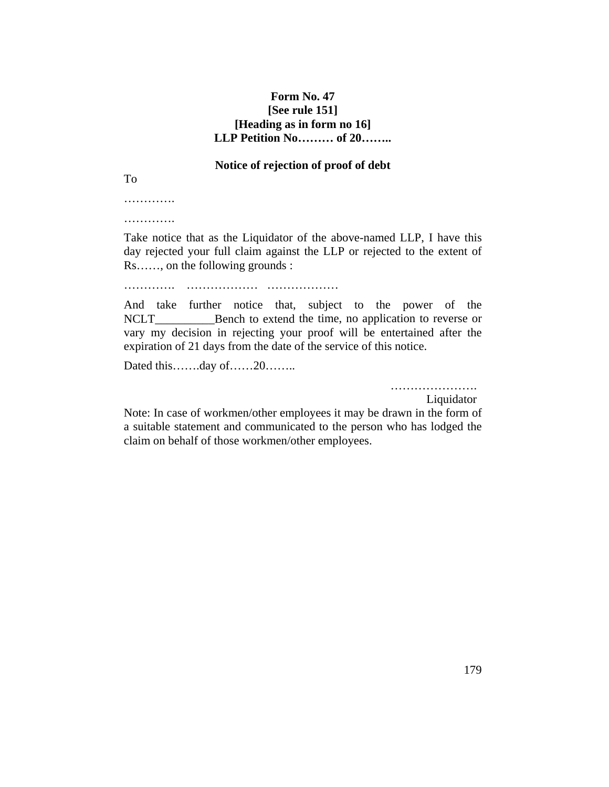## **Form No. 47 [See rule 151] [Heading as in form no 16] LLP Petition No……… of 20……..**

#### **Notice of rejection of proof of debt**

To

………… ………….

Take notice that as the Liquidator of the above-named LLP, I have this day rejected your full claim against the LLP or rejected to the extent of Rs……, on the following grounds :

…………. ……………… ………………

And take further notice that, subject to the power of the NCLT Bench to extend the time, no application to reverse or vary my decision in rejecting your proof will be entertained after the expiration of 21 days from the date of the service of this notice.

Dated this…….day of……20……..

………………….

Liquidator

Note: In case of workmen/other employees it may be drawn in the form of a suitable statement and communicated to the person who has lodged the claim on behalf of those workmen/other employees.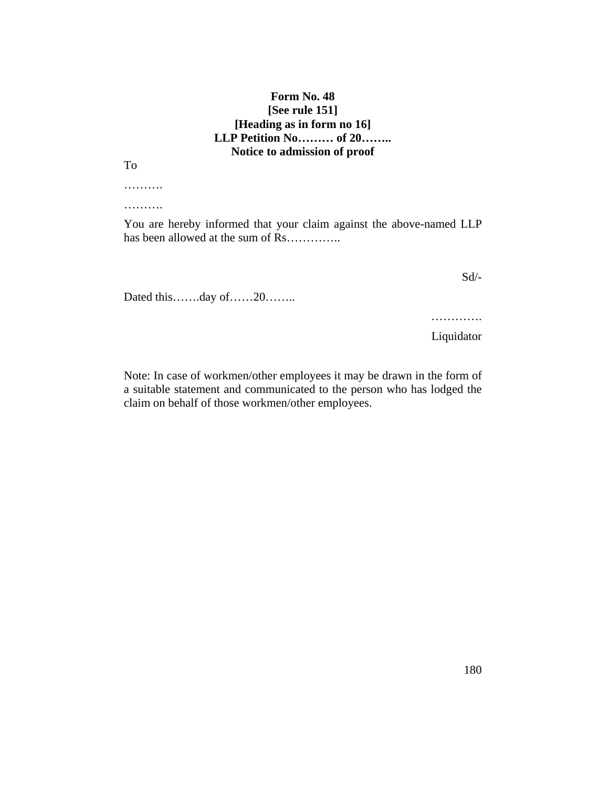## **Form No. 48 [See rule 151] [Heading as in form no 16] LLP Petition No……… of 20…….. Notice to admission of proof**

To

……….

……….

You are hereby informed that your claim against the above-named LLP has been allowed at the sum of Rs…………..

Dated this…….day of……20……..

Sd/-

…………… Liquidator

Note: In case of workmen/other employees it may be drawn in the form of a suitable statement and communicated to the person who has lodged the claim on behalf of those workmen/other employees.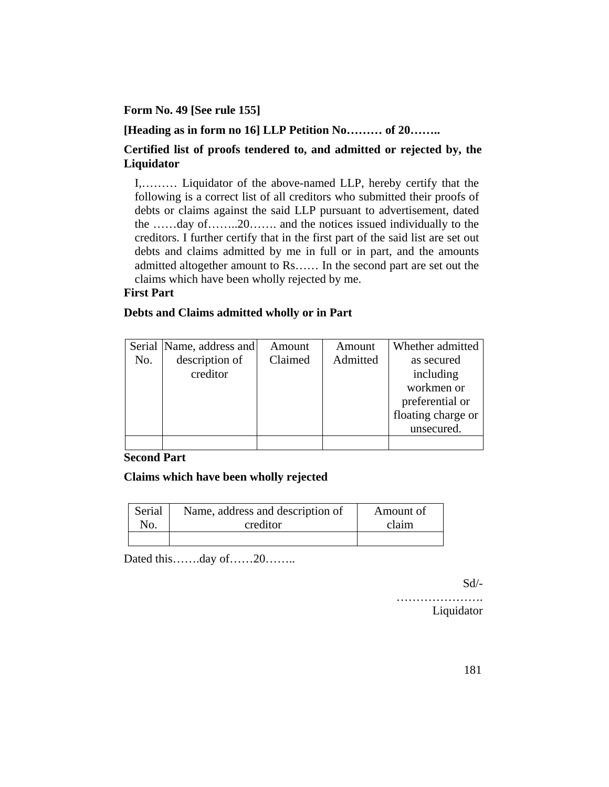## **Form No. 49 [See rule 155]**

**[Heading as in form no 16] LLP Petition No……… of 20……..**

## **Certified list of proofs tendered to, and admitted or rejected by, the Liquidator**

I,……… Liquidator of the above-named LLP, hereby certify that the following is a correct list of all creditors who submitted their proofs of debts or claims against the said LLP pursuant to advertisement, dated the ……day of……..20……. and the notices issued individually to the creditors. I further certify that in the first part of the said list are set out debts and claims admitted by me in full or in part, and the amounts admitted altogether amount to Rs…… In the second part are set out the claims which have been wholly rejected by me.

## **First Part**

## **Debts and Claims admitted wholly or in Part**

|     | Serial Name, address and | Amount  | Amount   | Whether admitted   |
|-----|--------------------------|---------|----------|--------------------|
| No. | description of           | Claimed | Admitted | as secured         |
|     | creditor                 |         |          | including          |
|     |                          |         |          | workmen or         |
|     |                          |         |          | preferential or    |
|     |                          |         |          | floating charge or |
|     |                          |         |          | unsecured.         |
|     |                          |         |          |                    |

## **Second Part**

## **Claims which have been wholly rejected**

| Serial | Name, address and description of | Amount of |
|--------|----------------------------------|-----------|
| No.    | creditor                         | claim     |
|        |                                  |           |

Dated this…….day of……20………

Sd/-

……………………

Liquidator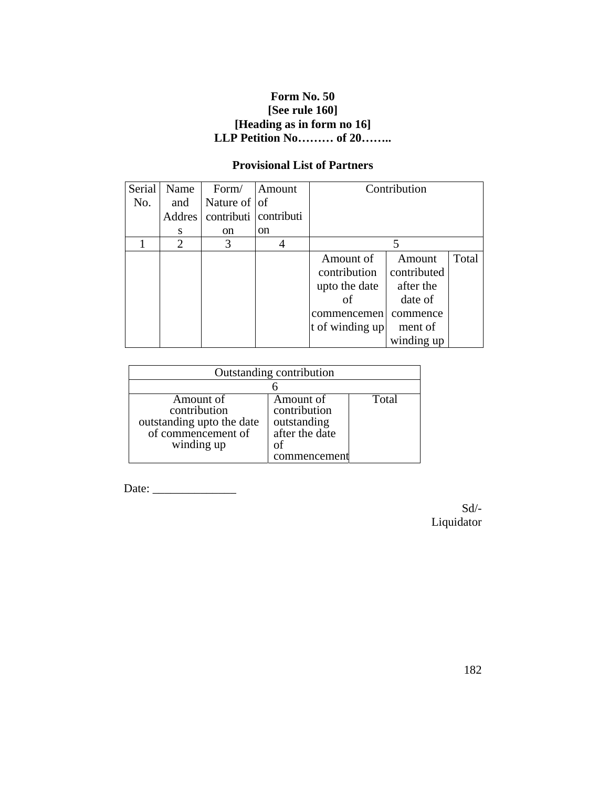# **Form No. 50 [See rule 160] [Heading as in form no 16] LLP Petition No……… of 20……..**

# **Provisional List of Partners**

| Serial | Name          | Form/                 | Amount        |                 | Contribution |       |
|--------|---------------|-----------------------|---------------|-----------------|--------------|-------|
| No.    | and           | Nature of $ $ of      |               |                 |              |       |
|        | <b>Addres</b> | contributi contributi |               |                 |              |       |
|        | S             | <sub>on</sub>         | <sub>on</sub> |                 |              |       |
|        | 2             | 3                     |               |                 |              |       |
|        |               |                       |               | Amount of       | Amount       | Total |
|        |               |                       |               | contribution    | contributed  |       |
|        |               |                       |               | upto the date   | after the    |       |
|        |               |                       |               | οf              | date of      |       |
|        |               |                       |               | commencemen     | commence     |       |
|        |               |                       |               | t of winding up | ment of      |       |
|        |               |                       |               |                 | winding up   |       |

| Outstanding contribution                                                                   |                                                                                  |       |  |
|--------------------------------------------------------------------------------------------|----------------------------------------------------------------------------------|-------|--|
|                                                                                            |                                                                                  |       |  |
| Amount of<br>contribution<br>outstanding upto the date<br>of commencement of<br>winding up | Amount of<br>contribution<br>outstanding<br>after the date<br>of<br>commencement | Total |  |

Date: \_\_\_\_\_\_\_\_\_\_\_\_\_\_

Sd/- Liquidator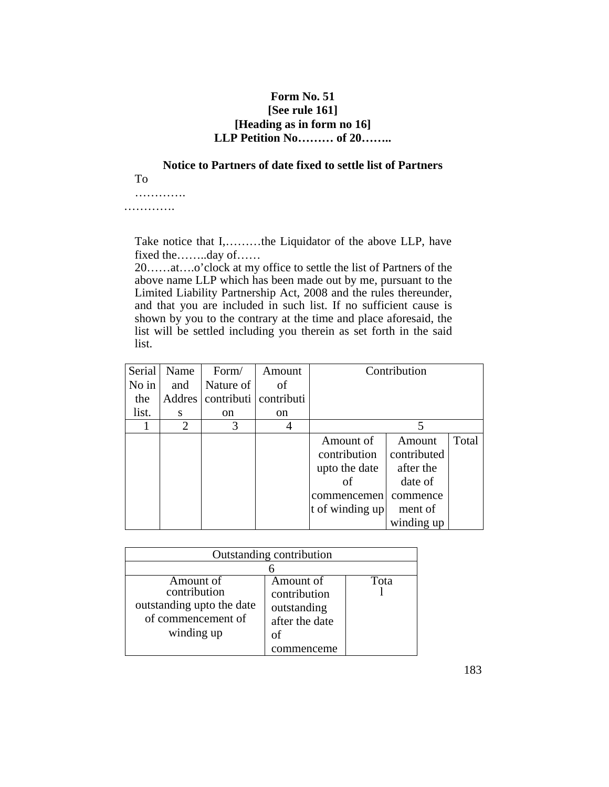## **Form No. 51 [See rule 161] [Heading as in form no 16] LLP Petition No……… of 20……..**

**Notice to Partners of date fixed to settle list of Partners**  To

………….

………….

Take notice that I,………the Liquidator of the above LLP, have fixed the……..day of……

20……at….o'clock at my office to settle the list of Partners of the above name LLP which has been made out by me, pursuant to the Limited Liability Partnership Act, 2008 and the rules thereunder, and that you are included in such list. If no sufficient cause is shown by you to the contrary at the time and place aforesaid, the list will be settled including you therein as set forth in the said list.

| <b>Serial</b> | Name                | Form/         | Amount                |                 | Contribution |       |
|---------------|---------------------|---------------|-----------------------|-----------------|--------------|-------|
| $No$ in       | and                 | Nature of     | of                    |                 |              |       |
| the           | Addres <sup> </sup> |               | contributi contributi |                 |              |       |
| list.         | S                   | <sub>on</sub> | <sub>on</sub>         |                 |              |       |
|               | 2                   | 3             |                       |                 |              |       |
|               |                     |               |                       | Amount of       | Amount       | Total |
|               |                     |               |                       | contribution    | contributed  |       |
|               |                     |               |                       | upto the date   | after the    |       |
|               |                     |               |                       | of              | date of      |       |
|               |                     |               |                       | commencemen     | commence     |       |
|               |                     |               |                       | t of winding up | ment of      |       |
|               |                     |               |                       |                 | winding up   |       |

| Outstanding contribution                                                                   |                                                                       |      |  |  |
|--------------------------------------------------------------------------------------------|-----------------------------------------------------------------------|------|--|--|
|                                                                                            |                                                                       |      |  |  |
| Amount of<br>contribution<br>outstanding upto the date<br>of commencement of<br>winding up | Amount of<br>contribution<br>outstanding<br>after the date<br>menceme | Fota |  |  |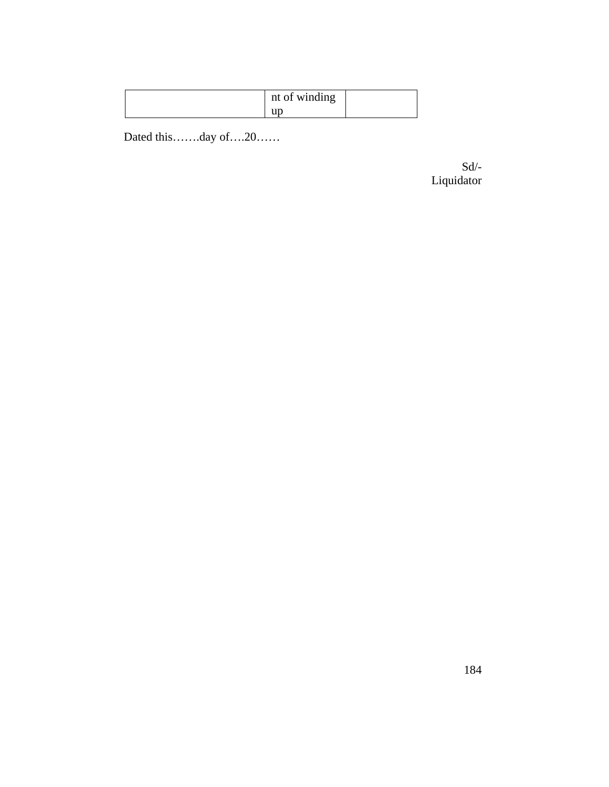| nt of winding |  |
|---------------|--|
|               |  |

Dated this…….day of….20……

 $Sd$ <sup>-</sup> Liquidator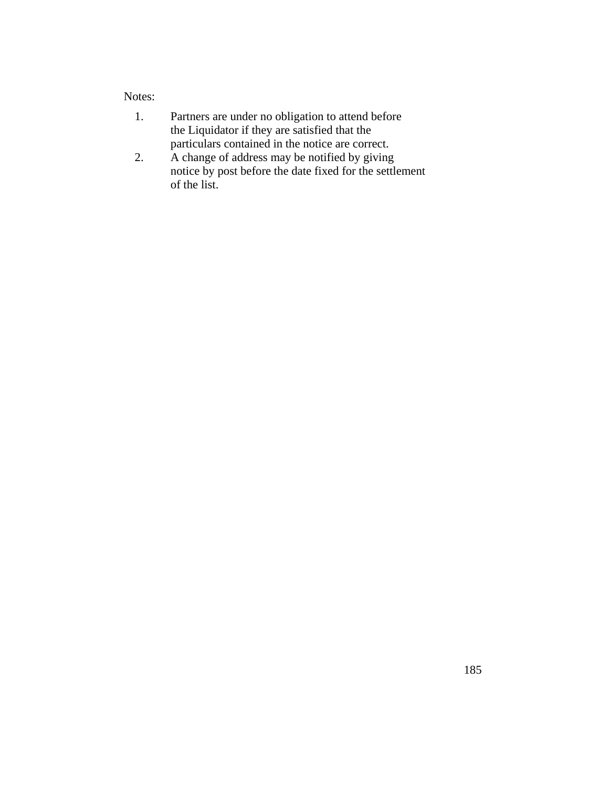# Notes:

- 1. Partners are under no obligation to attend before the Liquidator if they are satisfied that the particulars contained in the notice are correct.
- 2. A change of address may be notified by giving notice by post before the date fixed for the settlement of the list.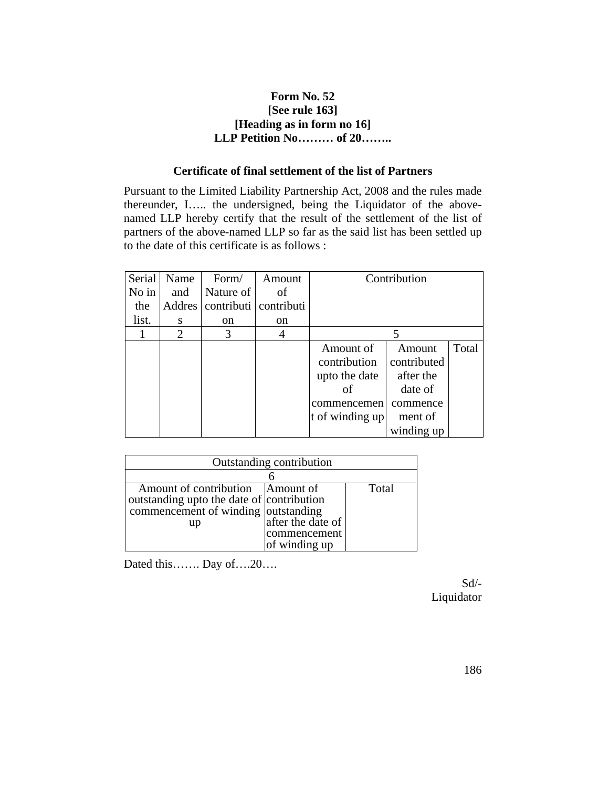## **Form No. 52 [See rule 163] [Heading as in form no 16] LLP Petition No……… of 20……..**

## **Certificate of final settlement of the list of Partners**

Pursuant to the Limited Liability Partnership Act, 2008 and the rules made thereunder, I….. the undersigned, being the Liquidator of the abovenamed LLP hereby certify that the result of the settlement of the list of partners of the above-named LLP so far as the said list has been settled up to the date of this certificate is as follows :

| Serial  | Name   | Form/         | Amount                |                 | Contribution |       |
|---------|--------|---------------|-----------------------|-----------------|--------------|-------|
| $No$ in | and    | Nature of     | of                    |                 |              |       |
| the     | Addres |               | contributi contributi |                 |              |       |
| list.   | S      | <sub>on</sub> | <sub>on</sub>         |                 |              |       |
|         | 2      | 3             | 4                     |                 |              |       |
|         |        |               |                       | Amount of       | Amount       | Total |
|         |        |               |                       | contribution    | contributed  |       |
|         |        |               |                       | upto the date   | after the    |       |
|         |        |               |                       | of              | date of      |       |
|         |        |               |                       | commencemen     | commence     |       |
|         |        |               |                       | t of winding up | ment of      |       |
|         |        |               |                       |                 | winding up   |       |

| Outstanding contribution                  |                   |       |  |  |
|-------------------------------------------|-------------------|-------|--|--|
|                                           |                   |       |  |  |
| Amount of contribution Amount of          |                   | Total |  |  |
| outstanding upto the date of contribution |                   |       |  |  |
| commencement of winding outstanding       |                   |       |  |  |
| up                                        | after the date of |       |  |  |
|                                           | commencement      |       |  |  |
|                                           | of winding up     |       |  |  |

Dated this……. Day of….20….

Sd/- Liquidator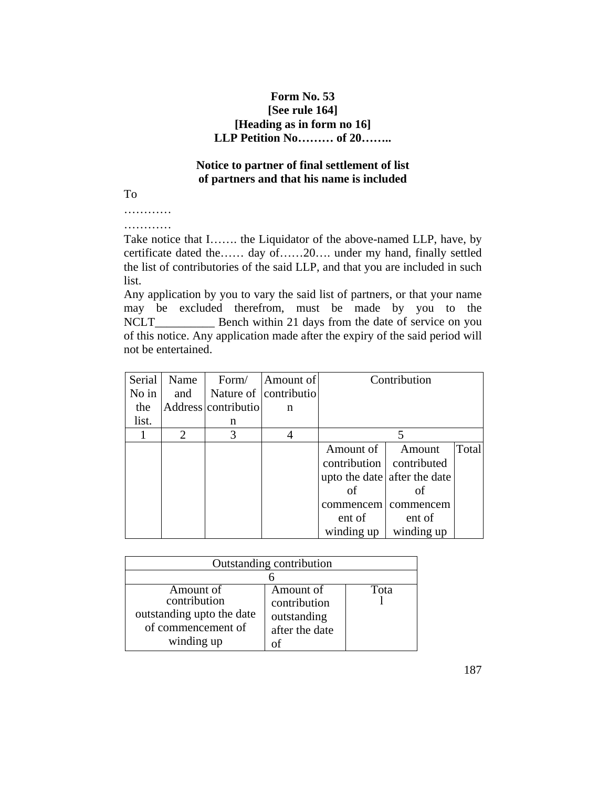## **Form No. 53 [See rule 164] [Heading as in form no 16] LLP Petition No……… of 20……..**

# **Notice to partner of final settlement of list of partners and that his name is included**

To

………… …………

Take notice that I……. the Liquidator of the above-named LLP, have, by certificate dated the…… day of……20…. under my hand, finally settled the list of contributories of the said LLP, and that you are included in such list.

Any application by you to vary the said list of partners, or that your name may be excluded therefrom, must be made by you to the NCLT\_\_\_\_\_\_\_\_\_\_\_\_\_ Bench within 21 days from the date of service on you of this notice. Any application made after the expiry of the said period will not be entertained.

| Serial | Name           | Form/               | Amount of             |                            | Contribution                 |       |
|--------|----------------|---------------------|-----------------------|----------------------------|------------------------------|-------|
| No in  | and            |                     | Nature of contributio |                            |                              |       |
| the    |                | Address contributio | n                     |                            |                              |       |
| list.  |                | n                   |                       |                            |                              |       |
|        | $\overline{2}$ | 3                   |                       |                            |                              |       |
|        |                |                     |                       | Amount of                  | Amount                       | Total |
|        |                |                     |                       | contribution   contributed |                              |       |
|        |                |                     |                       |                            | upto the date after the date |       |
|        |                |                     |                       | of                         | of                           |       |
|        |                |                     |                       | commencem                  | commencem                    |       |
|        |                |                     |                       | ent of                     | ent of                       |       |
|        |                |                     |                       | winding up                 | winding up                   |       |

| Outstanding contribution                                                                   |                                                            |      |  |  |
|--------------------------------------------------------------------------------------------|------------------------------------------------------------|------|--|--|
|                                                                                            |                                                            |      |  |  |
| Amount of<br>contribution<br>outstanding upto the date<br>of commencement of<br>winding up | Amount of<br>contribution<br>outstanding<br>after the date | Tota |  |  |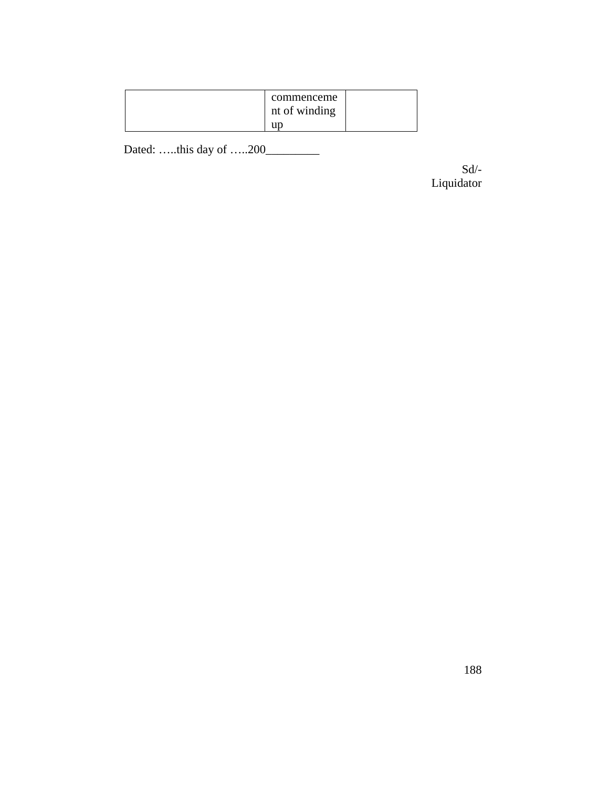| commenceme<br>nt of winding |  |
|-----------------------------|--|
| up                          |  |

Dated: …..this day of …..200\_\_\_\_\_\_\_\_\_

Sd/- Liquidator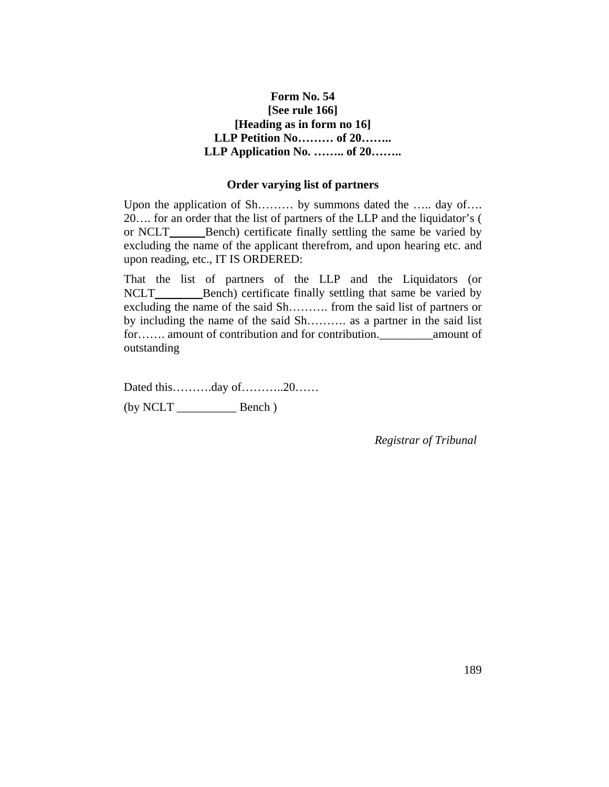# **Form No. 54 [See rule 166] [Heading as in form no 16] LLP Petition No……… of 20…….. LLP Application No. …….. of 20……..**

### **Order varying list of partners**

Upon the application of Sh……… by summons dated the ….. day of…. 20…. for an order that the list of partners of the LLP and the liquidator's ( or NCLT\_\_\_\_\_\_Bench) certificate finally settling the same be varied by excluding the name of the applicant therefrom, and upon hearing etc. and upon reading, etc., IT IS ORDERED:

That the list of partners of the LLP and the Liquidators (or NCLT\_\_\_\_\_\_\_\_\_\_\_Bench) certificate finally settling that same be varied by excluding the name of the said Sh………. from the said list of partners or by including the name of the said Sh………. as a partner in the said list for……. amount of contribution and for contribution.\_\_\_\_\_\_\_\_\_amount of outstanding

Dated this……….day of………..20…… (by NCLT \_\_\_\_\_\_\_\_\_\_ Bench )

*Registrar of Tribunal*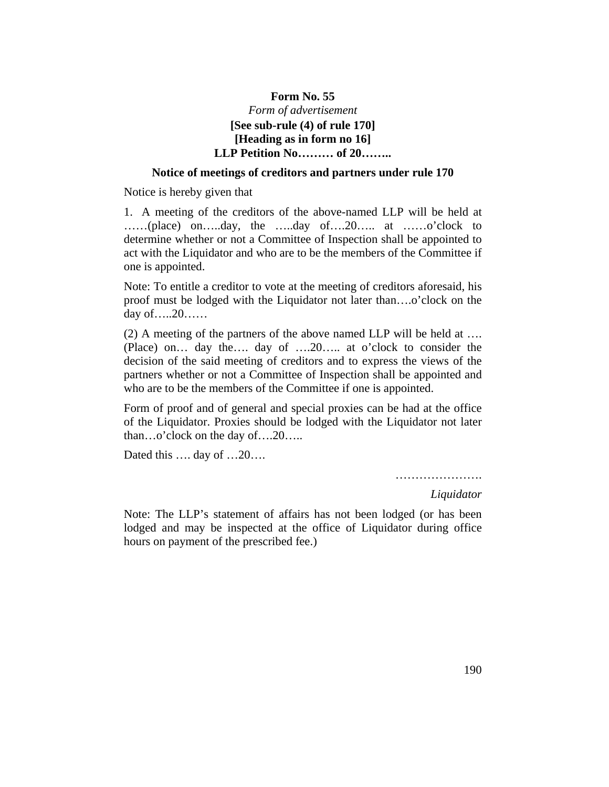# **Form No. 55** *Form of advertisement* **[See sub-rule (4) of rule 170] [Heading as in form no 16] LLP Petition No……… of 20……..**

#### **Notice of meetings of creditors and partners under rule 170**

Notice is hereby given that

1. A meeting of the creditors of the above-named LLP will be held at ……(place) on…..day, the …..day of….20….. at ……o'clock to determine whether or not a Committee of Inspection shall be appointed to act with the Liquidator and who are to be the members of the Committee if one is appointed.

Note: To entitle a creditor to vote at the meeting of creditors aforesaid, his proof must be lodged with the Liquidator not later than….o'clock on the day of…..20……

(2) A meeting of the partners of the above named LLP will be held at …. (Place) on… day the…. day of ….20….. at o'clock to consider the decision of the said meeting of creditors and to express the views of the partners whether or not a Committee of Inspection shall be appointed and who are to be the members of the Committee if one is appointed.

Form of proof and of general and special proxies can be had at the office of the Liquidator. Proxies should be lodged with the Liquidator not later than…o'clock on the day of….20…..

Dated this .... day of ...20...

………………….

*Liquidator*

Note: The LLP's statement of affairs has not been lodged (or has been lodged and may be inspected at the office of Liquidator during office hours on payment of the prescribed fee.)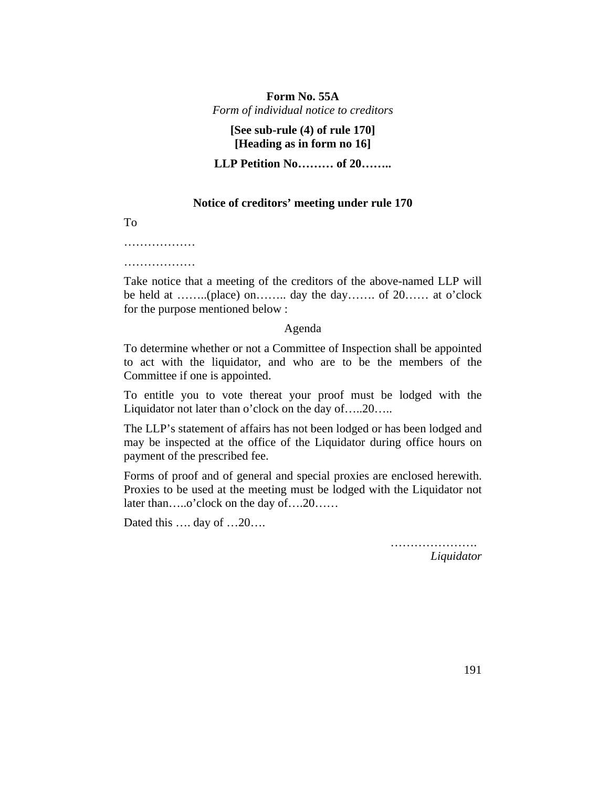## **Form No. 55A**  *Form of individual notice to creditors*

## **[See sub-rule (4) of rule 170] [Heading as in form no 16]**

**LLP Petition No……… of 20……..**

### **Notice of creditors' meeting under rule 170**

To

………………

………………

Take notice that a meeting of the creditors of the above-named LLP will be held at ……..(place) on…….. day the day……. of 20…… at o'clock for the purpose mentioned below :

#### Agenda

To determine whether or not a Committee of Inspection shall be appointed to act with the liquidator, and who are to be the members of the Committee if one is appointed.

To entitle you to vote thereat your proof must be lodged with the Liquidator not later than o'clock on the day of.....20.....

The LLP's statement of affairs has not been lodged or has been lodged and may be inspected at the office of the Liquidator during office hours on payment of the prescribed fee.

Forms of proof and of general and special proxies are enclosed herewith. Proxies to be used at the meeting must be lodged with the Liquidator not later than…..o'clock on the day of….20……

Dated this …. day of …20….

…………………… *Liquidator*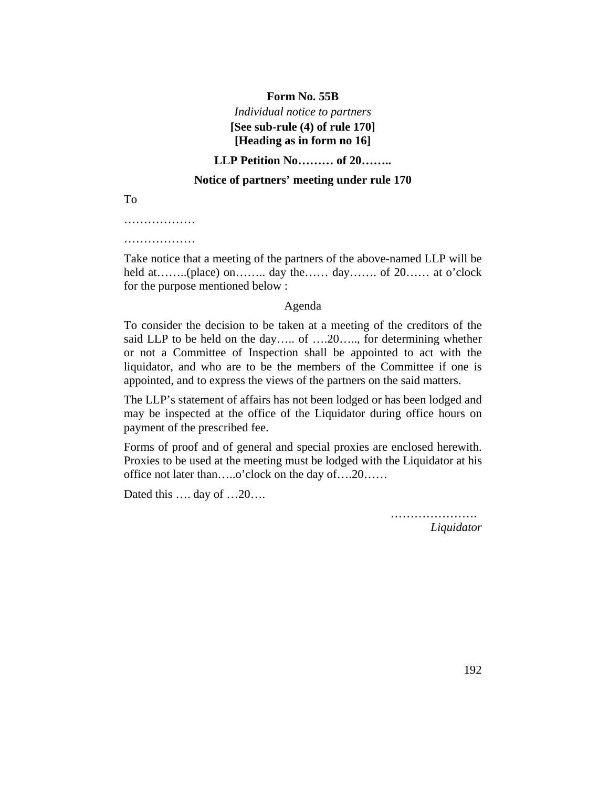### **Form No. 55B**

# *Individual notice to partners*  **[See sub-rule (4) of rule 170] [Heading as in form no 16]**

## **LLP Petition No……… of 20……..**

## **Notice of partners' meeting under rule 170**

To

………………

………………

Take notice that a meeting of the partners of the above-named LLP will be held at……..(place) on…….. day the…… day……. of 20…… at o'clock for the purpose mentioned below :

#### Agenda

To consider the decision to be taken at a meeting of the creditors of the said LLP to be held on the day..... of ....20....., for determining whether or not a Committee of Inspection shall be appointed to act with the liquidator, and who are to be the members of the Committee if one is appointed, and to express the views of the partners on the said matters.

The LLP's statement of affairs has not been lodged or has been lodged and may be inspected at the office of the Liquidator during office hours on payment of the prescribed fee.

Forms of proof and of general and special proxies are enclosed herewith. Proxies to be used at the meeting must be lodged with the Liquidator at his office not later than…..o'clock on the day of….20……

Dated this …. day of …20….

………………….

*Liquidator*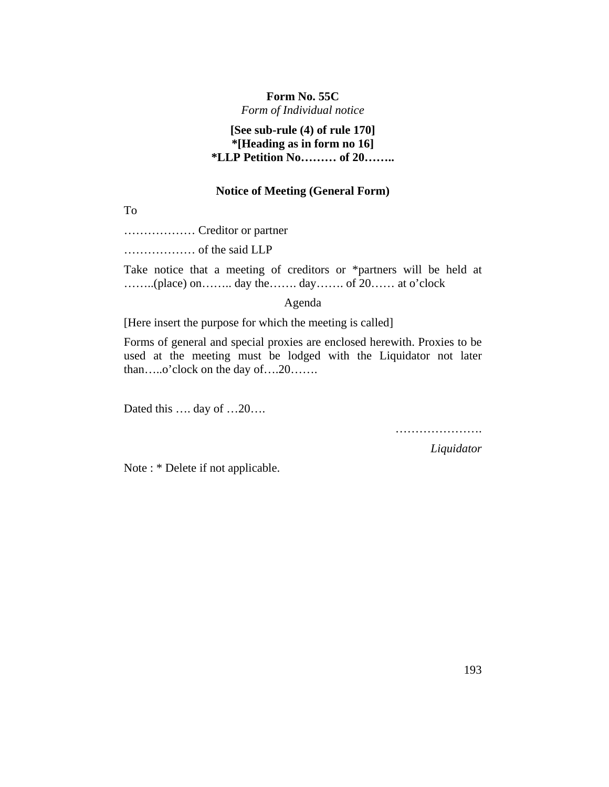## **Form No. 55C**

*Form of Individual notice*

# **[See sub-rule (4) of rule 170] \*[Heading as in form no 16] \*LLP Petition No……… of 20……..**

## **Notice of Meeting (General Form)**

To

……………… Creditor or partner

……………… of the said LLP

Take notice that a meeting of creditors or \*partners will be held at ……..(place) on…….. day the……. day……. of 20…… at o'clock

Agenda

[Here insert the purpose for which the meeting is called]

Forms of general and special proxies are enclosed herewith. Proxies to be used at the meeting must be lodged with the Liquidator not later than…..o'clock on the day of….20…….

Dated this …. day of …20….

………………………

*Liquidator*

Note : \* Delete if not applicable.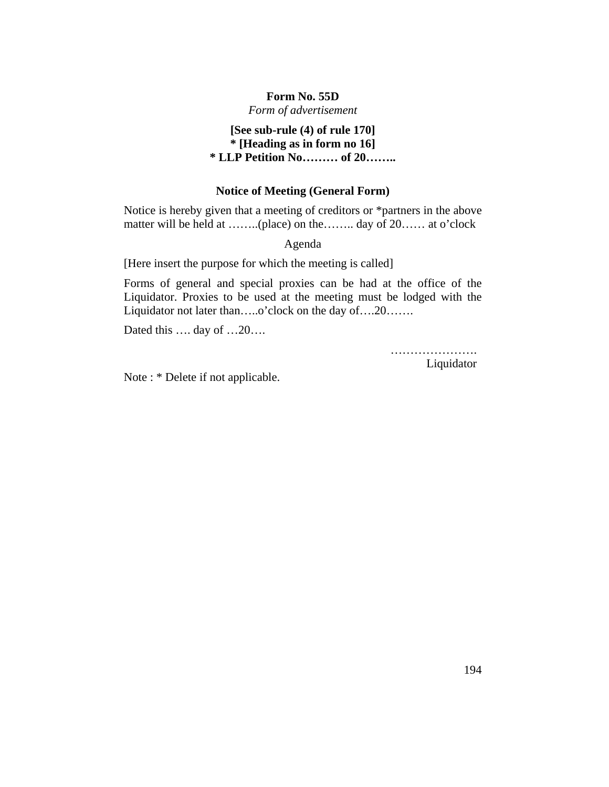## **Form No. 55D**

*Form of advertisement*

# **[See sub-rule (4) of rule 170] \* [Heading as in form no 16] \* LLP Petition No……… of 20……..**

### **Notice of Meeting (General Form)**

Notice is hereby given that a meeting of creditors or \*partners in the above matter will be held at ……..(place) on the…….. day of 20…… at o'clock

Agenda

[Here insert the purpose for which the meeting is called]

Forms of general and special proxies can be had at the office of the Liquidator. Proxies to be used at the meeting must be lodged with the Liquidator not later than…..o'clock on the day of….20…….

Dated this .... day of ...20...

……………………… Liquidator

Note : \* Delete if not applicable.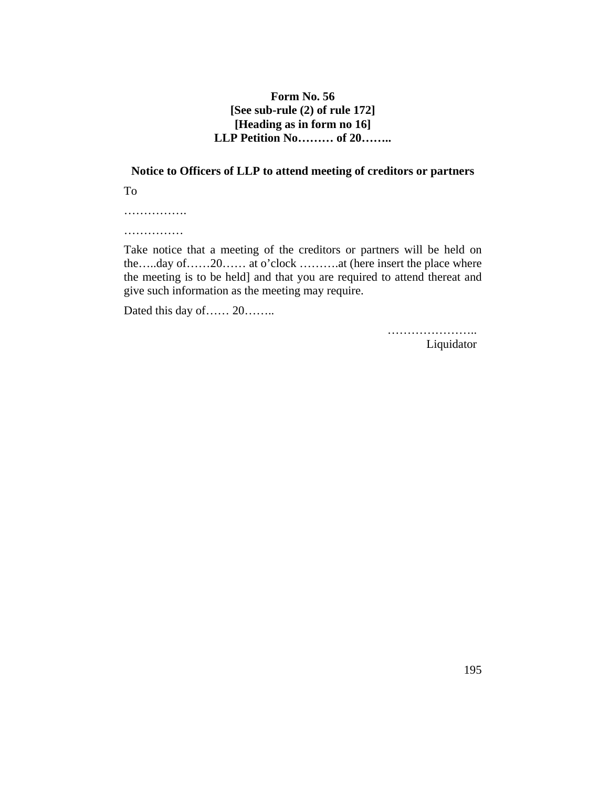## **Form No. 56 [See sub-rule (2) of rule 172] [Heading as in form no 16] LLP Petition No……… of 20……..**

# **Notice to Officers of LLP to attend meeting of creditors or partners** To

…………….

……………

Take notice that a meeting of the creditors or partners will be held on the…..day of……20…… at o'clock ……….at (here insert the place where the meeting is to be held] and that you are required to attend thereat and give such information as the meeting may require.

Dated this day of…… 20……..

…………………… Liquidator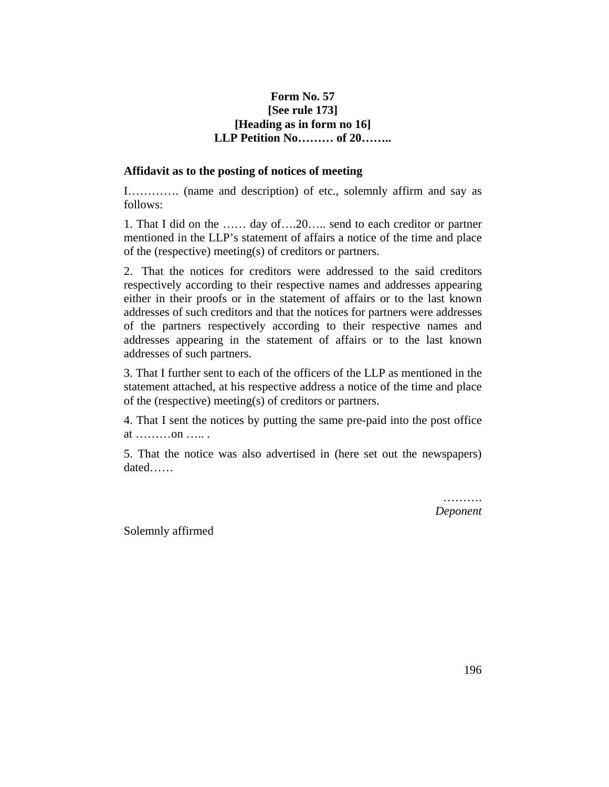## **Form No. 57 [See rule 173] [Heading as in form no 16] LLP Petition No……… of 20……..**

### **Affidavit as to the posting of notices of meeting**

I…………. (name and description) of etc., solemnly affirm and say as follows:

1. That I did on the …… day of….20….. send to each creditor or partner mentioned in the LLP's statement of affairs a notice of the time and place of the (respective) meeting(s) of creditors or partners.

2. That the notices for creditors were addressed to the said creditors respectively according to their respective names and addresses appearing either in their proofs or in the statement of affairs or to the last known addresses of such creditors and that the notices for partners were addresses of the partners respectively according to their respective names and addresses appearing in the statement of affairs or to the last known addresses of such partners.

3. That I further sent to each of the officers of the LLP as mentioned in the statement attached, at his respective address a notice of the time and place of the (respective) meeting(s) of creditors or partners.

4. That I sent the notices by putting the same pre-paid into the post office at ………on ….. .

5. That the notice was also advertised in (here set out the newspapers) dated……

> ………. *Deponent*

Solemnly affirmed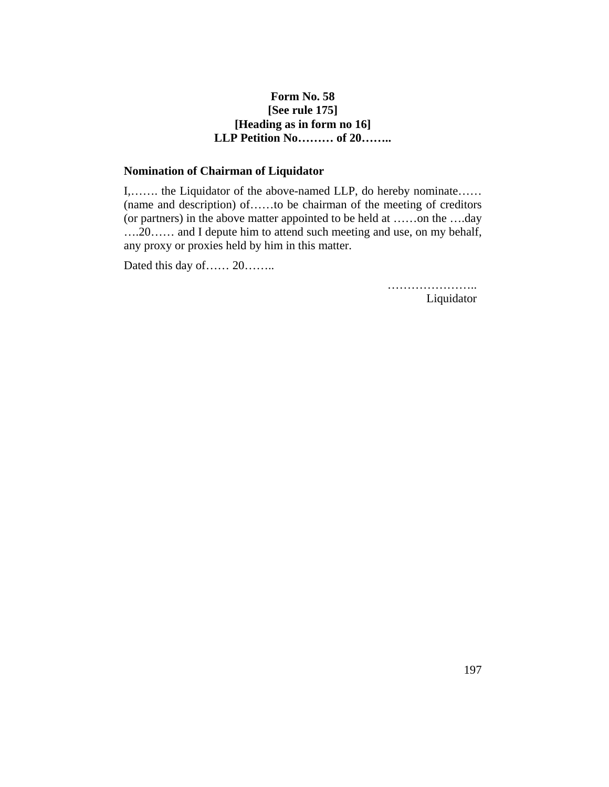## **Form No. 58 [See rule 175] [Heading as in form no 16] LLP Petition No……… of 20……..**

## **Nomination of Chairman of Liquidator**

I,……. the Liquidator of the above-named LLP, do hereby nominate…… (name and description) of……to be chairman of the meeting of creditors (or partners) in the above matter appointed to be held at ……on the ….day ….20…… and I depute him to attend such meeting and use, on my behalf, any proxy or proxies held by him in this matter.

Dated this day of…… 20……..

…………………… Liquidator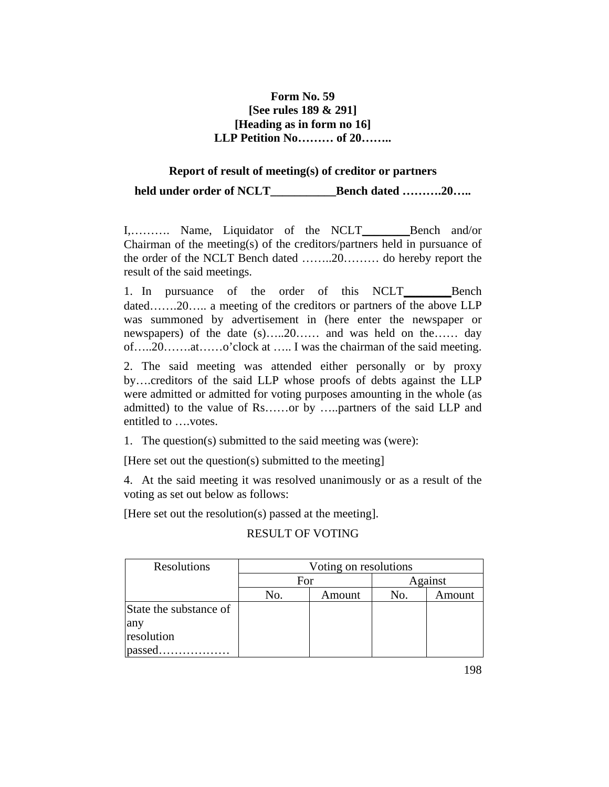# **Form No. 59 [See rules 189 & 291] [Heading as in form no 16] LLP Petition No……… of 20……..**

## **Report of result of meeting(s) of creditor or partners**

**held under order of NCLT\_\_\_\_\_\_\_\_\_\_\_Bench dated ……….20…..**

I,.......... Name, Liquidator of the NCLT Bench and/or Chairman of the meeting(s) of the creditors/partners held in pursuance of the order of the NCLT Bench dated ……..20……… do hereby report the result of the said meetings.

1. In pursuance of the order of this NCLT Bench dated…….20….. a meeting of the creditors or partners of the above LLP was summoned by advertisement in (here enter the newspaper or newspapers) of the date (s).....20…… and was held on the…… day of…..20…….at……o'clock at ….. I was the chairman of the said meeting.

2. The said meeting was attended either personally or by proxy by….creditors of the said LLP whose proofs of debts against the LLP were admitted or admitted for voting purposes amounting in the whole (as admitted) to the value of Rs……or by …..partners of the said LLP and entitled to ….votes.

1. The question(s) submitted to the said meeting was (were):

[Here set out the question(s) submitted to the meeting]

4. At the said meeting it was resolved unanimously or as a result of the voting as set out below as follows:

[Here set out the resolution(s) passed at the meeting].

## RESULT OF VOTING

| Resolutions            | Voting on resolutions |        |     |         |  |  |
|------------------------|-----------------------|--------|-----|---------|--|--|
|                        | For                   |        |     | Against |  |  |
|                        | No.                   | Amount | No. | Amount  |  |  |
| State the substance of |                       |        |     |         |  |  |
| any                    |                       |        |     |         |  |  |
| resolution             |                       |        |     |         |  |  |
| passed                 |                       |        |     |         |  |  |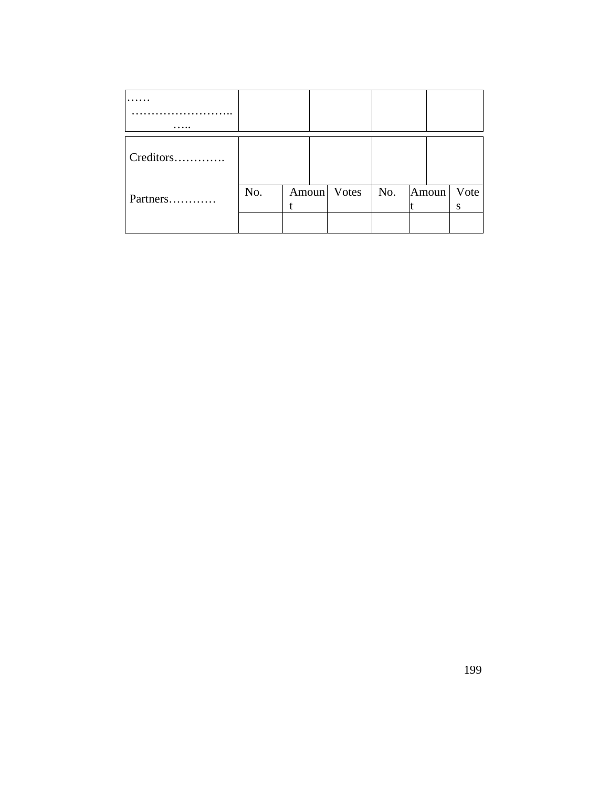| Creditors |     |  |                           |  |      |
|-----------|-----|--|---------------------------|--|------|
|           |     |  |                           |  |      |
|           | No. |  | Amoun Votes   No.   Amoun |  | Vote |
| Partners  |     |  |                           |  | S    |
|           |     |  |                           |  |      |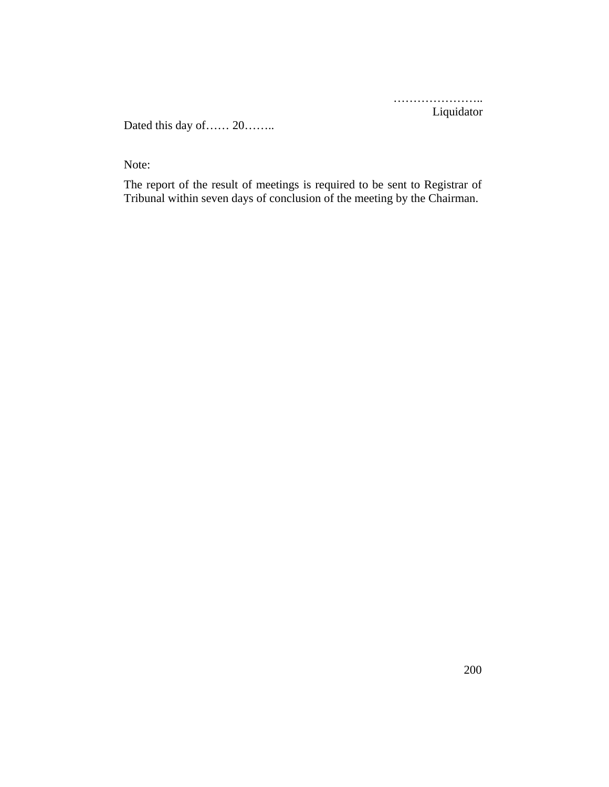…………………… Liquidator

Dated this day of…… 20……..

Note:

The report of the result of meetings is required to be sent to Registrar of Tribunal within seven days of conclusion of the meeting by the Chairman.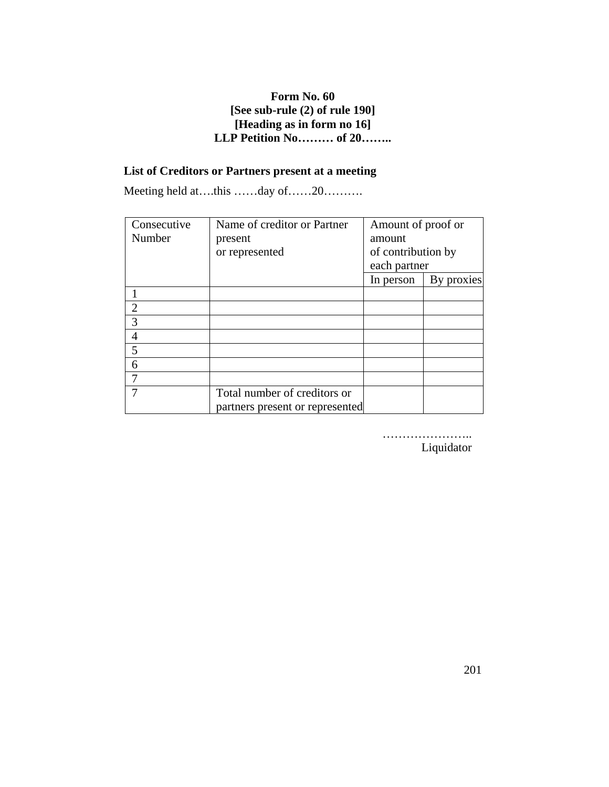# **Form No. 60 [See sub-rule (2) of rule 190] [Heading as in form no 16] LLP Petition No……… of 20……..**

# **List of Creditors or Partners present at a meeting**

Meeting held at….this ……day of……20……….

| Consecutive   | Name of creditor or Partner     | Amount of proof or |            |
|---------------|---------------------------------|--------------------|------------|
| Number        | present                         | amount             |            |
|               | or represented                  | of contribution by |            |
|               |                                 | each partner       |            |
|               |                                 | In person          | By proxies |
|               |                                 |                    |            |
| $\mathcal{D}$ |                                 |                    |            |
| 3             |                                 |                    |            |
|               |                                 |                    |            |
| 5             |                                 |                    |            |
| 6             |                                 |                    |            |
|               |                                 |                    |            |
|               | Total number of creditors or    |                    |            |
|               | partners present or represented |                    |            |

………………….. Liquidator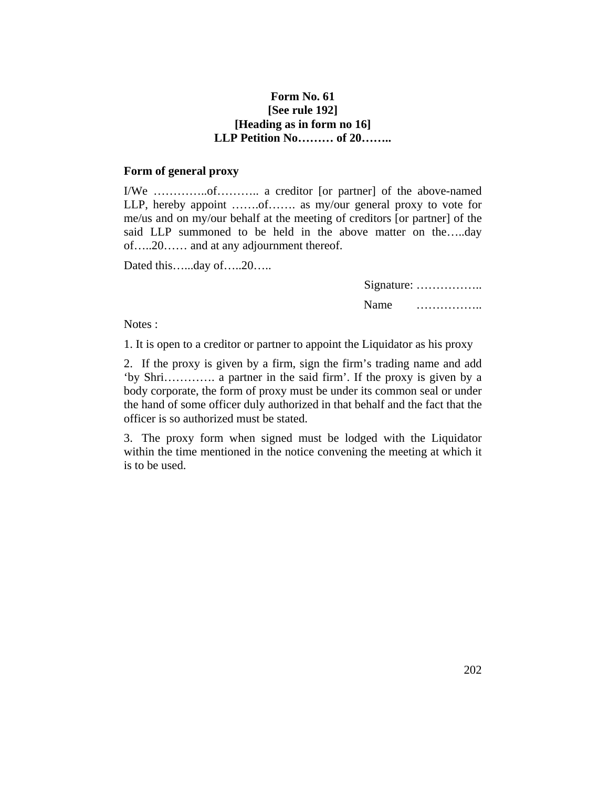## **Form No. 61 [See rule 192] [Heading as in form no 16] LLP Petition No……… of 20……..**

#### **Form of general proxy**

I/We …………..of……….. a creditor [or partner] of the above-named LLP, hereby appoint .......of....... as my/our general proxy to vote for me/us and on my/our behalf at the meeting of creditors [or partner] of the said LLP summoned to be held in the above matter on the…..day of…..20…… and at any adjournment thereof.

Dated this…...day of…..20…..

| Signature: |   |  |  |  |  |  |  |  |
|------------|---|--|--|--|--|--|--|--|
| Name       | . |  |  |  |  |  |  |  |

Notes :

1. It is open to a creditor or partner to appoint the Liquidator as his proxy

2. If the proxy is given by a firm, sign the firm's trading name and add 'by Shri…………. a partner in the said firm'. If the proxy is given by a body corporate, the form of proxy must be under its common seal or under the hand of some officer duly authorized in that behalf and the fact that the officer is so authorized must be stated.

3. The proxy form when signed must be lodged with the Liquidator within the time mentioned in the notice convening the meeting at which it is to be used.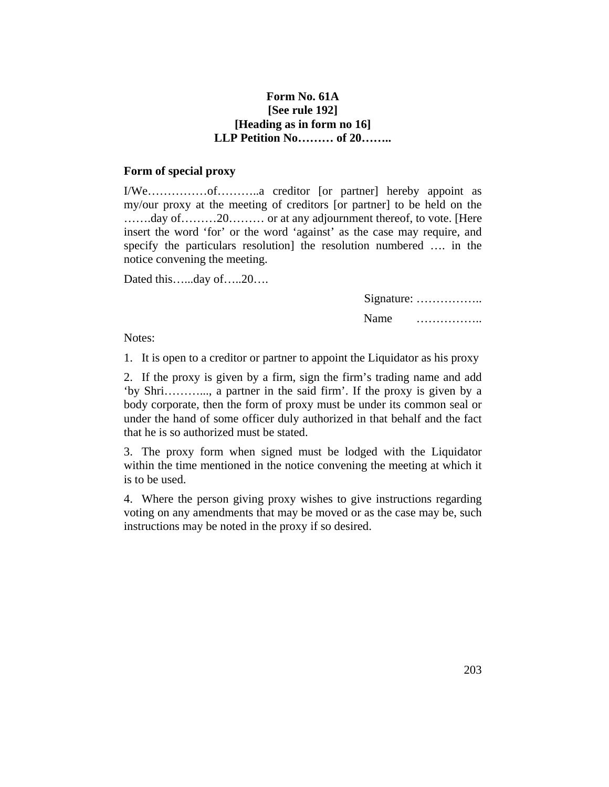## **Form No. 61A [See rule 192] [Heading as in form no 16] LLP Petition No……… of 20……..**

#### **Form of special proxy**

I/We……………of………..a creditor [or partner] hereby appoint as my/our proxy at the meeting of creditors [or partner] to be held on the …….day of………20……… or at any adjournment thereof, to vote. [Here insert the word 'for' or the word 'against' as the case may require, and specify the particulars resolution] the resolution numbered …. in the notice convening the meeting.

Dated this…...day of…..20….

Signature: …………….. Name ……………..

Notes:

1. It is open to a creditor or partner to appoint the Liquidator as his proxy

2. If the proxy is given by a firm, sign the firm's trading name and add 'by Shri………..., a partner in the said firm'. If the proxy is given by a body corporate, then the form of proxy must be under its common seal or under the hand of some officer duly authorized in that behalf and the fact that he is so authorized must be stated.

3. The proxy form when signed must be lodged with the Liquidator within the time mentioned in the notice convening the meeting at which it is to be used.

4. Where the person giving proxy wishes to give instructions regarding voting on any amendments that may be moved or as the case may be, such instructions may be noted in the proxy if so desired.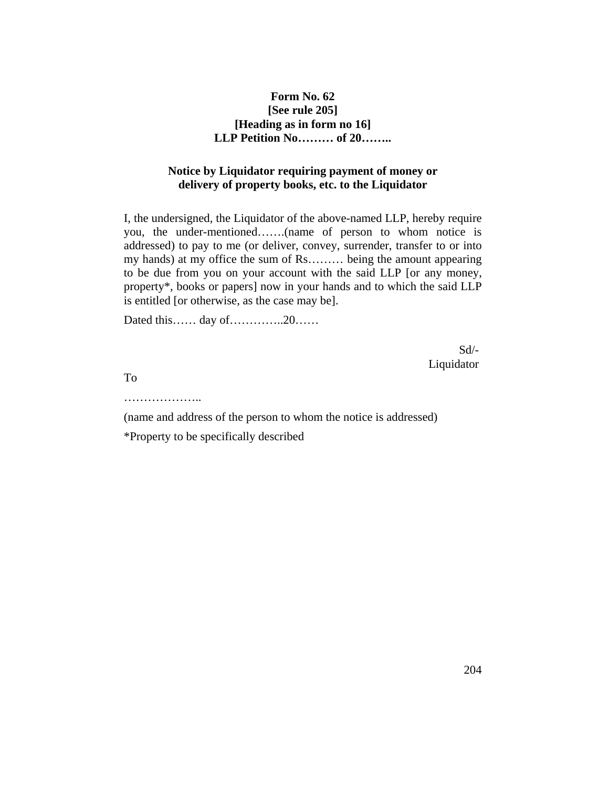## **Form No. 62 [See rule 205] [Heading as in form no 16] LLP Petition No……… of 20……..**

## **Notice by Liquidator requiring payment of money or delivery of property books, etc. to the Liquidator**

I, the undersigned, the Liquidator of the above-named LLP, hereby require you, the under-mentioned…….(name of person to whom notice is addressed) to pay to me (or deliver, convey, surrender, transfer to or into my hands) at my office the sum of Rs……… being the amount appearing to be due from you on your account with the said LLP [or any money, property\*, books or papers] now in your hands and to which the said LLP is entitled [or otherwise, as the case may be].

Dated this…… day of…………..20……

Sd/- Liquidator

To

…………………

(name and address of the person to whom the notice is addressed) \*Property to be specifically described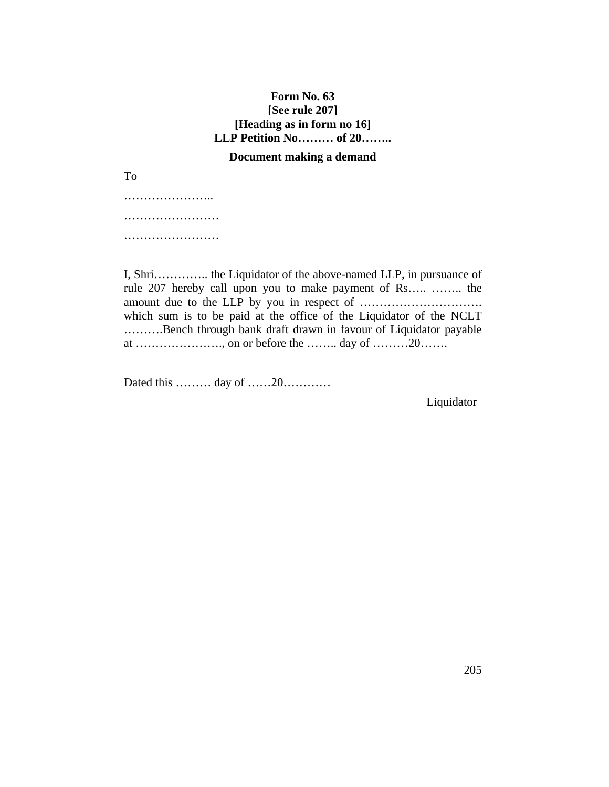# **Form No. 63 [See rule 207] [Heading as in form no 16] LLP Petition No……… of 20……..**

## **Document making a demand**

To

……………………… …………………… …………………………

I, Shri………….. the Liquidator of the above-named LLP, in pursuance of rule 207 hereby call upon you to make payment of Rs….. …….. the amount due to the LLP by you in respect of …………………………. which sum is to be paid at the office of the Liquidator of the NCLT ……….Bench through bank draft drawn in favour of Liquidator payable at …………………., on or before the …….. day of ………20…….

Dated this ……… day of ……20…………

Liquidator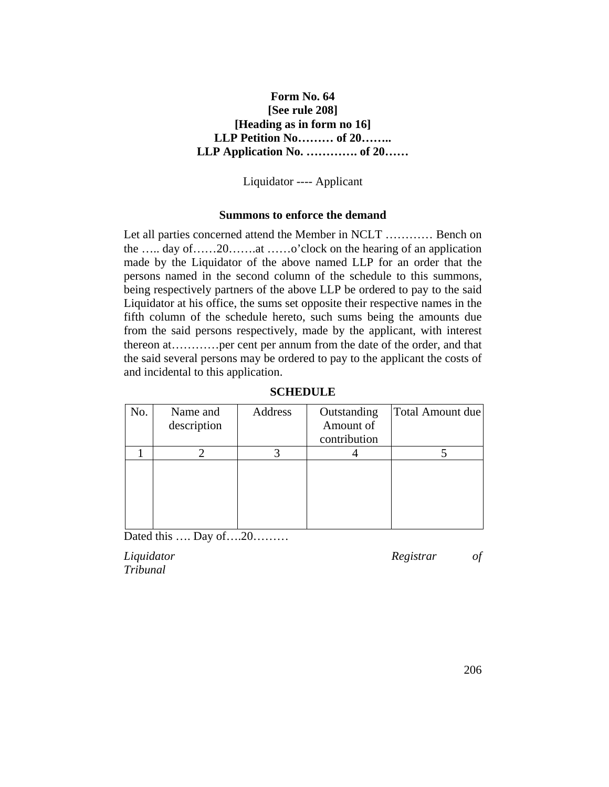# **Form No. 64 [See rule 208] [Heading as in form no 16] LLP Petition No……… of 20…….. LLP Application No. …………. of 20……**

Liquidator ---- Applicant

## **Summons to enforce the demand**

Let all parties concerned attend the Member in NCLT ………… Bench on the ….. day of……20…….at ……o'clock on the hearing of an application made by the Liquidator of the above named LLP for an order that the persons named in the second column of the schedule to this summons, being respectively partners of the above LLP be ordered to pay to the said Liquidator at his office, the sums set opposite their respective names in the fifth column of the schedule hereto, such sums being the amounts due from the said persons respectively, made by the applicant, with interest thereon at…………per cent per annum from the date of the order, and that the said several persons may be ordered to pay to the applicant the costs of and incidental to this application.

| No. | Name and<br>description | Address | Outstanding<br>Amount of<br>contribution | Total Amount due |
|-----|-------------------------|---------|------------------------------------------|------------------|
|     |                         |         |                                          |                  |
|     |                         |         |                                          |                  |
|     |                         |         |                                          |                  |
|     |                         |         |                                          |                  |
|     |                         |         |                                          |                  |
|     |                         |         |                                          |                  |

### **SCHEDULE**

Dated this …. Day of….20………

*Tribunal*

*Liquidator Registrar of*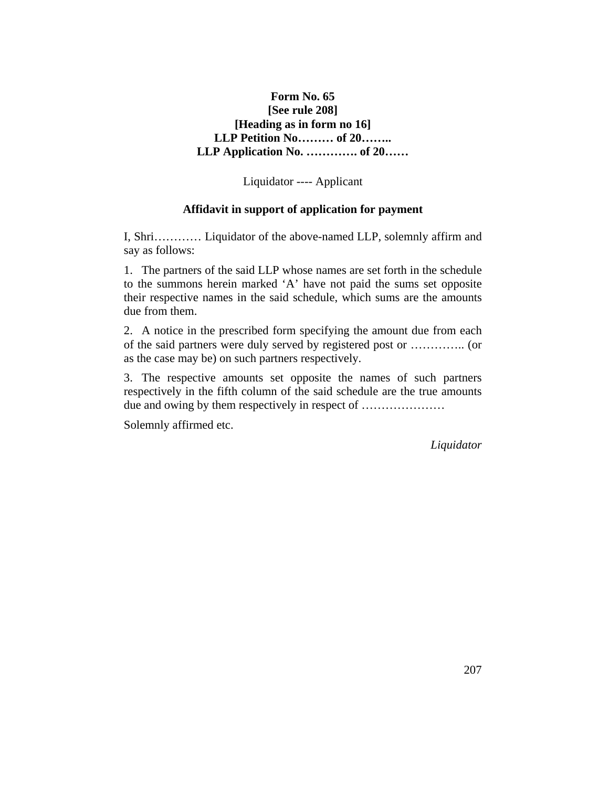# **Form No. 65 [See rule 208] [Heading as in form no 16] LLP Petition No……… of 20…….. LLP Application No. …………. of 20……**

Liquidator ---- Applicant

## **Affidavit in support of application for payment**

I, Shri………… Liquidator of the above-named LLP, solemnly affirm and say as follows:

1. The partners of the said LLP whose names are set forth in the schedule to the summons herein marked 'A' have not paid the sums set opposite their respective names in the said schedule, which sums are the amounts due from them.

2. A notice in the prescribed form specifying the amount due from each of the said partners were duly served by registered post or ………….. (or as the case may be) on such partners respectively.

3. The respective amounts set opposite the names of such partners respectively in the fifth column of the said schedule are the true amounts due and owing by them respectively in respect of …………………

Solemnly affirmed etc.

*Liquidator*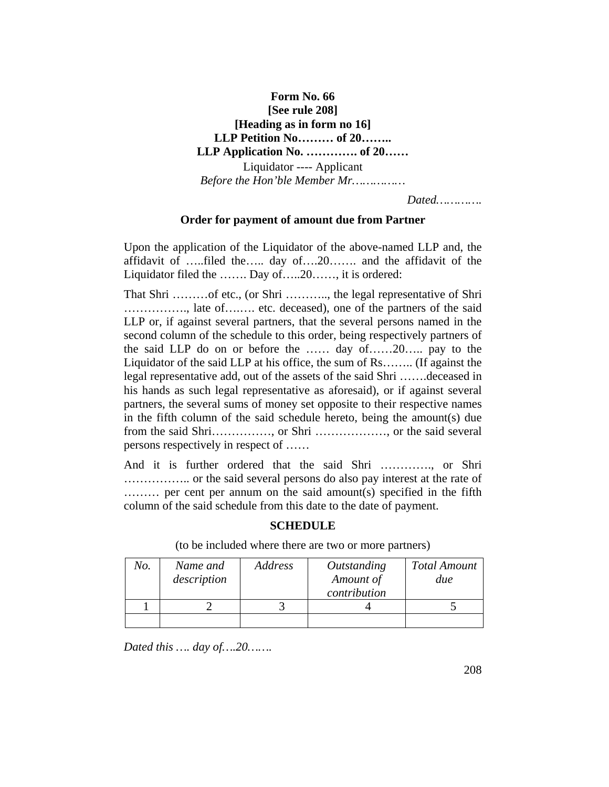# **Form No. 66 [See rule 208] [Heading as in form no 16] LLP Petition No……… of 20…….. LLP Application No. …………. of 20……**  Liquidator ---- Applicant *Before the Hon'ble Member Mr……………*

*Dated………….*

## **Order for payment of amount due from Partner**

Upon the application of the Liquidator of the above-named LLP and, the affidavit of …..filed the….. day of….20……. and the affidavit of the Liquidator filed the ……. Day of…..20……, it is ordered:

That Shri ………of etc., (or Shri ……….., the legal representative of Shri ……………., late of….…. etc. deceased), one of the partners of the said LLP or, if against several partners, that the several persons named in the second column of the schedule to this order, being respectively partners of the said LLP do on or before the …… day of……20….. pay to the Liquidator of the said LLP at his office, the sum of Rs…….. (If against the legal representative add, out of the assets of the said Shri …….deceased in his hands as such legal representative as aforesaid), or if against several partners, the several sums of money set opposite to their respective names in the fifth column of the said schedule hereto, being the amount(s) due from the said Shri……………, or Shri ………………, or the said several persons respectively in respect of ……

And it is further ordered that the said Shri …………., or Shri …………….. or the said several persons do also pay interest at the rate of ……… per cent per annum on the said amount(s) specified in the fifth column of the said schedule from this date to the date of payment.

### **SCHEDULE**

(to be included where there are two or more partners)

| No. | Name and<br>description | Address | Outstanding<br>Amount of<br>contribution | <b>Total Amount</b><br>due |
|-----|-------------------------|---------|------------------------------------------|----------------------------|
|     |                         |         |                                          |                            |
|     |                         |         |                                          |                            |

*Dated this …. day of….20…….*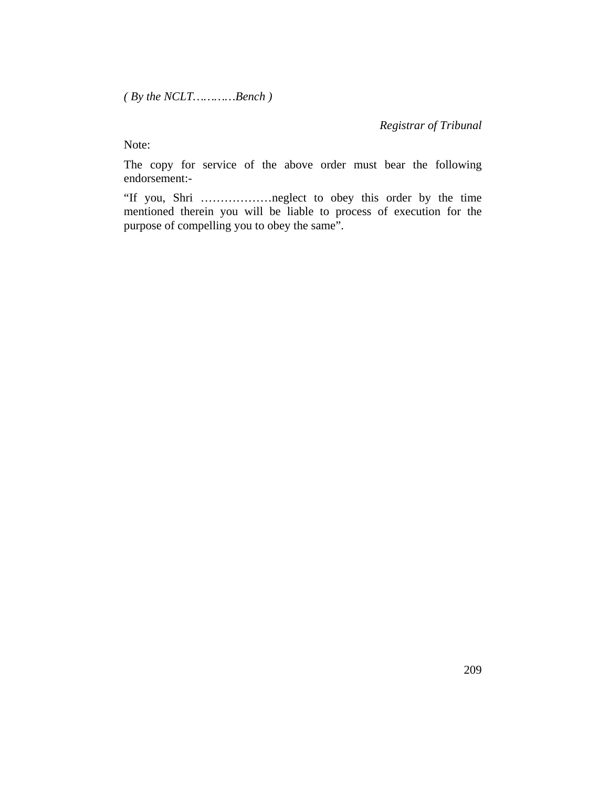*( By the NCLT…………Bench )* 

## *Registrar of Tribunal*

Note:

The copy for service of the above order must bear the following endorsement:-

"If you, Shri ………………neglect to obey this order by the time mentioned therein you will be liable to process of execution for the purpose of compelling you to obey the same".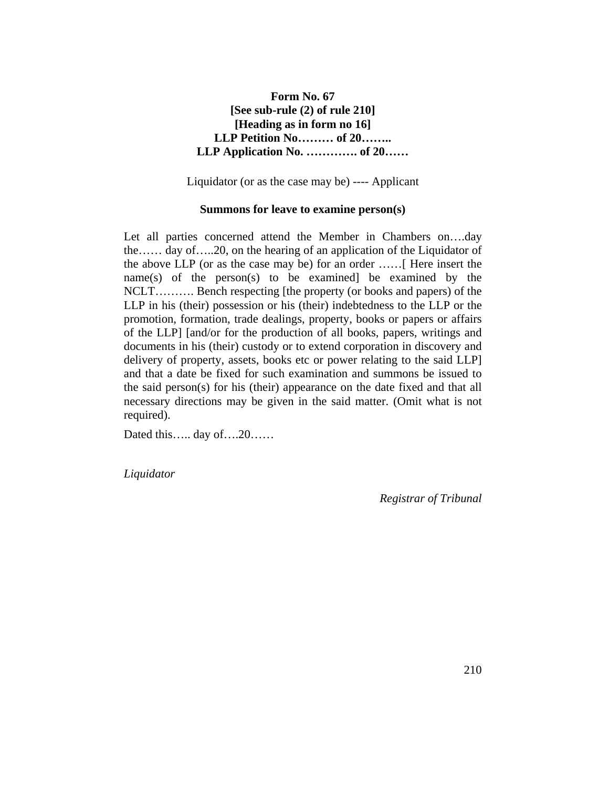# **Form No. 67 [See sub-rule (2) of rule 210] [Heading as in form no 16] LLP Petition No……… of 20…….. LLP Application No. …………. of 20……**

Liquidator (or as the case may be) ---- Applicant

#### **Summons for leave to examine person(s)**

Let all parties concerned attend the Member in Chambers on….day the…… day of…..20, on the hearing of an application of the Liquidator of the above LLP (or as the case may be) for an order ……[ Here insert the name(s) of the person(s) to be examined] be examined by the NCLT………. Bench respecting [the property (or books and papers) of the LLP in his (their) possession or his (their) indebtedness to the LLP or the promotion, formation, trade dealings, property, books or papers or affairs of the LLP] [and/or for the production of all books, papers, writings and documents in his (their) custody or to extend corporation in discovery and delivery of property, assets, books etc or power relating to the said LLP] and that a date be fixed for such examination and summons be issued to the said person(s) for his (their) appearance on the date fixed and that all necessary directions may be given in the said matter. (Omit what is not required).

Dated this….. day of….20……

*Liquidator*

*Registrar of Tribunal*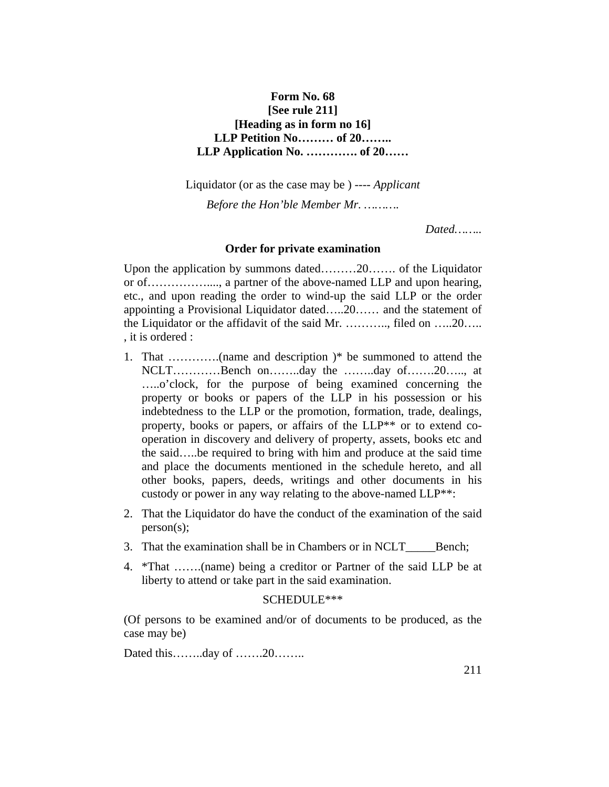## **Form No. 68 [See rule 211] [Heading as in form no 16] LLP Petition No……… of 20…….. LLP Application No. …………. of 20……**

Liquidator (or as the case may be ) ---- *Applicant*

*Before the Hon'ble Member Mr. ……….*

*Dated……..*

#### **Order for private examination**

Upon the application by summons dated………20……. of the Liquidator or of……………...., a partner of the above-named LLP and upon hearing, etc., and upon reading the order to wind-up the said LLP or the order appointing a Provisional Liquidator dated…..20…… and the statement of the Liquidator or the affidavit of the said Mr. ……….., filed on …..20….. , it is ordered :

- 1. That ………….(name and description )\* be summoned to attend the NCLT…………Bench on……..day the ……..day of…….20….., at …..o'clock, for the purpose of being examined concerning the property or books or papers of the LLP in his possession or his indebtedness to the LLP or the promotion, formation, trade, dealings, property, books or papers, or affairs of the LLP\*\* or to extend cooperation in discovery and delivery of property, assets, books etc and the said…..be required to bring with him and produce at the said time and place the documents mentioned in the schedule hereto, and all other books, papers, deeds, writings and other documents in his custody or power in any way relating to the above-named LLP\*\*:
- 2. That the Liquidator do have the conduct of the examination of the said person(s);
- 3. That the examination shall be in Chambers or in NCLT Bench;
- 4. \*That …….(name) being a creditor or Partner of the said LLP be at liberty to attend or take part in the said examination.

### SCHEDULE\*\*\*

(Of persons to be examined and/or of documents to be produced, as the case may be)

Dated this……..day of …….20……..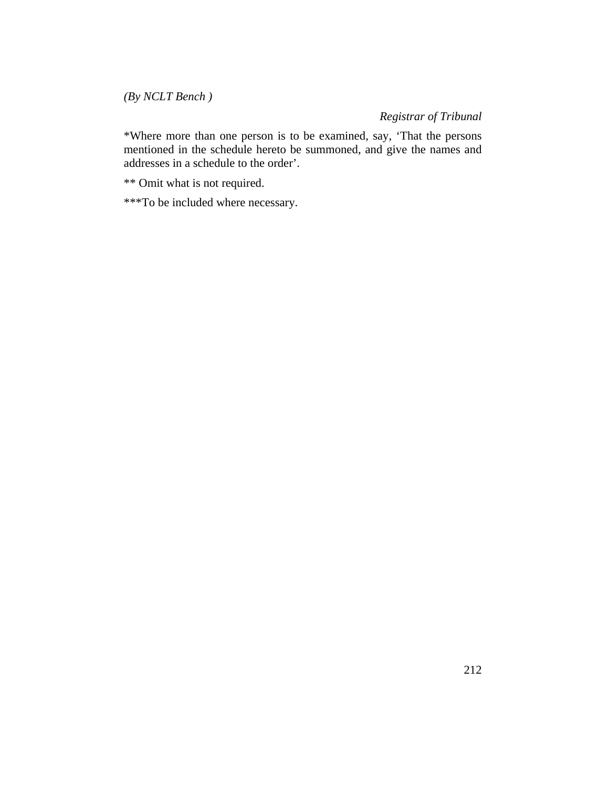*(By NCLT Bench )*

*Registrar of Tribunal* 

\*Where more than one person is to be examined, say, 'That the persons mentioned in the schedule hereto be summoned, and give the names and addresses in a schedule to the order'.

\*\* Omit what is not required.

\*\*\*To be included where necessary.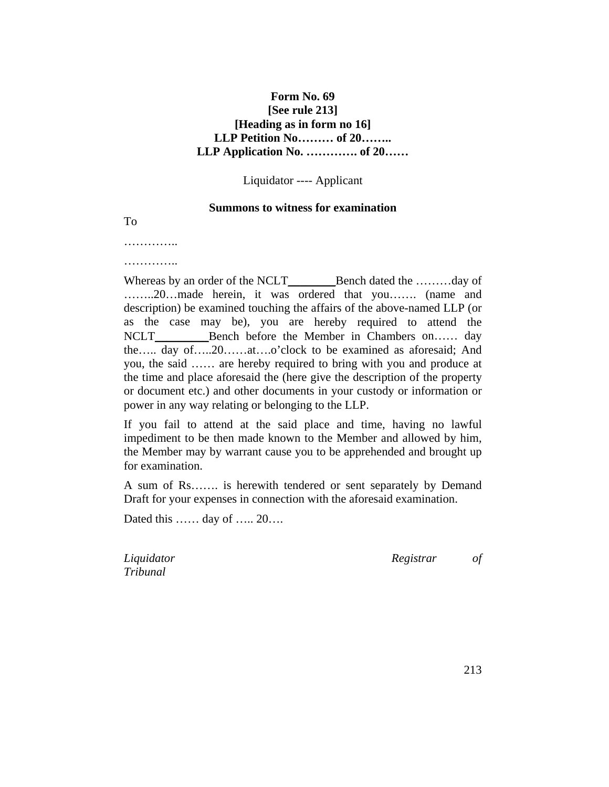## **Form No. 69 [See rule 213] [Heading as in form no 16] LLP Petition No……… of 20…….. LLP Application No. …………. of 20……**

Liquidator ---- Applicant

#### **Summons to witness for examination**

To

……………

……………

Whereas by an order of the NCLT\_\_\_\_\_\_\_\_\_Bench dated the ………day of ……..20…made herein, it was ordered that you……. (name and description) be examined touching the affairs of the above-named LLP (or as the case may be), you are hereby required to attend the NCLT\_\_\_\_\_\_\_\_\_\_\_\_Bench before the Member in Chambers on…… day the….. day of…..20……at….o'clock to be examined as aforesaid; And you, the said …… are hereby required to bring with you and produce at the time and place aforesaid the (here give the description of the property or document etc.) and other documents in your custody or information or power in any way relating or belonging to the LLP.

If you fail to attend at the said place and time, having no lawful impediment to be then made known to the Member and allowed by him, the Member may by warrant cause you to be apprehended and brought up for examination.

A sum of Rs……. is herewith tendered or sent separately by Demand Draft for your expenses in connection with the aforesaid examination.

Dated this …… day of ….. 20….

*Tribunal*

*Liquidator Registrar of*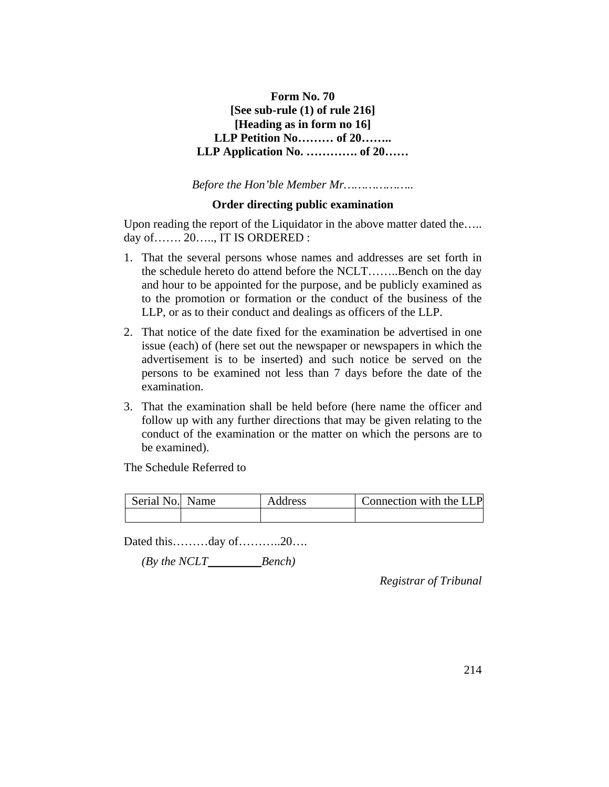# **Form No. 70 [See sub-rule (1) of rule 216] [Heading as in form no 16] LLP Petition No……… of 20…….. LLP Application No. …………. of 20……**

*Before the Hon'ble Member Mr………………..*

## **Order directing public examination**

Upon reading the report of the Liquidator in the above matter dated the….. day of……. 20….., IT IS ORDERED :

- 1. That the several persons whose names and addresses are set forth in the schedule hereto do attend before the NCLT……..Bench on the day and hour to be appointed for the purpose, and be publicly examined as to the promotion or formation or the conduct of the business of the LLP, or as to their conduct and dealings as officers of the LLP.
- 2. That notice of the date fixed for the examination be advertised in one issue (each) of (here set out the newspaper or newspapers in which the advertisement is to be inserted) and such notice be served on the persons to be examined not less than 7 days before the date of the examination.
- 3. That the examination shall be held before (here name the officer and follow up with any further directions that may be given relating to the conduct of the examination or the matter on which the persons are to be examined).

The Schedule Referred to

| Serial No. Name | Address | Connection with the LLP |
|-----------------|---------|-------------------------|
|                 |         |                         |

Dated this………day of………..20….

 *(By the NCLT\_\_\_\_\_\_\_\_\_Bench)*

*Registrar of Tribunal*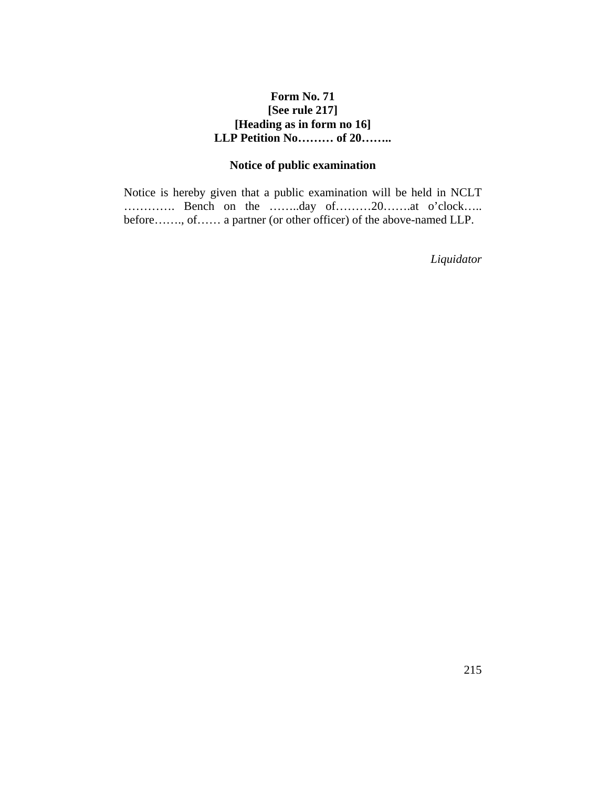## **Form No. 71 [See rule 217] [Heading as in form no 16] LLP Petition No……… of 20……..**

# **Notice of public examination**

Notice is hereby given that a public examination will be held in NCLT …………. Bench on the ……..day of………20…….at o'clock….. before……., of…… a partner (or other officer) of the above-named LLP.

*Liquidator*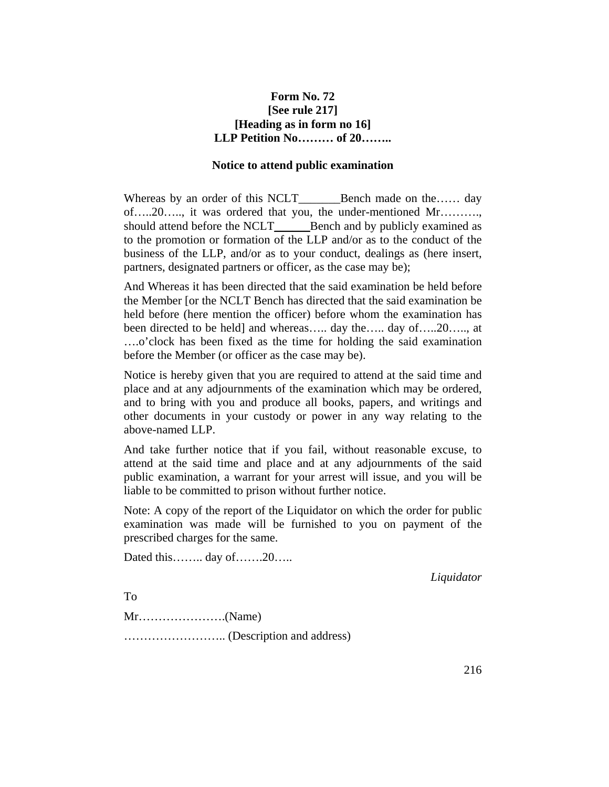## **Form No. 72 [See rule 217] [Heading as in form no 16] LLP Petition No……… of 20……..**

#### **Notice to attend public examination**

Whereas by an order of this NCLT\_\_\_\_\_\_\_Bench made on the…… day of…..20….., it was ordered that you, the under-mentioned Mr………., should attend before the NCLT\_\_\_\_\_\_\_Bench and by publicly examined as to the promotion or formation of the LLP and/or as to the conduct of the business of the LLP, and/or as to your conduct, dealings as (here insert, partners, designated partners or officer, as the case may be);

And Whereas it has been directed that the said examination be held before the Member [or the NCLT Bench has directed that the said examination be held before (here mention the officer) before whom the examination has been directed to be held] and whereas..... day the..... day of.....20....., at ….o'clock has been fixed as the time for holding the said examination before the Member (or officer as the case may be).

Notice is hereby given that you are required to attend at the said time and place and at any adjournments of the examination which may be ordered, and to bring with you and produce all books, papers, and writings and other documents in your custody or power in any way relating to the above-named LLP.

And take further notice that if you fail, without reasonable excuse, to attend at the said time and place and at any adjournments of the said public examination, a warrant for your arrest will issue, and you will be liable to be committed to prison without further notice.

Note: A copy of the report of the Liquidator on which the order for public examination was made will be furnished to you on payment of the prescribed charges for the same.

Dated this…….. day of…….20…..

*Liquidator*

To Mr………………….(Name) …………………….. (Description and address)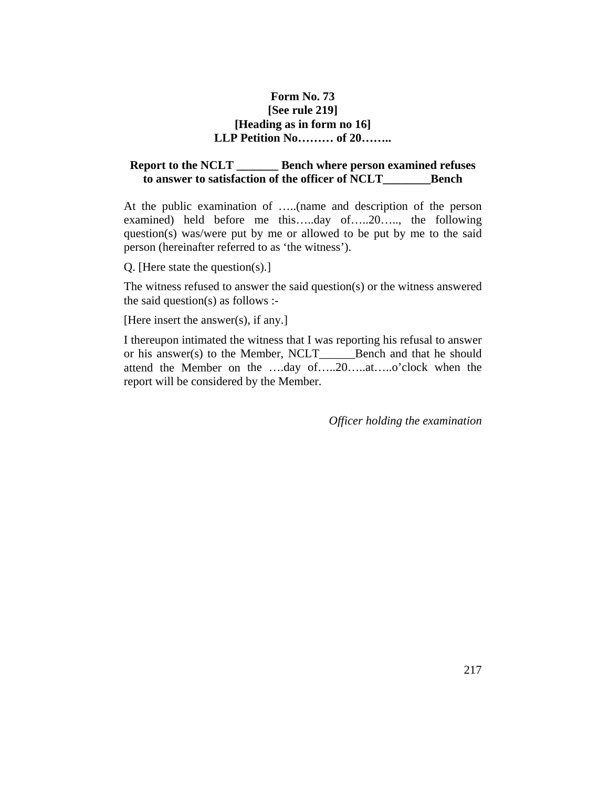### **Form No. 73 [See rule 219] [Heading as in form no 16] LLP Petition No……… of 20……..**

### **Report to the NCLT \_\_\_\_\_\_\_ Bench where person examined refuses to answer to satisfaction of the officer of NCLT\_\_\_\_\_\_\_\_Bench**

At the public examination of …..(name and description of the person examined) held before me this…..day of…..20….., the following question(s) was/were put by me or allowed to be put by me to the said person (hereinafter referred to as 'the witness').

Q. [Here state the question(s).]

The witness refused to answer the said question(s) or the witness answered the said question(s) as follows :-

[Here insert the answer(s), if any.]

I thereupon intimated the witness that I was reporting his refusal to answer or his answer(s) to the Member, NCLT\_\_\_\_\_\_Bench and that he should attend the Member on the ….day of…..20…..at…..o'clock when the report will be considered by the Member.

*Officer holding the examination*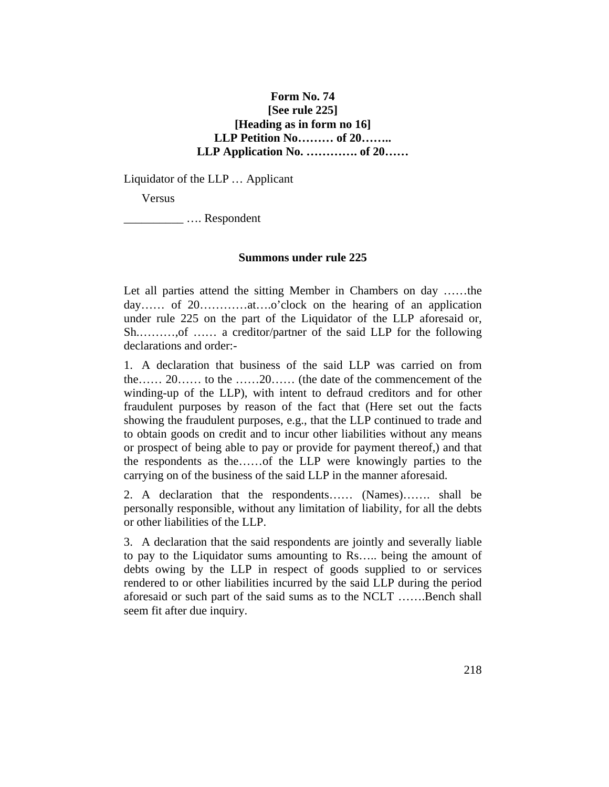### **Form No. 74 [See rule 225] [Heading as in form no 16] LLP Petition No……… of 20…….. LLP Application No. …………. of 20……**

Liquidator of the LLP … Applicant

Versus

\_\_\_\_\_\_\_\_\_\_ …. Respondent

#### **Summons under rule 225**

Let all parties attend the sitting Member in Chambers on day ……the day…… of 20…………at….o'clock on the hearing of an application under rule 225 on the part of the Liquidator of the LLP aforesaid or, Sh.………,of …… a creditor/partner of the said LLP for the following declarations and order:-

1. A declaration that business of the said LLP was carried on from the…… 20…… to the ……20…… (the date of the commencement of the winding-up of the LLP), with intent to defraud creditors and for other fraudulent purposes by reason of the fact that (Here set out the facts showing the fraudulent purposes, e.g., that the LLP continued to trade and to obtain goods on credit and to incur other liabilities without any means or prospect of being able to pay or provide for payment thereof,) and that the respondents as the……of the LLP were knowingly parties to the carrying on of the business of the said LLP in the manner aforesaid.

2. A declaration that the respondents…… (Names)……. shall be personally responsible, without any limitation of liability, for all the debts or other liabilities of the LLP.

3. A declaration that the said respondents are jointly and severally liable to pay to the Liquidator sums amounting to Rs….. being the amount of debts owing by the LLP in respect of goods supplied to or services rendered to or other liabilities incurred by the said LLP during the period aforesaid or such part of the said sums as to the NCLT …….Bench shall seem fit after due inquiry.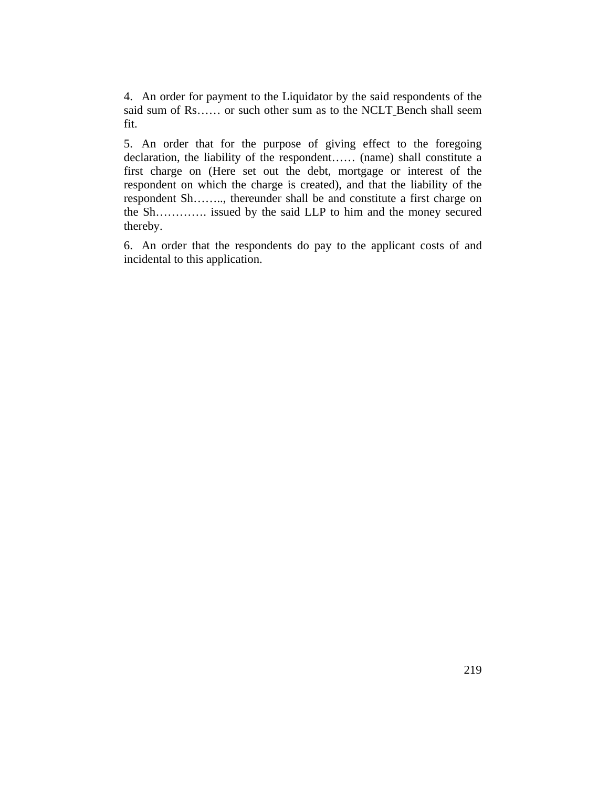4. An order for payment to the Liquidator by the said respondents of the said sum of Rs…… or such other sum as to the NCLT Bench shall seem fit.

5. An order that for the purpose of giving effect to the foregoing declaration, the liability of the respondent…… (name) shall constitute a first charge on (Here set out the debt, mortgage or interest of the respondent on which the charge is created), and that the liability of the respondent Sh…….., thereunder shall be and constitute a first charge on the Sh…………. issued by the said LLP to him and the money secured thereby.

6. An order that the respondents do pay to the applicant costs of and incidental to this application.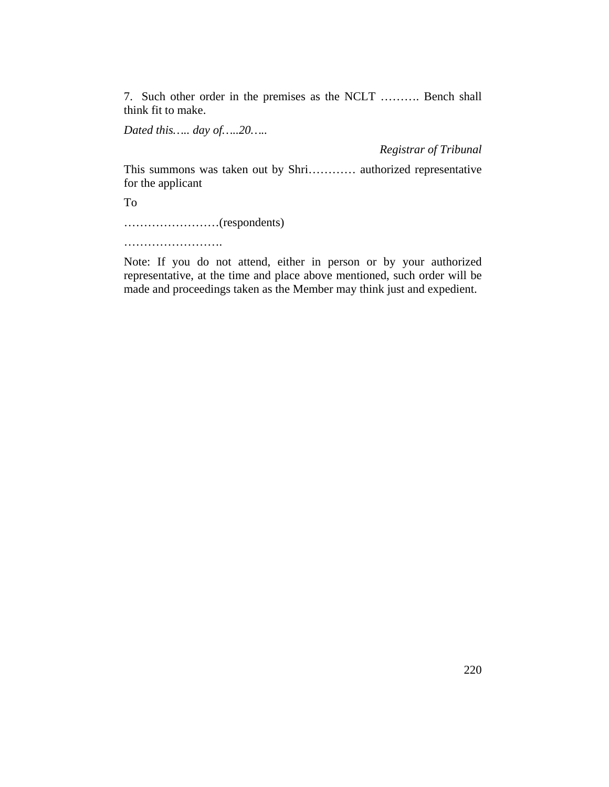7. Such other order in the premises as the NCLT ………. Bench shall think fit to make.

*Dated this….. day of…..20…..*

*Registrar of Tribunal*

This summons was taken out by Shri………… authorized representative for the applicant

To

……………………(respondents)

…………………………

Note: If you do not attend, either in person or by your authorized representative, at the time and place above mentioned, such order will be made and proceedings taken as the Member may think just and expedient.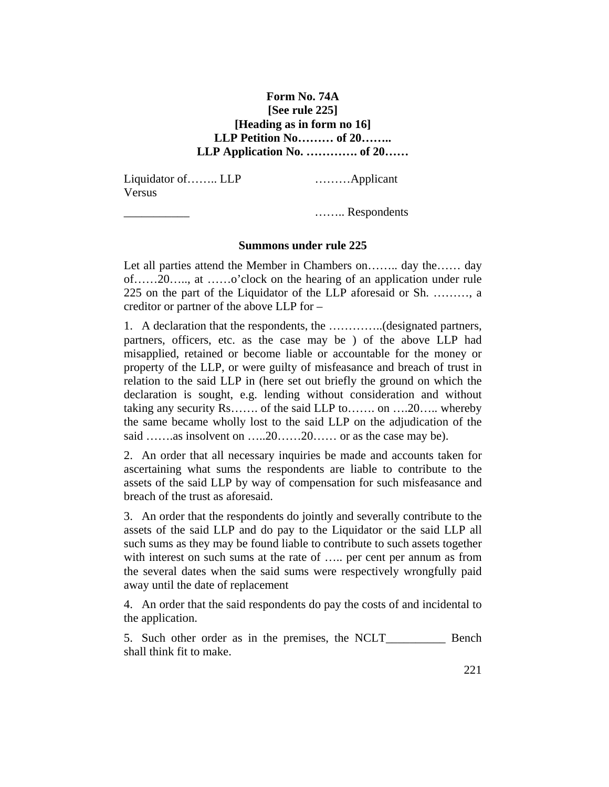### **Form No. 74A [See rule 225] [Heading as in form no 16] LLP Petition No……… of 20…….. LLP Application No. …………. of 20……**

Liquidator of…….. LLP ………Applicant Versus

\_\_\_\_\_\_\_\_\_\_\_ …….. Respondents

#### **Summons under rule 225**

Let all parties attend the Member in Chambers on…….. day the…… day of……20….., at ……o'clock on the hearing of an application under rule 225 on the part of the Liquidator of the LLP aforesaid or Sh. ………, a creditor or partner of the above LLP for –

1. A declaration that the respondents, the …………..(designated partners, partners, officers, etc. as the case may be ) of the above LLP had misapplied, retained or become liable or accountable for the money or property of the LLP, or were guilty of misfeasance and breach of trust in relation to the said LLP in (here set out briefly the ground on which the declaration is sought, e.g. lending without consideration and without taking any security Rs……. of the said LLP to……. on ….20….. whereby the same became wholly lost to the said LLP on the adjudication of the said …….as insolvent on …..20……20…… or as the case may be).

2. An order that all necessary inquiries be made and accounts taken for ascertaining what sums the respondents are liable to contribute to the assets of the said LLP by way of compensation for such misfeasance and breach of the trust as aforesaid.

3. An order that the respondents do jointly and severally contribute to the assets of the said LLP and do pay to the Liquidator or the said LLP all such sums as they may be found liable to contribute to such assets together with interest on such sums at the rate of ..... per cent per annum as from the several dates when the said sums were respectively wrongfully paid away until the date of replacement

4. An order that the said respondents do pay the costs of and incidental to the application.

5. Such other order as in the premises, the NCLT\_\_\_\_\_\_\_\_\_\_ Bench shall think fit to make.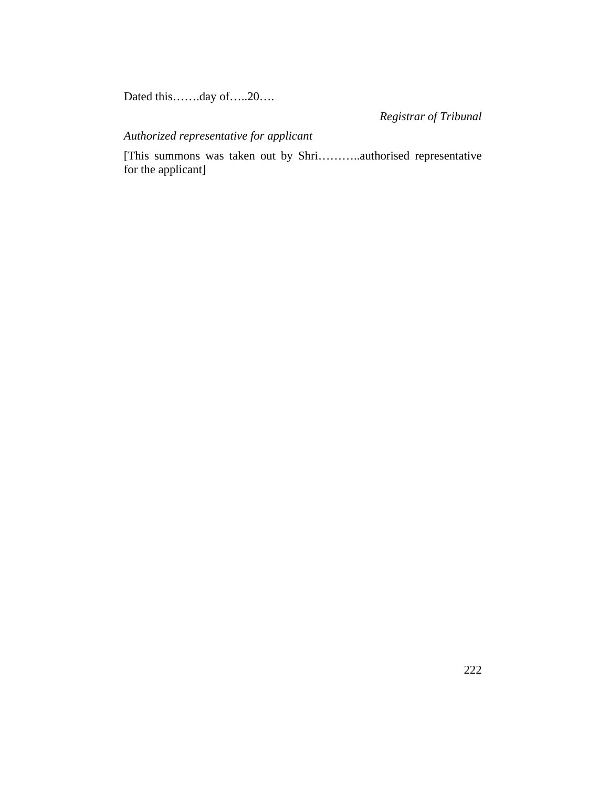Dated this…….day of…..20….

*Registrar of Tribunal* 

## *Authorized representative for applicant*

[This summons was taken out by Shri………..authorised representative for the applicant]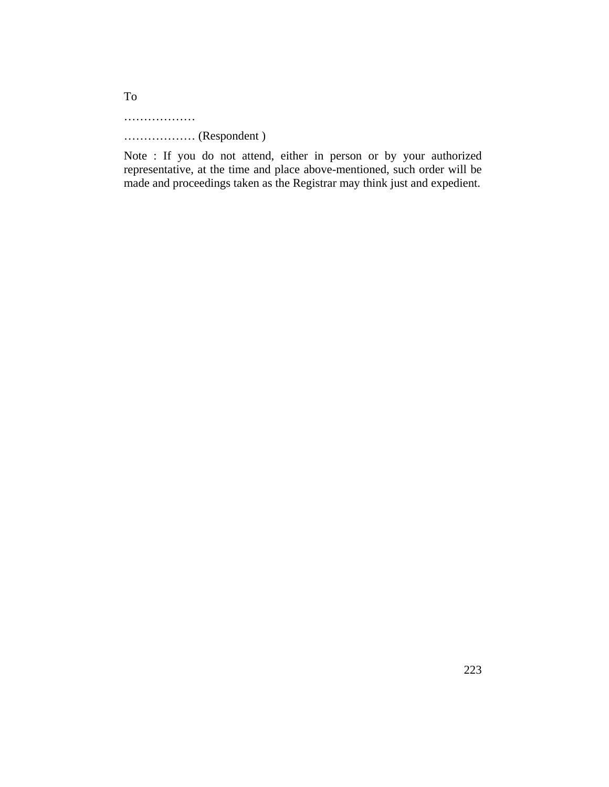………………

……………… (Respondent )

Note : If you do not attend, either in person or by your authorized representative, at the time and place above-mentioned, such order will be made and proceedings taken as the Registrar may think just and expedient.

To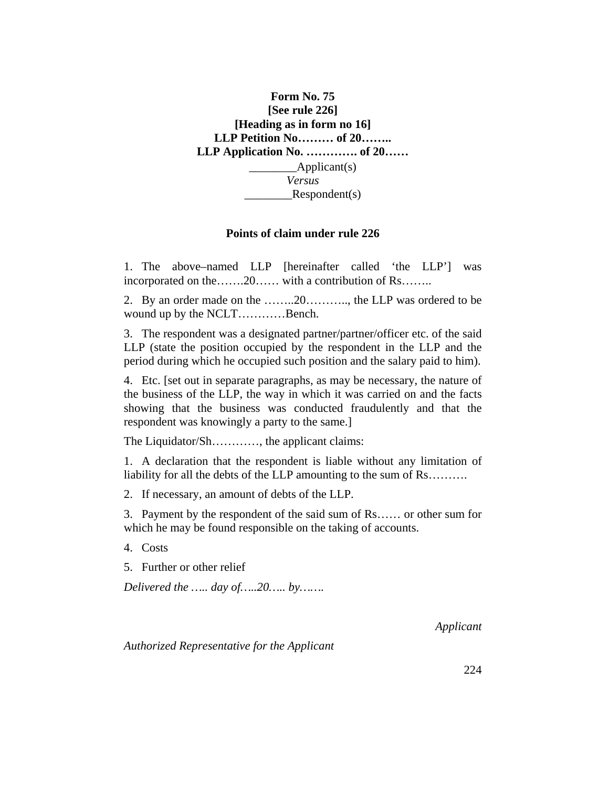

#### **Points of claim under rule 226**

1. The above–named LLP [hereinafter called 'the LLP'] was incorporated on the…….20…… with a contribution of Rs……..

2. By an order made on the ……..20……….., the LLP was ordered to be wound up by the NCLT…………Bench.

3. The respondent was a designated partner/partner/officer etc. of the said LLP (state the position occupied by the respondent in the LLP and the period during which he occupied such position and the salary paid to him).

4. Etc. [set out in separate paragraphs, as may be necessary, the nature of the business of the LLP, the way in which it was carried on and the facts showing that the business was conducted fraudulently and that the respondent was knowingly a party to the same.]

The Liquidator/Sh…………, the applicant claims:

1. A declaration that the respondent is liable without any limitation of liability for all the debts of the LLP amounting to the sum of Rs….......

2. If necessary, an amount of debts of the LLP.

3. Payment by the respondent of the said sum of Rs…… or other sum for which he may be found responsible on the taking of accounts.

4. Costs

5. Further or other relief

*Delivered the ….. day of…..20….. by…….*

*Applicant*

*Authorized Representative for the Applicant*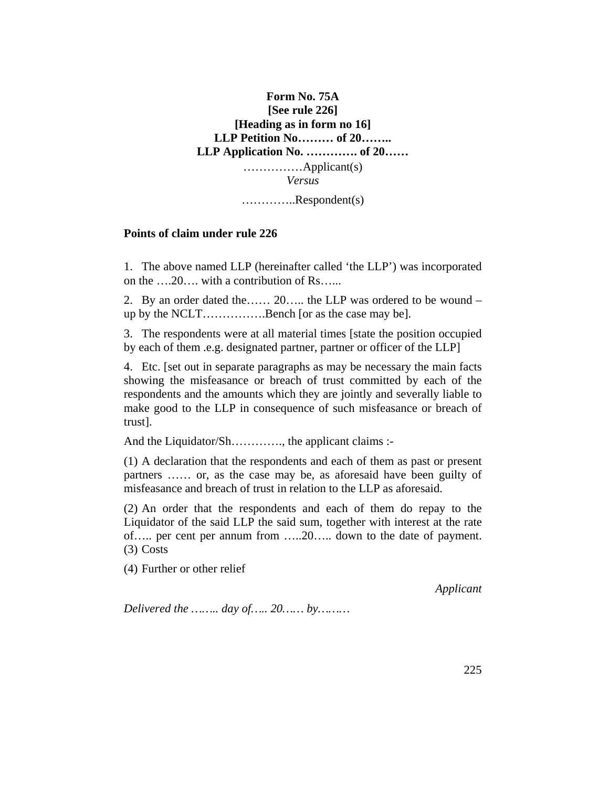# **Form No. 75A [See rule 226] [Heading as in form no 16] LLP Petition No……… of 20…….. LLP Application No. …………. of 20……**  ……………Applicant(s) *Versus* …………..Respondent(s)

#### **Points of claim under rule 226**

1. The above named LLP (hereinafter called 'the LLP') was incorporated on the ….20…. with a contribution of Rs…...

2. By an order dated the…… 20….. the LLP was ordered to be wound – up by the NCLT…………….Bench [or as the case may be].

3. The respondents were at all material times [state the position occupied by each of them .e.g. designated partner, partner or officer of the LLP]

4. Etc. [set out in separate paragraphs as may be necessary the main facts showing the misfeasance or breach of trust committed by each of the respondents and the amounts which they are jointly and severally liable to make good to the LLP in consequence of such misfeasance or breach of trust].

And the Liquidator/Sh…………, the applicant claims :-

(1) A declaration that the respondents and each of them as past or present partners …… or, as the case may be, as aforesaid have been guilty of misfeasance and breach of trust in relation to the LLP as aforesaid.

(2) An order that the respondents and each of them do repay to the Liquidator of the said LLP the said sum, together with interest at the rate of….. per cent per annum from …..20….. down to the date of payment. (3) Costs

(4) Further or other relief

*Applicant*

*Delivered the …….. day of….. 20…… by………*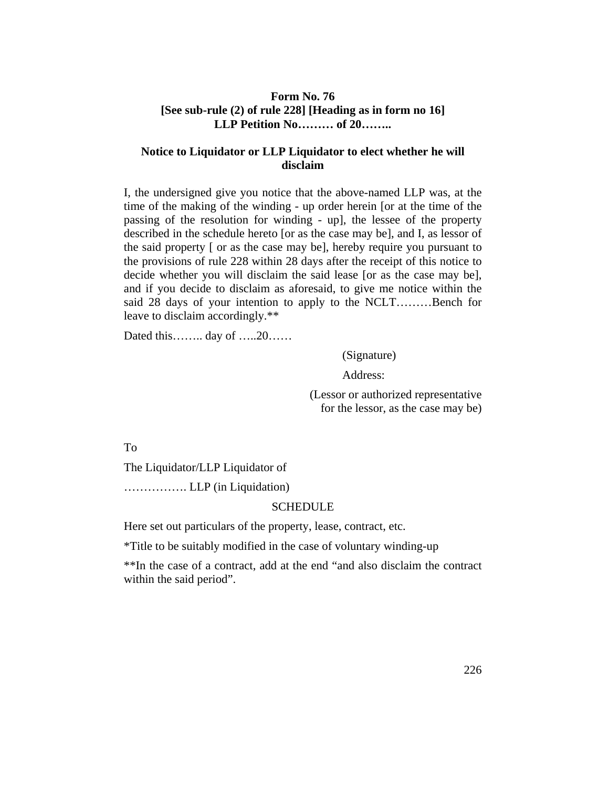### **Form No. 76 [See sub-rule (2) of rule 228] [Heading as in form no 16] LLP Petition No……… of 20……..**

### **Notice to Liquidator or LLP Liquidator to elect whether he will disclaim**

I, the undersigned give you notice that the above-named LLP was, at the time of the making of the winding - up order herein [or at the time of the passing of the resolution for winding - up], the lessee of the property described in the schedule hereto [or as the case may be], and I, as lessor of the said property [ or as the case may be], hereby require you pursuant to the provisions of rule 228 within 28 days after the receipt of this notice to decide whether you will disclaim the said lease [or as the case may be], and if you decide to disclaim as aforesaid, to give me notice within the said 28 days of your intention to apply to the NCLT………Bench for leave to disclaim accordingly.\*\*

Dated this…….. day of …..20……

(Signature)

Address:

(Lessor or authorized representative for the lessor, as the case may be)

To

The Liquidator/LLP Liquidator of

……………. LLP (in Liquidation)

#### **SCHEDULE**

Here set out particulars of the property, lease, contract, etc.

\*Title to be suitably modified in the case of voluntary winding-up

\*\*In the case of a contract, add at the end "and also disclaim the contract within the said period".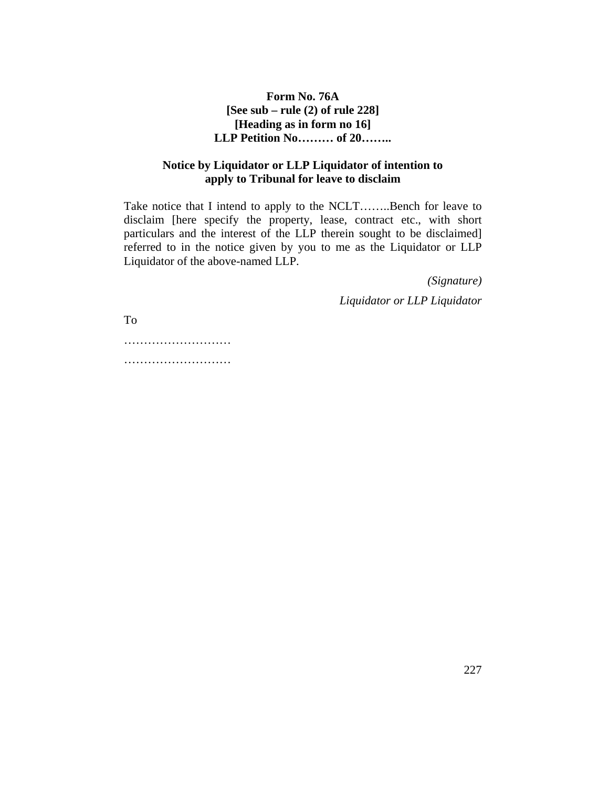**Form No. 76A [See sub – rule (2) of rule 228] [Heading as in form no 16] LLP Petition No……… of 20……..** 

### **Notice by Liquidator or LLP Liquidator of intention to apply to Tribunal for leave to disclaim**

Take notice that I intend to apply to the NCLT……..Bench for leave to disclaim [here specify the property, lease, contract etc., with short particulars and the interest of the LLP therein sought to be disclaimed] referred to in the notice given by you to me as the Liquidator or LLP Liquidator of the above-named LLP.

> *(Signature) Liquidator or LLP Liquidator*

To

…………………………… ………………………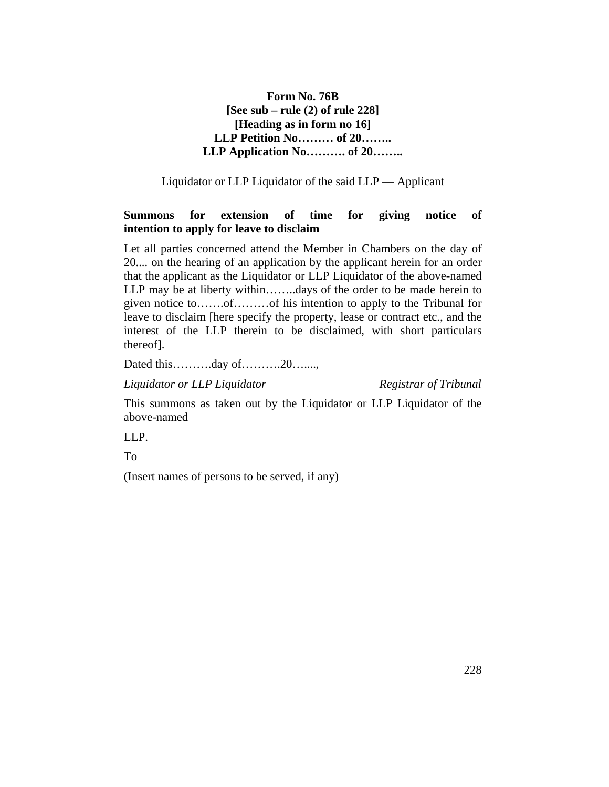## **Form No. 76B [See sub – rule (2) of rule 228] [Heading as in form no 16] LLP Petition No……… of 20…….. LLP Application No………. of 20……..**

Liquidator or LLP Liquidator of the said LLP — Applicant

### **Summons for extension of time for giving notice of intention to apply for leave to disclaim**

Let all parties concerned attend the Member in Chambers on the day of 20.... on the hearing of an application by the applicant herein for an order that the applicant as the Liquidator or LLP Liquidator of the above-named LLP may be at liberty within……..days of the order to be made herein to given notice to…….of………of his intention to apply to the Tribunal for leave to disclaim [here specify the property, lease or contract etc., and the interest of the LLP therein to be disclaimed, with short particulars thereof].

Dated this……….day of……….20…....,

*Liquidator or LLP Liquidator Registrar of Tribunal*

This summons as taken out by the Liquidator or LLP Liquidator of the above-named

LLP.

To

(Insert names of persons to be served, if any)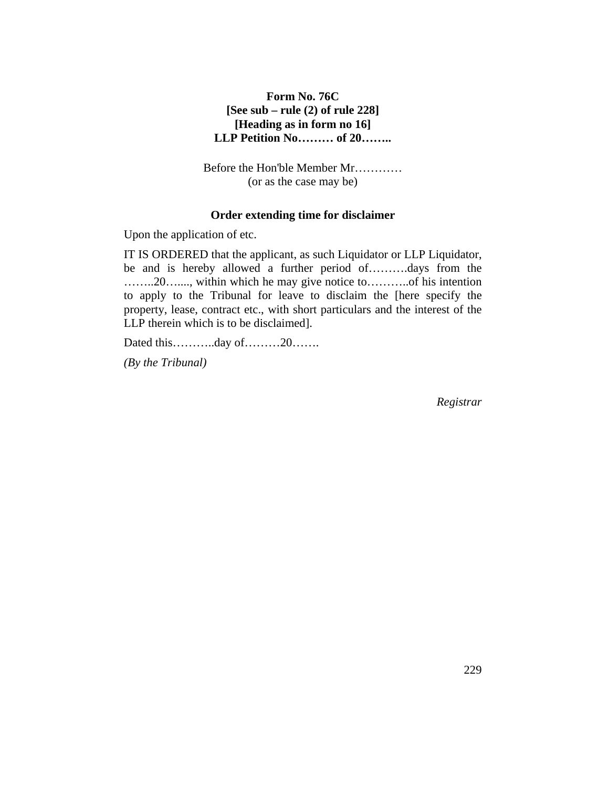### **Form No. 76C [See sub – rule (2) of rule 228] [Heading as in form no 16] LLP Petition No……… of 20……..**

Before the Hon'ble Member Mr………… (or as the case may be)

#### **Order extending time for disclaimer**

Upon the application of etc.

IT IS ORDERED that the applicant, as such Liquidator or LLP Liquidator, be and is hereby allowed a further period of……….days from the ……..20…...., within which he may give notice to………..of his intention to apply to the Tribunal for leave to disclaim the [here specify the property, lease, contract etc., with short particulars and the interest of the LLP therein which is to be disclaimed].

Dated this………..day of………20…….

*(By the Tribunal)*

*Registrar*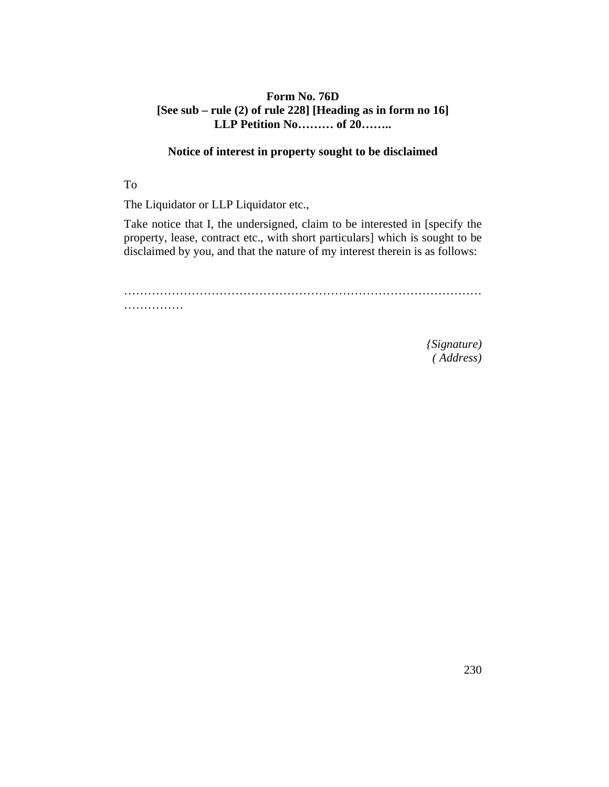### **Form No. 76D [See sub – rule (2) of rule 228] [Heading as in form no 16] LLP Petition No……… of 20……..**

## **Notice of interest in property sought to be disclaimed**

To

The Liquidator or LLP Liquidator etc.,

Take notice that I, the undersigned, claim to be interested in [specify the property, lease, contract etc., with short particulars] which is sought to be disclaimed by you, and that the nature of my interest therein is as follows:

……………………………………………………………………………… ……………

> *{Signature) ( Address)*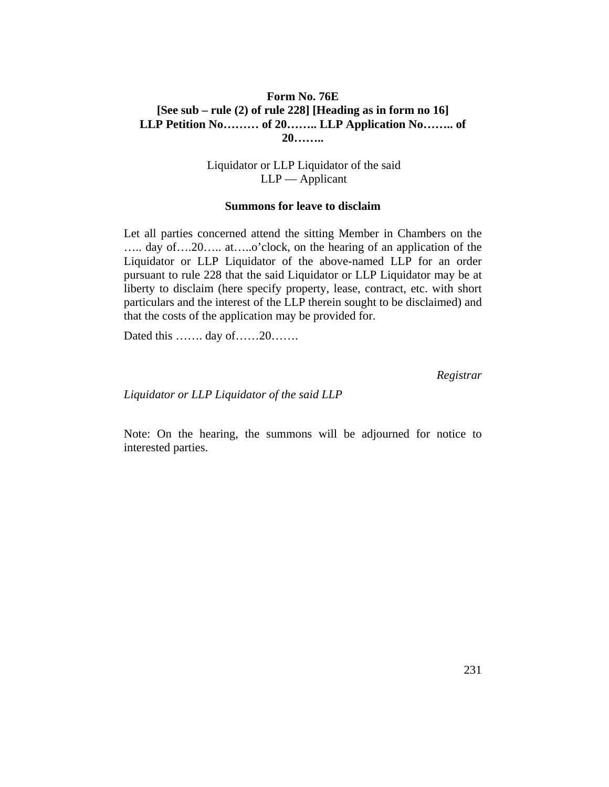### **Form No. 76E [See sub – rule (2) of rule 228] [Heading as in form no 16] LLP Petition No……… of 20…….. LLP Application No…….. of 20……..**

Liquidator or LLP Liquidator of the said LLP — Applicant

#### **Summons for leave to disclaim**

Let all parties concerned attend the sitting Member in Chambers on the ….. day of….20….. at…..o'clock, on the hearing of an application of the Liquidator or LLP Liquidator of the above-named LLP for an order pursuant to rule 228 that the said Liquidator or LLP Liquidator may be at liberty to disclaim (here specify property, lease, contract, etc. with short particulars and the interest of the LLP therein sought to be disclaimed) and that the costs of the application may be provided for.

Dated this ……. day of……20……

*Registrar*

*Liquidator or LLP Liquidator of the said LLP*

Note: On the hearing, the summons will be adjourned for notice to interested parties.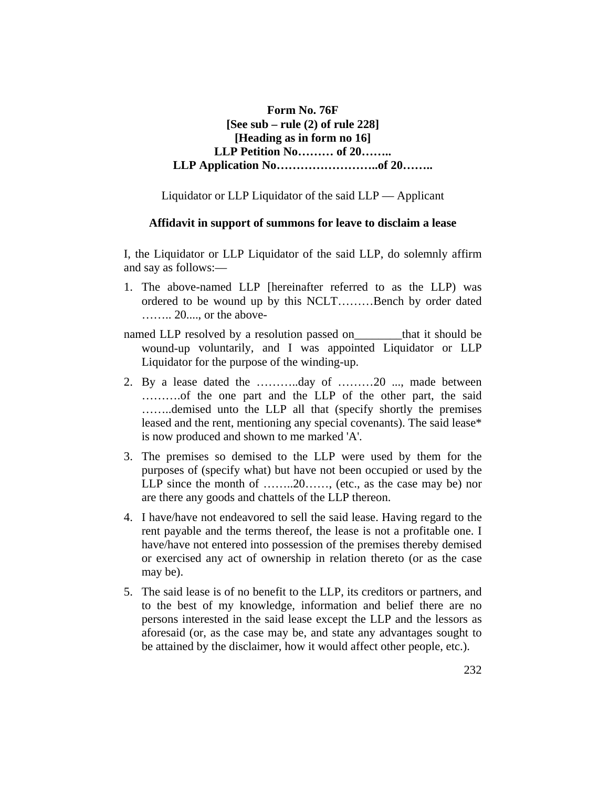**Form No. 76F [See sub – rule (2) of rule 228] [Heading as in form no 16] LLP Petition No……… of 20…….. LLP Application No……………………..of 20……..** 

Liquidator or LLP Liquidator of the said LLP — Applicant

#### **Affidavit in support of summons for leave to disclaim a lease**

I, the Liquidator or LLP Liquidator of the said LLP, do solemnly affirm and say as follows:—

- 1. The above-named LLP [hereinafter referred to as the LLP) was ordered to be wound up by this NCLT………Bench by order dated …….. 20...., or the above-
- named LLP resolved by a resolution passed on that it should be wound-up voluntarily, and I was appointed Liquidator or LLP Liquidator for the purpose of the winding-up.
- 2. By a lease dated the ………..day of ………20 ..., made between ……….of the one part and the LLP of the other part, the said ……..demised unto the LLP all that (specify shortly the premises leased and the rent, mentioning any special covenants). The said lease\* is now produced and shown to me marked 'A'.
- 3. The premises so demised to the LLP were used by them for the purposes of (specify what) but have not been occupied or used by the LLP since the month of ........20....... (etc., as the case may be) nor are there any goods and chattels of the LLP thereon.
- 4. I have/have not endeavored to sell the said lease. Having regard to the rent payable and the terms thereof, the lease is not a profitable one. I have/have not entered into possession of the premises thereby demised or exercised any act of ownership in relation thereto (or as the case may be).
- 5. The said lease is of no benefit to the LLP, its creditors or partners, and to the best of my knowledge, information and belief there are no persons interested in the said lease except the LLP and the lessors as aforesaid (or, as the case may be, and state any advantages sought to be attained by the disclaimer, how it would affect other people, etc.).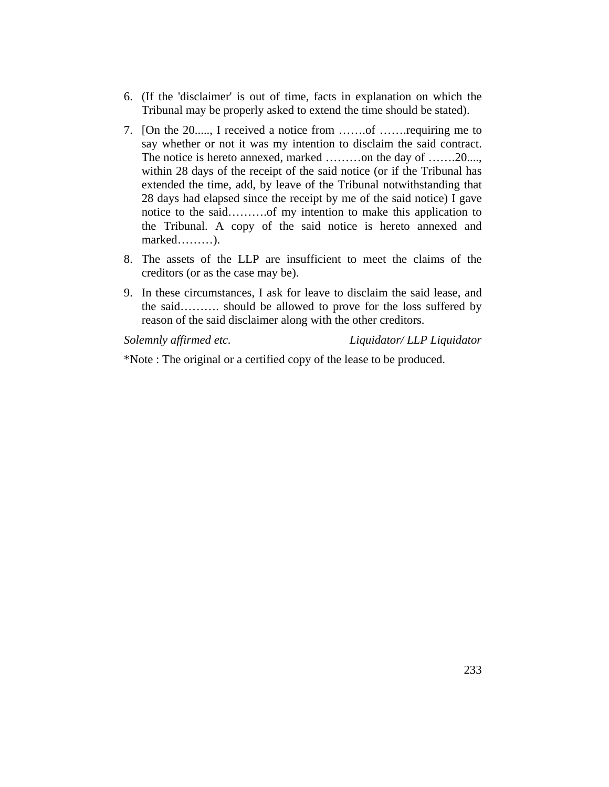- 6. (If the 'disclaimer' is out of time, facts in explanation on which the Tribunal may be properly asked to extend the time should be stated).
- 7. [On the 20....., I received a notice from …….of …….requiring me to say whether or not it was my intention to disclaim the said contract. The notice is hereto annexed, marked ........on the day of .......20.... within 28 days of the receipt of the said notice (or if the Tribunal has extended the time, add, by leave of the Tribunal notwithstanding that 28 days had elapsed since the receipt by me of the said notice) I gave notice to the said……….of my intention to make this application to the Tribunal. A copy of the said notice is hereto annexed and marked………).
- 8. The assets of the LLP are insufficient to meet the claims of the creditors (or as the case may be).
- 9. In these circumstances, I ask for leave to disclaim the said lease, and the said………. should be allowed to prove for the loss suffered by reason of the said disclaimer along with the other creditors.

*Solemnly affirmed etc. Liquidator/ LLP Liquidator*

\*Note : The original or a certified copy of the lease to be produced.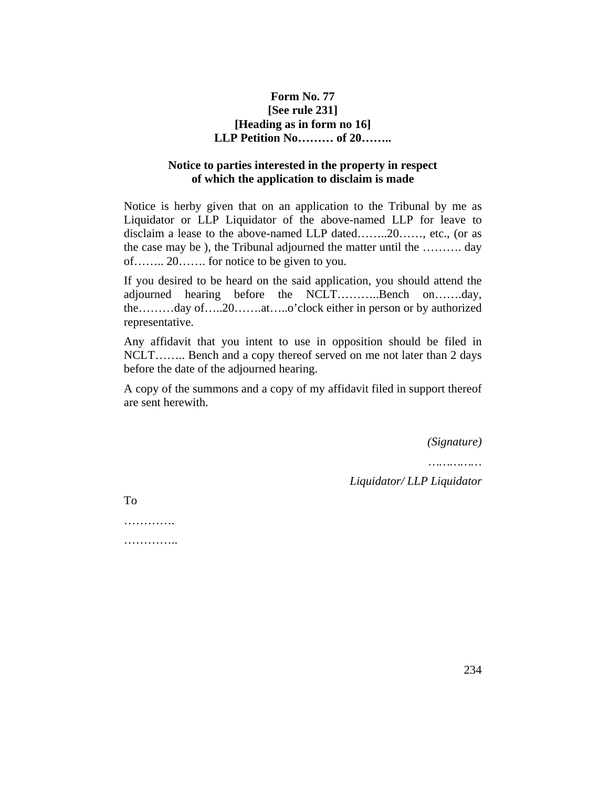### **Form No. 77 [See rule 231] [Heading as in form no 16] LLP Petition No……… of 20……..**

### **Notice to parties interested in the property in respect of which the application to disclaim is made**

Notice is herby given that on an application to the Tribunal by me as Liquidator or LLP Liquidator of the above-named LLP for leave to disclaim a lease to the above-named LLP dated……..20……, etc., (or as the case may be ), the Tribunal adjourned the matter until the ………. day of…….. 20……. for notice to be given to you.

If you desired to be heard on the said application, you should attend the adjourned hearing before the NCLT………..Bench on…….day, the………day of…..20…….at…..o'clock either in person or by authorized representative.

Any affidavit that you intent to use in opposition should be filed in NCLT…….. Bench and a copy thereof served on me not later than 2 days before the date of the adjourned hearing.

A copy of the summons and a copy of my affidavit filed in support thereof are sent herewith.

*(Signature)*

*……………* 

*Liquidator/ LLP Liquidator*

To

…………… . . . . . . . . . . . . . . .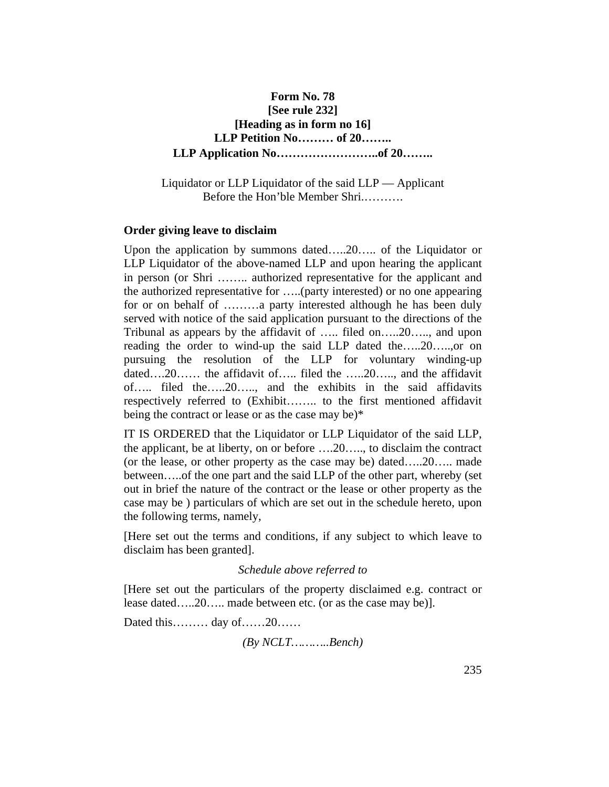## **Form No. 78 [See rule 232] [Heading as in form no 16] LLP Petition No……… of 20…….. LLP Application No……………………..of 20……..**

Liquidator or LLP Liquidator of the said LLP — Applicant Before the Hon'ble Member Shri.……….

#### **Order giving leave to disclaim**

Upon the application by summons dated…..20….. of the Liquidator or LLP Liquidator of the above-named LLP and upon hearing the applicant in person (or Shri …….. authorized representative for the applicant and the authorized representative for …..(party interested) or no one appearing for or on behalf of ………a party interested although he has been duly served with notice of the said application pursuant to the directions of the Tribunal as appears by the affidavit of ….. filed on…..20….., and upon reading the order to wind-up the said LLP dated the…..20…..,or on pursuing the resolution of the LLP for voluntary winding-up dated….20…… the affidavit of….. filed the …..20….., and the affidavit of….. filed the…..20….., and the exhibits in the said affidavits respectively referred to (Exhibit…….. to the first mentioned affidavit being the contract or lease or as the case may be)\*

IT IS ORDERED that the Liquidator or LLP Liquidator of the said LLP, the applicant, be at liberty, on or before ….20….., to disclaim the contract (or the lease, or other property as the case may be) dated…..20….. made between…..of the one part and the said LLP of the other part, whereby (set out in brief the nature of the contract or the lease or other property as the case may be ) particulars of which are set out in the schedule hereto, upon the following terms, namely,

[Here set out the terms and conditions, if any subject to which leave to disclaim has been granted].

#### *Schedule above referred to*

[Here set out the particulars of the property disclaimed e.g. contract or lease dated…..20….. made between etc. (or as the case may be)].

Dated this……… day of……20……

*(By NCLT………..Bench)*

¶11-010 235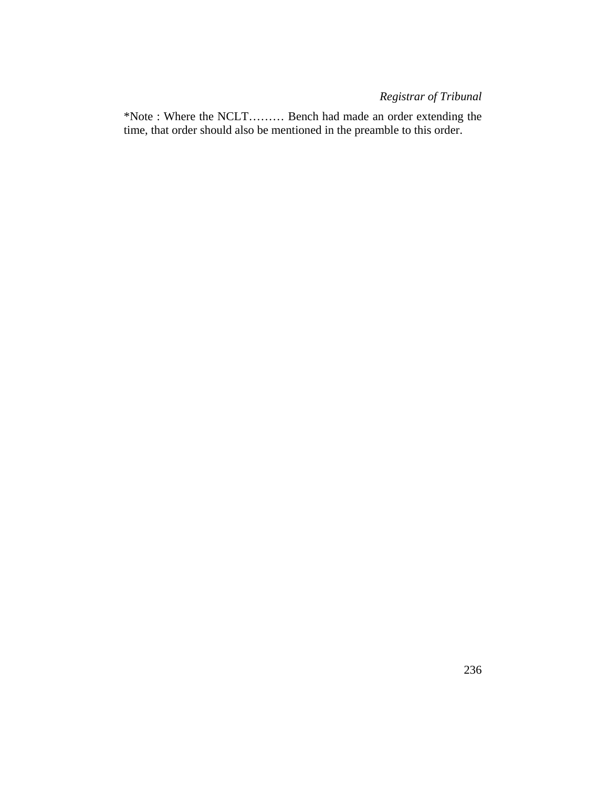# *Registrar of Tribunal*

\*Note : Where the NCLT……… Bench had made an order extending the time, that order should also be mentioned in the preamble to this order.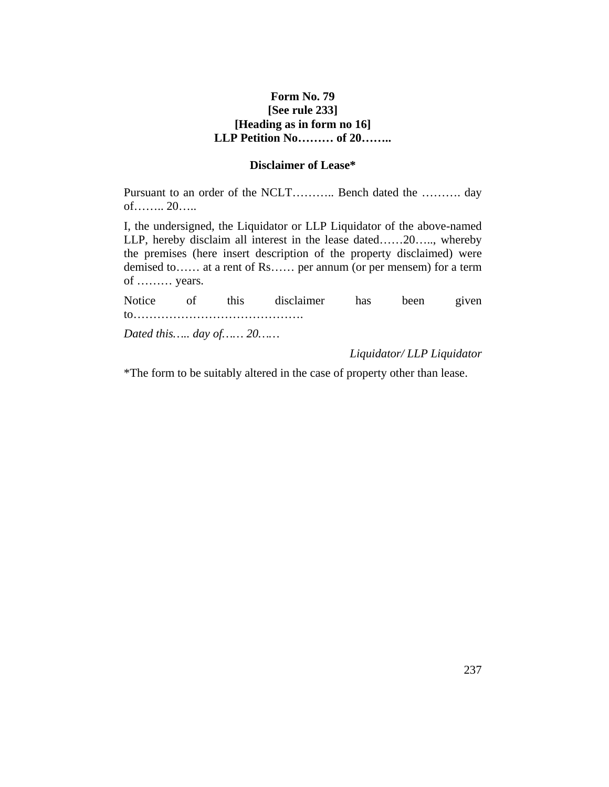### **Form No. 79 [See rule 233] [Heading as in form no 16] LLP Petition No……… of 20……..**

### **Disclaimer of Lease\***

Pursuant to an order of the NCLT……….. Bench dated the ………. day of…….. 20…..

I, the undersigned, the Liquidator or LLP Liquidator of the above-named LLP, hereby disclaim all interest in the lease dated……20….., whereby the premises (here insert description of the property disclaimed) were demised to…… at a rent of Rs…… per annum (or per mensem) for a term of ……… years.

Notice of this disclaimer has been given to……………………………………. *Dated this….. day of…… 20……*

*Liquidator/ LLP Liquidator*

\*The form to be suitably altered in the case of property other than lease.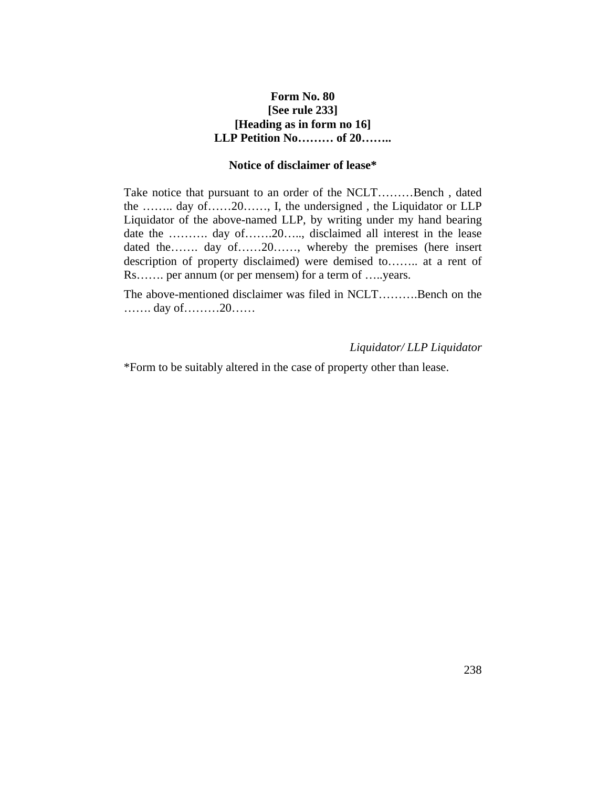### **Form No. 80 [See rule 233] [Heading as in form no 16] LLP Petition No……… of 20……..**

#### **Notice of disclaimer of lease\***

Take notice that pursuant to an order of the NCLT………Bench , dated the …….. day of……20……, I, the undersigned , the Liquidator or LLP Liquidator of the above-named LLP, by writing under my hand bearing date the ………. day of…….20….., disclaimed all interest in the lease dated the……. day of……20……, whereby the premises (here insert description of property disclaimed) were demised to…….. at a rent of Rs……. per annum (or per mensem) for a term of …..years.

The above-mentioned disclaimer was filed in NCLT……….Bench on the ……. day of………20……

#### *Liquidator/ LLP Liquidator*

\*Form to be suitably altered in the case of property other than lease.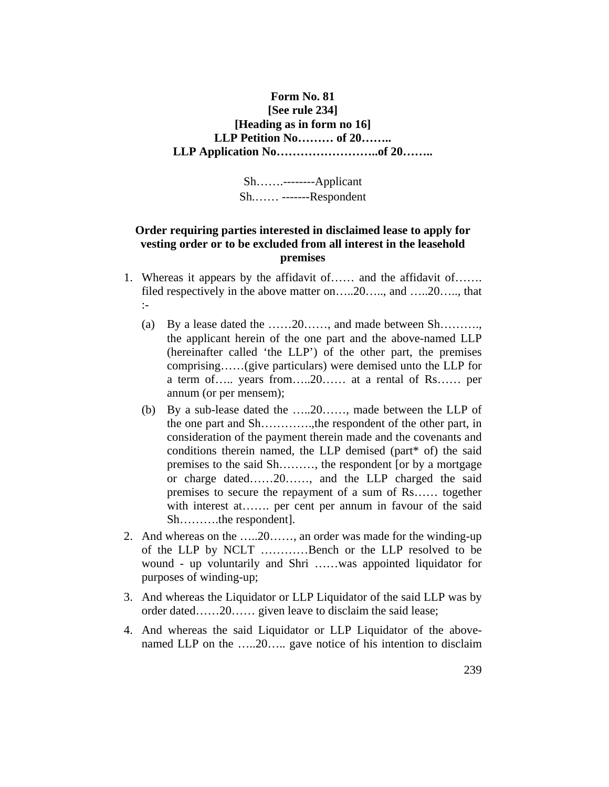### **Form No. 81 [See rule 234] [Heading as in form no 16] LLP Petition No……… of 20…….. LLP Application No……………………..of 20……..**

Sh…….--------Applicant Sh.…… -------Respondent

### **Order requiring parties interested in disclaimed lease to apply for vesting order or to be excluded from all interest in the leasehold premises**

- 1. Whereas it appears by the affidavit of…… and the affidavit of……. filed respectively in the above matter on…..20….., and …..20….., that :-
	- (a) By a lease dated the ……20……, and made between Sh………., the applicant herein of the one part and the above-named LLP (hereinafter called 'the LLP') of the other part, the premises comprising……(give particulars) were demised unto the LLP for a term of….. years from…..20…… at a rental of Rs…… per annum (or per mensem);
	- (b) By a sub-lease dated the …..20……, made between the LLP of the one part and Sh………….,the respondent of the other part, in consideration of the payment therein made and the covenants and conditions therein named, the LLP demised (part\* of) the said premises to the said Sh………, the respondent [or by a mortgage or charge dated……20……, and the LLP charged the said premises to secure the repayment of a sum of Rs…… together with interest at……. per cent per annum in favour of the said Sh……….the respondent].
- 2. And whereas on the …..20……, an order was made for the winding-up of the LLP by NCLT …………Bench or the LLP resolved to be wound - up voluntarily and Shri ……was appointed liquidator for purposes of winding-up;
- 3. And whereas the Liquidator or LLP Liquidator of the said LLP was by order dated……20…… given leave to disclaim the said lease;
- 4. And whereas the said Liquidator or LLP Liquidator of the abovenamed LLP on the .....20..... gave notice of his intention to disclaim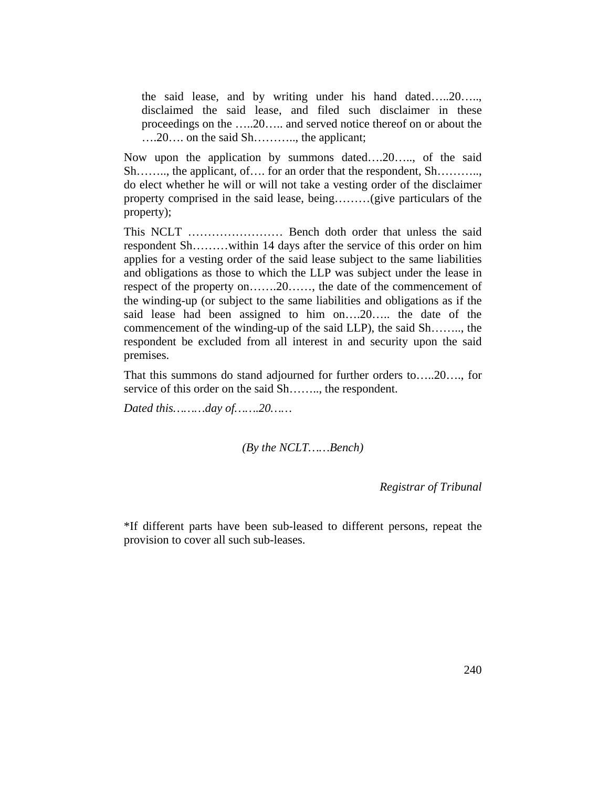the said lease, and by writing under his hand dated…..20….., disclaimed the said lease, and filed such disclaimer in these proceedings on the …..20….. and served notice thereof on or about the ….20…. on the said Sh……….., the applicant;

Now upon the application by summons dated….20….., of the said Sh…….., the applicant, of…. for an order that the respondent, Sh……….., do elect whether he will or will not take a vesting order of the disclaimer property comprised in the said lease, being………(give particulars of the property);

This NCLT …………………… Bench doth order that unless the said respondent Sh………within 14 days after the service of this order on him applies for a vesting order of the said lease subject to the same liabilities and obligations as those to which the LLP was subject under the lease in respect of the property on…….20……, the date of the commencement of the winding-up (or subject to the same liabilities and obligations as if the said lease had been assigned to him on….20….. the date of the commencement of the winding-up of the said LLP), the said Sh…….., the respondent be excluded from all interest in and security upon the said premises.

That this summons do stand adjourned for further orders to…..20…., for service of this order on the said Sh…….., the respondent.

*Dated this………day of…….20……*

*(By the NCLT……Bench)*

*Registrar of Tribunal*

\*If different parts have been sub-leased to different persons, repeat the provision to cover all such sub-leases.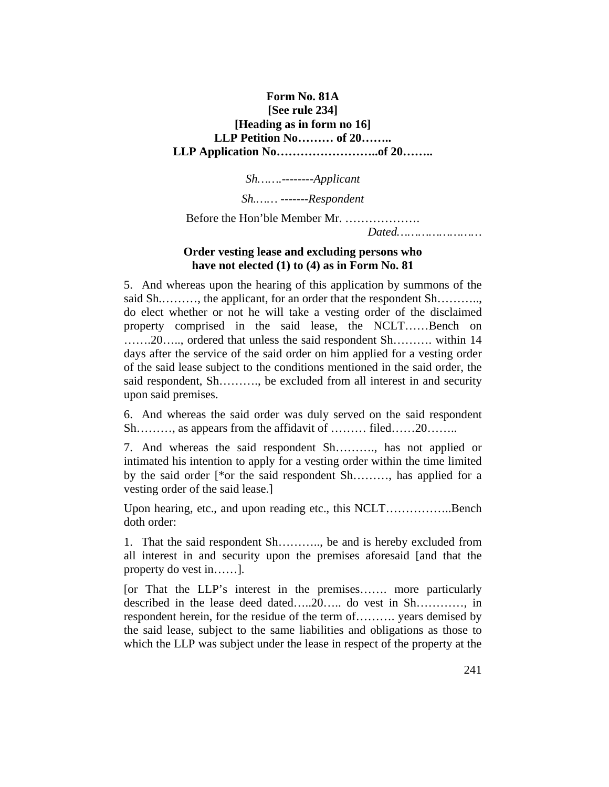### **Form No. 81A [See rule 234] [Heading as in form no 16] LLP Petition No……… of 20…….. LLP Application No……………………..of 20……..**

*Sh…….--------Applicant*

*Sh.…… -------Respondent*

Before the Hon'ble Member Mr. ………………. *Dated……………………*

### **Order vesting lease and excluding persons who have not elected (1) to (4) as in Form No. 81**

5. And whereas upon the hearing of this application by summons of the said Sh………, the applicant, for an order that the respondent Sh………. do elect whether or not he will take a vesting order of the disclaimed property comprised in the said lease, the NCLT……Bench on …….20….., ordered that unless the said respondent Sh………. within 14 days after the service of the said order on him applied for a vesting order of the said lease subject to the conditions mentioned in the said order, the said respondent, Sh………., be excluded from all interest in and security upon said premises.

6. And whereas the said order was duly served on the said respondent Sh………, as appears from the affidavit of ……… filed……20……..

7. And whereas the said respondent Sh………., has not applied or intimated his intention to apply for a vesting order within the time limited by the said order [\*or the said respondent Sh………, has applied for a vesting order of the said lease.]

Upon hearing, etc., and upon reading etc., this NCLT……………..Bench doth order:

1. That the said respondent Sh……….., be and is hereby excluded from all interest in and security upon the premises aforesaid [and that the property do vest in……].

[or That the LLP's interest in the premises……. more particularly described in the lease deed dated…..20….. do vest in Sh…………, in respondent herein, for the residue of the term of………. years demised by the said lease, subject to the same liabilities and obligations as those to which the LLP was subject under the lease in respect of the property at the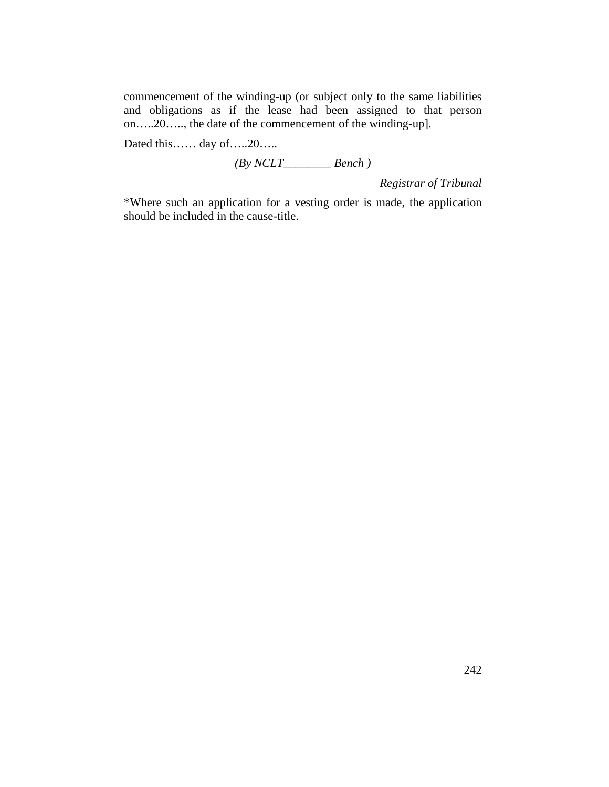commencement of the winding-up (or subject only to the same liabilities and obligations as if the lease had been assigned to that person on…..20….., the date of the commencement of the winding-up].

Dated this…… day of…..20…..

*(By NCLT\_\_\_\_\_\_\_\_ Bench )*

*Registrar of Tribunal*

\*Where such an application for a vesting order is made, the application should be included in the cause-title.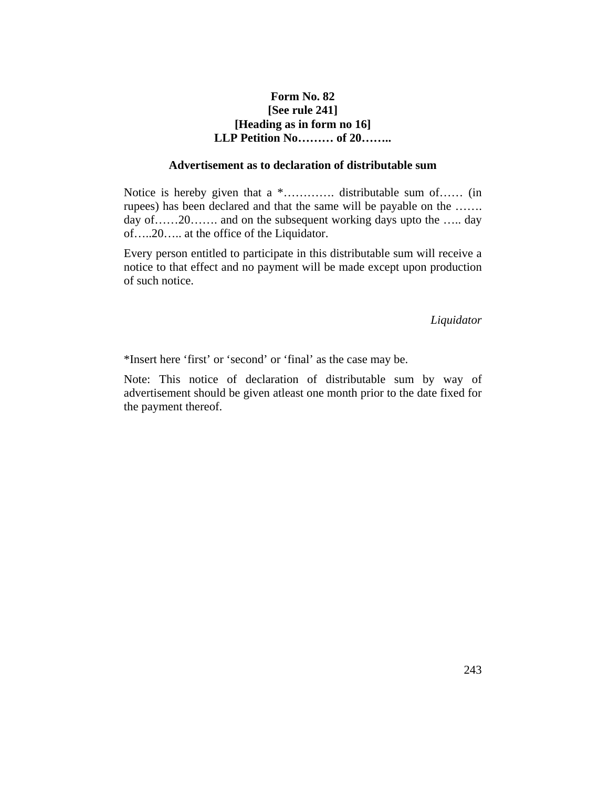### **Form No. 82 [See rule 241] [Heading as in form no 16] LLP Petition No……… of 20……..**

#### **Advertisement as to declaration of distributable sum**

Notice is hereby given that a \*…………. distributable sum of…… (in rupees) has been declared and that the same will be payable on the ……. day of......20....... and on the subsequent working days upto the ..... day of…..20….. at the office of the Liquidator.

Every person entitled to participate in this distributable sum will receive a notice to that effect and no payment will be made except upon production of such notice.

#### *Liquidator*

\*Insert here 'first' or 'second' or 'final' as the case may be.

Note: This notice of declaration of distributable sum by way of advertisement should be given atleast one month prior to the date fixed for the payment thereof.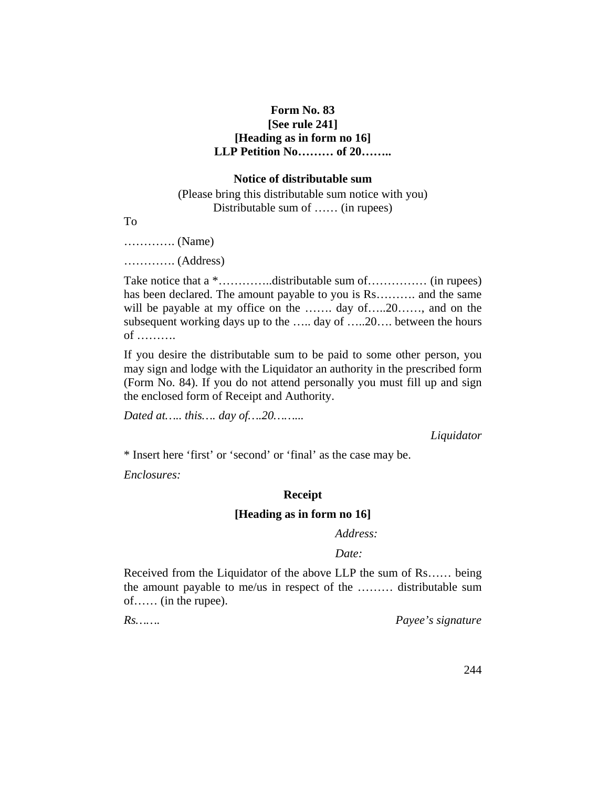### **Form No. 83 [See rule 241] [Heading as in form no 16] LLP Petition No……… of 20……..**

#### **Notice of distributable sum**

(Please bring this distributable sum notice with you) Distributable sum of …… (in rupees)

To

…………. (Name)

…………. (Address)

Take notice that a  $*$ …………distributable sum of…………… (in rupees) has been declared. The amount payable to you is Rs.......... and the same will be payable at my office on the ……. day of…..20……, and on the subsequent working days up to the ….. day of …..20…. between the hours of ……….

If you desire the distributable sum to be paid to some other person, you may sign and lodge with the Liquidator an authority in the prescribed form (Form No. 84). If you do not attend personally you must fill up and sign the enclosed form of Receipt and Authority.

*Dated at….. this…. day of….20……...*

*Liquidator*

\* Insert here 'first' or 'second' or 'final' as the case may be.

*Enclosures:*

### **Receipt**

#### **[Heading as in form no 16]**

#### *Address:*

#### *Date:*

Received from the Liquidator of the above LLP the sum of Rs…… being the amount payable to me/us in respect of the ……… distributable sum of…… (in the rupee).

*Rs……. Payee's signature*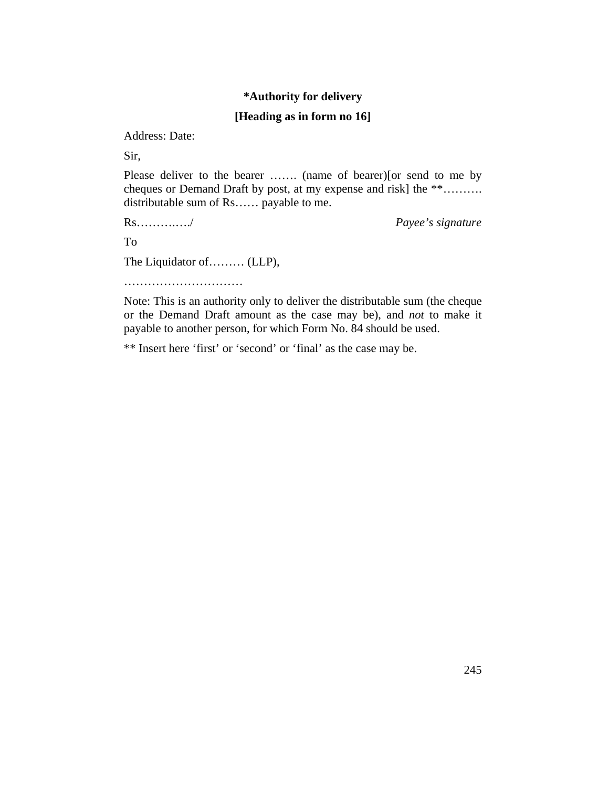## **\*Authority for delivery**

### **[Heading as in form no 16]**

Address: Date:

Sir,

Please deliver to the bearer ……. (name of bearer)[or send to me by cheques or Demand Draft by post, at my expense and risk] the \*\*………. distributable sum of Rs…… payable to me.

Rs……….…./ *Payee's signature*

To

The Liquidator of……… (LLP),

……………………………………

Note: This is an authority only to deliver the distributable sum (the cheque or the Demand Draft amount as the case may be), and *not* to make it payable to another person, for which Form No. 84 should be used.

\*\* Insert here 'first' or 'second' or 'final' as the case may be.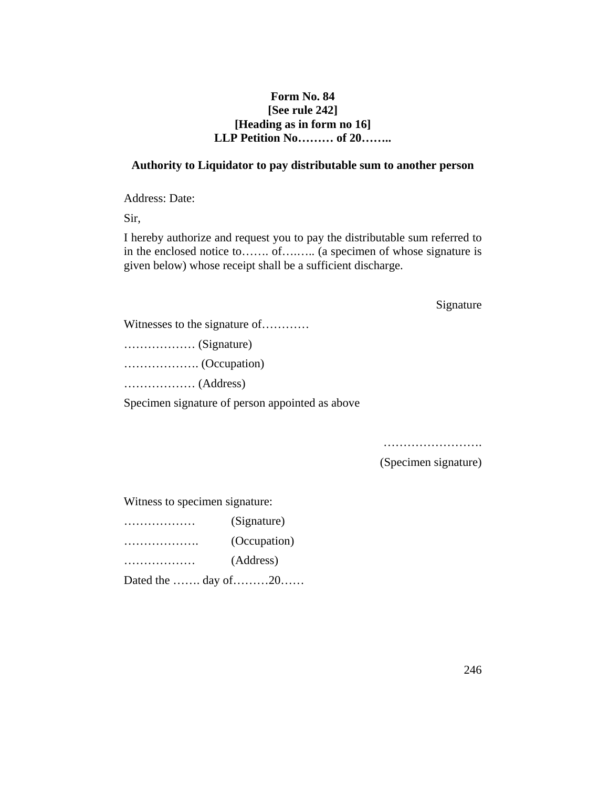### **Form No. 84 [See rule 242] [Heading as in form no 16] LLP Petition No……… of 20……..**

#### **Authority to Liquidator to pay distributable sum to another person**

Address: Date:

Sir,

I hereby authorize and request you to pay the distributable sum referred to in the enclosed notice to……. of….….. (a specimen of whose signature is given below) whose receipt shall be a sufficient discharge.

#### Signature

Witnesses to the signature of…………

……………… (Signature)

………………. (Occupation)

……………… (Address)

Specimen signature of person appointed as above

………………………… (Specimen signature)

Witness to specimen signature:

| (Signature)  |
|--------------|
| (Occupation) |
| (Address)    |

Dated the ……. day of………20……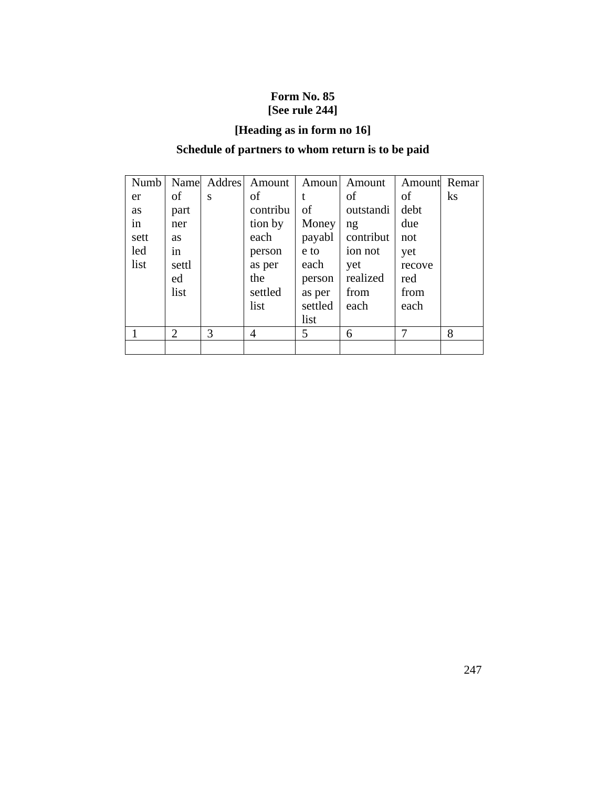# **Form No. 85 [See rule 244]**

# **[Heading as in form no 16]**

# **Schedule of partners to whom return is to be paid**

| Numb |                |   | Name Addres Amount | Amoun   | Amount    | Amount | Remar    |
|------|----------------|---|--------------------|---------|-----------|--------|----------|
| er   | of             | S | of                 |         | of        | of     | $\rm ks$ |
| as   | part           |   | contribu           | of      | outstandi | debt   |          |
| in   | ner            |   | tion by            | Money   | ng        | due    |          |
| sett | <b>as</b>      |   | each               | payabl  | contribut | not    |          |
| led  | in             |   | person             | e to    | ion not   | yet    |          |
| list | settl          |   | as per             | each    | yet       | recove |          |
|      | ed             |   | the                | person  | realized  | red    |          |
|      | list           |   | settled            | as per  | from      | from   |          |
|      |                |   | list               | settled | each      | each   |          |
|      |                |   |                    | list    |           |        |          |
|      | $\overline{2}$ | 3 | 4                  | 5       | 6         | 7      | 8        |
|      |                |   |                    |         |           |        |          |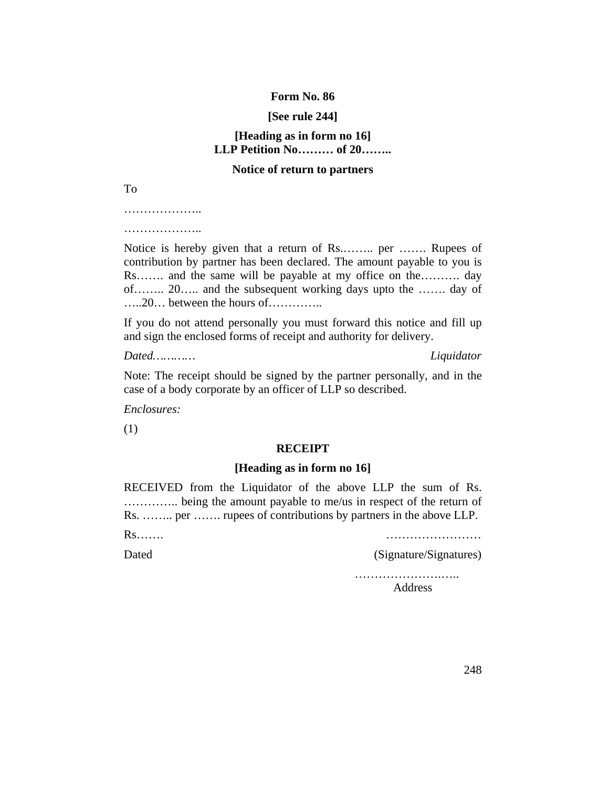#### **Form No. 86**

#### **[See rule 244]**

### **[Heading as in form no 16] LLP Petition No……… of 20……..**

#### **Notice of return to partners**

To

…………………

…………………

Notice is hereby given that a return of Rs.…….. per ……. Rupees of contribution by partner has been declared. The amount payable to you is Rs……. and the same will be payable at my office on the………. day of…….. 20….. and the subsequent working days upto the ……. day of …..20… between the hours of…………..

If you do not attend personally you must forward this notice and fill up and sign the enclosed forms of receipt and authority for delivery.

*Dated………… Liquidator*

Note: The receipt should be signed by the partner personally, and in the case of a body corporate by an officer of LLP so described.

*Enclosures:*

(1)

#### **RECEIPT**

#### **[Heading as in form no 16]**

RECEIVED from the Liquidator of the above LLP the sum of Rs. ………….. being the amount payable to me/us in respect of the return of Rs. …….. per ……. rupees of contributions by partners in the above LLP.

Rs……. ……………………

Dated (Signature/Signatures)

………………………………… Address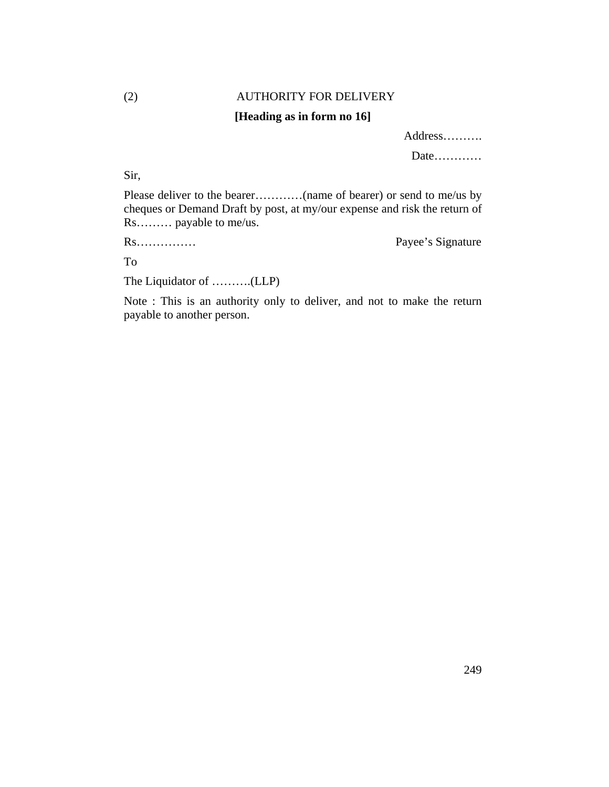# (2) AUTHORITY FOR DELIVERY

## **[Heading as in form no 16]**

Address……….

Date…………

Sir,

Please deliver to the bearer…………(name of bearer) or send to me/us by cheques or Demand Draft by post, at my/our expense and risk the return of Rs……… payable to me/us.

Rs…………… Payee's Signature

To

The Liquidator of ……….(LLP)

Note : This is an authority only to deliver, and not to make the return payable to another person.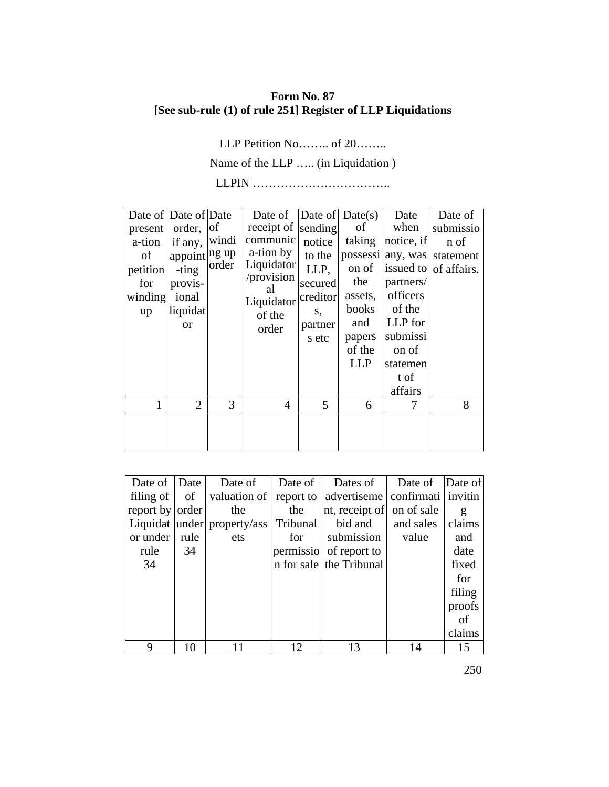## **Form No. 87 [See sub-rule (1) of rule 251] Register of LLP Liquidations**

LLP Petition No…….. of 20……..

Name of the LLP ….. (in Liquidation )

LLPIN ……………………………..

| Date of Date of Date |                |       | Date of $\vert$ Date of $\vert$ Date(s) |          |              | Date       | Date of                     |
|----------------------|----------------|-------|-----------------------------------------|----------|--------------|------------|-----------------------------|
| present              | order,         | of    | receipt of sending                      |          | of           | when       | submissio                   |
| a-tion               | if any,        | windi | communic                                | notice   | taking       | notice, if | n of                        |
| οf                   | appoint ng up  |       | a-tion by                               | to the   |              |            | possessi any, was statement |
| petition             | -ting          | order | Liquidator                              | LLP,     | on of        |            | issued to of affairs.       |
| for                  | provis-        |       | /provision                              | secured  | the          | partners/  |                             |
| winding              | ional          |       | al<br>Liquidator                        | creditor | assets,      | officers   |                             |
| up                   | liquidat       |       | of the                                  | S,       | <b>books</b> | of the     |                             |
|                      | <b>or</b>      |       | order                                   | partner  | and          | LLP for    |                             |
|                      |                |       |                                         | s etc    | papers       | submissi   |                             |
|                      |                |       |                                         |          | of the       | on of      |                             |
|                      |                |       |                                         |          | <b>LLP</b>   | statemen   |                             |
|                      |                |       |                                         |          |              | t of       |                             |
|                      |                |       |                                         |          |              | affairs    |                             |
|                      | $\overline{2}$ | 3     | 4                                       | 5        | 6            | 7          | 8                           |
|                      |                |       |                                         |          |              |            |                             |
|                      |                |       |                                         |          |              |            |                             |
|                      |                |       |                                         |          |              |            |                             |

| Date of   Date  |      | Date of                                           | Date of | Dates of                                       | Date of   | Date of |
|-----------------|------|---------------------------------------------------|---------|------------------------------------------------|-----------|---------|
|                 |      | filing of $\vert$ of $\vert$ valuation of $\vert$ |         | report to   advertiseme   confirmati   invitin |           |         |
| report by order |      | the                                               | the     | nt, receipt of on of sale                      |           | g       |
|                 |      | Liquidat under property/ass Tribunal              |         | bid and                                        | and sales | claims  |
| or under        | rule | ets                                               | for     | submission                                     | value     | and     |
| rule            | 34   |                                                   |         | permissio of report to                         |           | date    |
| 34              |      |                                                   |         | n for sale the Tribunal                        |           | fixed   |
|                 |      |                                                   |         |                                                |           | for     |
|                 |      |                                                   |         |                                                |           | filing  |
|                 |      |                                                   |         |                                                |           | proofs  |
|                 |      |                                                   |         |                                                |           | of      |
|                 |      |                                                   |         |                                                |           | claims  |
| 9               | 10   |                                                   | 12      | 13                                             | 14        | 15      |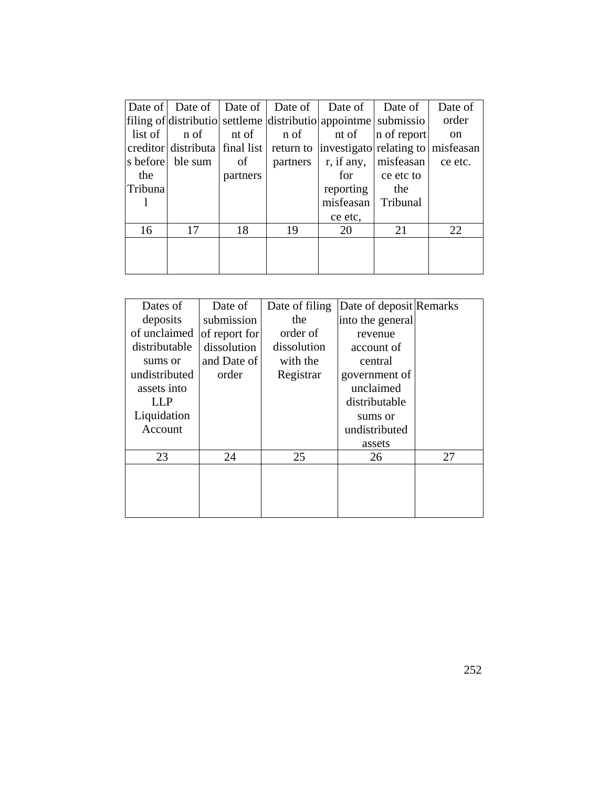|                   |                  |          | Date of   Date of   Date of   Date of | Date of                                                                    | Date of     | Date of       |
|-------------------|------------------|----------|---------------------------------------|----------------------------------------------------------------------------|-------------|---------------|
|                   |                  |          |                                       | filing of distributio settleme distributio appointme submissio             |             | order         |
| $list$ of $\vert$ | n of             |          | nt of n of                            | nt of                                                                      | n of report | <sub>on</sub> |
|                   |                  |          |                                       | creditor distributa final list return to investigato relating to misfeasan |             |               |
|                   | s before ble sum | of       | partners                              | r, if any,                                                                 | misfeasan   | ce etc.       |
| the               |                  | partners |                                       | for                                                                        | ce etc to   |               |
| Tribuna           |                  |          |                                       | reporting                                                                  | the         |               |
|                   |                  |          |                                       | misfeasan Tribunal                                                         |             |               |
|                   |                  |          |                                       | ce etc,                                                                    |             |               |
| 16                | 17               | 18       | 19                                    | 20                                                                         | 21          | 22            |
|                   |                  |          |                                       |                                                                            |             |               |
|                   |                  |          |                                       |                                                                            |             |               |
|                   |                  |          |                                       |                                                                            |             |               |

| Dates of      | Date of       | Date of filing | Date of deposit Remarks |    |
|---------------|---------------|----------------|-------------------------|----|
| deposits      | submission    | the            | into the general        |    |
| of unclaimed  | of report for | order of       | revenue                 |    |
| distributable | dissolution   | dissolution    | account of              |    |
| sums or       | and Date of   | with the       | central                 |    |
| undistributed | order         | Registrar      | government of           |    |
| assets into   |               |                | unclaimed               |    |
| LLP           |               |                | distributable           |    |
| Liquidation   |               |                | sums or                 |    |
| Account       |               |                | undistributed           |    |
|               |               |                | assets                  |    |
| 23            | 24            | 25             | 26                      | 27 |
|               |               |                |                         |    |
|               |               |                |                         |    |
|               |               |                |                         |    |
|               |               |                |                         |    |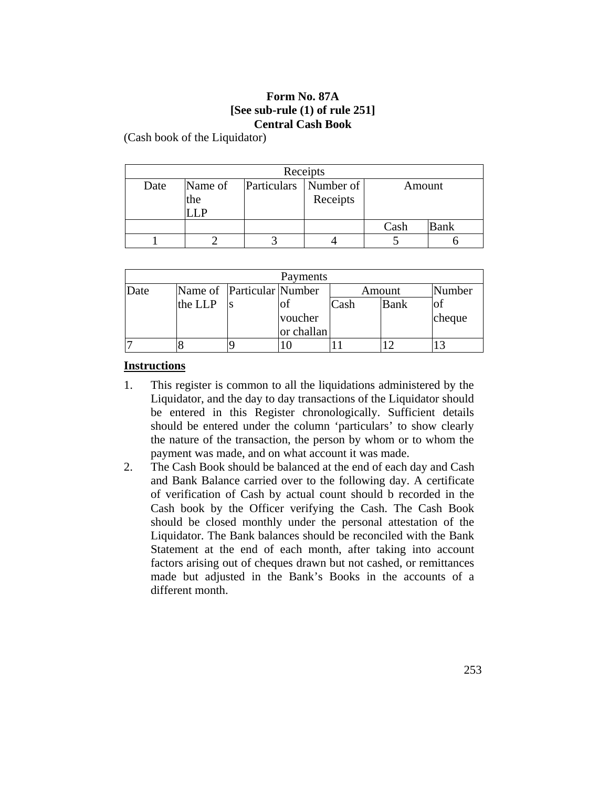#### **Form No. 87A [See sub-rule (1) of rule 251] Central Cash Book**

(Cash book of the Liquidator)

| Receipts                                           |     |  |          |      |             |  |  |  |  |
|----------------------------------------------------|-----|--|----------|------|-------------|--|--|--|--|
| Name of<br>Particulars Number of<br>Date<br>Amount |     |  |          |      |             |  |  |  |  |
|                                                    | the |  | Receipts |      |             |  |  |  |  |
|                                                    |     |  |          |      |             |  |  |  |  |
|                                                    |     |  |          | Cash | <b>Bank</b> |  |  |  |  |
|                                                    |     |  |          |      |             |  |  |  |  |

| Payments |         |                           |            |      |             |        |  |  |  |
|----------|---------|---------------------------|------------|------|-------------|--------|--|--|--|
| Date     |         | Name of Particular Number |            |      | Amount      | Number |  |  |  |
|          | the LLP |                           |            | Cash | <b>Bank</b> |        |  |  |  |
|          |         |                           | voucher    |      |             | cheque |  |  |  |
|          |         |                           | or challan |      |             |        |  |  |  |
|          |         |                           |            |      |             |        |  |  |  |

#### **Instructions**

- 1. This register is common to all the liquidations administered by the Liquidator, and the day to day transactions of the Liquidator should be entered in this Register chronologically. Sufficient details should be entered under the column 'particulars' to show clearly the nature of the transaction, the person by whom or to whom the payment was made, and on what account it was made.
- 2. The Cash Book should be balanced at the end of each day and Cash and Bank Balance carried over to the following day. A certificate of verification of Cash by actual count should b recorded in the Cash book by the Officer verifying the Cash. The Cash Book should be closed monthly under the personal attestation of the Liquidator. The Bank balances should be reconciled with the Bank Statement at the end of each month, after taking into account factors arising out of cheques drawn but not cashed, or remittances made but adjusted in the Bank's Books in the accounts of a different month.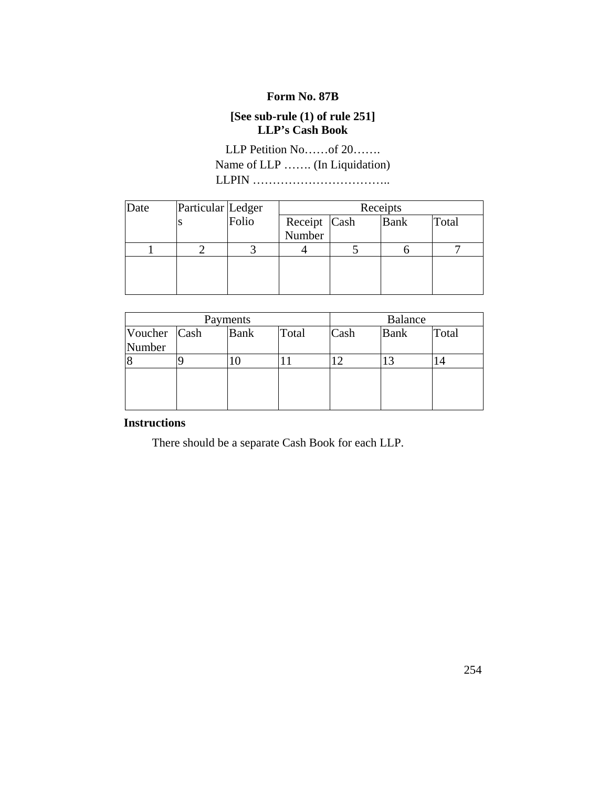## **Form No. 87B**

# **[See sub-rule (1) of rule 251] LLP's Cash Book**

LLP Petition No……of 20……. Name of LLP ……. (In Liquidation) LLPIN ……………………………..

| Date | Particular Ledger |       | Receipts     |  |             |       |  |
|------|-------------------|-------|--------------|--|-------------|-------|--|
|      |                   | Folio | Receipt Cash |  | <b>Bank</b> | Total |  |
|      |                   |       | Number       |  |             |       |  |
|      |                   |       |              |  |             |       |  |
|      |                   |       |              |  |             |       |  |
|      |                   |       |              |  |             |       |  |
|      |                   |       |              |  |             |       |  |

| Payments               |  |             |       | <b>Balance</b> |             |       |
|------------------------|--|-------------|-------|----------------|-------------|-------|
| Voucher Cash<br>Number |  | <b>Bank</b> | Total | Cash           | <b>Bank</b> | Total |
|                        |  |             |       |                |             |       |
|                        |  |             |       |                |             |       |

## **Instructions**

There should be a separate Cash Book for each LLP.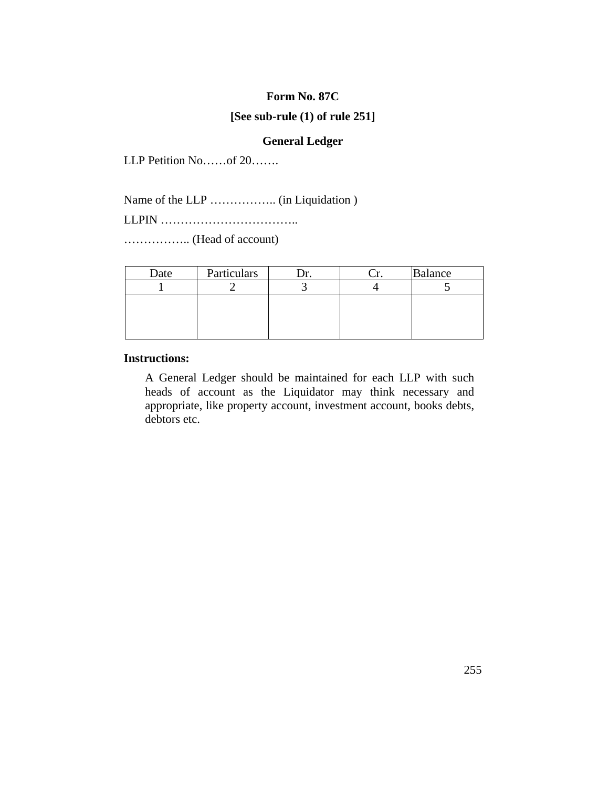#### **Form No. 87C**

#### **[See sub-rule (1) of rule 251]**

#### **General Ledger**

LLP Petition No……of 20…….

Name of the LLP …………….. (in Liquidation )

LLPIN ……………………………..

…………….. (Head of account)

| Date | Particulars |  | <b>Balance</b> |
|------|-------------|--|----------------|
|      |             |  |                |
|      |             |  |                |
|      |             |  |                |
|      |             |  |                |
|      |             |  |                |

#### **Instructions:**

A General Ledger should be maintained for each LLP with such heads of account as the Liquidator may think necessary and appropriate, like property account, investment account, books debts, debtors etc.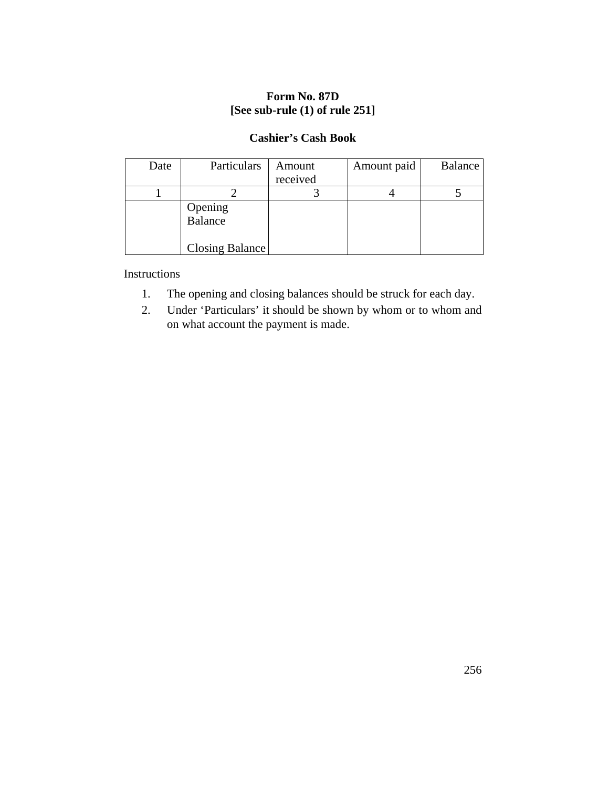# **Form No. 87D [See sub-rule (1) of rule 251]**

#### **Cashier's Cash Book**

| Date | Particulars                           | Amount<br>received | Amount paid | Balance |
|------|---------------------------------------|--------------------|-------------|---------|
|      |                                       |                    |             |         |
|      | Opening<br>Balance<br>Closing Balance |                    |             |         |

Instructions

- 1. The opening and closing balances should be struck for each day.
- 2. Under 'Particulars' it should be shown by whom or to whom and on what account the payment is made.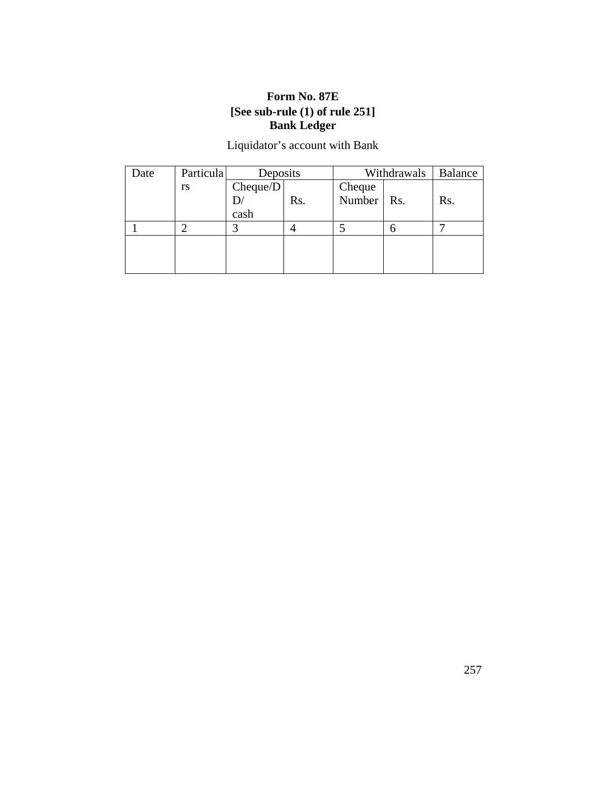# **Form No. 87E [See sub-rule (1) of rule 251] Bank Ledger**

# Liquidator's account with Bank

| Date | Particula | Deposits |     | Withdrawals |     | <b>Balance</b> |
|------|-----------|----------|-----|-------------|-----|----------------|
|      | rs        | Cheque/D |     | Cheque      |     |                |
|      |           |          | Rs. | Number      | Rs. | Rs.            |
|      |           | cash     |     |             |     |                |
|      |           |          |     |             |     |                |
|      |           |          |     |             |     |                |
|      |           |          |     |             |     |                |
|      |           |          |     |             |     |                |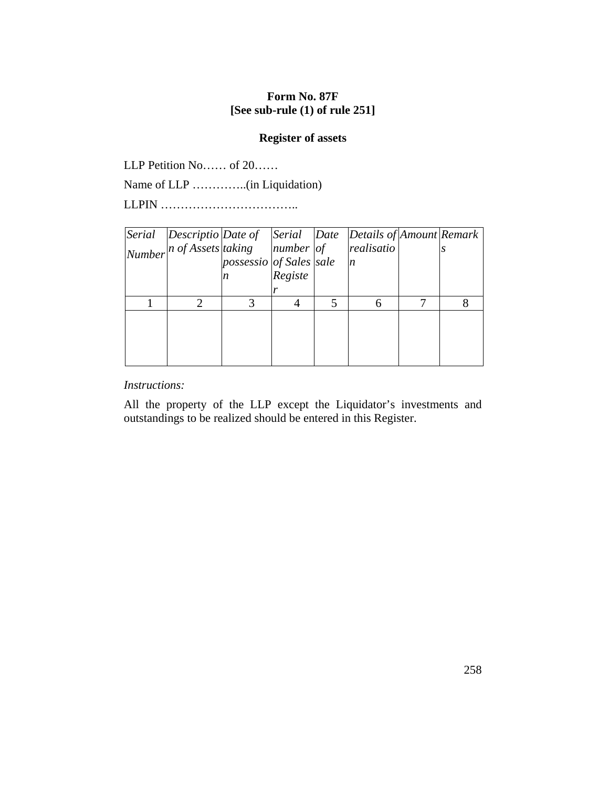#### **Form No. 87F [See sub-rule (1) of rule 251]**

#### **Register of assets**

LLP Petition No…… of 20……

Name of LLP …………..(in Liquidation)

LLPIN ……………………………..

| Serial Descriptio Date of Serial Date Details of Amount Remark              |                         |         |                  |  |
|-----------------------------------------------------------------------------|-------------------------|---------|------------------|--|
| $\vert$ Number $\vert$ n of Assets $\vert$ taking $\vert$ number $\vert$ of |                         |         | realisatio       |  |
|                                                                             | possessio of Sales sale |         | $\boldsymbol{n}$ |  |
|                                                                             |                         | Registe |                  |  |
|                                                                             |                         |         |                  |  |
|                                                                             |                         |         |                  |  |
|                                                                             |                         |         |                  |  |
|                                                                             |                         |         |                  |  |
|                                                                             |                         |         |                  |  |
|                                                                             |                         |         |                  |  |

#### *Instructions:*

All the property of the LLP except the Liquidator's investments and outstandings to be realized should be entered in this Register.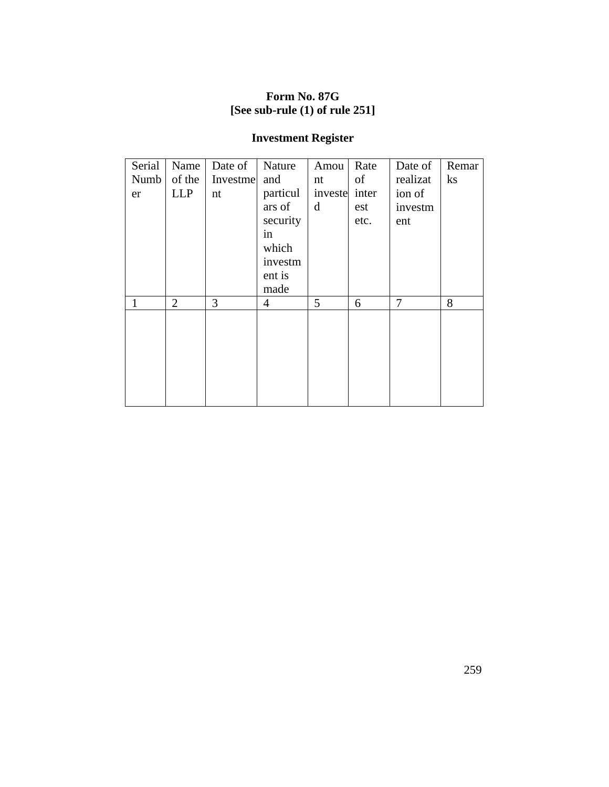# **Form No. 87G [See sub-rule (1) of rule 251]**

# **Investment Register**

| Serial | Name           | Date of  | Nature         | Amou    | Rate  | Date of  | Remar          |
|--------|----------------|----------|----------------|---------|-------|----------|----------------|
| Numb   | of the         | Investme | and            | nt      | of    | realizat | $\mathbf{k}$ s |
| er     | <b>LLP</b>     | nt       | particul       | investe | inter | ion of   |                |
|        |                |          | ars of         | d       | est   | investm  |                |
|        |                |          | security       |         | etc.  | ent      |                |
|        |                |          | in             |         |       |          |                |
|        |                |          | which          |         |       |          |                |
|        |                |          | investm        |         |       |          |                |
|        |                |          | ent is         |         |       |          |                |
|        |                |          | made           |         |       |          |                |
| 1      | $\overline{2}$ | 3        | $\overline{4}$ | 5       | 6     | 7        | 8              |
|        |                |          |                |         |       |          |                |
|        |                |          |                |         |       |          |                |
|        |                |          |                |         |       |          |                |
|        |                |          |                |         |       |          |                |
|        |                |          |                |         |       |          |                |
|        |                |          |                |         |       |          |                |
|        |                |          |                |         |       |          |                |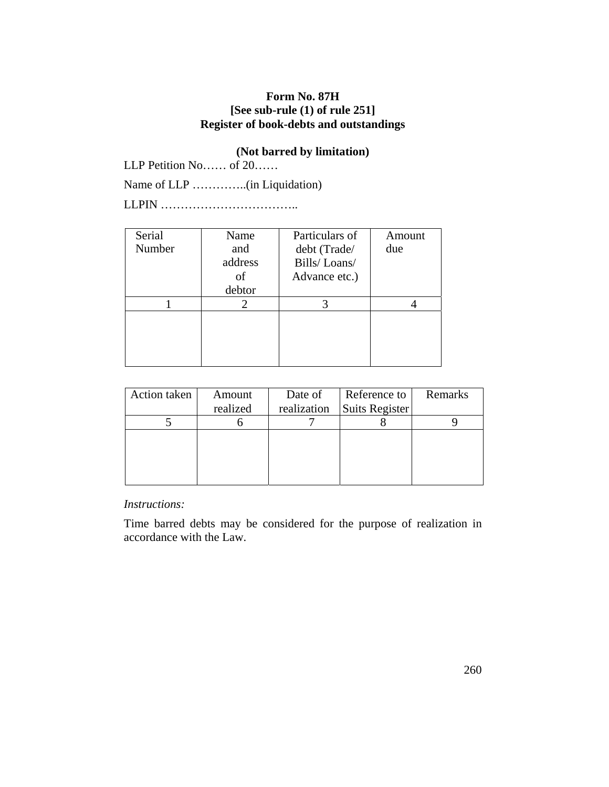## **Form No. 87H [See sub-rule (1) of rule 251] Register of book-debts and outstandings**

## **(Not barred by limitation)**

LLP Petition No…… of 20……

Name of LLP …………..(in Liquidation)

LLPIN ……………………………..

| Serial | Name    | Particulars of | Amount |
|--------|---------|----------------|--------|
| Number | and     | debt (Trade/   | due    |
|        | address | Bills/Loans/   |        |
|        | οf      | Advance etc.)  |        |
|        | debtor  |                |        |
|        |         |                |        |
|        |         |                |        |
|        |         |                |        |
|        |         |                |        |
|        |         |                |        |

| Action taken | Amount   | Date of     | Reference to   | Remarks |
|--------------|----------|-------------|----------------|---------|
|              | realized | realization | Suits Register |         |
|              |          |             |                |         |
|              |          |             |                |         |
|              |          |             |                |         |
|              |          |             |                |         |
|              |          |             |                |         |

*Instructions:*

Time barred debts may be considered for the purpose of realization in accordance with the Law.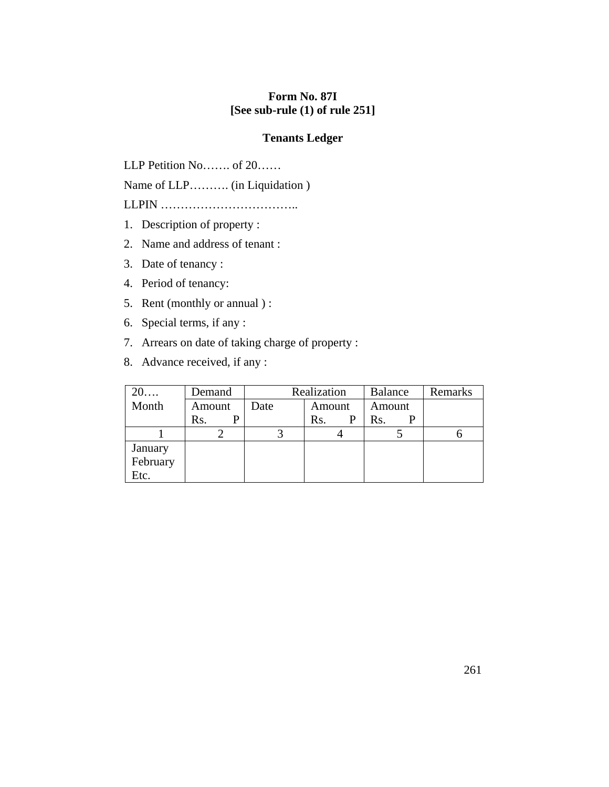## **Form No. 87I [See sub-rule (1) of rule 251]**

### **Tenants Ledger**

LLP Petition No……. of 20……

Name of LLP………. (in Liquidation )

LLPIN ……………………………..

- 1. Description of property :
- 2. Name and address of tenant :
- 3. Date of tenancy :
- 4. Period of tenancy:
- 5. Rent (monthly or annual ) :
- 6. Special terms, if any :
- 7. Arrears on date of taking charge of property :
- 8. Advance received, if any :

| $20\ldots$ | Demand |      | Realization | <b>Balance</b> | Remarks |
|------------|--------|------|-------------|----------------|---------|
| Month      | Amount | Date | Amount      | Amount         |         |
|            | Rs.    |      | Rs.         | Rs.            |         |
|            |        |      |             |                |         |
| January    |        |      |             |                |         |
| February   |        |      |             |                |         |
| Etc.       |        |      |             |                |         |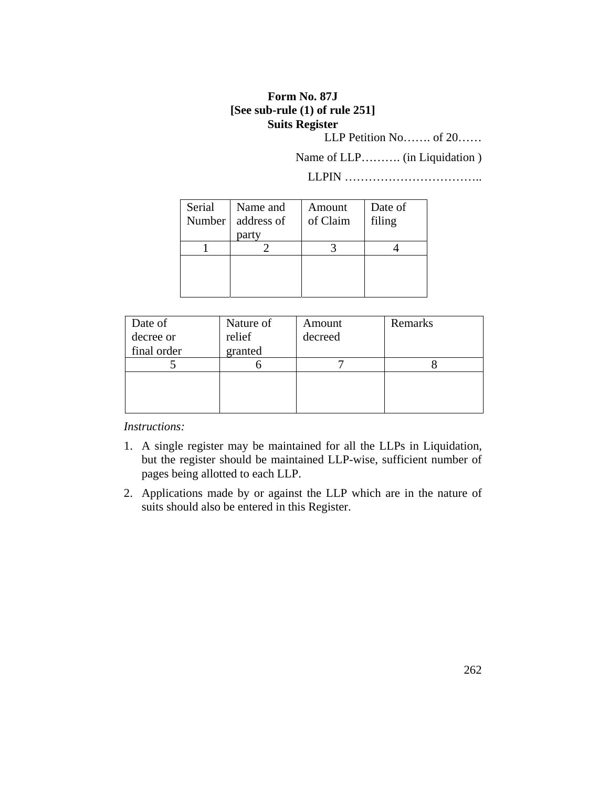## **Form No. 87J [See sub-rule (1) of rule 251] Suits Register**

LLP Petition No……. of 20……

Name of LLP………. (in Liquidation )

LLPIN ……………………………..

| Serial | Name and   | Amount   | Date of |
|--------|------------|----------|---------|
| Number | address of | of Claim | filing  |
|        | party      |          |         |
|        |            |          |         |
|        |            |          |         |
|        |            |          |         |
|        |            |          |         |

| Date of     | Nature of | Amount  | Remarks |
|-------------|-----------|---------|---------|
| decree or   | relief    | decreed |         |
| final order | granted   |         |         |
|             |           |         |         |
|             |           |         |         |
|             |           |         |         |
|             |           |         |         |

*Instructions:*

- 1. A single register may be maintained for all the LLPs in Liquidation, but the register should be maintained LLP-wise, sufficient number of pages being allotted to each LLP.
- 2. Applications made by or against the LLP which are in the nature of suits should also be entered in this Register.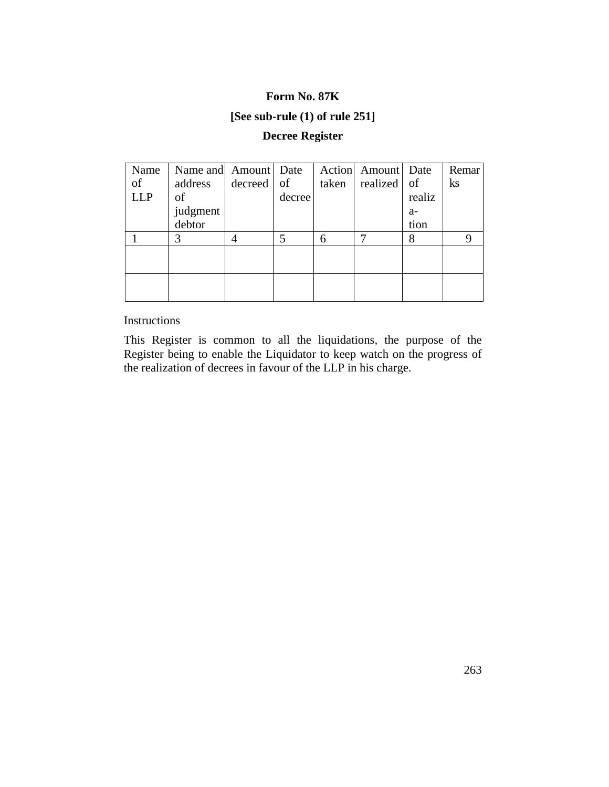#### **Form No. 87K**

# **[See sub-rule (1) of rule 251]**

# **Decree Register**

| Name       | Name and Amount Date |         |        |       | Action Amount | Date   | Remar |
|------------|----------------------|---------|--------|-------|---------------|--------|-------|
| of         | address              | decreed | of     | taken | realized      | of     | ks    |
| <b>LLP</b> | of                   |         | decree |       |               | realiz |       |
|            | judgment             |         |        |       |               | $a-$   |       |
|            | debtor               |         |        |       |               | tion   |       |
|            | 3                    |         | 5      | 6     |               | 8      | 9     |
|            |                      |         |        |       |               |        |       |
|            |                      |         |        |       |               |        |       |
|            |                      |         |        |       |               |        |       |
|            |                      |         |        |       |               |        |       |

Instructions

This Register is common to all the liquidations, the purpose of the Register being to enable the Liquidator to keep watch on the progress of the realization of decrees in favour of the LLP in his charge.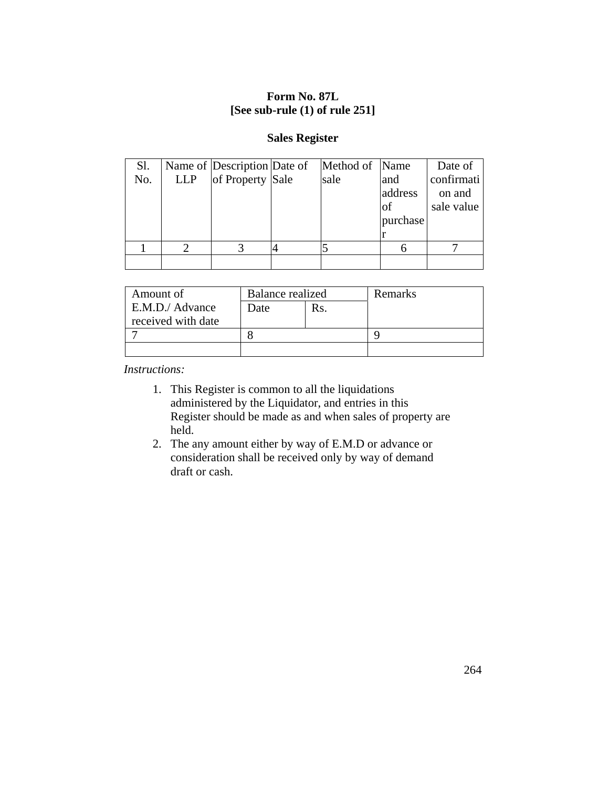## **Form No. 87L [See sub-rule (1) of rule 251]**

### **Sales Register**

| Sl. |            | Name of Description Date of | Method of Name |               | Date of    |
|-----|------------|-----------------------------|----------------|---------------|------------|
| No. | <b>LLP</b> | of Property Sale            | sale           | and           | confirmati |
|     |            |                             |                | address       | on and     |
|     |            |                             |                | <sup>of</sup> | sale value |
|     |            |                             |                | purchase      |            |
|     |            |                             |                |               |            |
|     |            |                             |                |               |            |
|     |            |                             |                |               |            |

| Amount of          | <b>Balance realized</b> |  | Remarks |
|--------------------|-------------------------|--|---------|
| E.M.D./ Advance    | Date<br>Rs.             |  |         |
| received with date |                         |  |         |
|                    |                         |  |         |
|                    |                         |  |         |

*Instructions:*

- 1. This Register is common to all the liquidations administered by the Liquidator, and entries in this Register should be made as and when sales of property are held.
- 2. The any amount either by way of E.M.D or advance or consideration shall be received only by way of demand draft or cash.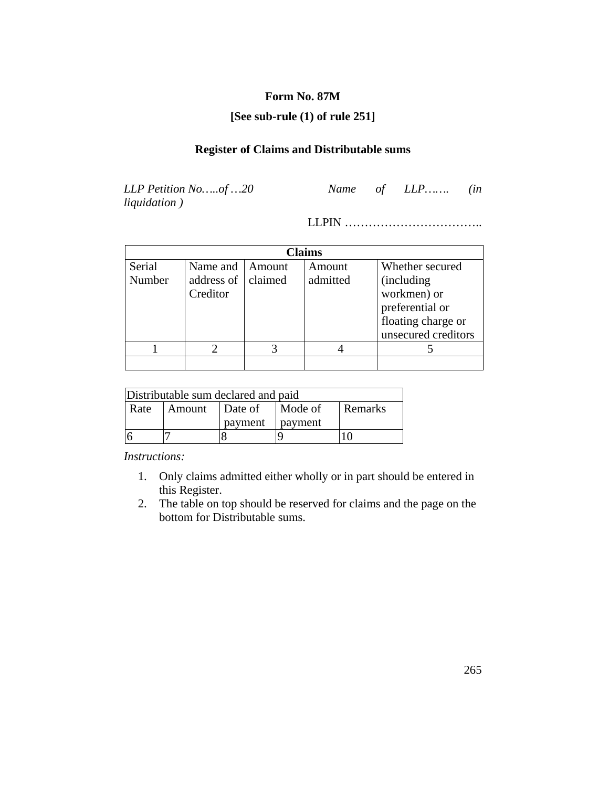# **Form No. 87M**

### **[See sub-rule (1) of rule 251]**

# **Register of Claims and Distributable sums**

*liquidation )*

*LLP Petition No…..of …20 Name of LLP……. (in* 

LLPIN ……………………………..

| Claims |                    |          |          |                     |  |
|--------|--------------------|----------|----------|---------------------|--|
| Serial | Name and           | l Amount | Amount   | Whether secured     |  |
| Number | address of claimed |          | admitted | <i>(including)</i>  |  |
|        | Creditor           |          |          | workmen) or         |  |
|        |                    |          |          | preferential or     |  |
|        |                    |          |          | floating charge or  |  |
|        |                    |          |          | unsecured creditors |  |
|        |                    |          |          |                     |  |
|        |                    |          |          |                     |  |

| Distributable sum declared and paid |                                      |         |                  |  |  |  |
|-------------------------------------|--------------------------------------|---------|------------------|--|--|--|
| Rate                                | Remarks<br>Mode of<br>Amount Date of |         |                  |  |  |  |
|                                     |                                      | payment | <b>p</b> payment |  |  |  |
|                                     |                                      |         |                  |  |  |  |

*Instructions:*

- 1. Only claims admitted either wholly or in part should be entered in this Register.
- 2. The table on top should be reserved for claims and the page on the bottom for Distributable sums.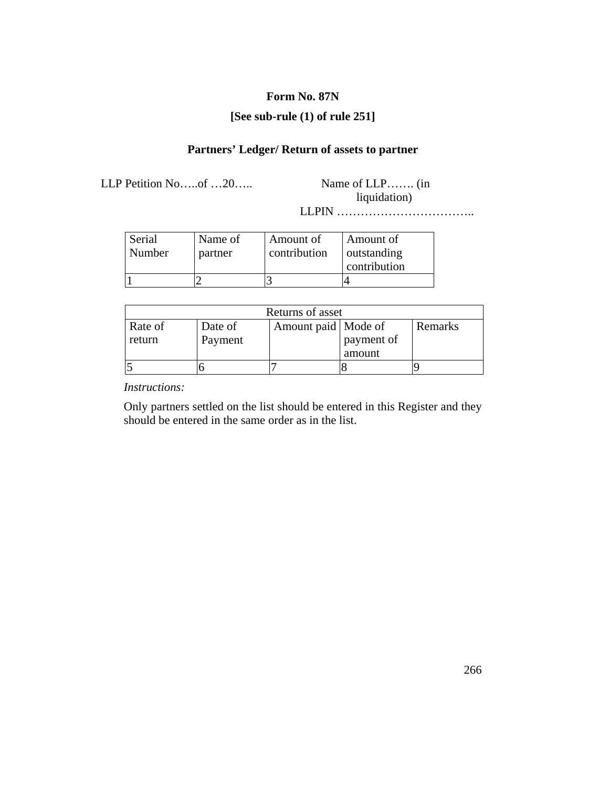#### **Form No. 87N**

## **[See sub-rule (1) of rule 251]**

# **Partners' Ledger/ Return of assets to partner**

LLP Petition No…..of …20….. Name of LLP……. (in

liquidation)

LLPIN ……………………………..

| Serial<br>Number | Name of<br>partner | Amount of<br>contribution | Amount of<br>outstanding |
|------------------|--------------------|---------------------------|--------------------------|
|                  |                    |                           | contribution             |
|                  |                    |                           |                          |

| Returns of asset  |                    |                       |                      |         |  |
|-------------------|--------------------|-----------------------|----------------------|---------|--|
| Rate of<br>return | Date of<br>Payment | Amount paid   Mode of | payment of<br>amount | Remarks |  |
|                   |                    |                       |                      |         |  |

*Instructions:*

Only partners settled on the list should be entered in this Register and they should be entered in the same order as in the list.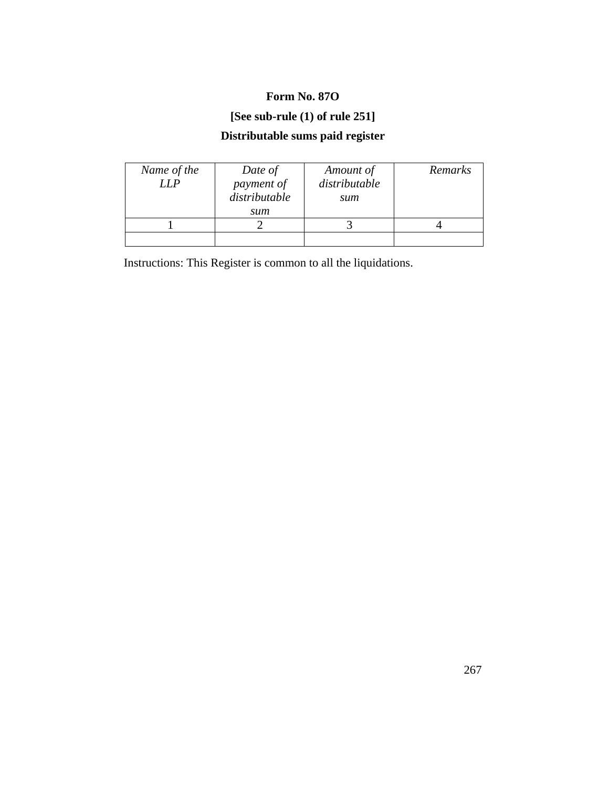# **Form No. 87O**

# **[See sub-rule (1) of rule 251]**

# **Distributable sums paid register**

| Name of the<br>LLP | Date of<br>payment of<br>distributable<br>sum | Amount of<br>distributable<br>sum | Remarks |
|--------------------|-----------------------------------------------|-----------------------------------|---------|
|                    |                                               |                                   |         |
|                    |                                               |                                   |         |

Instructions: This Register is common to all the liquidations.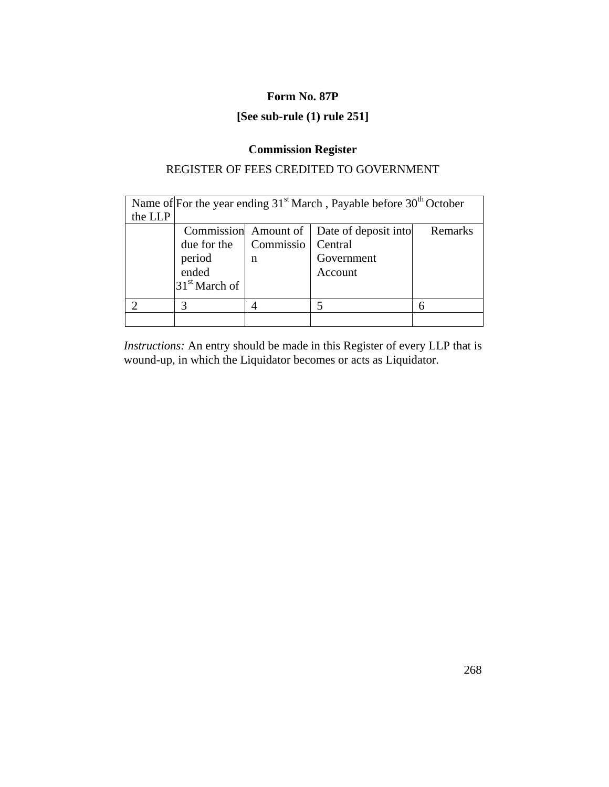#### **Form No. 87P**

# **[See sub-rule (1) rule 251]**

# **Commission Register**

# REGISTER OF FEES CREDITED TO GOVERNMENT

| Name of For the year ending $31st$ March, Payable before $30th$ October |                           |                      |                      |         |
|-------------------------------------------------------------------------|---------------------------|----------------------|----------------------|---------|
| the LLP                                                                 |                           |                      |                      |         |
|                                                                         |                           | Commission Amount of | Date of deposit into | Remarks |
|                                                                         | due for the               | Commissio            | Central              |         |
|                                                                         | period                    | n                    | Government           |         |
|                                                                         | ended                     |                      | Account              |         |
|                                                                         | 31 <sup>st</sup> March of |                      |                      |         |
|                                                                         | 3                         |                      |                      | 6       |
|                                                                         |                           |                      |                      |         |

*Instructions:* An entry should be made in this Register of every LLP that is wound-up, in which the Liquidator becomes or acts as Liquidator.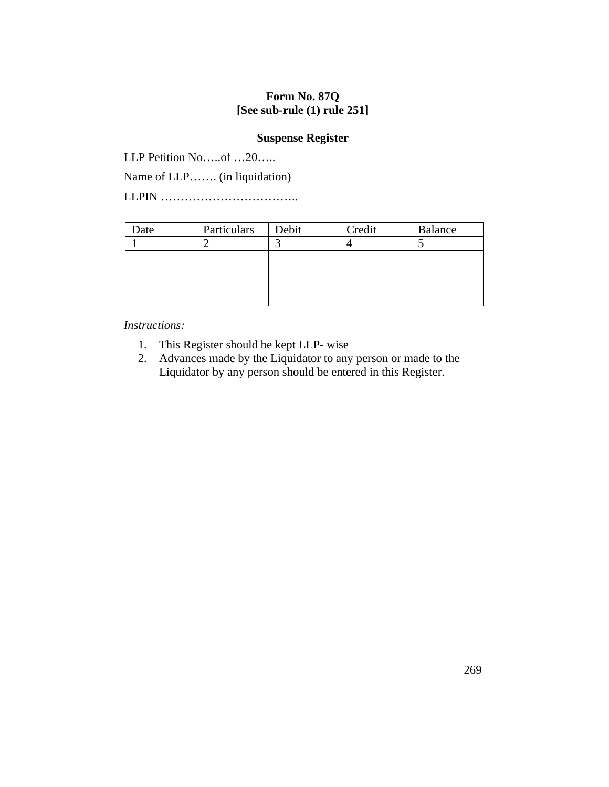## **Form No. 87Q [See sub-rule (1) rule 251]**

#### **Suspense Register**

LLP Petition No.....of ...20.....

Name of LLP……. (in liquidation)

LLPIN ……………………………..

| Date | Particulars | Debit | Credit | <b>Balance</b> |
|------|-------------|-------|--------|----------------|
|      |             |       |        |                |
|      |             |       |        |                |
|      |             |       |        |                |
|      |             |       |        |                |
|      |             |       |        |                |

*Instructions:*

- 1. This Register should be kept LLP- wise
- 2. Advances made by the Liquidator to any person or made to the Liquidator by any person should be entered in this Register.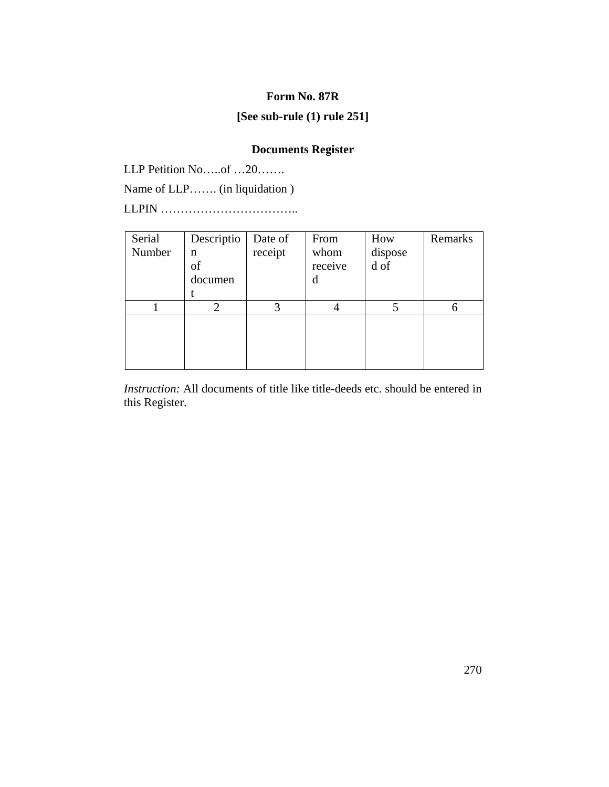#### **Form No. 87R**

## **[See sub-rule (1) rule 251]**

# **Documents Register**

LLP Petition No.....of …20…….

Name of LLP……. (in liquidation )

LLPIN ……………………………..

| Serial | Descriptio | Date of | From    | How               | Remarks |
|--------|------------|---------|---------|-------------------|---------|
| Number | n          | receipt | whom    | dispose           |         |
|        | of         |         | receive | $d \overline{of}$ |         |
|        | documen    |         | d       |                   |         |
|        |            |         |         |                   |         |
|        |            | 3       |         |                   | 6       |
|        |            |         |         |                   |         |
|        |            |         |         |                   |         |
|        |            |         |         |                   |         |
|        |            |         |         |                   |         |

*Instruction:* All documents of title like title-deeds etc. should be entered in this Register.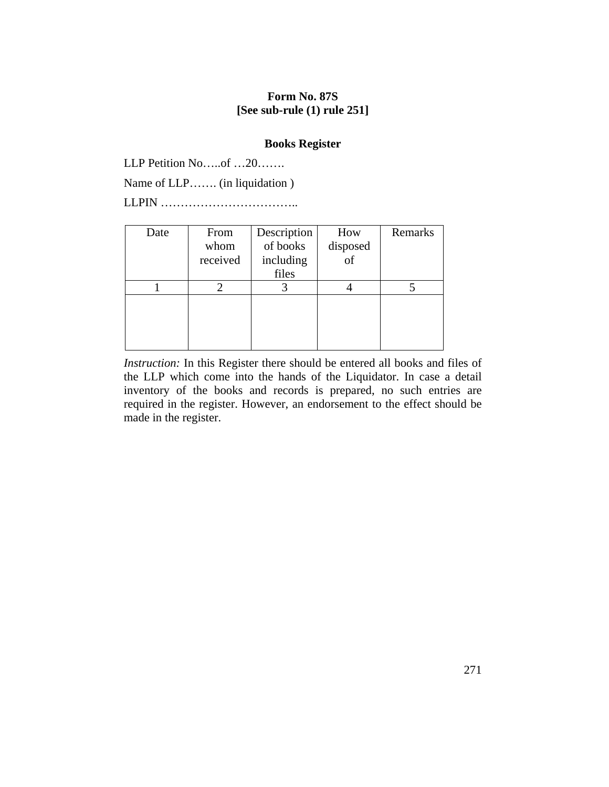#### **Form No. 87S [See sub-rule (1) rule 251]**

### **Books Register**

LLP Petition No…..of …20…….

Name of LLP……. (in liquidation )

LLPIN ……………………………..

| Date | From     | Description | How            | Remarks |
|------|----------|-------------|----------------|---------|
|      | whom     | of books    | disposed       |         |
|      | received | including   | $\int_{0}^{1}$ |         |
|      |          | files       |                |         |
|      |          |             |                |         |
|      |          |             |                |         |
|      |          |             |                |         |
|      |          |             |                |         |
|      |          |             |                |         |

*Instruction:* In this Register there should be entered all books and files of the LLP which come into the hands of the Liquidator. In case a detail inventory of the books and records is prepared, no such entries are required in the register. However, an endorsement to the effect should be made in the register.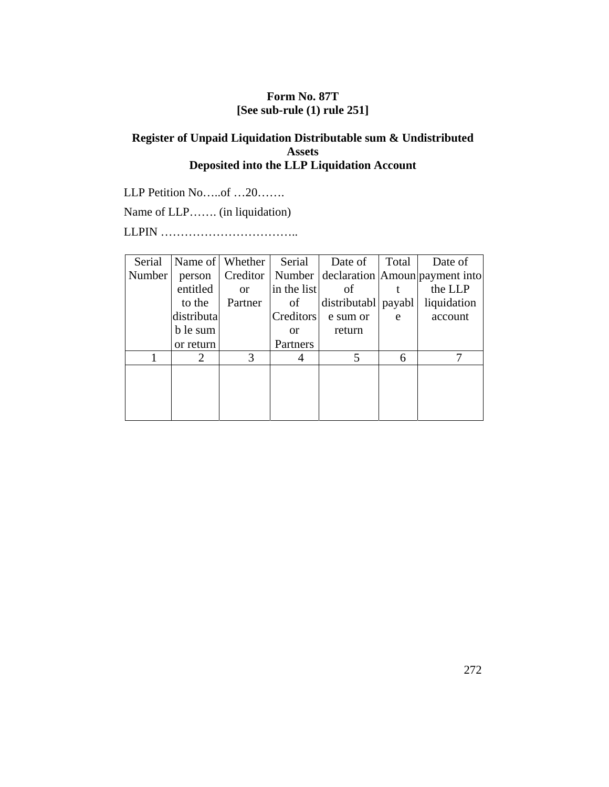## **Form No. 87T [See sub-rule (1) rule 251]**

## **Register of Unpaid Liquidation Distributable sum & Undistributed Assets Deposited into the LLP Liquidation Account**

LLP Petition No.....of ...20.......

Name of LLP……. (in liquidation)

LLPIN ……………………………..

| Serial |                             | Name of Whether | Serial        | Date of               | Total | Date of                                                |
|--------|-----------------------------|-----------------|---------------|-----------------------|-------|--------------------------------------------------------|
| Number | person                      |                 |               |                       |       | Creditor   Number   declaration   Amoun   payment into |
|        | entitled                    | or              | in the list   | of                    |       | the LLP                                                |
|        | to the                      | Partner         | of            | distributabl   payabl |       | liquidation                                            |
|        | distributa                  |                 | Creditors     | e sum or              | e     | account                                                |
|        | b le sum                    |                 | <sub>or</sub> | return                |       |                                                        |
|        | or return                   |                 | Partners      |                       |       |                                                        |
|        | $\mathcal{D}_{\mathcal{L}}$ | 3               | 4             | 5                     | 6     | 7                                                      |
|        |                             |                 |               |                       |       |                                                        |
|        |                             |                 |               |                       |       |                                                        |
|        |                             |                 |               |                       |       |                                                        |
|        |                             |                 |               |                       |       |                                                        |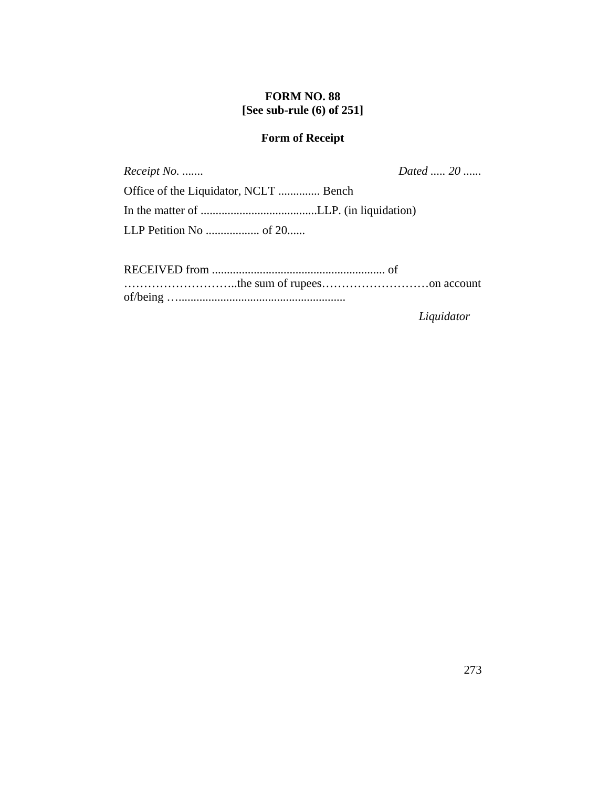#### **FORM NO. 88 [See sub-rule (6) of 251]**

## **Form of Receipt**

*Receipt No. ....... Dated ..... 20 ......*

Office of the Liquidator, NCLT .............. Bench In the matter of .......................................LLP. (in liquidation) LLP Petition No .................. of 20......

RECEIVED from .......................................................... of ………………………..the sum of rupees………………………on account of/being …........................................................

*Liquidator*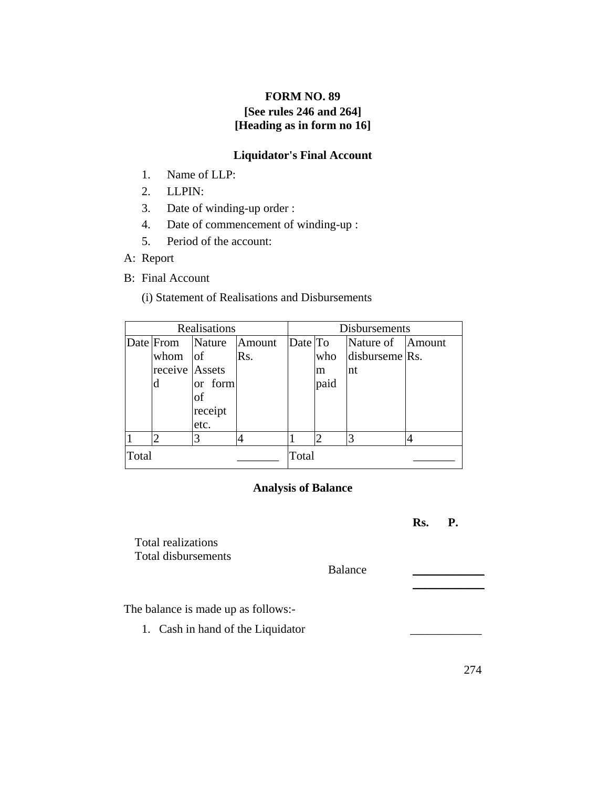# **FORM NO. 89 [See rules 246 and 264] [Heading as in form no 16]**

## **Liquidator's Final Account**

- 1. Name of LLP:
- 2. LLPIN:
- 3. Date of winding-up order :
- 4. Date of commencement of winding-up :
- 5. Period of the account:
- A: Report
- B: Final Account

(i) Statement of Realisations and Disbursements

| Realisations |                  |         |        | Disbursements |      |                  |  |
|--------------|------------------|---------|--------|---------------|------|------------------|--|
|              | Date From Nature |         | Amount | Date To       |      | Nature of Amount |  |
|              | whom $ $ of      |         | Rs.    |               | who  | disburseme Rs.   |  |
|              | receive Assets   |         |        |               | m    | nt               |  |
|              | d                | or form |        |               | paid |                  |  |
|              |                  | οf      |        |               |      |                  |  |
|              |                  | receipt |        |               |      |                  |  |
|              |                  | etc.    |        |               |      |                  |  |
|              |                  |         |        |               |      |                  |  |
| Total        |                  |         |        | Total         |      |                  |  |

## **Analysis of Balance**

 **Rs. P.** Total realizations Total disbursements Balance  $\mathcal{L}_\text{max}$  and  $\mathcal{L}_\text{max}$  are the set of  $\mathcal{L}_\text{max}$  . The set of  $\mathcal{L}_\text{max}$ The balance is made up as follows:- 1. Cash in hand of the Liquidator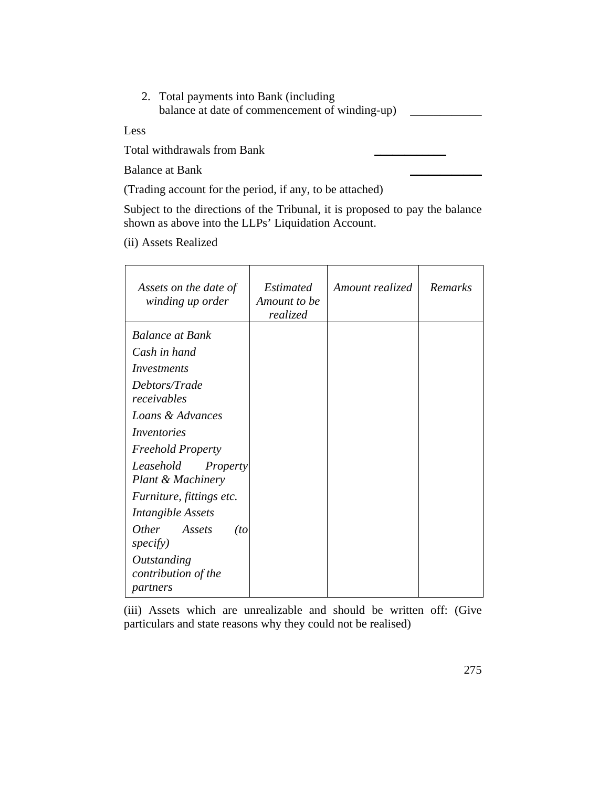| 2. Total payments into Bank (including         |  |
|------------------------------------------------|--|
| balance at date of commencement of winding-up) |  |

Less

Total withdrawals from Bank \_\_\_\_\_\_\_\_\_\_\_\_

Balance at Bank \_\_\_\_\_\_\_\_\_\_\_\_

(Trading account for the period, if any, to be attached)

Subject to the directions of the Tribunal, it is proposed to pay the balance shown as above into the LLPs' Liquidation Account.

(ii) Assets Realized

| Assets on the date of<br>winding up order      | <i>Estimated</i><br>Amount to be<br>realized | Amount realized | Remarks |
|------------------------------------------------|----------------------------------------------|-----------------|---------|
| <b>Balance at Bank</b>                         |                                              |                 |         |
| Cash in hand                                   |                                              |                 |         |
| Investments                                    |                                              |                 |         |
| Debtors/Trade<br>receivables                   |                                              |                 |         |
| Loans & Advances                               |                                              |                 |         |
| Inventories                                    |                                              |                 |         |
| <b>Freehold Property</b>                       |                                              |                 |         |
| Leasehold<br>Property<br>Plant & Machinery     |                                              |                 |         |
| Furniture, fittings etc.                       |                                              |                 |         |
| <b>Intangible Assets</b>                       |                                              |                 |         |
| <i>Other</i><br>Assets<br>(to<br>specify)      |                                              |                 |         |
| Outstanding<br>contribution of the<br>partners |                                              |                 |         |

(iii) Assets which are unrealizable and should be written off: (Give particulars and state reasons why they could not be realised)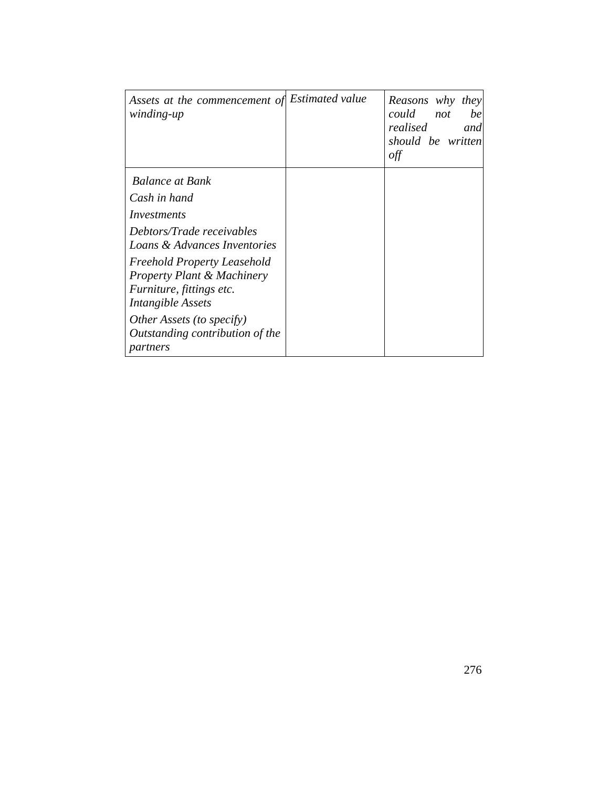| Assets at the commencement of<br>winding-up                                                                                  | <i>Estimated value</i> | Reasons why they<br>could<br>not<br>be<br>realised<br>and<br>should be written<br>off |
|------------------------------------------------------------------------------------------------------------------------------|------------------------|---------------------------------------------------------------------------------------|
| <b>Balance at Bank</b>                                                                                                       |                        |                                                                                       |
| Cash in hand                                                                                                                 |                        |                                                                                       |
| Investments                                                                                                                  |                        |                                                                                       |
| Debtors/Trade receivables<br>Loans & Advances Inventories                                                                    |                        |                                                                                       |
| <b>Freehold Property Leasehold</b><br><b>Property Plant &amp; Machinery</b><br>Furniture, fittings etc.<br>Intangible Assets |                        |                                                                                       |
| Other Assets (to specify)<br>Outstanding contribution of the<br>partners                                                     |                        |                                                                                       |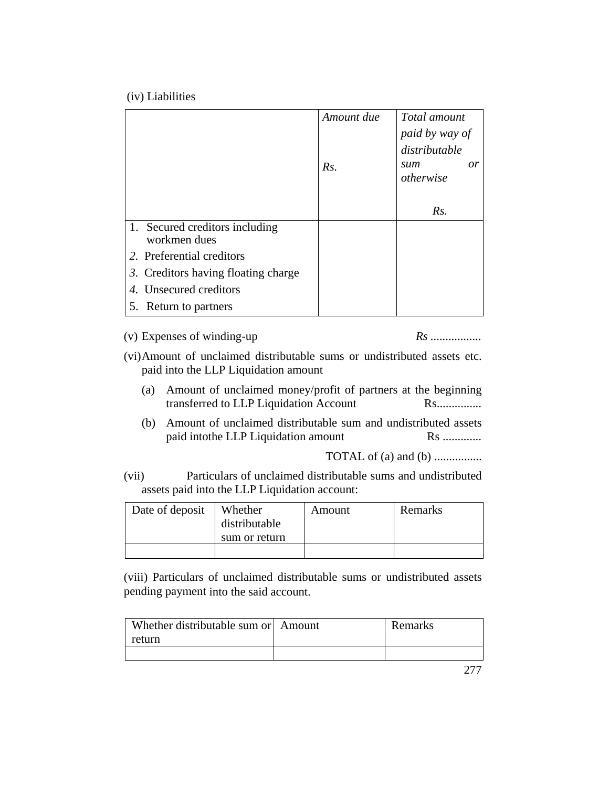(iv) Liabilities

|                                                | Amount due<br>Rs. | Total amount<br>paid by way of<br>distributable<br><sub>or</sub><br>sum<br>otherwise |
|------------------------------------------------|-------------------|--------------------------------------------------------------------------------------|
|                                                |                   | Rs.                                                                                  |
| 1. Secured creditors including<br>workmen dues |                   |                                                                                      |
| 2. Preferential creditors                      |                   |                                                                                      |
| 3. Creditors having floating charge            |                   |                                                                                      |
| 4. Unsecured creditors                         |                   |                                                                                      |
| 5. Return to partners                          |                   |                                                                                      |

(v) Expenses of winding-up *Rs .................*

(vi) Amount of unclaimed distributable sums or undistributed assets etc. paid into the LLP Liquidation amount

- (a) Amount of unclaimed money/profit of partners at the beginning transferred to LLP Liquidation Account Rs................
- (b) Amount of unclaimed distributable sum and undistributed assets paid intothe LLP Liquidation amount Rs .............

TOTAL of (a) and (b) ................

(vii) Particulars of unclaimed distributable sums and undistributed assets paid into the LLP Liquidation account:

| Date of deposit | Whether<br>distributable | Amount | Remarks |
|-----------------|--------------------------|--------|---------|
|                 | sum or return            |        |         |
|                 |                          |        |         |

(viii) Particulars of unclaimed distributable sums or undistributed assets pending payment into the said account.

| Whether distributable sum or Amount | Remarks |
|-------------------------------------|---------|
| return                              |         |
|                                     |         |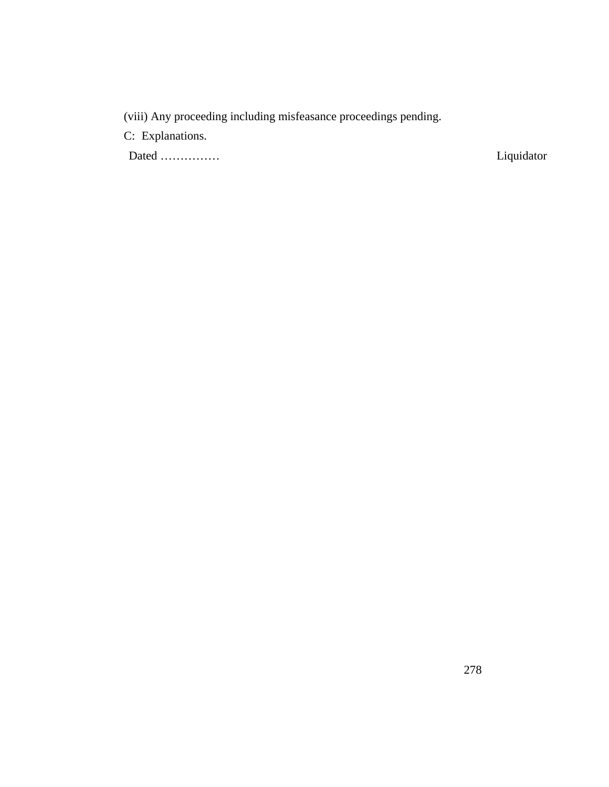(viii) Any proceeding including misfeasance proceedings pending.

C: Explanations.

Dated …………… Liquidator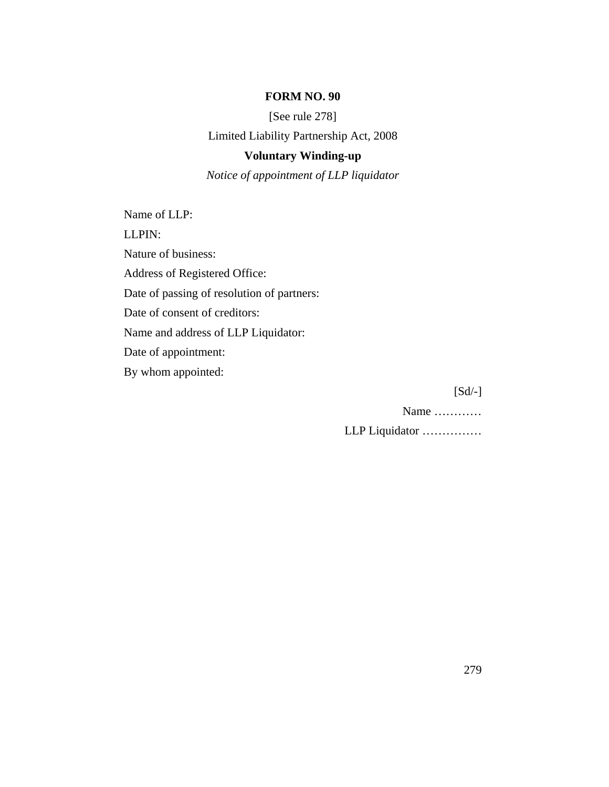#### **FORM NO. 90**

[See rule 278]

Limited Liability Partnership Act, 2008

#### **Voluntary Winding-up**

*Notice of appointment of LLP liquidator*

Name of LLP: LLPIN: Nature of business: Address of Registered Office: Date of passing of resolution of partners: Date of consent of creditors: Name and address of LLP Liquidator: Date of appointment: By whom appointed:

 $[Sd/-]$ 

Name …………

LLP Liquidator ……………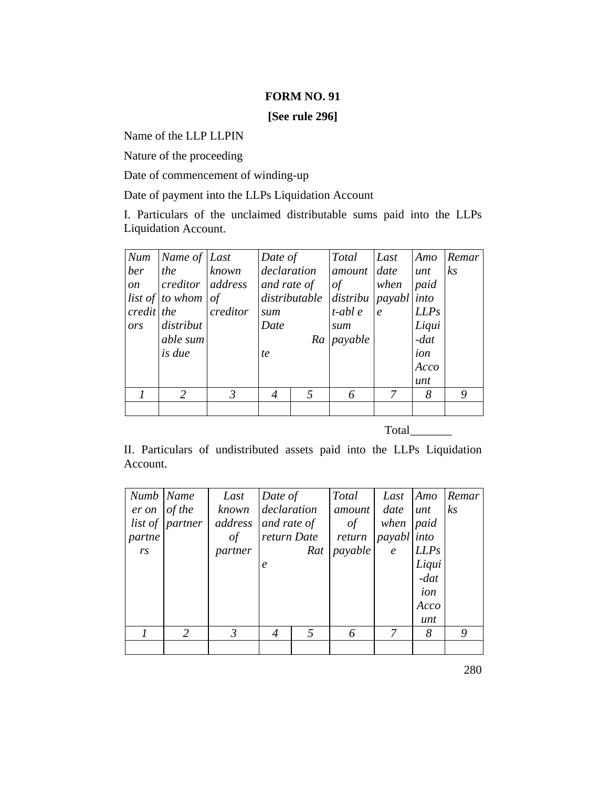#### **FORM NO. 91**

**[See rule 296]**

Name of the LLP LLPIN

Nature of the proceeding

Date of commencement of winding-up

Date of payment into the LLPs Liquidation Account

I. Particulars of the unclaimed distributable sums paid into the LLPs Liquidation Account.

| Num        | Name of Last                    |          | Date of     |   | Total                                      | Last                        | Amo    | Remar          |
|------------|---------------------------------|----------|-------------|---|--------------------------------------------|-----------------------------|--------|----------------|
| ber        | the                             | known    | declaration |   | amount date                                |                             | unt    | k <sub>S</sub> |
| on         | $ {\textit{creditor}} $ address |          | and rate of |   | $\circ f$                                  | when                        | paid   |                |
|            | <i>list of to whom of</i>       |          |             |   | $distributable$ $distribu$ $payabl$ $into$ |                             |        |                |
| credit the |                                 | creditor | sum         |   | $t$ -abl $e$                               | $\mathcal{C}_{\mathcal{C}}$ | LLPs   |                |
| ors        | distribut                       |          | Date        |   | sum                                        |                             | Liqui  |                |
|            | able sum                        |          |             |   | Ra <i>payable</i>                          |                             | $-dat$ |                |
|            | <i>is due</i>                   |          | te          |   |                                            |                             | ion    |                |
|            |                                 |          |             |   |                                            |                             | Acco   |                |
|            |                                 |          |             |   |                                            |                             | unt    |                |
|            | 2                               | 3        | 4           | 5 | 6                                          | 7                           | 8      | 9              |
|            |                                 |          |             |   |                                            |                             |        |                |

Total \_\_\_\_\_\_\_

II. Particulars of undistributed assets paid into the LLPs Liquidation Account.

| Numb   Name    |                        | Last           | Date of          |     | Total   | Last        | Amo    | Remar          |
|----------------|------------------------|----------------|------------------|-----|---------|-------------|--------|----------------|
| er on          | of the                 | known          | declaration      |     | amount  | date        | unt    | k <sub>S</sub> |
|                | <i>list of partner</i> | address        | and rate of      |     | of      | when        | paid   |                |
| partne         |                        | of             | return Date      |     | return  | payabl into |        |                |
| r <sub>S</sub> |                        | partner        |                  | Rat | payable | $\epsilon$  | LLPs   |                |
|                |                        |                | $\boldsymbol{e}$ |     |         |             | Liqui  |                |
|                |                        |                |                  |     |         |             | $-dat$ |                |
|                |                        |                |                  |     |         |             | ion    |                |
|                |                        |                |                  |     |         |             | Acco   |                |
|                |                        |                |                  |     |         |             | unt    |                |
|                | 2                      | $\mathfrak{Z}$ | $\overline{4}$   | 5   | 6       | 7           | 8      | 9              |
|                |                        |                |                  |     |         |             |        |                |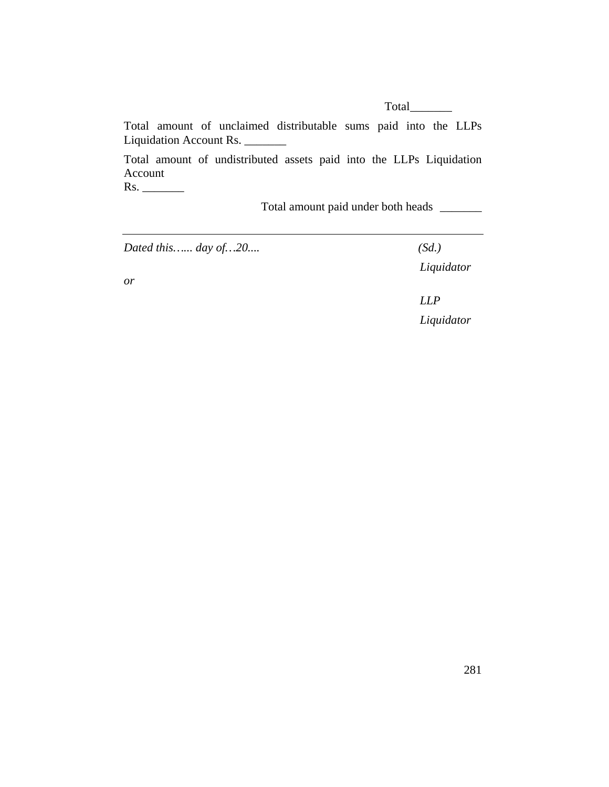Total \_\_\_\_\_\_\_

Total amount of unclaimed distributable sums paid into the LLPs Liquidation Account Rs.

Total amount of undistributed assets paid into the LLPs Liquidation Account

Rs. \_\_\_\_\_\_\_

Total amount paid under both heads \_\_\_\_\_\_\_

*Dated this…... day of…20.... (Sd.)* 

 *Liquidator* 

*or* 

 *LLP Liquidator*